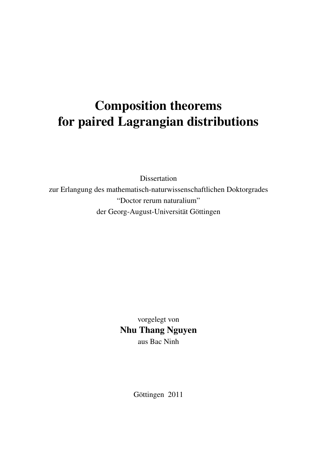# <span id="page-0-0"></span>Composition theorems for paired Lagrangian distributions

Dissertation zur Erlangung des mathematisch-naturwissenschaftlichen Doktorgrades "Doctor rerum naturalium" der Georg-August-Universität Göttingen

> vorgelegt von Nhu Thang Nguyen aus Bac Ninh

> > Göttingen 2011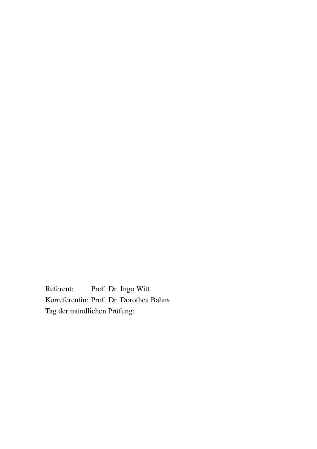Referent: Prof. Dr. Ingo Witt Korreferentin: Prof. Dr. Dorothea Bahns Tag der mündlichen Prüfung: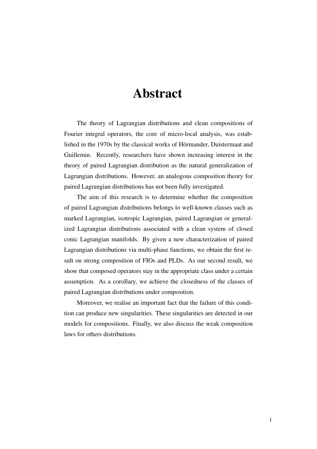# Abstract

The theory of Lagrangian distributions and clean compositions of Fourier integral operators, the core of micro-local analysis, was established in the 1970s by the classical works of Hörmander, Duistermaat and Guillemin. Recently, researchers have shown increasing interest in the theory of paired Lagrangian distribution as the natural generalization of Lagrangian distributions. However, an analogous composition theory for paired Lagrangian distributions has not been fully investigated.

The aim of this research is to determine whether the composition of paired Lagrangian distributions belongs to well-known classes such as marked Lagrangian, isotropic Lagrangian, paired Lagrangian or generalized Lagrangian distributions associated with a clean system of closed conic Lagrangian manifolds. By given a new characterization of paired Lagrangian distributions via multi-phase functions, we obtain the first result on strong composition of FIOs and PLDs. As our second result, we show that composed operators stay in the appropriate class under a certain assumption. As a corollary, we achieve the closedness of the classes of paired Lagrangian distributions under composition.

Moreover, we realise an important fact that the failure of this condition can produce new singularities. These singularities are detected in our models for compositions. Finally, we also discuss the weak composition laws for others distributions.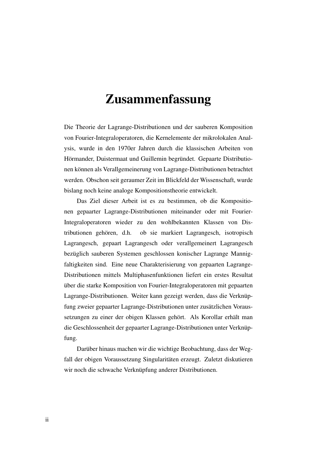# Zusammenfassung

Die Theorie der Lagrange-Distributionen und der sauberen Komposition von Fourier-Integraloperatoren, die Kernelemente der mikrolokalen Analysis, wurde in den 1970er Jahren durch die klassischen Arbeiten von Hörmander, Duistermaat und Guillemin begründet. Gepaarte Distributionen können als Verallgemeinerung von Lagrange-Distributionen betrachtet werden. Obschon seit geraumer Zeit im Blickfeld der Wissenschaft, wurde bislang noch keine analoge Kompositionstheorie entwickelt.

Das Ziel dieser Arbeit ist es zu bestimmen, ob die Kompositionen gepaarter Lagrange-Distributionen miteinander oder mit Fourier-Integraloperatoren wieder zu den wohlbekannten Klassen von Distributionen gehören, d.h. ob sie markiert Lagrangesch, isotropisch Lagrangesch, gepaart Lagrangesch oder verallgemeinert Lagrangesch bezüglich sauberen Systemen geschlossen konischer Lagrange Mannigfaltigkeiten sind. Eine neue Charakterisierung von gepaarten Lagrange-Distributionen mittels Multiphasenfunktionen liefert ein erstes Resultat über die starke Komposition von Fourier-Integraloperatoren mit gepaarten Lagrange-Distributionen. Weiter kann gezeigt werden, dass die Verknüpfung zweier gepaarter Lagrange-Distributionen unter zusätzlichen Voraussetzungen zu einer der obigen Klassen gehört. Als Korollar erhält man die Geschlossenheit der gepaarter Lagrange-Distributionen unter Verknüpfung.

Darüber hinaus machen wir die wichtige Beobachtung, dass der Wegfall der obigen Voraussetzung Singularitäten erzeugt. Zuletzt diskutieren wir noch die schwache Verknüpfung anderer Distributionen.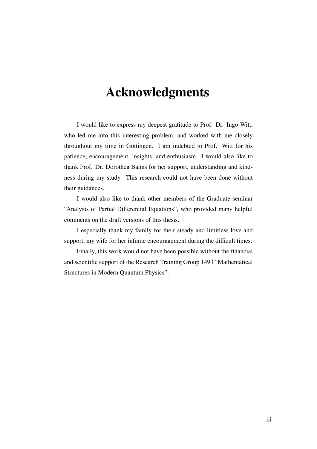# Acknowledgments

I would like to express my deepest gratitude to Prof. Dr. Ingo Witt, who led me into this interesting problem, and worked with me closely throughout my time in Göttingen. I am indebted to Prof. Witt for his patience, encouragement, insights, and enthusiasm. I would also like to thank Prof. Dr. Dorothea Bahns for her support, understanding and kindness during my study. This research could not have been done without their guidances.

I would also like to thank other members of the Graduate seminar "Analysis of Partial Differential Equations", who provided many helpful comments on the draft versions of this thesis.

I especially thank my family for their steady and limitless love and support, my wife for her infinite encouragement during the difficult times.

Finally, this work would not have been possible without the financial and scientific support of the Research Training Group 1493 "Mathematical Structures in Modern Quantum Physics".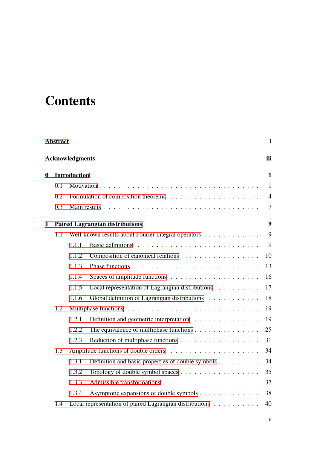# **Contents**

|             | <b>Abstract</b> |                        |                                                         | $\mathbf{i}$   |  |  |  |
|-------------|-----------------|------------------------|---------------------------------------------------------|----------------|--|--|--|
|             |                 | <b>Acknowledgments</b> |                                                         | iii            |  |  |  |
| $\mathbf 0$ |                 | <b>Introduction</b>    |                                                         | $\mathbf{1}$   |  |  |  |
|             | 0.1             |                        |                                                         | $\mathbf{1}$   |  |  |  |
|             | 0.2             |                        |                                                         | $\overline{4}$ |  |  |  |
|             | 0.3             |                        |                                                         | $\tau$         |  |  |  |
| 1           |                 |                        | <b>Paired Lagrangian distributions</b>                  | 9              |  |  |  |
|             | 1.1             |                        | Well-known results about Fourier integral operators     | 9              |  |  |  |
|             |                 | 1.1.1                  |                                                         | 9              |  |  |  |
|             |                 | 1.1.2                  | Composition of canonical relations                      | 10             |  |  |  |
|             |                 | 1.1.3                  |                                                         | 13             |  |  |  |
|             |                 | 1.1.4                  |                                                         | 16             |  |  |  |
|             |                 | 1.1.5                  | Local representation of Lagrangian distributions        | 17             |  |  |  |
|             |                 | 1.1.6                  | Global definition of Lagrangian distributions           | 18             |  |  |  |
|             | 1.2             |                        |                                                         | 19             |  |  |  |
|             |                 | 1.2.1                  | Definition and geometric interpretation                 | 19             |  |  |  |
|             |                 | 1.2.2                  | The equivalence of multiphase functions                 | 25             |  |  |  |
|             |                 | 1.2.3                  |                                                         | 31             |  |  |  |
|             | 1.3             |                        |                                                         |                |  |  |  |
|             |                 | 1.3.1                  | Definition and basic properties of double symbols       | 34             |  |  |  |
|             |                 | 1.3.2                  |                                                         | 35             |  |  |  |
|             |                 | 1.3.3                  |                                                         | 37             |  |  |  |
|             |                 | 1.3.4                  | Asymptotic expansions of double symbols                 | 38             |  |  |  |
|             | 1.4             |                        | Local representation of paired Lagrangian distributions | 40             |  |  |  |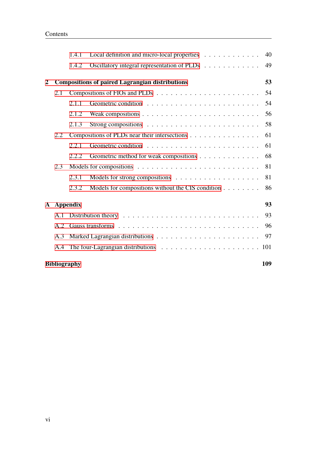|                |     | 1.4.1               | Local definition and micro-local properties                                | 40  |
|----------------|-----|---------------------|----------------------------------------------------------------------------|-----|
|                |     | 1.4.2               | Oscillatory integral representation of PLDs                                | 49  |
| $\overline{2}$ |     |                     | <b>Compositions of paired Lagrangian distributions</b>                     | 53  |
|                | 2.1 |                     |                                                                            | 54  |
|                |     | 2.1.1               |                                                                            | 54  |
|                |     | 2.1.2               |                                                                            | 56  |
|                |     | 2.1.3               |                                                                            | 58  |
|                | 2.2 |                     | Compositions of PLDs near their intersections                              | 61  |
|                |     | 2.2.1               |                                                                            | 61  |
|                |     | 2.2.2               | Geometric method for weak compositions                                     | 68  |
|                | 2.3 |                     |                                                                            | 81  |
|                |     | 2.3.1               | Models for strong compositions $\dots \dots \dots \dots \dots \dots \dots$ | 81  |
|                |     | 2.3.2               | Models for compositions without the CIS condition                          | 86  |
| ${\bf A}$      |     | <b>Appendix</b>     |                                                                            | 93  |
|                | A.1 |                     |                                                                            | 93  |
|                | A.2 |                     |                                                                            | 96  |
|                | A.3 |                     |                                                                            | 97  |
|                | A.4 |                     |                                                                            |     |
|                |     | <b>Bibliography</b> |                                                                            | 109 |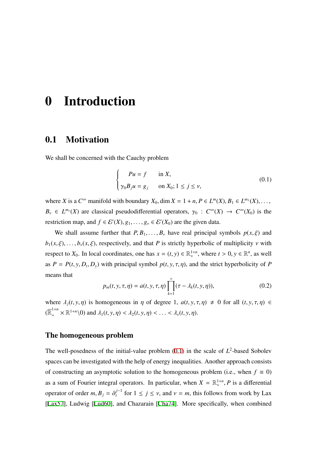# <span id="page-8-0"></span>0 Introduction

## <span id="page-8-1"></span>0.1 Motivation

We shall be concerned with the Cauchy problem

<span id="page-8-2"></span>
$$
\begin{cases}\nPu = f & \text{in } X, \\
\gamma_0 B_j u = g_j & \text{on } X_0; 1 \le j \le \nu,\n\end{cases}
$$
\n(0.1)

where *X* is a  $C^{\infty}$  manifold with boundary  $X_0$ , dim  $X = 1 + n$ ,  $P \in L^m(X)$ ,  $B_1 \in L^{m_1}(X)$ , ...  $B_{\nu} \in L^{m_{\nu}}(X)$  are classical pseudodifferential operators,  $\gamma_0 : C^{\infty}(X) \to C^{\infty}(X_0)$  is the restriction map, and  $f \in \mathcal{E}'(X), g_1, \ldots, g_{\nu} \in \mathcal{E}'(X_0)$  are the given data.

We shall assume further that  $P, B_1, \ldots, B_{\nu}$  have real principal symbols  $p(x, \xi)$  and  $b_1(x,\xi), \ldots, b_\nu(x,\xi)$ , respectively, and that *P* is strictly hyperbolic of multiplicity *v* with respect to  $X_0$ . In local coordinates, one has  $x = (t, y) \in \mathbb{R}^{1+n}_+$ , where  $t > 0, y \in \mathbb{R}^n$ , as well as  $P = P(t, y, D_t, D_y)$  with principal symbol  $p(t, y, \tau, \eta)$ , and the strict hyperbolicity of *P* means that

$$
p_m(t, y, \tau, \eta) = a(t, y, \tau, \eta) \prod_{k=1}^{\nu} (\tau - \lambda_k(t, y, \eta)),
$$
\n(0.2)

where  $\lambda_j(t, y, \eta)$  is homogeneous in  $\eta$  of degree 1,  $a(t, y, \tau, \eta) \neq 0$  for all  $(t, y, \tau, \eta) \in$  $(\overline{\mathbb{R}}_+^{1+n} \times \mathbb{R}^{1+n} \setminus 0)$  and  $\lambda_1(t, y, \eta) < \lambda_2(t, y, \eta) < \ldots < \lambda_\nu(t, y, \eta)$ .

### The homogeneous problem

The well-posedness of the initial-value problem  $(0.1)$  $(0.1)$  in the scale of  $L^2$ -based Sobolev spaces can be investigated with the help of energy inequalities. Another approach consists of constructing an asymptotic solution to the homogeneous problem (i.e., when  $f \equiv 0$ ) as a sum of Fourier integral operators. In particular, when  $X = \mathbb{R}^{1+n}_+$ , *P* is a differential operator of order *m*,  $B_j = \partial_t^{j-1}$  $t_t^{j-1}$  for  $1 \le j \le \nu$ , and  $\nu = m$ , this follows from work by Lax [\[Lax57\]](#page-117-0), Ludwig [\[Lud60](#page-117-1)], and Chazarain [[Cha74\]](#page-116-1). More specifically, when combined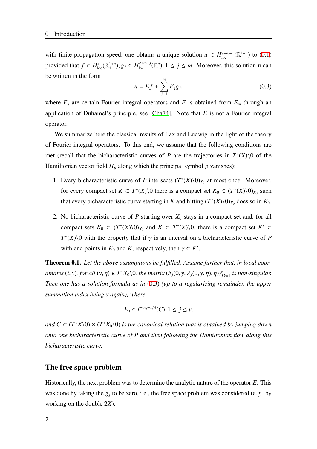with finite propagation speed, one obtains a unique solution  $u \in H^{s+m-1}_{loc}(\mathbb{R}^{1+n}_+)$  to [\(0.1](#page-8-2)) provided that  $f \in H_{loc}^{s}(\mathbb{R}^{1+n}_+), g_j \in H_{loc}^{s+m-j}(\mathbb{R}^n), 1 \le j \le m$ . Moreover, this solution u can be written in the form

<span id="page-9-0"></span>
$$
u = Ef + \sum_{j=1}^{m} E_j g_j,
$$
 (0.3)

where  $E_j$  are certain Fourier integral operators and  $E$  is obtained from  $E_m$  through an application of Duhamel's principle, see [[Cha74](#page-116-1)]. Note that *E* is not a Fourier integral operator.

We summarize here the classical results of Lax and Ludwig in the light of the theory of Fourier integral operators. To this end, we assume that the following conditions are met (recall that the bicharacteristic curves of *P* are the trajectories in  $T^*(X)\$  of the Hamiltonian vector field  $H_p$  along which the principal symbol  $p$  vanishes):

- 1. Every bicharacteristic curve of *P* intersects  $(T^*(X)\setminus 0)_{X_0}$  at most once. Moreover, for every compact set  $K \subset T^*(X) \setminus 0$  there is a compact set  $K_0 \subset (T^*(X) \setminus 0)_{X_0}$  such that every bicharacteristic curve starting in *K* and hitting  $(T^*(X)\setminus 0)_{X_0}$  does so in  $K_0$ .
- 2. No bicharacteristic curve of  $P$  starting over  $X_0$  stays in a compact set and, for all compact sets  $K_0 \subset (T^*(X) \setminus 0)_{X_0}$  and  $K \subset T^*(X) \setminus 0$ , there is a compact set  $K' \subset$  $T^*(X)$  with the property that if  $\gamma$  is an interval on a bicharacteristic curve of *P* with end points in  $K_0$  and  $K$ , respectively, then  $\gamma \subset K'$ .

Theorem 0.1. *Let the above assumptions be fulfilled. Assume further that, in local coordinates*  $(t, y)$ , for all  $(y, \eta) \in T^*X_0 \setminus 0$ , the matrix  $(b_j(0, y, \lambda_j(0, y, \eta), \eta))_{j,k=1}^{\nu}$  is non-singular. *Then one has a solution formula as in* ([0.3\)](#page-9-0) *(up to a regularizing remainder, the upper summation index being* ν *again), where*

$$
E_j \in I^{-m_j - 1/4}(C), 1 \le j \le \nu,
$$

*and*  $C \subset (T^*X\setminus 0) \times (T^*X_0\setminus 0)$  *is the canonical relation that is obtained by jumping down onto one bicharacteristic curve of P and then following the Hamiltonian flow along this bicharacteristic curve.*

#### The free space problem

Historically, the next problem was to determine the analytic nature of the operator *E*. This was done by taking the  $g_j$  to be zero, i.e., the free space problem was considered (e.g., by working on the double 2*X*).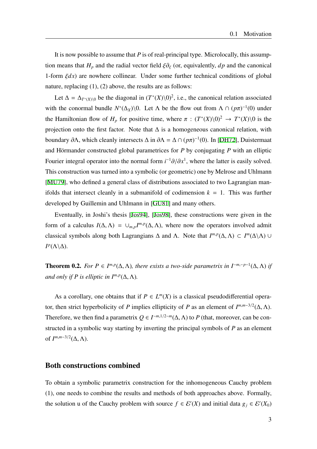It is now possible to assume that *P* is of real-principal type. Microlocally, this assumption means that  $H_p$  and the radial vector field  $\xi \partial_{\xi}$  (or, equivalently,  $dp$  and the canonical 1-form  $\xi dx$ ) are nowhere collinear. Under some further technical conditions of global nature, replacing (1), (2) above, the results are as follows:

Let  $\Delta = \Delta_{T^*(X)\setminus 0}$  be the diagonal in  $(T^*(X)\setminus 0)^2$ , i.e., the canonical relation associated with the conormal bundle  $N^*(\Delta_X)\setminus 0$ . Let  $\Lambda$  be the flow out from  $\Lambda \cap (p\pi)^{-1}(0)$  under the Hamiltonian flow of  $H_p$  for positive time, where  $\pi$  :  $(T^*(X)\setminus 0)^2 \to T^*(X)\setminus 0$  is the projection onto the first factor. Note that  $\Delta$  is a homogeneous canonical relation, with boundary  $\partial \Lambda$ , which cleanly intersects  $\Delta$  in  $\partial \Lambda = \Delta \cap (p\pi)^{-1}(0)$ . In [[DH72\]](#page-116-2), Duistermaat and Hörmander constructed global parametrices for *P* by conjugating *P* with an elliptic Fourier integral operator into the normal form  $i^{-1}\partial/\partial x^1$ , where the latter is easily solved. This construction was turned into a symbolic (or geometric) one by Melrose and Uhlmann [\[MU79](#page-117-2)], who defined a general class of distributions associated to two Lagrangian manifolds that intersect cleanly in a submanifold of codimension  $k = 1$ . This was further developed by Guillemin and Uhlmann in [\[GU81](#page-116-3)] and many others.

Eventually, in Joshi's thesis [\[Jos94\]](#page-117-3), [\[Jos98](#page-117-4)], these constructions were given in the form of a calculus  $I(\Delta, \Lambda) = \cup_{m,p} I^{m,p}(\Delta, \Lambda)$ , where now the operators involved admit classical symbols along both Lagrangians  $\Delta$  and  $\Lambda$ . Note that  $I^{m,p}(\Delta, \Lambda) \subset I^m(\Delta \setminus \Lambda)$  ∪  $I^p(\Lambda \backslash \Delta)$ .

**Theorem 0.2.** *For P*  $\in I^{m,p}(\Delta, \Lambda)$ *, there exists a two-side parametrix in*  $I^{-m,-p-1}(\Delta, \Lambda)$  *if and only if P is elliptic in*  $I^{m,p}(\Delta, \Lambda)$ *.* 

As a corollary, one obtains that if  $P \in L^m(X)$  is a classical pseudodifferential operator, then strict hyperbolicity of *P* implies ellipticity of *P* as an element of  $I^{m,m-3/2}(\Delta, \Lambda)$ . Therefore, we then find a parametrix  $Q \in I^{-m,1/2-m}(\Delta, \Lambda)$  to P (that, moreover, can be constructed in a symbolic way starting by inverting the principal symbols of *P* as an element of  $I^{m,m-3/2}(\Delta,\Lambda)$ .

#### Both constructions combined

To obtain a symbolic parametrix construction for the inhomogeneous Cauchy problem (1), one needs to combine the results and methods of both approaches above. Formally, the solution u of the Cauchy problem with source  $f \in \mathcal{E}'(X)$  and initial data  $g_j \in \mathcal{E}'(X_0)$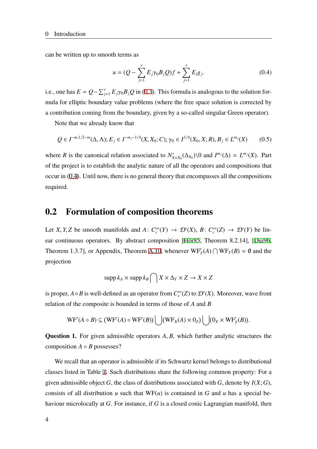can be written up to smooth terms as

<span id="page-11-1"></span>
$$
u = (Q - \sum_{j=1}^{V} E_j \gamma_0 B_j Q) f + \sum_{j=1}^{V} E_i g_j.
$$
 (0.4)

i.e., one has  $E = Q - \sum_{j=1}^{v} E_j \gamma_0 B_j Q$  in ([0.3\)](#page-9-0). This formula is analogous to the solution formula for elliptic boundary value problems (where the free space solution is corrected by a contribution coming from the boundary, given by a so-called singular Green operator).

Note that we already know that

$$
Q \in I^{-m,1/2-m}(\Delta,\Lambda); E_j \in I^{-m_j-1/4}(X,X_0;C); \gamma_0 \in I^{1/4}(X_0,X;R), B_j \in L^{m_j}(X) \tag{0.5}
$$

where *R* is the canonical relation associated to  $N^*_{X \times X_0}(\Delta_{X_0}) \setminus 0$  and  $I^{m_j}(\Delta) = L^{m_j}(X)$ . Part of the project is to establish the analytic nature of all the operators and compositions that occur in ([0.4\)](#page-11-1). Until now, there is no general theory that encompasses all the compositions required.

## <span id="page-11-0"></span>0.2 Formulation of composition theorems

Let *X*, *Y*, *Z* be smooth manifolds and *A*:  $C_c^{\infty}(Y) \to \mathcal{D}'(X)$ , *B*:  $C_c^{\infty}(Z) \to \mathcal{D}'(Y)$  be linear continuous operators. By abstract composition [\[Hör85,](#page-117-5) Theorem 8.2.14], [\[Dui96](#page-116-4), Theorem 1.3.7], or Appendix, Theorem [A.10,](#page-102-0) whenever  $WF'_{Y}(A) \cap WF_{Y}(B) = \emptyset$  and the projection

$$
\mathrm{supp} \, k_A \times \mathrm{supp} \, k_B \bigcap X \times \Delta_Y \times Z \to X \times Z
$$

is proper,  $A \circ B$  is well-defined as an operator from  $C_c^{\infty}(Z)$  to  $\mathcal{D}'(X)$ . Moreover, wave front relation of the composite is bounded in terms of those of *A* and *B*

$$
\mathrm{WF}'(A \circ B) \subseteq (\mathrm{WF}'(A) \circ \mathrm{WF}'(B)) \bigcup (\mathrm{WF}_X(A) \times 0_Z) \bigcup (0_X \times \mathrm{WF}'_Y(B)).
$$

Question 1. For given admissible operators *A*, *B*, which further analytic structures the composition  $A \circ B$  possesses?

We recall that an operator is admissible if its Schwartz kernel belongs to distributional classes listed in Table [1.](#page-12-0) Such distributions share the following common property: For a given admissible object *G*, the class of distributions associated with *G*, denote by *I*(*X*;*G*), consists of all distribution *u* such that  $WF(u)$  is contained in *G* and *u* has a special behaviour microlocally at *G*. For instance, if *G* is a closed conic Lagrangian manifold, then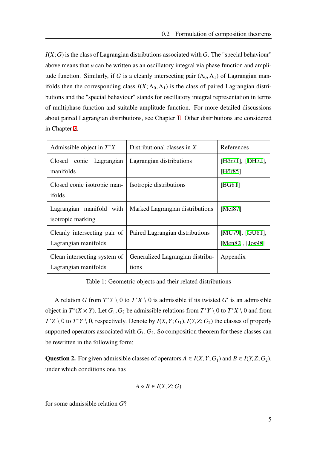$I(X;G)$  is the class of Lagrangian distributions associated with  $G$ . The "special behaviour" above means that *u* can be written as an oscillatory integral via phase function and amplitude function. Similarly, if *G* is a cleanly intersecting pair  $(\Lambda_0, \Lambda_1)$  of Lagrangian manifolds then the corresponding class  $I(X; \Lambda_0, \Lambda_1)$  is the class of paired Lagrangian distributions and the "special behaviour" stands for oscillatory integral representation in terms of multiphase function and suitable amplitude function. For more detailed discussions about paired Lagrangian distributions, see Chapter [1.](#page-16-0) Other distributions are considered in Chapter [2](#page-60-0).

| Admissible object in $T^*X$                          | Distributional classes in $X$             | References                          |
|------------------------------------------------------|-------------------------------------------|-------------------------------------|
| conic Lagrangian<br>Closed                           | Lagrangian distributions                  | $[H\ddot{o}r71]$ , $[DH72]$ ,       |
| manifolds                                            |                                           | [Hör $85$ ]                         |
| Closed conic isotropic man-<br>ifolds                | Isotropic distributions                   | [BG81]                              |
| Lagrangian manifold with<br>isotropic marking        | Marked Lagrangian distributions           | [Mel87]                             |
| Cleanly intersecting pair of<br>Lagrangian manifolds | Paired Lagrangian distributions           | [MU79], [GU81],<br>[Men82], [Jos98] |
| Clean intersecting system of<br>Lagrangian manifolds | Generalized Lagrangian distribu-<br>tions | Appendix                            |

<span id="page-12-0"></span>Table 1: Geometric objects and their related distributions

A relation *G* from  $T^*Y \setminus 0$  to  $T^*X \setminus 0$  is admissible if its twisted *G'* is an admissible object in  $T^*(X \times Y)$ . Let  $G_1, G_2$  be admissible relations from  $T^*Y \setminus 0$  to  $T^*X \setminus 0$  and from  $T^*Z \setminus 0$  to  $T^*Y \setminus 0$ , respectively. Denote by  $I(X, Y; G_1)$ ,  $I(Y, Z; G_2)$  the classes of properly supported operators associated with  $G_1, G_2$ . So composition theorem for these classes can be rewritten in the following form:

Question 2. For given admissible classes of operators  $A \in I(X, Y; G_1)$  and  $B \in I(Y, Z; G_2)$ , under which conditions one has

$$
A \circ B \in I(X,Z;G)
$$

for some admissible relation *G*?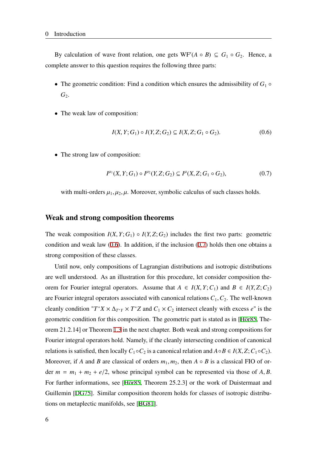By calculation of wave front relation, one gets  $WF'(A \circ B) \subseteq G_1 \circ G_2$ . Hence, a complete answer to this question requires the following three parts:

- The geometric condition: Find a condition which ensures the admissibility of  $G_1 \circ$ *G*2.
- The weak law of composition:

<span id="page-13-0"></span>
$$
I(X, Y; G_1) \circ I(Y, Z; G_2) \subseteq I(X, Z; G_1 \circ G_2). \tag{0.6}
$$

• The strong law of composition:

<span id="page-13-1"></span>
$$
I^{\mu_1}(X, Y; G_1) \circ I^{\mu_2}(Y, Z; G_2) \subseteq I^{\mu}(X, Z; G_1 \circ G_2), \tag{0.7}
$$

with multi-orders  $\mu_1, \mu_2, \mu$ . Moreover, symbolic calculus of such classes holds.

#### Weak and strong composition theorems

The weak composition  $I(X, Y; G_1) \circ I(Y, Z; G_2)$  includes the first two parts: geometric condition and weak law  $(0.6)$  $(0.6)$ . In addition, if the inclusion  $(0.7)$  $(0.7)$  holds then one obtains a strong composition of these classes.

Until now, only compositions of Lagrangian distributions and isotropic distributions are well understood. As an illustration for this procedure, let consider composition theorem for Fourier integral operators. Assume that  $A \in I(X, Y; C_1)$  and  $B \in I(Y, Z; C_2)$ are Fourier integral operators associated with canonical relations  $C_1, C_2$ . The well-known cleanly condition " $T^*X \times \Delta_{T^*Y} \times T^*Z$  and  $C_1 \times C_2$  intersect cleanly with excess *e*" is the geometric condition for this composition. The geometric part is stated as in [\[Hör85,](#page-117-5) Theorem 21.2.14] or Theorem [1.3](#page-17-1) in the next chapter. Both weak and strong compositions for Fourier integral operators hold. Namely, if the cleanly intersecting condition of canonical relations is satisfied, then locally  $C_1 \circ C_2$  is a canonical relation and  $A \circ B \in I(X, Z; C_1 \circ C_2)$ . Moreover, if *A* and *B* are classical of orders  $m_1, m_2$ , then  $A \circ B$  is a classical FIO of order  $m = m_1 + m_2 + e/2$ , whose principal symbol can be represented via those of A, B. For further informations, see [\[Hör85,](#page-117-5) Theorem 25.2.3] or the work of Duistermaat and Guillemin [\[DG75](#page-116-6)]. Similar composition theorem holds for classes of isotropic distributions on metaplectic manifolds, see [\[BG81\]](#page-116-5).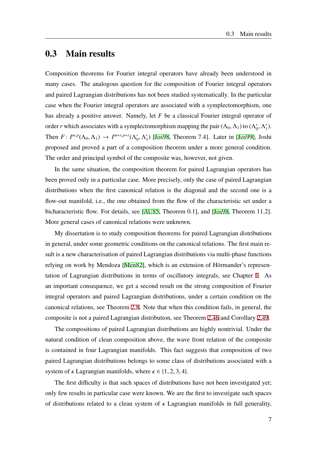## <span id="page-14-0"></span>0.3 Main results

Composition theorems for Fourier integral operators have already been understood in many cases. The analogous question for the composition of Fourier integral operators and paired Lagrangian distributions has not been studied systematically. In the particular case when the Fourier integral operators are associated with a symplectomorphism, one has already a positive answer. Namely, let *F* be a classical Fourier integral operator of order *r* which associates with a symplectomorphism mapping the pair  $(\Lambda_0, \Lambda_1)$  to  $(\Lambda_0')$  $'_{0}, \Lambda'_{1}$  $'_{1}$ ). Then  $F: I^{m,p}(\Lambda_0, \Lambda_1) \to I^{m+r,p+r}(\Lambda_0, \Lambda_1)$  $'_{0}, \Lambda'_{1}$  $'_{1}$ ) [[Jos98,](#page-117-4) Theorem 7.4]. Later in [\[Jos99](#page-117-9)], Joshi proposed and proved a part of a composition theorem under a more general condition. The order and principal symbol of the composite was, however, not given.

In the same situation, the composition theorem for paired Lagrangian operators has been proved only in a particular case. More precisely, only the case of paired Lagrangian distributions when the first canonical relation is the diagonal and the second one is a flow-out manifold, i.e., the one obtained from the flow of the characteristic set under a bicharacteristic flow. For details, see [\[AU85,](#page-116-7) Theorem 0.1], and [[Jos98](#page-117-4), Theorem 11.2]. More general cases of canonical relations were unknown.

My dissertation is to study composition theorems for paired Lagrangian distributions in general, under some geometric conditions on the canonical relations. The first main result is a new characterisation of paired Lagrangian distributions via multi-phase functions relying on work by Mendoza [\[Men82](#page-117-8)], which is an extension of Hörmander's representation of Lagrangian distributions in terms of oscillatory integrals, see Chapter [1.](#page-16-0) As an important consequence, we get a second result on the strong composition of Fourier integral operators and paired Lagrangian distributions, under a certain condition on the canonical relations, see Theorem [2.8](#page-65-1). Note that when this condition fails, in general, the composite is not a paired Lagrangian distribution, see Theorem [2.46](#page-93-1) and Corollary [2.49](#page-96-0).

The compositions of paired Lagrangian distributions are highly nontrivial. Under the natural condition of clean composition above, the wave front relation of the composite is contained in four Lagrangian manifolds. This fact suggests that composition of two paired Lagrangian distributions belongs to some class of distributions associated with a system of  $\kappa$  Lagrangian manifolds, where  $\kappa \in \{1, 2, 3, 4\}.$ 

The first difficulty is that such spaces of distributions have not been investigated yet; only few results in particular case were known. We are the first to investigate such spaces of distributions related to a clean system of  $\kappa$  Lagrangian manifolds in full generality,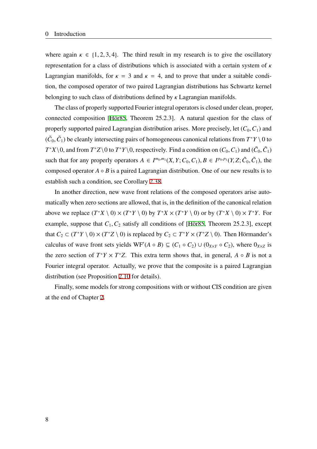where again  $\kappa \in \{1, 2, 3, 4\}$ . The third result in my research is to give the oscillatory representation for a class of distributions which is associated with a certain system of  $\kappa$ Lagrangian manifolds, for  $\kappa = 3$  and  $\kappa = 4$ , and to prove that under a suitable condition, the composed operator of two paired Lagrangian distributions has Schwartz kernel belonging to such class of distributions defined by  $\kappa$  Lagrangian manifolds.

The class of properly supported Fourier integral operators is closed under clean, proper, connected composition [[Hör85,](#page-117-5) Theorem 25.2.3]. A natural question for the class of properly supported paired Lagrangian distribution arises. More precisely, let  $(C_0, C_1)$  and  $(\tilde{C}_0, \tilde{C}_1)$  be cleanly intersecting pairs of homogeneous canonical relations from  $T^*Y \setminus 0$  to  $T^*X\setminus 0$ , and from  $T^*Z\setminus 0$  to  $T^*Y\setminus 0$ , respectively. Find a condition on  $(C_0, C_1)$  and  $(\tilde{C}_0, \tilde{C}_1)$ such that for any properly operators  $A \in I^{m_0,m_1}(X, Y; C_0, C_1), B \in I^{p_0,p_1}(Y, Z; \tilde{C}_0, \tilde{C}_1)$ , the composed operator  $A \circ B$  is a paired Lagrangian distribution. One of our new results is to establish such a condition, see Corollary [2.38](#page-85-0).

In another direction, new wave front relations of the composed operators arise automatically when zero sections are allowed, that is, in the definition of the canonical relation above we replace  $(T^*X \setminus 0) \times (T^*Y \setminus 0)$  by  $T^*X \times (T^*Y \setminus 0)$  or by  $(T^*X \setminus 0) \times T^*Y$ . For example, suppose that  $C_1$ ,  $C_2$  satisfy all conditions of [\[Hör85,](#page-117-5) Theorem 25.2.3], except that  $C_2 \subset (T^*Y \setminus 0) \times (T^*Z \setminus 0)$  is replaced by  $C_2 \subset T^*Y \times (T^*Z \setminus 0)$ . Then Hörmander's calculus of wave front sets yields  $WF'(A \circ B) \subseteq (C_1 \circ C_2) \cup (0_{X\times Y} \circ C_2)$ , where  $0_{X\times Z}$  is the zero section of  $T^*Y \times T^*Z$ . This extra term shows that, in general,  $A \circ B$  is not a Fourier integral operator. Actually, we prove that the composite is a paired Lagrangian distribution (see Proposition [2.10](#page-66-0) for details).

Finally, some models for strong compositions with or without CIS condition are given at the end of Chapter [2](#page-60-0).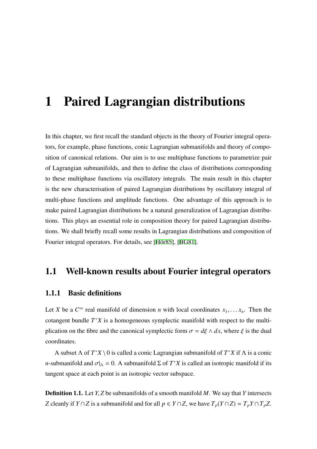# <span id="page-16-0"></span>1 Paired Lagrangian distributions

In this chapter, we first recall the standard objects in the theory of Fourier integral operators, for example, phase functions, conic Lagrangian submanifolds and theory of composition of canonical relations. Our aim is to use multiphase functions to parametrize pair of Lagrangian submanifolds, and then to define the class of distributions corresponding to these multiphase functions via oscillatory integrals. The main result in this chapter is the new characterisation of paired Lagrangian distributions by oscillatory integral of multi-phase functions and amplitude functions. One advantage of this approach is to make paired Lagrangian distributions be a natural generalization of Lagrangian distributions. This plays an essential role in composition theory for paired Lagrangian distributions. We shall briefly recall some results in Lagrangian distributions and composition of Fourier integral operators. For details, see [\[Hör85\]](#page-117-5), [[BG81](#page-116-5)].

## <span id="page-16-1"></span>1.1 Well-known results about Fourier integral operators

### <span id="page-16-2"></span>1.1.1 Basic definitions

Let *X* be a  $C^{\infty}$  real manifold of dimension *n* with local coordinates  $x_1, \ldots, x_n$ . Then the cotangent bundle  $T^*X$  is a homogeneous symplectic manifold with respect to the multiplication on the fibre and the canonical symplectic form  $\sigma = d\xi \wedge dx$ , where  $\xi$  is the dual coordinates.

A subset Λ of *T* <sup>∗</sup>*X* \ 0 is called a conic Lagrangian submanifold of *T* <sup>∗</sup>*X* if Λ is a conic *n*-submanifold and  $\sigma|_A = 0$ . A submanifold  $\Sigma$  of  $T^*X$  is called an isotropic manifold if its tangent space at each point is an isotropic vector subspace.

Definition 1.1. Let *Y*, *Z* be submanifolds of a smooth manifold *M*. We say that *Y* intersects *Z* cleanly if *Y* ∩ *Z* is a submanifold and for all  $p \in Y \cap Z$ , we have  $T_p(Y \cap Z) = T_p Y \cap T_p Z$ .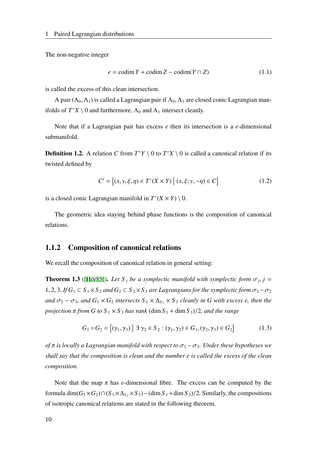The non-negative integer

$$
e = \text{codim } Y + \text{codim } Z - \text{codim}(Y \cap Z) \tag{1.1}
$$

is called the excess of this clean intersection.

A pair ( $\Lambda_0$ ,  $\Lambda_1$ ) is called a Lagrangian pair if  $\Lambda_0$ ,  $\Lambda_1$  are closed conic Lagrangian manifolds of  $T^*X \setminus 0$  and furthermore,  $\Lambda_0$  and  $\Lambda_1$  intersect cleanly.

Note that if a Lagrangian pair has excess *e* then its intersection is a *e*-dimensional submanifold.

**Definition 1.2.** A relation *C* from  $T^*Y \setminus 0$  to  $T^*X \setminus 0$  is called a canonical relation if its twisted defined by

$$
C' = \{(x, y, \xi, \eta) \in T^*(X \times Y) \mid (x, \xi; y, -\eta) \in C\}
$$
 (1.2)

is a closed conic Lagrangian manifold in  $T^*(X \times Y) \setminus 0$ .

The geometric idea staying behind phase functions is the composition of canonical relations.

#### <span id="page-17-0"></span>1.1.2 Composition of canonical relations

We recall the composition of canonical relation in general setting:

<span id="page-17-1"></span>**Theorem 1.3** ([\[Hör85\]](#page-117-5)). Let S<sub>j</sub> be a symplectic manifold with symplectic form  $\sigma_j$ , j = 1, 2, 3. *If*  $G_1 \subset S_1 \times S_2$  *and*  $G_2 \subset S_2 \times S_3$  *are Lagrangians for the symplectic form*  $\sigma_1 - \sigma_2$ *and*  $\sigma_2 - \sigma_3$ *, and*  $G_1 \times G_2$  *intersects*  $S_1 \times \Delta_S$ <sup>2</sup> ×  $S_3$  *cleanly in G with excess e, then the projection*  $\pi$  *from G* to  $S_1 \times S_3$  *has rank* (dim  $S_1$  + dim  $S_3$ )/2*, and the range* 

$$
G_1 \circ G_2 = \{ (\gamma_1, \gamma_3) \mid \exists \ \gamma_2 \in S_2 : (\gamma_1, \gamma_2) \in G_1, (\gamma_2, \gamma_3) \in G_2 \}
$$
(1.3)

*of*  $\pi$  *is locally a Lagrangian manifold with respect to*  $\sigma_1 - \sigma_3$ *. Under these hypotheses we shall say that the composition is clean and the number e is called the excess of the clean composition.*

Note that the map  $\pi$  has *e*-dimensional fibre. The excess can be computed by the formula dim( $G_1 \times G_2$ )∩( $S_1 \times \Delta_S$ ,  $\times S_3$ ) – (dim  $S_1$  + dim  $S_3$ )/2. Similarly, the compositions of isotropic canonical relations are stated in the following theorem.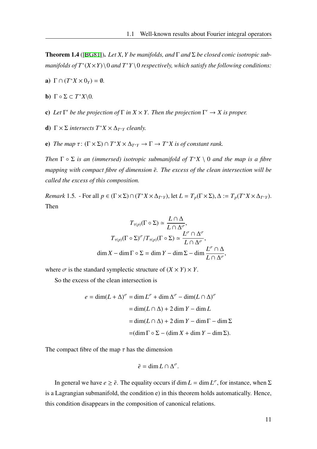<span id="page-18-0"></span>Theorem 1.4 ([\[BG81\]](#page-116-5)). *Let X*, *Y be manifolds, and* Γ *and* Σ *be closed conic isotropic submanifolds of T*<sup>∗</sup> (*X*×*Y*)\0 *and T*<sup>∗</sup>*Y* \0 *respectively, which satisfy the following conditions:*

- a)  $\Gamma \cap (T^*X \times 0_Y) = \emptyset$ .
- **b**)  $\Gamma \circ \Sigma \subset T^*X \setminus 0$ .
- **c**) Let  $\Gamma'$  be the projection of  $\Gamma$  in  $X \times Y$ . Then the projection  $\Gamma' \to X$  is proper.
- d)  $\Gamma \times \Sigma$  *intersects*  $T^*X \times \Delta_{T^*Y}$  *cleanly.*
- e) *The map*  $\tau: (\Gamma \times \Sigma) \cap T^*X \times \Delta_{T^*Y} \to \Gamma \to T^*X$  *is of constant rank.*

*Then*  $\Gamma \circ \Sigma$  *is an (immersed) isotropic submanifold of*  $T^*X \setminus 0$  *and the map is a fibre mapping with compact fibre of dimension*  $\tilde{e}$ *. The excess of the clean intersection will be called the excess of this composition.*

*Remark* 1.5. - For all  $p \in (\Gamma \times \Sigma) \cap (T^*X \times \Delta_{T^*Y})$ , let  $L = T_p(\Gamma \times \Sigma)$ ,  $\Delta := T_p(T^*X \times \Delta_{T^*Y})$ . Then

$$
T_{\tau(p)}(\Gamma \circ \Sigma) \simeq \frac{L \cap \Delta}{L \cap \Delta^{\sigma}},
$$

$$
T_{\tau(p)}(\Gamma \circ \Sigma)^{\sigma}/T_{\tau(p)}(\Gamma \circ \Sigma) \simeq \frac{L^{\sigma} \cap \Delta^{\sigma}}{L \cap \Delta^{\sigma}},
$$

$$
\dim X - \dim \Gamma \circ \Sigma = \dim Y - \dim \Sigma - \dim \frac{L^{\sigma} \cap \Delta}{L \cap \Delta^{\sigma}},
$$

where  $\sigma$  is the standard symplectic structure of  $(X \times Y) \times Y$ .

So the excess of the clean intersection is

$$
e = \dim(L + \Delta)^{\sigma} = \dim L^{\sigma} + \dim \Delta^{\sigma} - \dim(L \cap \Delta)^{\sigma}
$$

$$
= \dim(L \cap \Delta) + 2 \dim Y - \dim L
$$

$$
= \dim(L \cap \Delta) + 2 \dim Y - \dim \Gamma - \dim \Sigma
$$

$$
= (\dim \Gamma \circ \Sigma - (\dim X + \dim Y - \dim \Sigma)).
$$

The compact fibre of the map  $\tau$  has the dimension

$$
\tilde{e} = \dim L \cap \Delta^{\sigma}.
$$

In general we have  $e \geq \tilde{e}$ . The equality occurs if dim  $L = \dim L^{\sigma}$ , for instance, when  $\Sigma$ is a Lagrangian submanifold, the condition e) in this theorem holds automatically. Hence, this condition disappears in the composition of canonical relations.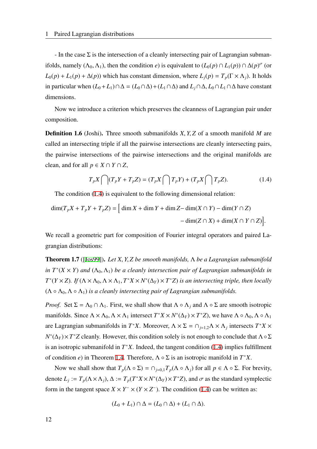- In the case  $\Sigma$  is the intersection of a cleanly intersecting pair of Lagrangian submanifolds, namely  $(\Lambda_0, \Lambda_1)$ , then the condition *e*) is equivalent to  $(L_0(p) \cap L_1(p)) \cap \Delta(p)^\sigma$  (or  $L_0(p) + L_1(p) + \Delta(p)$ ) which has constant dimension, where  $L_i(p) = T_p(\Gamma \times \Lambda_i)$ . It holds in particular when  $(L_0 + L_1) ∩ ∆ = (L_0 ∩ ∆) + (L_1 ∩ ∆)$  and  $L_1 ∩ ∆$ ,  $L_0 ∩ L_1 ∩ ∆$  have constant dimensions.

Now we introduce a criterion which preserves the cleanness of Lagrangian pair under composition.

Definition 1.6 (Joshi). Three smooth submanifolds *X*, *Y*, *Z* of a smooth manifold *M* are called an intersecting triple if all the pairwise intersections are cleanly intersecting pairs, the pairwise intersections of the pairwise intersections and the original manifolds are clean, and for all  $p \in X \cap Y \cap Z$ ,

<span id="page-19-0"></span>
$$
T_p X \bigcap (T_p Y + T_p Z) = (T_p X \bigcap T_p Y) + (T_p X \bigcap T_p Z). \tag{1.4}
$$

The condition [\(1.4](#page-19-0)) is equivalent to the following dimensional relation:

$$
\dim(T_p X + T_p Y + T_p Z) = \left[ \dim X + \dim Y + \dim Z - \dim(X \cap Y) - \dim(Y \cap Z) - \dim(Z \cap X) + \dim(X \cap Y \cap Z) \right].
$$

We recall a geometric part for composition of Fourier integral operators and paired Lagrangian distributions:

<span id="page-19-1"></span>Theorem 1.7 ([[Jos99\]](#page-117-9)). *Let X*, *Y*, *Z be smooth manifolds,* Λ *be a Lagrangian submanifold in*  $T^*(X \times Y)$  *and*  $(\Lambda_0, \Lambda_1)$  *be a cleanly intersection pair of Lagrangian submanifolds in*  $T^*(Y \times Z)$ . If  $(\Lambda \times \Lambda_0, \Lambda \times \Lambda_1, T^*X \times N^*(\Delta_Y) \times T^*Z)$  *is an intersecting triple, then locally*  $(\Lambda \circ \Lambda_0, \Lambda \circ \Lambda_1)$  *is a cleanly intersecting pair of Lagrangian submanifolds.* 

*Proof.* Set  $\Sigma = \Lambda_0 \cap \Lambda_1$ . First, we shall show that  $\Lambda \circ \Lambda_i$  and  $\Lambda \circ \Sigma$  are smooth isotropic manifolds. Since  $\Lambda \times \Lambda_0$ ,  $\Lambda \times \Lambda_1$  intersect  $T^*X \times N^*(\Delta_Y) \times T^*Z$ , we have  $\Lambda \circ \Lambda_0$ ,  $\Lambda \circ \Lambda_1$ are Lagrangian submanifolds in  $T^*X$ . Moreover,  $\Lambda \times \Sigma = \bigcap_{j=1,2} \Lambda \times \Lambda_j$  intersects  $T^*X \times \Lambda_j$ *N*<sup>\*</sup>(Δ<sub>*Y*</sub>) × *T*<sup>\*</sup>*Z* cleanly. However, this condition solely is not enough to conclude that Λ∘Σ is an isotropic submanifold in *T* <sup>∗</sup>*X*. Indeed, the tangent condition [\(1.4](#page-19-0)) implies fulfillment of condition *e*) in Theorem [1.4.](#page-18-0) Therefore,  $\Lambda \circ \Sigma$  is an isotropic manifold in  $T^*X$ .

Now we shall show that  $T_p(Λ ∘ Σ) = ∩_{j=0,1} T_p(Λ ∘ Λ_j)$  for all  $p ∈ Λ ∘ Σ$ . For brevity, denote  $L_j := T_p(\Lambda \times \Lambda_j)$ ,  $\Delta := T_p(T^*X \times N^*(\Delta_Y) \times T^*Z)$ , and  $\sigma$  as the standard symplectic form in the tangent space  $X \times Y^- \times (Y \times Z^-)$ . The condition ([1.4\)](#page-19-0) can be written as:

$$
(L_0 + L_1) \cap \Delta = (L_0 \cap \Delta) + (L_1 \cap \Delta).
$$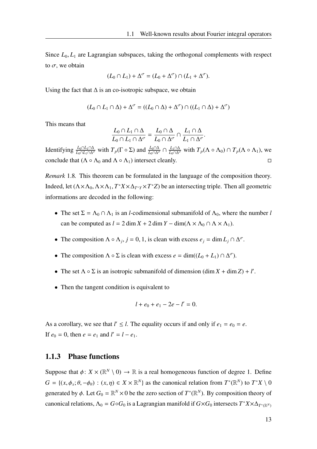Since  $L_0, L_1$  are Lagrangian subspaces, taking the orthogonal complements with respect to  $\sigma$ , we obtain

$$
(L_0 \cap L_1) + \Delta^{\sigma} = (L_0 + \Delta^{\sigma}) \cap (L_1 + \Delta^{\sigma}).
$$

Using the fact that  $\Delta$  is an co-isotropic subspace, we obtain

$$
(L_0 \cap L_1 \cap \Delta) + \Delta^{\sigma} = ((L_0 \cap \Delta) + \Delta^{\sigma}) \cap ((L_1 \cap \Delta) + \Delta^{\sigma})
$$

This means that

$$
\frac{L_0 \cap L_1 \cap \Delta}{L_0 \cap L_1 \cap \Delta^{\sigma}} = \frac{L_0 \cap \Delta}{L_0 \cap \Delta^{\sigma}} \cap \frac{L_1 \cap \Delta}{L_1 \cap \Delta^{\sigma}}.
$$

Identifying  $\frac{L_0 \cap L_1 \cap \Delta}{L_0 \cap L_1 \cap \Delta^{\sigma}}$  with  $T_p(\Gamma \circ \Sigma)$  and  $\frac{L_0 \cap \Delta}{L_0 \cap \Delta^{\sigma}} \cap \frac{L_1 \cap \Delta}{L_0 \cap \Delta^{\sigma}}$  with  $T_p(\Lambda \circ \Lambda_0) \cap T_p(\Lambda \circ \Lambda_1)$ , we conclude that  $(\Lambda \circ \Lambda_0 \text{ and } \Lambda \circ \Lambda_1)$  intersect cleanly.

*Remark* 1.8*.* This theorem can be formulated in the language of the composition theory. Indeed, let  $(\Lambda \times \Lambda_0, \Lambda \times \Lambda_1, T^*X \times \Delta_{T^*Y} \times T^*Z)$  be an intersecting triple. Then all geometric informations are decoded in the following:

- The set  $\Sigma = \Lambda_0 \cap \Lambda_1$  is an *l*-codimensional submanifold of  $\Lambda_0$ , where the number *l* can be computed as  $l = 2 \dim X + 2 \dim Y - \dim(\Lambda \times \Lambda_0 \cap \Lambda \times \Lambda_1)$ .
- The composition  $\Lambda \circ \Lambda_j$ ,  $j = 0, 1$ , is clean with excess  $e_j = \dim L_j \cap \Delta^{\sigma}$ .
- The composition  $\Lambda \circ \Sigma$  is clean with excess  $e = \dim((L_0 + L_1) \cap \Delta^{\sigma})$ .
- The set  $\Lambda \circ \Sigma$  is an isotropic submanifold of dimension  $(\dim X + \dim Z) + l'$ .
- Then the tangent condition is equivalent to

$$
l + e_0 + e_1 - 2e - l' = 0.
$$

As a corollary, we see that  $l' \leq l$ . The equality occurs if and only if  $e_1 = e_0 = e$ . If  $e_0 = 0$ , then  $e = e_1$  and  $l' = l - e_1$ .

### <span id="page-20-0"></span>1.1.3 Phase functions

Suppose that  $\phi: X \times (\mathbb{R}^N \setminus 0) \to \mathbb{R}$  is a real homogeneous function of degree 1. Define  $G = \{(x, \phi_x; \theta, -\phi_\theta) : (x, \eta) \in X \times \mathbb{R}^N\}$  as the canonical relation from  $T^*(\mathbb{R}^N)$  to  $T^*X \setminus 0$ generated by  $\phi$ . Let  $G_0 = \mathbb{R}^N \times 0$  be the zero section of  $T^*(\mathbb{R}^N)$ . By composition theory of canonical relations,  $\Lambda_0 = G \circ G_0$  is a Lagrangian manifold if  $G \times G_0$  intersects  $T^* X \times \Delta_{T^*({\mathbb R}^N)}$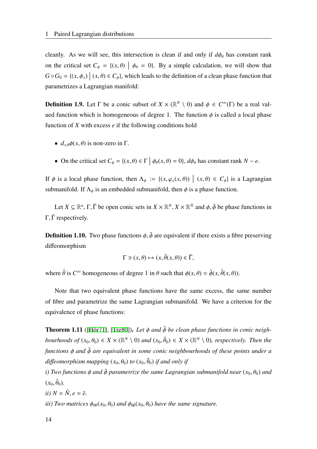cleanly. As we will see, this intersection is clean if and only if  $d\phi_{\theta}$  has constant rank on the critical set  $C_{\phi} = \{(x, \theta) \mid \phi_{\theta} = 0\}$ . By a simple calculation, we will show that  $G \circ G_0 = \{(x, \phi_x) \mid (x, \theta) \in C_{\phi}\}\)$ , which leads to the definition of a clean phase function that parametrizes a Lagrangian manifold:

**Definition 1.9.** Let  $\Gamma$  be a conic subset of  $X \times (\mathbb{R}^N \setminus 0)$  and  $\phi \in C^{\infty}(\Gamma)$  be a real valued function which is homogeneous of degree 1. The function  $\phi$  is called a local phase function of *X* with excess *e* if the following conditions hold

- $d_{x,\theta}\phi(x,\theta)$  is non-zero in  $\Gamma$ .
- On the critical set  $C_{\phi} = \{(x, \theta) \in \Gamma \mid \phi_{\theta}(x, \theta) = 0\}, d\phi_{\theta}$  has constant rank  $N e$ .

If  $\phi$  is a local phase function, then  $\Lambda_{\phi} := \{(x, \varphi_x(x, \theta)) \mid (x, \theta) \in C_{\phi}\}\)$  is a Lagrangian submanifold. If  $\Lambda_{\phi}$  is an embedded submanifold, then  $\phi$  is a phase function.

Let  $X \subseteq \mathbb{R}^n$ ,  $\Gamma$ ,  $\tilde{\Gamma}$  be open conic sets in  $X \times \mathbb{R}^N$ ,  $X \times \mathbb{R}^N$  and  $\phi$ ,  $\tilde{\phi}$  be phase functions in Γ, Γ respectively.

**Definition 1.10.** Two phase functions  $\phi$ ,  $\tilde{\phi}$  are equivalent if there exists a fibre preserving diffeomorphism

$$
\Gamma \ni (x,\theta) \mapsto (x,\tilde{\theta}(x,\theta)) \in \tilde{\Gamma},
$$

where  $\tilde{\theta}$  is  $C^{\infty}$  homogeneous of degree 1 in  $\theta$  such that  $\phi(x, \theta) = \tilde{\phi}(x, \tilde{\theta}(x, \theta))$ .

Note that two equivalent phase functions have the same excess, the same number of fibre and parametrize the same Lagrangian submanifold. We have a criterion for the equivalence of phase functions:

**Theorem 1.11** ([[Hör71](#page-117-6)], [[Tre80\]](#page-117-10)). Let  $\phi$  and  $\tilde{\phi}$  be clean phase functions in conic neigh*bourhoods of*  $(x_0, \theta_0) \in X \times (\mathbb{R}^N \setminus 0)$  and  $(x_0, \tilde{\theta}_0) \in X \times (\mathbb{R}^N \setminus 0)$ , respectively. Then the *functions* ϕ *and* ϕ˜ *are equivalent in some conic neighbourhoods of these points under a*  $d$ iffeomorphism mapping  $(x_0, \theta_0)$  to  $(x_0, \tilde{\theta}_0)$  if and only if

*i)* Two functions  $\phi$  *and*  $\tilde{\phi}$  *parametrize the same Lagrangian submanifold near* ( $x_0, \theta_0$ ) *and*  $(x_0, \tilde{\theta}_0)$ .

$$
ii) N = \tilde{N}, e = \tilde{e}.
$$

*iii)* Two matrices  $\phi_{\theta\theta}(x_0, \theta_0)$  and  $\phi_{\theta\theta}(x_0, \theta_0)$  have the same signature.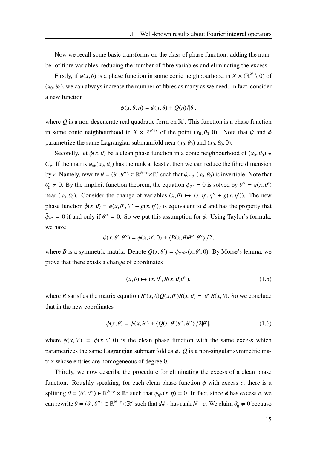Now we recall some basic transforms on the class of phase function: adding the number of fibre variables, reducing the number of fibre variables and eliminating the excess.

Firstly, if  $\phi(x, \theta)$  is a phase function in some conic neighbourhood in  $X \times (\mathbb{R}^N \setminus 0)$  of  $(x_0, \theta_0)$ , we can always increase the number of fibres as many as we need. In fact, consider a new function

$$
\psi(x,\theta,\eta) = \phi(x,\theta) + Q(\eta)/|\theta|,
$$

where  $Q$  is a non-degenerate real quadratic form on  $\mathbb{R}^r$ . This function is a phase function in some conic neighbourhood in  $X \times \mathbb{R}^{N+r}$  of the point  $(x_0, \theta_0, 0)$ . Note that  $\psi$  and  $\phi$ parametrize the same Lagrangian submanifold near  $(x_0, \theta_0)$  and  $(x_0, \theta_0, 0)$ .

Secondly, let  $\phi(x, \theta)$  be a clean phase function in a conic neighbourhood of  $(x_0, \theta_0) \in$  $C_{\phi}$ . If the matrix  $\phi_{\theta\theta}(x_0, \theta_0)$  has the rank at least *r*, then we can reduce the fibre dimension by *r*. Namely, rewrite  $\theta = (\theta', \theta'') \in \mathbb{R}^{N-r} \times \mathbb{R}^r$  such that  $\phi_{\theta''\theta''}(x_0, \theta_0)$  is invertible. Note that  $\theta'_0 \neq 0$ . By the implicit function theorem, the equation  $\phi_{\theta''} = 0$  is solved by  $\theta'' = g(x, \theta')$ near  $(x_0, \theta_0)$ . Consider the change of variables  $(x, \theta) \mapsto (x, \eta', \eta'' + g(x, \eta'))$ . The new phase function  $\tilde{\phi}(x, \theta) = \phi(x, \theta', \theta'' + g(x, \eta'))$  is equivalent to  $\phi$  and has the property that  $\tilde{\phi}_{\eta''} = 0$  if and only if  $\theta'' = 0$ . So we put this assumption for  $\phi$ . Using Taylor's formula, we have

$$
\phi(x, \theta', \theta'') = \phi(x, \eta', 0) + \langle B(x, \theta)\theta'', \theta'' \rangle / 2,
$$

where *B* is a symmetric matrix. Denote  $Q(x, \theta') = \phi_{\theta''\theta''}(x, \theta', 0)$ . By Morse's lemma, we prove that there exists a change of coordinates

$$
(x, \theta) \mapsto (x, \theta', R(x, \theta)\theta''), \tag{1.5}
$$

where *R* satisfies the matrix equation  $R'(x, \theta)Q(x, \theta')R(x, \theta) = |\theta'|B(x, \theta)$ . So we conclude that in the new coordinates

$$
\phi(x,\theta) = \psi(x,\theta') + \langle Q(x,\theta')\theta'',\theta''\rangle /2|\theta'|,\tag{1.6}
$$

where  $\psi(x, \theta') = \phi(x, \theta', 0)$  is the clean phase function with the same excess which parametrizes the same Lagrangian submanifold as  $\phi$ .  $Q$  is a non-singular symmetric matrix whose entries are homogeneous of degree 0.

Thirdly, we now describe the procedure for eliminating the excess of a clean phase function. Roughly speaking, for each clean phase function  $\phi$  with excess  $e$ , there is a splitting  $\theta = (\theta', \theta'') \in \mathbb{R}^{N-\epsilon} \times \mathbb{R}^e$  such that  $\phi_{\eta''}(x, \eta) = 0$ . In fact, since  $\phi$  has excess *e*, we can rewrite  $\theta = (\theta', \theta'') \in \mathbb{R}^{N-e} \times \mathbb{R}^e$  such that  $d\phi_{\theta'}$  has rank  $N-e$ . We claim  $\theta'_0 \neq 0$  because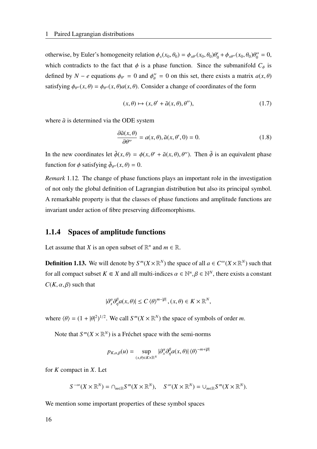otherwise, by Euler's homogeneity relation  $\phi_x(x_0, \theta_0) = \phi_{x\theta'}(x_0, \theta_0)\theta'_0 + \phi_{x\theta''}(x_0, \theta_0)\theta''_0 = 0$ , which contradicts to the fact that  $\phi$  is a phase function. Since the submanifold  $C_{\phi}$  is defined by  $N - e$  equations  $\phi_{\theta'} = 0$  and  $\phi_{\theta}'' = 0$  on this set, there exists a matrix  $a(x, \theta)$ satisfying  $\phi_{\theta''}(x, \theta) = \phi_{\theta''}(x, \theta) a(x, \theta)$ . Consider a change of coordinates of the form

$$
(x,\theta) \mapsto (x,\theta' + \tilde{a}(x,\theta),\theta''),\tag{1.7}
$$

where  $\tilde{a}$  is determined via the ODE system

$$
\frac{\partial \tilde{a}(x,\theta)}{\partial \theta'} = a(x,\theta), \tilde{a}(x,\theta',0) = 0.
$$
\n(1.8)

In the new coordinates let  $\tilde{\phi}(x, \theta) = \phi(x, \theta' + \tilde{a}(x, \theta), \theta'')$ . Then  $\tilde{\phi}$  is an equivalent phase function for  $\phi$  satisfying  $\tilde{\phi}_{\theta''}(x, \theta) = 0$ .

*Remark* 1.12*.* The change of phase functions plays an important role in the investigation of not only the global definition of Lagrangian distribution but also its principal symbol. A remarkable property is that the classes of phase functions and amplitude functions are invariant under action of fibre preserving diffeomorphisms.

#### <span id="page-23-0"></span>1.1.4 Spaces of amplitude functions

Let assume that *X* is an open subset of  $\mathbb{R}^n$  and  $m \in \mathbb{R}$ .

**Definition 1.13.** We will denote by  $S^m(X \times \mathbb{R}^N)$  the space of all  $a \in C^\infty(X \times \mathbb{R}^N)$  such that for all compact subset  $K \subseteq X$  and all multi-indices  $\alpha \in \mathbb{N}^n, \beta \in \mathbb{N}^N$ , there exists a constant  $C(K, \alpha, \beta)$  such that

$$
|\partial_x^{\alpha}\partial_{\eta}^{\beta}a(x,\theta)|\leq C\left\langle \theta\right\rangle ^{m-|\beta|},(x,\theta)\in K\times\mathbb{R}^{N},
$$

where  $\langle \theta \rangle = (1 + |\theta|^2)^{1/2}$ . We call  $S^m(X \times \mathbb{R}^N)$  the space of symbols of order *m*.

Note that  $S^{m}(X \times \mathbb{R}^{N})$  is a Fréchet space with the semi-norms

$$
p_{K,\alpha,\beta}(u) = \sup_{(x,\theta)\in K\times\mathbb{R}^N} |\partial_x^{\alpha}\partial_{\eta}^{\beta}a(x,\theta)|\langle\theta\rangle^{-m+|\beta|}
$$

for *K* compact in *X*. Let

$$
S^{-\infty}(X\times\mathbb{R}^N)=\cap_{m\in\mathbb{R}}S^m(X\times\mathbb{R}^N),\quad S^{\infty}(X\times\mathbb{R}^N)=\cup_{m\in\mathbb{R}}S^m(X\times\mathbb{R}^N).
$$

We mention some important properties of these symbol spaces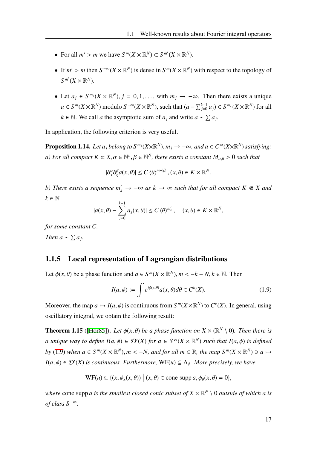- For all  $m' > m$  we have  $S^m(X \times \mathbb{R}^N) \subset S^{m'}(X \times \mathbb{R}^N)$ .
- If  $m' > m$  then  $S^{-\infty}(X \times \mathbb{R}^N)$  is dense in  $S^m(X \times \mathbb{R}^N)$  with respect to the topology of  $S^{m'}(X\times\mathbb{R}^N).$
- Let  $a_j \in S^{m_j}(X \times \mathbb{R}^N)$ ,  $j = 0, 1, \ldots$ , with  $m_j \to -\infty$ . Then there exists a unique *a* ∈ *S*<sup>*m*</sup>(*X* × R<sup>*N*</sup>) modulo *S*<sup>−∞</sup>(*X* × R<sup>*N*</sup>), such that  $(a - \sum_{j=0}^{k-1} a_j) \in S^{m_k}(X \times \mathbb{R}^N)$  for all  $k \in \mathbb{N}$ . We call *a* the asymptotic sum of  $a_j$  and write  $a \sim \sum a_j$ .

In application, the following criterion is very useful.

**Proposition 1.14.** Let  $a_j$  belong to  $S^{m_j}(X\times\mathbb{R}^N)$ ,  $m_j \to -\infty$ , and  $a \in C^{\infty}(X\times\mathbb{R}^N)$  satisfying: *a)* For all compact  $K \subseteq X$ ,  $\alpha \in \mathbb{N}^n$ ,  $\beta \in \mathbb{N}^N$ , there exists a constant  $M_{\alpha,\beta} > 0$  such that

$$
|\partial_{x}^{\alpha}\partial_{\eta}^{\beta}a(x,\theta)|\leq C\left\langle \theta\right\rangle ^{m-|\beta|},(x,\theta)\in K\times\mathbb{R}^{N}.
$$

*b)* There exists a sequence  $m'_k \to -\infty$  as  $k \to \infty$  such that for all compact  $K \in X$  and  $k \in \mathbb{N}$ 

$$
|a(x,\theta)-\sum_{j=0}^{k-1}a_j(x,\theta)|\leq C\,\langle\theta\rangle^{m'_k},\quad (x,\theta)\in K\times\mathbb{R}^N,
$$

*for some constant C. Then*  $a \sim \sum a_j$ .

#### <span id="page-24-0"></span>1.1.5 Local representation of Lagrangian distributions

Let  $\phi(x, \theta)$  be a phase function and  $a \in S^m(X \times \mathbb{R}^N)$ ,  $m < -k - N$ ,  $k \in \mathbb{N}$ . Then

<span id="page-24-1"></span>
$$
I(a,\phi) := \int e^{i\phi(x,\theta)} a(x,\theta) d\theta \in C^k(X). \tag{1.9}
$$

Moreover, the map  $a \mapsto I(a, \phi)$  is continuous from  $S^m(X \times \mathbb{R}^N)$  to  $C^k(X)$ . In general, using oscillatory integral, we obtain the following result:

**Theorem 1.15** ([[Hör85](#page-117-5)]). Let  $\phi(x, \theta)$  be a phase function on  $X \times (\mathbb{R}^N \setminus 0)$ . Then there is *a* unique way to define  $I(a, \phi) \in \mathcal{D}'(X)$  for  $a \in S^{\infty}(X \times \mathbb{R}^N)$  such that  $I(a, \phi)$  is defined *by* ([1.9\)](#page-24-1) when  $a \in S^m(X \times \mathbb{R}^N)$ ,  $m < -N$ , and for all  $m \in \mathbb{R}$ , the map  $S^m(X \times \mathbb{R}^N) \ni a \mapsto$  $I(a, \phi) \in \mathcal{D}'(X)$  *is continuous. Furthermore,*  $WF(u) \subseteq \Lambda_{\phi}$ *. More precisely, we have* 

$$
\text{WF}(u) \subseteq \{ (x, \phi_x(x, \theta)) \mid (x, \theta) \in \text{cone} \text{ supp } a, \phi_\theta(x, \theta) = 0 \},
$$

where cone supp *a* is the smallest closed conic subset of  $X \times \mathbb{R}^N \setminus 0$  outside of which *a* is *of class*  $S^{-\infty}$ *.*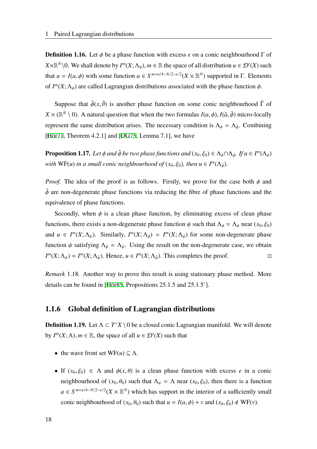**Definition 1.16.** Let  $\phi$  be a phase function with excess *e* on a conic neighbourhood  $\Gamma$  of *X*× $\mathbb{R}^N$  \0. We shall denote by  $I^m(X; \Lambda_\phi)$ ,  $m \in \mathbb{R}$  the space of all distribution  $u \in \mathcal{D}'(X)$  such that  $u = I(a, \phi)$  with some function  $a \in S^{m+n/4-N/2-e/2}(X \times \mathbb{R}^N)$  supported in  $\Gamma$ . Elements of  $I^m(X; \Lambda_{\phi})$  are called Lagrangian distributions associated with the phase function  $\phi$ .

Suppose that  $\tilde{\phi}(x, \tilde{\theta})$  is another phase function on some conic neighbourhood  $\tilde{\Gamma}$  of  $X \times (\mathbb{R}^N \setminus 0)$ . A natural question that when the two formulas  $I(a, \phi)$ ,  $I(\tilde{a}, \tilde{\phi})$  micro-locally represent the same distribution arises. The necessary condition is  $\Lambda_{\phi} = \Lambda_{\tilde{\phi}}$ . Combining [\[Hör71,](#page-117-6) Theorem 4.2.1] and [[DG75](#page-116-6), Lemma 7.1], we have

**Proposition 1.17.** Let  $\phi$  and  $\tilde{\phi}$  be two phase functions and  $(x_0, \xi_0) \in \Lambda_{\phi} \cap \Lambda_{\tilde{\phi}}$ . If  $u \in I^m(\Lambda_{\phi})$ *with*  $WF(u)$  *in a small conic neighbourhood of*  $(x_0, \xi_0)$ *, then*  $u \in I^m(\Lambda_{\tilde{\phi}})$ *.* 

*Proof.* The idea of the proof is as follows. Firstly, we prove for the case both  $\phi$  and  $\tilde{\phi}$  are non-degenerate phase functions via reducing the fibre of phase functions and the equivalence of phase functions.

Secondly, when  $\phi$  is a clean phase function, by eliminating excess of clean phase functions, there exists a non-degenerate phase function  $\psi$  such that  $\Lambda_{\phi} = \Lambda_{\psi}$  near  $(x_0, \xi_0)$ and  $u \in I^m(X; \Lambda_{\psi})$ . Similarly,  $I^m(X; \Lambda_{\tilde{\phi}}) = I^m(X; \Lambda_{\tilde{\psi}})$  for some non-degenerate phase function  $\psi$  satisfying  $\Lambda_{\tilde{\phi}} = \Lambda_{\tilde{\psi}}$ . Using the result on the non-degenerate case, we obtain *I*<sup>m</sup>(*X*;  $\Lambda_{\psi}$ ) = *I*<sup>m</sup>(*X*;  $\Lambda_{\tilde{\psi}}$ ). Hence, *u* ∈ *I*<sup>m</sup>(*X*;  $\Lambda_{\tilde{\phi}}$ ). This completes the proof.

*Remark* 1.18*.* Another way to prove this result is using stationary phase method. More details can be found in [\[Hör85,](#page-117-5) Propositions 25.1.5 and 25.1.5'].

### <span id="page-25-0"></span>1.1.6 Global definition of Lagrangian distributions

**Definition 1.19.** Let  $\Lambda \subset T^*X \setminus 0$  be a closed conic Lagrangian manifold. We will denote by  $I^m(X; \Lambda)$ ,  $m \in \mathbb{R}$ , the space of all  $u \in \mathcal{D}'(X)$  such that

- the wave front set  $WF(u) \subseteq \Lambda$ .
- If  $(x_0, \xi_0) \in \Lambda$  and  $\phi(x, \theta)$  is a clean phase function with excess *e* in a conic neighbourhood of  $(x_0, \theta_0)$  such that  $\Lambda_{\phi} = \Lambda$  near  $(x_0, \xi_0)$ , then there is a function  $a \in S^{m+n/4-N/2-e/2}(X \times \mathbb{R}^N)$  which has support in the interior of a sufficiently small conic neighbourhood of  $(x_0, \theta_0)$  such that  $u = I(a, \phi) + v$  and  $(x_0, \xi_0) \notin WF(v)$ .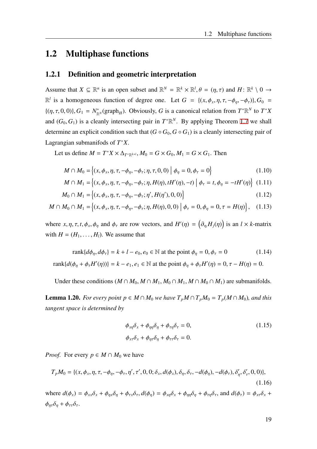## <span id="page-26-0"></span>1.2 Multiphase functions

### <span id="page-26-1"></span>1.2.1 Definition and geometric interpretation

Assume that  $X \subseteq \mathbb{R}^n$  is an open subset and  $\mathbb{R}^N = \mathbb{R}^k \times \mathbb{R}^l$ ,  $\theta = (\eta, \tau)$  and  $H: \mathbb{R}^k \setminus 0 \to$  $\mathbb{R}^l$  is a homogeneous function of degree one. Let  $G = \{(x, \phi_x, \eta, \tau, -\phi_\eta, -\phi_\tau)\}, G_0$  $\{(\eta, \tau, 0, 0)\}, G_1 = N_{\mathbb{R}}^*$  $R^*_{\mathbb{R}^N}(\text{graph}_H)$ . Obviously, *G* is a canonical relation from  $T^*\mathbb{R}^N$  to  $T^*X$ and  $(G_0, G_1)$  is a cleanly intersecting pair in  $T^* \mathbb{R}^N$ . By applying Theorem [1.7](#page-19-1) we shall determine an explicit condition such that  $(G \circ G_0, G \circ G_1)$  is a cleanly intersecting pair of Lagrangian submanifods of *T* <sup>∗</sup>*X*.

Let us define  $M = T^*X \times \Delta_{T^* \mathbb{R}^{k+l}}$ ,  $M_0 = G \times G_0$ ,  $M_1 = G \times G_1$ . Then

<span id="page-26-2"></span>
$$
M \cap M_0 = \{(x, \phi_x, \eta, \tau, -\phi_\eta, -\phi_\tau; \eta, \tau, 0, 0) \mid \phi_\eta = 0, \phi_\tau = 0\}
$$
(1.10)

$$
M \cap M_1 = \left\{ (x, \phi_x, \eta, \tau, -\phi_\eta, -\phi_\tau; \eta, H(\eta), tH'(\eta), -t) \middle| \phi_\tau = t, \phi_\eta = -tH'(\eta) \right\}
$$
 (1.11)

$$
M_0 \cap M_1 = \{(x, \phi_x, \eta, \tau, -\phi_\eta, -\phi_\tau; \eta', H(\eta'), 0, 0)\}
$$
\n(1.12)

$$
M \cap M_0 \cap M_1 = \{(x, \phi_x, \eta, \tau, -\phi_\eta, -\phi_\tau; \eta, H(\eta), 0, 0) \mid \phi_\tau = 0, \phi_\eta = 0, \tau = H(\eta)\}, \quad (1.13)
$$

where  $x, \eta, \tau, t, \phi_x, \phi_\eta$  and  $\phi_\tau$  are row vectors, and  $H'(\eta) = (\partial_{\eta_i} H_j(\eta))$  is an  $l \times k$ -matrix with  $H = (H_1, \ldots, H_l)$ . We assume that

$$
\text{rank}\{d\phi_{\eta}, d\phi_{\tau}\} = k + l - e_0, e_0 \in \mathbb{N} \text{ at the point } \phi_{\eta} = 0, \phi_{\tau} = 0 \tag{1.14}
$$
\n
$$
\text{rank}\{d(\phi_{\eta} + \phi_{\tau}H'(\eta))\} = k - e_1, e_1 \in \mathbb{N} \text{ at the point } \phi_{\eta} + \phi_{\tau}H'(\eta) = 0, \tau - H(\eta) = 0.
$$

Under these conditions  $(M \cap M_0, M \cap M_1, M_0 \cap M_1, M \cap M_0 \cap M_1)$  are submanifolds.

**Lemma 1.20.** *For every point p* ∈ *M* ∩ *M*<sup>0</sup> *we have*  $T_pM \cap T_pM_0 = T_p(M \cap M_0)$ *, and this tangent space is determined by*

<span id="page-26-3"></span>
$$
\phi_{x\eta}\delta_x + \phi_{\eta\eta}\delta_\eta + \phi_{\tau\eta}\delta_\tau = 0,
$$
\n
$$
\phi_{x\tau}\delta_x + \phi_{\eta\tau}\delta_\eta + \phi_{\tau\tau}\delta_\tau = 0.
$$
\n(1.15)

*Proof.* For every  $p \in M \cap M_0$  we have

$$
T_p M_0 = \{ (x, \phi_x, \eta, \tau, -\phi_\eta, -\phi_\tau, \eta', \tau', 0, 0; \delta_x, d(\phi_x), \delta_\eta, \delta_\tau, -d(\phi_\eta), -d(\phi_\tau), \delta'_\eta, \delta'_\tau, 0, 0) \},
$$
\n(1.16)

where  $d(\phi_x) = \phi_{xx}\delta_x + \phi_{nx}\delta_y + \phi_{nx}\delta_z$ ,  $d(\phi_n) = \phi_{xn}\delta_x + \phi_{nn}\delta_y + \phi_{tn}\delta_z$ , and  $d(\phi_\tau) = \phi_{xx}\delta_x + \phi_{nx}\delta_z$  $\phi_{n\tau}\delta_n + \phi_{\tau\tau}\delta_{\tau}.$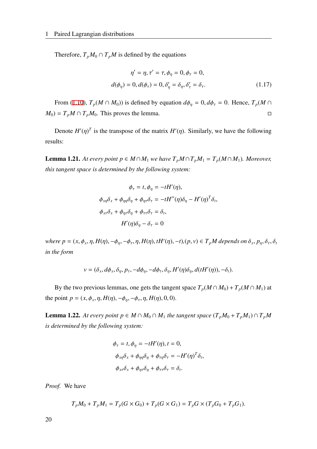Therefore,  $T_pM_0 \cap T_pM$  is defined by the equations

$$
\eta' = \eta, \tau' = \tau, \phi_{\eta} = 0, \phi_{\tau} = 0,
$$
  

$$
d(\phi_{\eta}) = 0, d(\phi_{\tau}) = 0, \delta_{\eta}' = \delta_{\eta}, \delta_{\tau}' = \delta_{\tau}.
$$
 (1.17)

From ([1.10\)](#page-26-2),  $T_p(M \cap M_0)$ ) is defined by equation  $d\phi_\eta = 0$ ,  $d\phi_\tau = 0$ . Hence,  $T_p(M \cap M_0)$  $M_0$ ) =  $T_pM \cap T_pM_0$ . This proves the lemma.

Denote  $H'(\eta)^T$  is the transpose of the matrix  $H'(\eta)$ . Similarly, we have the following results:

**Lemma 1.21.** *At every point p* ∈ *M* ∩ *M*<sub>1</sub> *we have*  $T_pM \cap T_pM_1 = T_p(M \cap M_1)$ *. Moreover, this tangent space is determined by the following system:*

$$
\phi_{\tau} = t, \phi_{\eta} = -tH'(\eta),
$$
  

$$
\phi_{x\eta}\delta_x + \phi_{\eta\eta}\delta_{\eta} + \phi_{\eta\tau}\delta_{\tau} = -tH''(\eta)\delta_{\eta} - H'(\eta)^T\delta_t,
$$
  

$$
\phi_{x\tau}\delta_x + \phi_{\eta\tau}\delta_{\eta} + \phi_{\tau\tau}\delta_{\tau} = \delta_t,
$$
  

$$
H'(\eta)\delta_{\eta} - \delta_{\tau} = 0
$$

*where*  $p = (x, \phi_x, \eta, H(\eta), -\phi_\eta, -\phi_\tau, \eta, H(\eta), tH'(\eta), -t), (p, v) \in T_pM$  depends on  $\delta_x, p_\eta, \delta_\tau, \delta_t$ *in the form*

$$
v = (\delta_x, d\phi_x, \delta_\eta, p_\tau, -d\phi_\eta, -d\phi_\tau, \delta_\eta, H'(\eta)\delta_\eta, d(tH'(\eta)), -\delta_t).
$$

By the two previous lemmas, one gets the tangent space  $T_p(M \cap M_0) + T_p(M \cap M_1)$  at the point  $p = (x, \phi_x, \eta, H(\eta), -\phi_\eta, -\phi_\tau, \eta, H(\eta), 0, 0)$ .

**Lemma 1.22.** At every point  $p \in M \cap M_0 \cap M_1$  the tangent space  $(T_pM_0 + T_pM_1) \cap T_pM$ *is determined by the following system:*

$$
\phi_{\tau} = t, \phi_{\eta} = -tH'(\eta), t = 0,
$$
  

$$
\phi_{x\eta}\delta_x + \phi_{\eta\eta}\delta_{\eta} + \phi_{\tau\eta}\delta_{\tau} = -H'(\eta)^T\delta_t,
$$
  

$$
\phi_{x\tau}\delta_x + \phi_{\eta\tau}\delta_{\eta} + \phi_{\tau\tau}\delta_{\tau} = \delta_t.
$$

*Proof.* We have

$$
T_p M_0 + T_p M_1 = T_p (G \times G_0) + T_p (G \times G_1) = T_p G \times (T_p G_0 + T_p G_1).
$$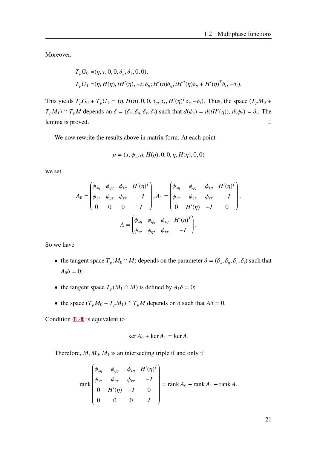Moreover,

$$
T_pG_0 = (\eta, \tau, 0, 0, \delta_\eta, \delta_\tau, 0, 0),
$$
  
\n
$$
T_pG_1 = (\eta, H(\eta), tH'(\eta), -t; \delta_\eta; H'(\eta)\delta_\eta, tH''(\eta)\delta_\eta + H'(\eta)^T\delta_t, -\delta_t).
$$

This yields  $T_p G_0 + T_p G_1 = (\eta, H(\eta), 0, 0, \delta_\eta, \delta_\tau, H'(\eta)^T \delta_t, -\delta_t)$ . Thus, the space  $(T_p M_0 +$  $T_pM_1$ )  $\cap T_pM$  depends on  $\delta = (\delta_x, \delta_y, \delta_\tau, \delta_t)$  such that  $d(\phi_\eta) = d(tH'(\eta))$ ,  $d(\phi_\tau) = \delta_t$ . The lemma is proved.

We now rewrite the results above in matrix form. At each point

$$
p = (x, \phi_x, \eta, H(\eta), 0, 0, \eta, H(\eta), 0, 0)
$$

we set

$$
A_0 = \begin{pmatrix} \phi_{x\eta} & \phi_{\eta\eta} & \phi_{\tau\eta} & H'(\eta)^T \\ \phi_{x\tau} & \phi_{\eta\tau} & \phi_{\tau\tau} & -I \\ 0 & 0 & 0 & I \end{pmatrix}, A_1 = \begin{pmatrix} \phi_{x\eta} & \phi_{\eta\eta} & \phi_{\tau\eta} & H'(\eta)^T \\ \phi_{x\tau} & \phi_{\eta\tau} & \phi_{\tau\tau} & -I \\ 0 & H'(\eta) & -I & 0 \end{pmatrix},
$$

$$
A = \begin{pmatrix} \phi_{x\eta} & \phi_{\eta\eta} & \phi_{\tau\eta} & H'(\eta)^T \\ \phi_{x\tau} & \phi_{\eta\tau} & \phi_{\tau\tau} & -I \end{pmatrix}.
$$

So we have

- the tangent space  $T_p(M_0 \cap M)$  depends on the parameter  $\delta = (\delta_x, \delta_y, \delta_z, \delta_t)$  such that  $A_0\delta = 0;$
- the tangent space  $T_p(M_1 \cap M)$  is defined by  $A_1 \delta = 0$ ;
- the space  $(T_pM_0 + T_pM_1) \cap T_pM$  depends on  $\delta$  such that  $A\delta = 0$ .

Condition ([1.4\)](#page-19-0) is equivalent to

$$
\ker A_0 + \ker A_1 = \ker A.
$$

Therefore,  $M$ ,  $M_0$ ,  $M_1$  is an intersecting triple if and only if

$$
\text{rank}\begin{pmatrix} \phi_{x\eta} & \phi_{\eta\eta} & \phi_{\tau\eta} & H'(\eta)^T \\ \phi_{x\tau} & \phi_{\eta\tau} & \phi_{\tau\tau} & -I \\ 0 & H'(\eta) & -I & 0 \\ 0 & 0 & 0 & I \end{pmatrix} = \text{rank } A_0 + \text{rank } A_1 - \text{rank } A.
$$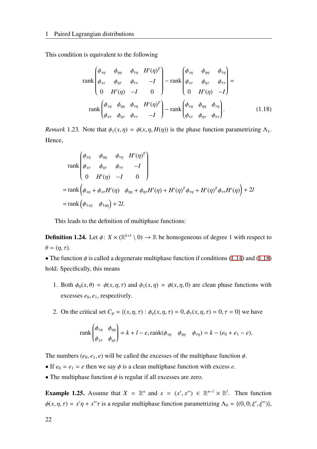This condition is equivalent to the following

<span id="page-29-0"></span>
$$
\operatorname{rank}\begin{pmatrix} \phi_{x\eta} & \phi_{\eta\eta} & \phi_{\tau\eta} & H'(\eta)^T \\ \phi_{x\tau} & \phi_{\eta\tau} & \phi_{\tau\tau} & -I \\ 0 & H'(\eta) & -I & 0 \end{pmatrix} - \operatorname{rank}\begin{pmatrix} \phi_{x\eta} & \phi_{\eta\eta} & \phi_{\tau\eta} \\ \phi_{x\tau} & \phi_{\eta\tau} & \phi_{\tau\tau} \\ 0 & H'(\eta) & -I \end{pmatrix} =
$$
\n
$$
\operatorname{rank}\begin{pmatrix} \phi_{x\eta} & \phi_{\eta\eta} & \phi_{\tau\eta} & H'(\eta)^T \\ \phi_{x\tau} & \phi_{\eta\tau} & \phi_{\tau\tau} & -I \end{pmatrix} - \operatorname{rank}\begin{pmatrix} \phi_{x\eta} & \phi_{\eta\eta} & \phi_{\tau\eta} \\ \phi_{x\tau} & \phi_{\eta\tau} & \phi_{\tau\tau} \end{pmatrix}.
$$
\n(1.18)

*Remark* 1.23. Note that  $\phi_1(x, \eta) = \phi(x, \eta, H(\eta))$  is the phase function parametrizing  $\Lambda_1$ . Hence,

$$
\begin{aligned}\n&\operatorname{rank}\begin{pmatrix}\n\phi_{x\eta} & \phi_{\eta\eta} & \phi_{\tau\eta} & H'(\eta)^T \\
\phi_{x\tau} & \phi_{\eta\tau} & \phi_{\tau\tau} & -I \\
0 & H'(\eta) & -I & 0\n\end{pmatrix} \\
&= \operatorname{rank}\begin{pmatrix}\n\phi_{x\eta} + \phi_{x\tau}H'(\eta) & \phi_{\eta\eta} + \phi_{\eta\tau}H'(\eta) + H'(\eta)^T\phi_{\tau\eta} + H'(\eta)^T\phi_{\tau\tau}H'(\eta)\n\end{pmatrix} + 2l \\
&= \operatorname{rank}\begin{pmatrix}\n\phi_{1x\eta} & \phi_{1\eta\eta}\n\end{pmatrix} + 2l.\n\end{aligned}
$$

This leads to the definition of multiphase functions:

**Definition 1.24.** Let  $\phi: X \times (\mathbb{R}^{k+l} \setminus 0) \to \mathbb{R}$  be homogeneous of degree 1 with respect to  $\theta = (\eta, \tau).$ 

• The function  $\phi$  is called a degenerate multiphase function if conditions ([1.14\)](#page-26-3) and [\(1.18](#page-29-0)) hold. Specifically, this means

- 1. Both  $\phi_0(x, \theta) = \phi(x, \eta, \tau)$  and  $\phi_1(x, \eta) = \phi(x, \eta, 0)$  are clean phase functions with excesses  $e_0, e_1$ , respectively.
- 2. On the critical set  $C_{\phi} = \{(x, \eta, \tau) : \phi_{\eta}(x, \eta, \tau) = 0, \phi_{\tau}(x, \eta, \tau) = 0, \tau = 0\}$  we have

$$
\operatorname{rank}\begin{pmatrix} \phi_{x\eta} & \phi_{\eta\eta} \\ \phi_{x\tau} & \phi_{\eta\tau} \end{pmatrix} = k + l - e, \operatorname{rank}(\phi_{x\eta} & \phi_{\eta\eta} & \phi_{\tau\eta}) = k - (e_0 + e_1 - e).
$$

The numbers  $(e_0, e_1, e)$  will be called the excesses of the multiphase function  $\phi$ .

- If  $e_0 = e_1 = e$  then we say  $\phi$  is a clean multiphase function with excess *e*.
- The multiphase function  $\phi$  is regular if all excesses are zero.

**Example 1.25.** Assume that  $X = \mathbb{R}^n$  and  $x = (x', x'') \in \mathbb{R}^{n-l} \times \mathbb{R}^l$ . Then function  $\phi(x, \eta, \tau) = x'\eta + x''\tau$  is a regular multiphase function parametrizing  $\Lambda_0 = \{(0, 0; \xi', \xi'')\},\$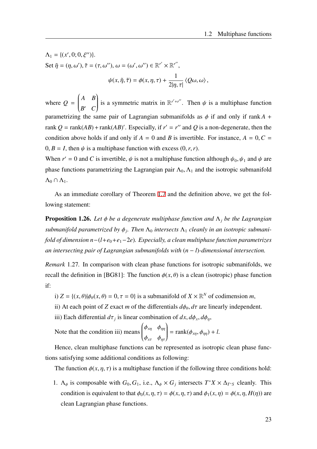$$
\Lambda_1 = \{ (x', 0; 0, \xi'') \}.
$$
  
Set  $\tilde{\eta} = (\eta, \omega'), \tilde{\tau} = (\tau, \omega''), \omega = (\omega', \omega'') \in \mathbb{R}^{r'} \times \mathbb{R}^{r''},$   

$$
\psi(x, \tilde{\eta}, \tilde{\tau}) = \phi(x, \eta, \tau) + \frac{1}{2|\eta, \tau|} \langle Q\omega, \omega \rangle,
$$

where  $Q =$  *A B*  $\overline{\mathcal{C}}$ *B* ′ *C*  $\mathcal{L}_{\mathcal{L}}$  $\begin{array}{c} \end{array}$ is a symmetric matrix in  $\mathbb{R}^{r'+r''}$ . Then  $\psi$  is a multiphase function parametrizing the same pair of Lagrangian submanifolds as  $\phi$  if and only if rank  $A$  + rank  $Q = \text{rank}(AB) + \text{rank}(AB)'$ . Especially, if  $r' = r''$  and Q is a non-degenerate, then the condition above holds if and only if  $A = 0$  and *B* is invertible. For instance,  $A = 0, C =$  $0, B = I$ , then  $\psi$  is a multiphase function with excess  $(0, r, r)$ .

When  $r' = 0$  and *C* is invertible,  $\psi$  is not a multiphase function although  $\psi_0$ ,  $\psi_1$  and  $\psi$  are phase functions parametrizing the Lagrangian pair  $\Lambda_0$ ,  $\Lambda_1$  and the isotropic submanifold  $\Lambda_0 \cap \Lambda_1$ .

As an immediate corollary of Theorem [1.7](#page-19-1) and the definition above, we get the following statement:

Proposition 1.26. *Let* ϕ *be a degenerate multiphase function and* Λ*<sup>j</sup> be the Lagrangian submanifold parametrized by* ϕ*<sup>j</sup> . Then* Λ<sup>0</sup> *intersects* Λ<sup>1</sup> *cleanly in an isotropic submanifold of dimension n*−(*l*+*e*0+*e*1−2*e*)*. Especially, a clean multiphase function parametrizes an intersecting pair of Lagrangian submanifolds with* (*n* − *l*)*-dimensional intersection.*

*Remark* 1.27*.* In comparison with clean phase functions for isotropic submanifolds, we recall the definition in [BG81]: The function  $\phi(x, \theta)$  is a clean (isotropic) phase function if:

i)  $Z = \{(x, \theta) | \phi_{\theta}(x, \theta) = 0, \tau = 0 \}$  is a submanifold of  $X \times \mathbb{R}^N$  of codimension *m*,

ii) At each point of *Z* exact *m* of the differentials  $d\phi_{\theta}$ ,  $d\tau$  are linearly independent.

iii) Each differential  $d\tau_j$  is linear combination of  $dx, d\phi_x, d\phi_\eta$ ,

Note that the condition iii) means  $\begin{pmatrix} \phi_{x\eta} & \phi_{\eta\eta} \end{pmatrix}$  $\overline{\mathcal{C}}$  $\phi_{x\tau}$   $\phi_{\eta\tau}$  $\mathcal{L}_{\mathcal{L}}$  $\begin{array}{c} \end{array}$  $=$  rank( $\phi_{x\eta}, \phi_{\eta\eta}$ ) + *l*.

Hence, clean multiphase functions can be represented as isotropic clean phase functions satisfying some additional conditions as following:

The function  $\phi(x, \eta, \tau)$  is a multiphase function if the following three conditions hold:

1.  $\Lambda_{\phi}$  is composable with  $G_0, G_1$ , i.e.,  $\Lambda_{\phi} \times G_j$  intersects  $T^*X \times \Delta_{T^*S}$  cleanly. This condition is equivalent to that  $\phi_0(x, \eta, \tau) = \phi(x, \eta, \tau)$  and  $\phi_1(x, \eta) = \phi(x, \eta, H(\eta))$  are clean Lagrangian phase functions.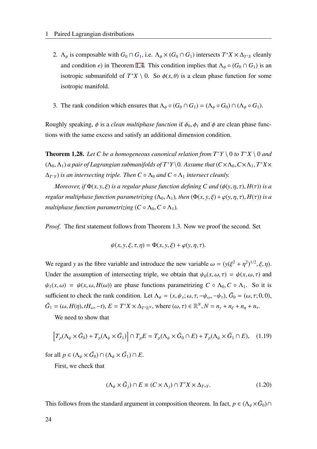- 2.  $\Lambda_{\phi}$  is composable with  $G_0 \cap G_1$ , i.e.  $\Lambda_{\phi} \times (G_0 \cap G_1)$  intersects  $T^*X \times \Delta_{T^*S}$  cleanly and condition *e*) in Theorem [1.4](#page-18-0). This condition implies that  $\Lambda_{\phi} \circ (G_0 \cap G_1)$  is an isotropic submanifold of  $T^*X \setminus 0$ . So  $\phi(x, \theta)$  is a clean phase function for some isotropic manifold.
- 3. The rank condition which ensures that  $\Lambda_{\phi} \circ (G_0 \cap G_1) = (\Lambda_{\phi} \circ G_0) \cap (\Lambda_{\phi} \circ G_1)$ .

Roughly speaking,  $\phi$  is a *clean multiphase function* if  $\phi_0$ ,  $\phi_1$  and  $\phi$  are clean phase functions with the same excess and satisfy an additional dimension condition.

**Theorem 1.28.** Let C be a homogeneous canonical relation from  $T^*Y \setminus 0$  to  $T^*X \setminus 0$  and  $(\Lambda_0, \Lambda_1)$  *a pair of Lagrangian submanifolds of*  $T^*Y \setminus 0$ *. Assume that*  $(C \times \Lambda_0, C \times \Lambda_1, T^*X \times T^*Y)$  $(\Delta_{T^*Y})$  *is an intersecting triple. Then*  $C \circ \Lambda_0$  *and*  $C \circ \Lambda_1$  *intersect cleanly.* 

*Moreover, if*  $\Phi(x, y, \xi)$  *is a regular phase function defining C and*  $(\phi(y, \eta, \tau), H(\tau))$  *is a regular multiphase function parametrizing*  $(\Lambda_0, \Lambda_1)$ , *then*  $(\Phi(x, y, \xi) + \varphi(y, \eta, \tau), H(\tau))$  *is a multiphase function parametrizing*  $(C \circ \Lambda_0, C \circ \Lambda_1)$ *.* 

*Proof.* The first statement follows from Theorem 1.3. Now we proof the second. Set

$$
\psi(x, y, \xi, \tau, \eta) = \Phi(x, y, \xi) + \varphi(y, \eta, \tau).
$$

We regard *y* as the fibre variable and introduce the new variable  $\omega = (y(\xi^2 + \eta^2)^{1/2}, \xi, \eta)$ . Under the assumption of intersecting triple, we obtain that  $\psi_0(x, \omega, \tau) = \psi(x, \omega, \tau)$  and  $\psi_1(x,\omega) = \psi(x,\omega,H(\omega))$  are phase functions parametrizing  $C \circ \Lambda_0, C \circ \Lambda_1$ . So it is sufficient to check the rank condition. Let  $\Lambda_{\psi} = (x, \psi_x; \omega, \tau, -\psi_{\omega}, -\psi_{\tau})$ ,  $\tilde{G}_0 = (\omega, \tau; 0, 0)$ ,  $\tilde{G}_1 = (\omega, H(\eta), tH_\omega, -t), E = T^*X \times \Delta_{T^* \mathbb{R}^N}$ , where  $(\omega, \tau) \in \mathbb{R}^N, N = n_y + n_\xi + n_\eta + n_\tau$ .

We need to show that

$$
\left[T_p(\Lambda_{\psi}\times\tilde{G}_0)+T_p(\Lambda_{\psi}\times\tilde{G}_1)\right]\cap T_pE=T_p(\Lambda_{\psi}\times\tilde{G}_0\cap E)+T_p(\Lambda_{\psi}\times\tilde{G}_1\cap E),\quad(1.19)
$$

for all  $p \in (\Lambda_{\psi} \times \tilde{G}_0) \cap (\Lambda_{\psi} \times \tilde{G}_1) \cap E$ .

First, we check that

$$
(\Lambda_{\psi} \times \tilde{G}_j) \cap E \equiv (C \times \Lambda_j) \cap T^* X \times \Delta_{T^*Y}.
$$
 (1.20)

This follows from the standard argument in composition theorem. In fact,  $p \in (\Lambda_{\psi} \times \tilde{G}_0) \cap$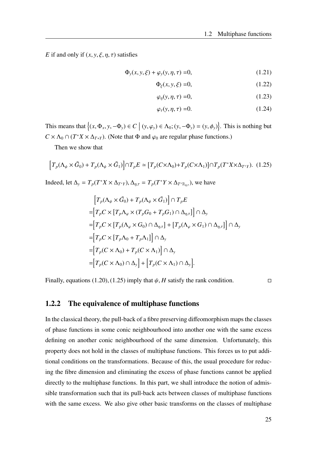*E* if and only if  $(x, y, \xi, \eta, \tau)$  satisfies

$$
\Phi_y(x, y, \xi) + \varphi_y(y, \eta, \tau) = 0,\tag{1.21}
$$

$$
\Phi_{\xi}(x, y, \xi) = 0,\tag{1.22}
$$

$$
\varphi_{\eta}(y,\eta,\tau) = 0,\tag{1.23}
$$

$$
\varphi_{\tau}(y,\eta,\tau) = 0. \tag{1.24}
$$

This means that  $\{(x, \Phi_x, y, -\Phi_y) \in C \mid (y, \varphi_y) \in \Lambda_0; (y, -\Phi_y) = (y, \phi_y)\}.$  This is nothing but  $C \times \Lambda_0 \cap (T^*X \times \Delta_{T^*Y})$ . (Note that  $\Phi$  and  $\varphi_0$  are regular phase functions.)

Then we show that

$$
\left[T_p(\Lambda_{\psi}\times\tilde{G}_0)+T_p(\Lambda_{\psi}\times\tilde{G}_1)\right]\cap T_pE\simeq\left[T_p(C\times\Lambda_0)+T_p(C\times\Lambda_1)\right]\cap T_p(T^*X\times\Delta_{T^*Y}).\tag{1.25}
$$

Indeed, let  $\Delta_y = T_p(T^*X \times \Delta_{T^*Y}), \Delta_{\eta,\tau} = T_p(T^*Y \times \Delta_{T^*R_{\eta,\tau}})$ , we have

$$
\begin{aligned}\n\left[T_p(\Lambda_{\psi}\times\tilde{G}_0)+T_p(\Lambda_{\psi}\times\tilde{G}_1)\right]\cap T_pE \\
=\left[T_pC\times\left[T_p\Lambda_{\varphi}\times(T_pG_0+T_pG_1)\cap\Delta_{\eta,\tau}\right]\right]\cap\Delta_{\mathbf{y}} \\
=\left[T_pC\times\left[T_p(\Lambda_{\varphi}\times G_0)\cap\Delta_{\eta,\tau}\right]+\left[T_p(\Lambda_{\varphi}\times G_1)\cap\Delta_{\eta,\tau}\right]\right]\cap\Delta_{\mathbf{y}} \\
=\left[T_pC\times\left[T_p\Lambda_0+T_p\Lambda_1\right]\right]\cap\Delta_{\mathbf{y}} \\
=\left[T_p(C\times\Lambda_0)+T_p(C\times\Lambda_1)\right]\cap\Delta_{\mathbf{y}} \\
=\left[T_p(C\times\Lambda_0)\cap\Delta_{\mathbf{y}}\right]+\left[T_p(C\times\Lambda_1)\cap\Delta_{\mathbf{y}}\right].\n\end{aligned}
$$

Finally, equations (1.20), (1.25) imply that  $\psi$ , *H* satisfy the rank condition.

#### <span id="page-32-0"></span>1.2.2 The equivalence of multiphase functions

In the classical theory, the pull-back of a fibre preserving diffeomorphism maps the classes of phase functions in some conic neighbourhood into another one with the same excess defining on another conic neighbourhood of the same dimension. Unfortunately, this property does not hold in the classes of multiphase functions. This forces us to put additional conditions on the transformations. Because of this, the usual procedure for reducing the fibre dimension and eliminating the excess of phase functions cannot be applied directly to the multiphase functions. In this part, we shall introduce the notion of admissible transformation such that its pull-back acts between classes of multiphase functions with the same excess. We also give other basic transforms on the classes of multiphase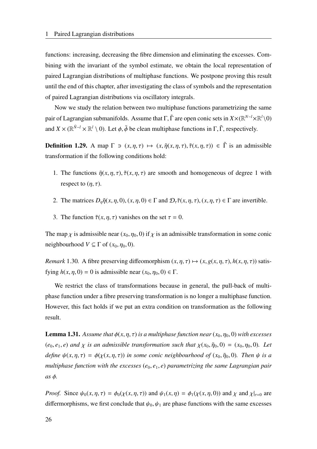functions: increasing, decreasing the fibre dimension and eliminating the excesses. Combining with the invariant of the symbol estimate, we obtain the local representation of paired Lagrangian distributions of multiphase functions. We postpone proving this result until the end of this chapter, after investigating the class of symbols and the representation of paired Lagrangian distributions via oscillatory integrals.

Now we study the relation between two multiphase functions parametrizing the same pair of Lagrangian submanifolds. Assume that Γ, Γ are open conic sets in  $X \times (\mathbb{R}^{N-1} \times \mathbb{R}^l \setminus 0)$ and  $X \times (\mathbb{R}^{N-1} \times \mathbb{R}^l \setminus 0)$ . Let  $\phi$ ,  $\tilde{\phi}$  be clean multiphase functions in  $\Gamma$ ,  $\tilde{\Gamma}$ , respectively.

**Definition 1.29.** A map  $\Gamma \ni (x, \eta, \tau) \mapsto (x, \tilde{\eta}(x, \eta, \tau), \tilde{\tau}(x, \eta, \tau)) \in \tilde{\Gamma}$  is an admissible transformation if the following conditions hold:

- 1. The functions  $\tilde{\eta}(x, \eta, \tau)$ ,  $\tilde{\tau}(x, \eta, \tau)$  are smooth and homogeneous of degree 1 with respect to  $(\eta, \tau)$ .
- 2. The matrices  $D_n \tilde{\eta}(x, \eta, 0), (x, \eta, 0) \in \Gamma$  and  $D_\tau \tilde{\tau}(x, \eta, \tau), (x, \eta, \tau) \in \Gamma$  are invertible.
- 3. The function  $\tilde{\tau}(x, \eta, \tau)$  vanishes on the set  $\tau = 0$ .

The map  $\chi$  is admissible near  $(x_0, \eta_0, 0)$  if  $\chi$  is an admissible transformation in some conic neighbourhood  $V \subseteq \Gamma$  of  $(x_0, \eta_0, 0)$ .

*Remark* 1.30*.* A fibre preserving diffeomorphism  $(x, \eta, \tau) \mapsto (x, g(x, \eta, \tau), h(x, \eta, \tau))$  satisfying  $h(x, \eta, 0) = 0$  is admissible near  $(x_0, \eta_0, 0) \in \Gamma$ .

We restrict the class of transformations because in general, the pull-back of multiphase function under a fibre preserving transformation is no longer a multiphase function. However, this fact holds if we put an extra condition on transformation as the following result.

**Lemma 1.31.** *Assume that*  $\phi(x, \eta, \tau)$  *is a multiphase function near*  $(x_0, \eta_0, 0)$  *with excesses* ( $e_0, e_1, e$ ) and  $\chi$  is an admissible transformation such that  $\chi(x_0, \tilde{\eta}_0, 0) = (x_0, \eta_0, 0)$ *. Let define*  $\psi(x, \eta, \tau) = \phi(\chi(x, \eta, \tau))$  *in some conic neighbourhood of*  $(x_0, \tilde{\eta}_0, 0)$ *. Then*  $\psi$  *is a multiphase function with the excesses*  $(e_0, e_1, e)$  *parametrizing the same Lagrangian pair as* ϕ*.*

*Proof.* Since  $\psi_0(x, \eta, \tau) = \phi_0(\chi(x, \eta, \tau))$  and  $\psi_1(x, \eta) = \phi_1(\chi(x, \eta, 0))$  and  $\chi$  and  $\chi|_{\tau=0}$  are differmorphisms, we first conclude that  $\psi_0$ ,  $\psi_1$  are phase functions with the same excesses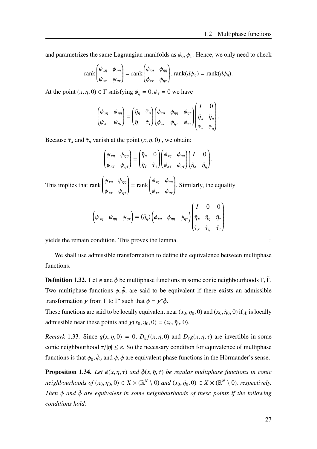and parametrizes the same Lagrangian manifolds as  $\phi_0$ ,  $\phi_1$ . Hence, we only need to check

$$
\operatorname{rank}\begin{pmatrix} \psi_{x\eta} & \psi_{\eta\eta} \\ \psi_{x\tau} & \psi_{\eta\tau} \end{pmatrix} = \operatorname{rank}\begin{pmatrix} \phi_{x\eta} & \phi_{\eta\eta} \\ \phi_{x\tau} & \phi_{\eta\tau} \end{pmatrix}, \operatorname{rank}(d\psi_{\eta}) = \operatorname{rank}(d\phi_{\eta}).
$$

At the point  $(x, \eta, 0) \in \Gamma$  satisfying  $\phi_{\eta} = 0$ ,  $\phi_{\tau} = 0$  we have

$$
\begin{pmatrix} \psi_{x\eta} & \psi_{\eta\eta} \\ \psi_{x\tau} & \psi_{\eta\tau} \end{pmatrix} = \begin{pmatrix} \tilde{\eta}_{\eta} & \tilde{\tau}_{\eta} \\ \tilde{\eta}_{\tau} & \tilde{\tau}_{\tau} \end{pmatrix} \begin{pmatrix} \phi_{x\eta} & \phi_{\eta\eta} & \phi_{\eta\tau} \\ \phi_{x\tau} & \phi_{\eta\tau} & \phi_{\tau\tau} \end{pmatrix} \begin{pmatrix} I & 0 \\ \tilde{\eta}_{x} & \tilde{\eta}_{\eta} \\ \tilde{\tau}_{x} & \tilde{\tau}_{\eta} \end{pmatrix}.
$$

Because  $\tilde{\tau}_x$  and  $\tilde{\tau}_\eta$  vanish at the point  $(x, \eta, 0)$ , we obtain:

 $\begin{pmatrix} \psi_{x\eta} & \psi_{\eta\eta} \end{pmatrix}$  $\overline{\mathcal{C}}$  $\psi_{x\tau}$   $\psi_{\eta\tau}$  $\mathcal{L}_{\mathcal{L}}$  $\begin{array}{c} \hline \end{array}$ =  $\begin{pmatrix} \tilde{\eta}_\eta & 0 \end{pmatrix}$  $\overline{\mathcal{C}}$  $\tilde{\eta}_{\tau}$   $\tilde{\tau}_{\tau}$  $\int (\phi_{x\eta} \phi_{\eta\eta})$  $\int$  $\overline{\mathcal{C}}$  $\phi_{x\tau}$   $\phi_{\eta\tau}$  $\int I = 0$  $\int$  $\overline{\mathcal{C}}$  $\tilde{\eta}_x$   $\tilde{\eta}_\eta$  $\mathcal{L}_{\mathcal{L}}$  $\int$ .

This implies that rank  $\begin{pmatrix} \psi_{x\eta} & \psi_{\eta\eta} \end{pmatrix}$  $\overline{\mathcal{C}}$ ψ*x*<sup>τ</sup> ψητ  $\mathcal{L}_{\mathcal{A}}$  $\int$  $=$  rank  $\begin{pmatrix} \phi_{x\eta} & \phi_{\eta\eta} \end{pmatrix}$  $\overline{\mathcal{C}}$  $\phi_{x\tau}$   $\phi_{\eta\tau}$  $\lambda$  $\int$ . Similarly, the equality

$$
\left(\psi_{x\eta} \quad \psi_{\eta\eta} \quad \psi_{\eta\tau}\right) = (\tilde{\eta}_{\eta})\left(\phi_{x\eta} \quad \phi_{\eta\eta} \quad \phi_{\eta\tau}\right)\begin{pmatrix} I & 0 & 0 \\ \tilde{\eta}_x & \tilde{\eta}_\eta & \tilde{\eta}_\tau \\ \tilde{\tau}_x & \tilde{\tau}_\eta & \tilde{\tau}_\tau \end{pmatrix}
$$

yields the remain condition. This proves the lemma.

We shall use admissible transformation to define the equivalence between multiphase functions.

**Definition 1.32.** Let  $\phi$  and  $\tilde{\phi}$  be multiphase functions in some conic neighbourhoods  $\Gamma$ ,  $\tilde{\Gamma}$ . Two multiphase functions  $\phi$ ,  $\tilde{\phi}$ , are said to be equivalent if there exists an admissible transformation  $\chi$  from  $\Gamma$  to  $\Gamma'$  such that  $\phi = \chi^* \tilde{\phi}$ .

These functions are said to be locally equivalent near  $(x_0, \eta_0, 0)$  and  $(x_0, \tilde{\eta}_0, 0)$  if  $\chi$  is locally admissible near these points and  $\chi(x_0, \eta_0, 0) = (x_0, \tilde{\eta}_0, 0)$ .

*Remark* 1.33. Since  $g(x, \eta, 0) = 0$ ,  $D_n f(x, \eta, 0)$  and  $D_r g(x, \eta, \tau)$  are invertible in some conic neighbourhood  $\tau/|\eta| \leq \varepsilon$ . So the necessary condition for equivalence of multiphase functions is that  $\phi_0$ ,  $\tilde{\phi}_0$  and  $\phi$ ,  $\tilde{\phi}$  are equivalent phase functions in the Hörmander's sense.

**Proposition 1.34.** *Let*  $\phi(x, \eta, \tau)$  *and*  $\tilde{\phi}(x, \tilde{\eta}, \tilde{\tau})$  *be regular multiphase functions in conic*  $neighborhoods$   $of$   $(x_0, \eta_0, 0) \in X \times (\mathbb{R}^N \setminus 0)$  and  $(x_0, \tilde{\eta}_0, 0) \in X \times (\mathbb{R}^N \setminus 0)$ , respectively. *Then* ϕ *and* ϕ˜ *are equivalent in some neighbourhoods of these points if the following conditions hold:*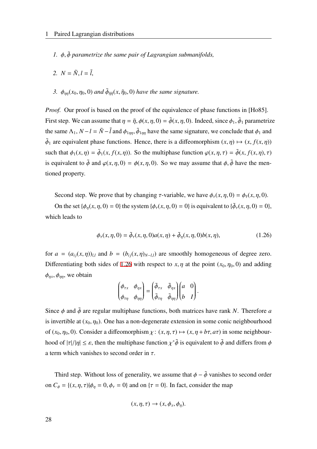- *1.* ϕ, ϕ˜ *parametrize the same pair of Lagrangian submanifolds,*
- *2.*  $N = \tilde{N}, l = \tilde{l}$ ,
- 3.  $\phi_{\eta\eta}(x_0, \eta_0, 0)$  and  $\tilde{\phi}_{\tilde{\eta}\tilde{\eta}}(x, \tilde{\eta}_0, 0)$  have the same signature.

*Proof.* Our proof is based on the proof of the equivalence of phase functions in [Ho85]. First step. We can assume that  $\eta = \tilde{\eta}, \phi(x, \eta, 0) = \tilde{\phi}(x, \eta, 0)$ . Indeed, since  $\phi_1, \tilde{\phi}_1$  parametrize the same  $\Lambda_1$ ,  $N - l = \tilde{N} - \tilde{l}$  and  $\phi_{1\eta\eta}$ ,  $\tilde{\phi}_{1\eta\eta}$  have the same signature, we conclude that  $\phi_1$  and  $\tilde{\phi}_1$  are equivalent phase functions. Hence, there is a diffeomorphism  $(x, \eta) \mapsto (x, f(x, \eta))$ such that  $\phi_1(x, \eta) = \tilde{\phi}_1(x, f(x, \eta))$ . So the multiphase function  $\varphi(x, \eta, \tau) = \tilde{\phi}(x, f(x, \eta), \tau)$ is equivalent to  $\tilde{\phi}$  and  $\varphi(x, \eta, 0) = \phi(x, \eta, 0)$ . So we may assume that  $\phi$ ,  $\tilde{\phi}$  have the mentioned property.

Second step. We prove that by changing  $\tau$ -variable, we have  $\phi_{\tau}(x, \eta, 0) = \phi_{\tilde{\tau}}(x, \eta, 0)$ .

On the set  $\{\phi_{\eta}(x, \eta, 0) = 0\}$  the system  $\{\phi_{\tau}(x, \eta, 0) = 0\}$  is equivalent to  $\{\tilde{\phi}_{\tau}(x, \eta, 0) = 0\}$ , which leads to

$$
\phi_{\tau}(x,\eta,0) = \tilde{\phi}_{\tau}(x,\eta,0)a(x,\eta) + \tilde{\phi}_{\eta}(x,\eta,0)b(x,\eta),
$$
\n(1.26)

for  $a = (a_{ij}(x, \eta))_{l,l}$  and  $b = (b_{ij}(x, \eta)_{N-l,l})$  are smoothly homogeneous of degree zero. Differentiating both sides of [1.26](#page-35-0) with respect to  $x, \eta$  at the point  $(x_0, \eta_0, 0)$  and adding  $\phi_{\eta x}, \phi_{\eta \eta}$ , we obtain

<span id="page-35-0"></span>
$$
\begin{pmatrix} \phi_{\tau x} & \phi_{\eta x} \\ \phi_{\tau \eta} & \phi_{\eta \eta} \end{pmatrix} = \begin{pmatrix} \tilde{\phi}_{\tau x} & \tilde{\phi}_{\eta x} \\ \tilde{\phi}_{\tau \eta} & \tilde{\phi}_{\eta \eta} \end{pmatrix} \begin{pmatrix} a & 0 \\ b & I \end{pmatrix}.
$$

Since  $\phi$  and  $\tilde{\phi}$  are regular multiphase functions, both matrices have rank *N*. Therefore *a* is invertible at  $(x_0, \eta_0)$ . One has a non-degenerate extension in some conic neighbourhood of  $(x_0, \eta_0, 0)$ . Consider a diffeomorphism  $\chi: (x, \eta, \tau) \mapsto (x, \eta + b\tau, a\tau)$  in some neighbourhood of  $|\tau|/|\eta| \leq \varepsilon$ , then the multiphase function  $\chi^*\tilde{\phi}$  is equivalent to  $\tilde{\phi}$  and differs from  $\phi$ a term which vanishes to second order in  $\tau$ .

Third step. Without loss of generality, we assume that  $\phi - \tilde{\phi}$  vanishes to second order on  $C_{\phi} = \{(x, \eta, \tau)|\phi_{\eta} = 0, \phi_{\tau} = 0\}$  and on  $\{\tau = 0\}$ . In fact, consider the map

$$
(x, \eta, \tau) \to (x, \phi_x, \phi_\eta).
$$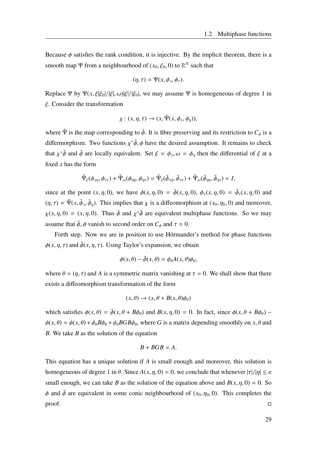Because  $\phi$  satisfies the rank condition, it is injective. By the implicit theorem, there is a smooth map  $\Psi$  from a neighbourhood of  $(x_0, \xi_0, 0)$  to  $\mathbb{R}^N$  such that

$$
(\eta,\tau)=\Psi(x,\phi_x,\phi_\tau).
$$

Replace Ψ by Ψ(x, ξ|ξ<sub>0</sub>|/|ξ|, ω)|ξ|/|ξ<sub>0</sub>|, we may assume Ψ is homogeneous of degree 1 in ξ. Consider the transformation

$$
\chi: (x, \eta, \tau) \to (x, \tilde{\Psi}(x, \phi_x, \phi_\eta)),
$$

where  $\tilde{\Psi}$  is the map corresponding to  $\tilde{\phi}$ . It is fibre preserving and its restriction to  $C_{\phi}$  is a differmorphism. Two functions  $\chi^*\tilde{\phi}$ ,  $\phi$  have the desired assumption. It remains to check that  $\chi^*\tilde{\phi}$  and  $\tilde{\phi}$  are locally equivalent. Set  $\xi = \phi_x, \omega = \phi_\eta$  then the differential of  $\xi$  at a fixed *x* has the form

$$
\tilde{\Psi}_{\xi}(\phi_{x\eta}, \phi_{x\tau}) + \tilde{\Psi}_{\omega}(\phi_{\eta\eta}, \phi_{\eta\tau}) = \tilde{\Psi}_{\xi}(\tilde{\phi}_{x\eta}, \tilde{\phi}_{x\tau}) + \tilde{\Psi}_{\omega}(\tilde{\phi}_{\eta\eta}, \tilde{\phi}_{\eta\tau}) = I,
$$

since at the point  $(x, \eta, 0)$ , we have  $\phi(x, \eta, 0) = \tilde{\phi}(x, \eta, 0)$ ,  $\phi_{\tau}(x, \eta, 0) = \tilde{\phi}_{\tau}(x, \eta, 0)$  and  $(\eta, \tau) = \tilde{\Psi}(x, \tilde{\phi}_x, \tilde{\phi}_\eta)$ . This implies that  $\chi$  is a diffeomorphism at  $(x_0, \eta_0, 0)$  and moreover,  $\chi(x, \eta, 0) = (x, \eta, 0)$ . Thus  $\tilde{\phi}$  and  $\chi^* \tilde{\phi}$  are equivalent multiphase functions. So we may assume that  $\tilde{\phi}$ ,  $\phi$  vanish to second order on  $C_{\phi}$  and  $\tau = 0$ .

Forth step. Now we are in position to use Hörmander's method for phase functions  $\phi(x, \eta, \tau)$  and  $\tilde{\phi}(x, \eta, \tau)$ . Using Taylor's expansion, we obtain

$$
\phi(x,\theta) - \tilde{\phi}(x,\theta) = \phi_{\theta}A(x,\theta)\phi_{\theta},
$$

where  $\theta = (\eta, \tau)$  and A is a symmetric matrix vanishing at  $\tau = 0$ . We shall show that there exists a diffeomorphism transformation of the form

$$
(x,\theta) \to (x,\theta + B(x,\theta)\phi_{\theta})
$$

which satisfies  $\phi(x, \theta) = \tilde{\phi}(x, \theta + B\phi_{\theta})$  and  $B(x, \eta, 0) = 0$ . In fact, since  $\phi(x, \theta + B\phi_{\theta})$  –  $\phi(x,\theta) = \phi(x,\theta) + \phi_{\theta}B\phi_{\theta} + \phi_{\theta}BGB\phi_{\theta}$ , where *G* is a matrix depending smoothly on *x*,  $\theta$  and *B*. We take *B* as the solution of the equation

$$
B+BGB=A.
$$

This equation has a unique solution if *A* is small enough and moreover, this solution is homogeneous of degree 1 in  $\theta$ . Since  $A(x, \eta, 0) = 0$ , we conclude that whenever  $|\tau|/|\eta| \le \varepsilon$ small enough, we can take *B* as the solution of the equation above and  $B(x, \eta, 0) = 0$ . So  $\phi$  and  $\tilde{\phi}$  are equivalent in some conic neighbourhood of  $(x_0, \eta_0, 0)$ . This completes the  $\Box$ proof.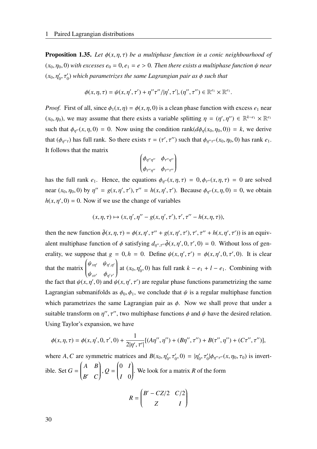<span id="page-37-0"></span>**Proposition 1.35.** Let  $\phi(x, \eta, \tau)$  be a multiphase function in a conic neighbourhood of  $(x_0, \eta_0, 0)$  *with excesses*  $e_0 = 0, e_1 = e > 0$ . Then there exists a multiphase function  $\psi$  *near*  $(x_0, \eta'_0, \tau'_0)$  which parametrizes the same Lagrangian pair as  $\phi$  such that

$$
\phi(x,\eta,\tau)=\psi(x,\eta',\tau')+\eta''\tau''/|\eta',\tau'|,(\eta'',\tau'')\in\mathbb{R}^{e_1}\times\mathbb{R}^{e_1}.
$$

*Proof.* First of all, since  $\phi_1(x, \eta) = \phi(x, \eta, 0)$  is a clean phase function with excess  $e_1$  near  $(x_0, \eta_0)$ , we may assume that there exists a variable splitting  $\eta = (\eta', \eta'') \in \mathbb{R}^{k-e_1} \times \mathbb{R}^{e_1}$ such that  $\phi_{\eta''}(x, \eta, 0) = 0$ . Now using the condition rank( $d\phi_{\eta}(x_0, \eta_0, 0) = k$ , we derive that  $(\phi_{\eta''\tau})$  has full rank. So there exists  $\tau = (\tau', \tau'')$  such that  $\phi_{\eta''\tau''}(x_0, \eta_0, 0)$  has rank  $e_1$ . It follows that the matrix

$$
\begin{pmatrix}\n\phi_{\eta''\eta''} & \phi_{\tau''\eta''} \\
\phi_{\tau''\eta''} & \phi_{\tau''\tau''}\n\end{pmatrix}
$$

has the full rank  $e_1$ . Hence, the equations  $\phi_{\eta''}(x, \eta, \tau) = 0$ ,  $\phi_{\tau''}(x, \eta, \tau) = 0$  are solved near  $(x_0, \eta_0, 0)$  by  $\eta'' = g(x, \eta', \tau'), \tau'' = h(x, \eta', \tau').$  Because  $\phi_{\eta''}(x, \eta, 0) = 0$ , we obtain  $h(x, \eta', 0) = 0$ . Now if we use the change of variables

$$
(x, \eta, \tau) \mapsto (x, \eta', \eta'' - g(x, \eta', \tau'), \tau', \tau'' - h(x, \eta, \tau)),
$$

then the new function  $\tilde{\phi}(x, \eta, \tau) = \phi(x, \eta', \tau'' + g(x, \eta', \tau'), \tau', \tau'' + h(x, \eta', \tau'))$  is an equivalent multiphase function of  $\phi$  satisfying  $d_{\eta'',\tau''}\tilde{\phi}(x,\eta',0,\tau',0) = 0$ . Without loss of generality, we suppose that  $g = 0, h = 0$ . Define  $\psi(x, \eta', \tau') = \phi(x, \eta', 0, \tau', 0)$ . It is clear that the matrix  $\begin{pmatrix} \psi_{\text{\tiny{$}X\eta'}} & \psi_{\text{\tiny{$}\eta',\eta'}} \end{pmatrix}$  $\overline{\mathcal{C}}$  $\psi_{\mathbf{x} \tau'} \quad \phi_{\eta' \tau'}$  $\mathcal{L}_{\mathcal{L}}$  $\int$ at  $(x_0, \eta'_0, 0)$  has full rank  $k - e_1 + l - e_1$ . Combining with the fact that  $\psi(x, \eta', 0)$  and  $\psi(x, \eta', \tau')$  are regular phase functions parametrizing the same Lagrangian submanifolds as  $\phi_0$ ,  $\phi_1$ , we conclude that  $\psi$  is a regular multiphase function which parametrizes the same Lagrangian pair as  $\phi$ . Now we shall prove that under a suitable transform on  $\eta''$ ,  $\tau''$ , two multiphase functions  $\phi$  and  $\psi$  have the desired relation. Using Taylor's expansion, we have

$$
\phi(x,\eta,\tau) = \phi(x,\eta',0,\tau',0) + \frac{1}{2|\eta',\tau'|} [(A\eta'',\eta'') + (B\eta'',\tau'') + B(\tau'',\eta'') + (C\tau'',\tau'')],
$$

where *A*, *C* are symmetric matrices and  $B(x_0, \eta'_0, \tau'_0, 0) = |\eta'_0|$  $\gamma'_0, \tau'_0 | \phi_{\eta''\tau''}(x, \eta_0, \tau_0)$  is invertible. Set  $G =$  *A B*  $\overline{\mathcal{C}}$ *B* ′ *C*  $\mathcal{L}_{\mathcal{A}}$  $\int$  $Q =$  0 *I*  $\overline{\mathcal{L}}$ *I* 0  $\mathcal{L}_{\mathcal{L}}$  $\int$ . We look for a matrix *R* of the form

$$
R = \begin{pmatrix} B' - CZ/2 & C/2 \\ Z & I \end{pmatrix}
$$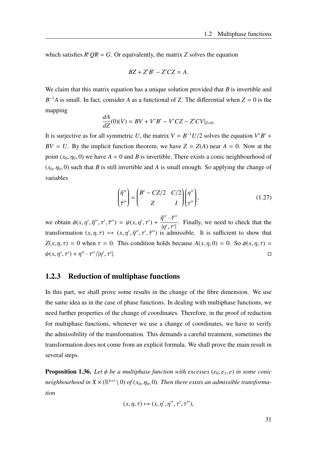which satisfies  $R'QR = G$ . Or equivalently, the matrix *Z* solves the equation

$$
BZ + Z'B' - Z'CZ = A.
$$

We claim that this matrix equation has a unique solution provided that *B* is invertible and  $B^{-1}A$  is small. In fact, consider *A* as a functional of *Z*. The differential when  $Z = 0$  is the mapping

$$
\frac{dA}{dZ}(0)(V) = BV + V'B' - V'CZ - Z'CV|_{Z=0}.
$$

It is surjective as for all symmetric *U*, the matrix  $V = B^{-1}U/2$  solves the equation  $V'B' +$  $BV = U$ . By the implicit function theorem, we have  $Z = Z(A)$  near  $A = 0$ . Now at the point  $(x_0, \eta_0, 0)$  we have  $A = 0$  and *B* is invertible. There exists a conic neighbourhood of  $(x_0, \eta_0, 0)$  such that *B* is still invertible and *A* is small enough. So applying the change of variables

$$
\begin{pmatrix} \tilde{\eta}'' \\ \tilde{\tau}'' \end{pmatrix} = \begin{pmatrix} B' - CZ/2 & C/2 \\ Z & I \end{pmatrix} \begin{pmatrix} \eta'' \\ \tau'' \end{pmatrix},
$$
\n(1.27)

we obtain  $\phi(x, \eta', \tilde{\eta}'', \tau', \tilde{\tau}'') = \psi(x, \eta', \tau')$  +  $\tilde{\eta}^{\prime\prime} \cdot \tilde{\tau}^{\prime\prime}$  $\frac{1}{|\eta', \tau'|}$ . Finally, we need to check that the | transformation  $(x, \eta, \tau) \mapsto (x, \eta', \tilde{\eta}'', \tau', \tilde{\tau}'')$  is admissible. It is sufficient to show that  $Z(x, \eta, \tau) = 0$  when  $\tau = 0$ . This condition holds because  $A(x, \eta, 0) = 0$ . So  $\phi(x, \eta, \tau) = 0$  $\psi(x, \eta', \tau') + \eta'' \cdot \tau'' / |\eta', \tau'|$ |.

## 1.2.3 Reduction of multiphase functions

In this part, we shall prove some results in the change of the fibre dimension. We use the same idea as in the case of phase functions. In dealing with multiphase functions, we need further properties of the change of coordinates. Therefore, in the proof of reduction for multiphase functions, whenever we use a change of coordinates, we have to verify the admissibility of the transformation. This demands a careful treatment, sometimes the transformation does not come from an explicit formula. We shall prove the main result in several steps.

<span id="page-38-0"></span>**Proposition 1.36.** Let  $\phi$  be a multiphase function with excesses  $(e_0, e_1, e)$  in some conic neighbourhood in  $X$   $\times$  ( $\mathbb{R}^{k+l} \setminus 0$ ) of ( $x_0, \eta_0, 0$ ). Then there exists an admissible transforma*tion*

$$
(x, \eta, \tau) \mapsto (x, \eta', \eta'', \tau', \tau''),
$$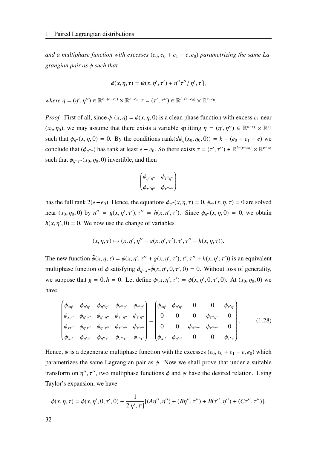*and a multiphase function with excesses*  $(e_0, e_0 + e_1 - e, e_0)$  *parametrizing the same Lagrangian pair as* ϕ *such that*

$$
\phi(x,\eta,\tau) = \psi(x,\eta',\tau') + \eta''\tau''/|\eta',\tau'|,
$$

 $where \eta = (\eta', \eta'') \in \mathbb{R}^{k-(e-e_0)} \times \mathbb{R}^{e-e_0}, \tau = (\tau', \tau'') \in \mathbb{R}^{l-(e-e_0)} \times \mathbb{R}^{e-e_0}.$ 

*Proof.* First of all, since  $\phi_1(x, \eta) = \phi(x, \eta, 0)$  is a clean phase function with excess  $e_1$  near  $(x_0, \eta_0)$ , we may assume that there exists a variable splitting  $\eta = (\eta', \eta'') \in \mathbb{R}^{k-e_1} \times \mathbb{R}^{e_1}$ such that  $\phi_{\eta''}(x, \eta, 0) = 0$ . By the conditions rank $(d\phi_{\eta}(x_0, \eta_0, 0)) = k - (e_0 + e_1 - e)$  we conclude that  $(\phi_{\eta''\tau})$  has rank at least  $e - e_0$ . So there exists  $\tau = (\tau', \tau'') \in \mathbb{R}^{l-(e-e_0)} \times \mathbb{R}^{e-e_0}$ such that  $\phi_{\eta''\tau''}(x_0, \eta_0, 0)$  invertible, and then

$$
\begin{pmatrix}\n\phi_{\eta''\eta''} & \phi_{\tau''\eta''} \\
\phi_{\tau''\eta''} & \phi_{\tau''\tau''}\n\end{pmatrix}
$$

has the full rank  $2(e-e_0)$ . Hence, the equations  $\phi_{\eta''}(x, \eta, \tau) = 0$ ,  $\phi_{\tau''}(x, \eta, \tau) = 0$  are solved near  $(x_0, \eta_0, 0)$  by  $\eta'' = g(x, \eta', \tau'), \tau'' = h(x, \eta', \tau').$  Since  $\phi_{\eta''}(x, \eta, 0) = 0$ , we obtain  $h(x, \eta', 0) = 0$ . We now use the change of variables

$$
(x, \eta, \tau) \mapsto (x, \eta', \eta'' - g(x, \eta', \tau'), \tau', \tau'' - h(x, \eta, \tau)).
$$

The new function  $\tilde{\phi}(x, \eta, \tau) = \phi(x, \eta', \tau'' + g(x, \eta', \tau'), \tau', \tau'' + h(x, \eta', \tau'))$  is an equivalent multiphase function of  $\phi$  satisfying  $d_{\eta''}, \tau''\tilde{\phi}(x, \eta', 0, \tau', 0) = 0$ . Without loss of generality, we suppose that  $g = 0, h = 0$ . Let define  $\psi(x, \eta', \tau') = \phi(x, \eta', 0, \tau', 0)$ . At  $(x_0, \eta_0, 0)$  we have

$$
\begin{pmatrix}\n\phi_{x\eta'} & \phi_{\eta'\eta'} & \phi_{\eta''\eta'} & \phi_{\tau''\eta'} & \phi_{\tau''\eta'} \\
\phi_{x\eta''} & \phi_{\eta'\eta''} & \phi_{\eta''\eta''} & \phi_{\tau''\eta''} & \phi_{\tau'\eta''} \\
\phi_{x\tau''} & \phi_{\eta'\tau''} & \phi_{\eta''\tau''} & \phi_{\tau''\tau''} & \phi_{\tau'\tau''} \\
\phi_{x\tau'} & \phi_{\eta'\tau'} & \phi_{\eta''\tau'} & \phi_{\tau''\tau'} & \phi_{\tau'\tau'}\n\end{pmatrix} = \begin{pmatrix}\n\phi_{x\eta'} & \phi_{\eta'\eta'} & 0 & 0 & \phi_{\tau'\eta'} \\
0 & 0 & 0 & \phi_{\tau''\eta''} & 0 \\
0 & 0 & \phi_{\eta''\tau''} & \phi_{\tau''\tau''} & 0 \\
\phi_{x\tau'} & \phi_{\eta'\tau'} & 0 & 0 & \phi_{\tau'\tau'}\n\end{pmatrix}.
$$
\n(1.28)

Hence,  $\psi$  is a degenerate multiphase function with the excesses  $(e_0, e_0 + e_1 - e, e_0)$  which parametrizes the same Lagrangian pair as  $\phi$ . Now we shall prove that under a suitable transform on  $\eta''$ ,  $\tau''$ , two multiphase functions  $\phi$  and  $\psi$  have the desired relation. Using Taylor's expansion, we have

$$
\phi(x,\eta,\tau) = \phi(x,\eta',0,\tau',0) + \frac{1}{2|\eta',\tau'|} [(A\eta'',\eta'') + (B\eta'',\tau'') + B(\tau'',\eta'') + (C\tau'',\tau'')],
$$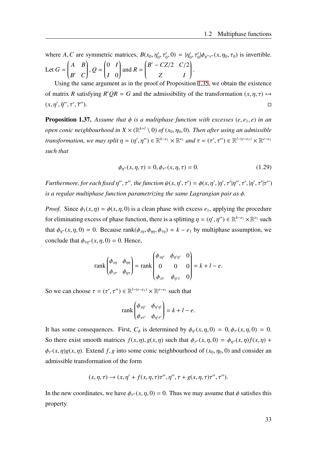where *A*, *C* are symmetric matrices,  $B(x_0, \eta'_0, \tau'_0, 0) = |\eta'_0|$  $\gamma'_0, \tau'_0 | \phi_{\eta''\tau''}(x, \eta_0, \tau_0)$  is invertible. Let  $G =$  *A B*  $\overline{\mathcal{C}}$ *B* ′ *C*  $\mathcal{L}_{\mathcal{A}}$  $\int$ , *Q* = 0 *I*  $\overline{\mathcal{L}}$ *I* 0  $\mathcal{L}_{\mathcal{L}}$  $\begin{array}{c} \end{array}$ and  $R =$  $\begin{bmatrix} B' - CZ/2 & C/2 \end{bmatrix}$  $\overline{\mathcal{C}}$ *Z I*  $\lambda$  $\begin{array}{c} \hline \end{array}$ .

Using the same argument as in the proof of Proposition [1.35](#page-37-0), we obtain the existence of matrix *R* satisfying  $R'QR = G$  and the admissibility of the transformation  $(x, \eta, \tau) \mapsto$  $(x, \eta', \tilde{\eta}'', \tau', \tilde{\tau})$  $\Box$ ).

<span id="page-40-0"></span>**Proposition 1.37.** Assume that  $\phi$  is a multiphase function with excesses (e, e<sub>1</sub>, e) in an *open conic neighbourhood in*  $X \times (\mathbb{R}^{k+l} \setminus 0)$  *of* ( $x_0, \eta_0, 0$ ). Then after using an admissible *transformation, we may split*  $\eta = (\eta', \eta'') \in \mathbb{R}^{k-e_1} \times \mathbb{R}^{e_1}$  and  $\tau = (\tau', \tau'') \in \mathbb{R}^{l-(e-e_1)} \times \mathbb{R}^{e-e_1}$ *such that*

$$
\phi_{\eta''}(x,\eta,\tau) = 0, \phi_{\tau''}(x,\eta,\tau) = 0.
$$
\n(1.29)

*Furthermore, for each fixed*  $\eta''$ ,  $\tau''$ , the function  $\psi(x, \eta', \tau') = \phi(x, \eta', |\eta', \tau'|\eta'', \tau', |\eta', \tau'|\tau'')$ *is a regular multiphase function parametrizing the same Lagrangian pair as* ϕ*.*

*Proof.* Since  $\phi_1(x, \eta) = \phi(x, \eta, 0)$  is a clean phase with excess  $e_1$ , applying the procedure for eliminating excess of phase function, there is a splitting  $\eta = (\eta', \eta'') \in \mathbb{R}^{k-e_1} \times \mathbb{R}^{e_1}$  such that  $\phi_{\eta''}(x, \eta, 0) = 0$ . Because rank $(\phi_{x\eta}, \phi_{\eta\eta}, \phi_{\tau\eta}) = k - e_1$  by multiphase assumption, we conclude that  $\phi_{\tau n''}(x, \eta, 0) = 0$ . Hence,

$$
\operatorname{rank}\begin{pmatrix} \phi_{x\eta} & \phi_{\eta\eta} \\ \phi_{x\tau} & \phi_{\eta\tau} \end{pmatrix} = \operatorname{rank}\begin{pmatrix} \phi_{x\eta'} & \phi_{\eta'\eta'} & 0 \\ 0 & 0 & 0 \\ \phi_{x\tau} & \phi_{\eta'\tau} & 0 \end{pmatrix} = k + l - e.
$$

So we can choose  $\tau = (\tau', \tau'') \in \mathbb{R}^{l-(e-e_1)} \times \mathbb{R}^{e-e_1}$  such that

$$
\operatorname{rank}\begin{pmatrix} \phi_{x\eta'} & \phi_{\eta'\eta'} \\ \phi_{x\tau'} & \phi_{\eta'\tau'} \end{pmatrix} = k + l - e.
$$

It has some consequences. First,  $C_{\phi}$  is determined by  $\phi_{\eta}(x, \eta, 0) = 0, \phi_{\tau}(x, \eta, 0) = 0$ . So there exist smooth matrices  $f(x, \eta), g(x, \eta)$  such that  $\phi_{\tau''}(x, \eta, 0) = \phi_{\eta''}(x, \eta) f(x, \eta) +$  $\phi_{\tau}(x, \eta)g(x, \eta)$ . Extend *f*, *g* into some conic neighbourhood of  $(x_0, \eta_0, 0)$  and consider an admissible transformation of the form

$$
(x, \eta, \tau) \rightarrow (x, \eta' + f(x, \eta, \tau)\tau'', \eta'', \tau + g(x, \eta, \tau)\tau'', \tau'').
$$

In the new coordinates, we have  $\phi_{\tau''}(x, \eta, 0) = 0$ . Thus we may assume that  $\phi$  satisfies this property.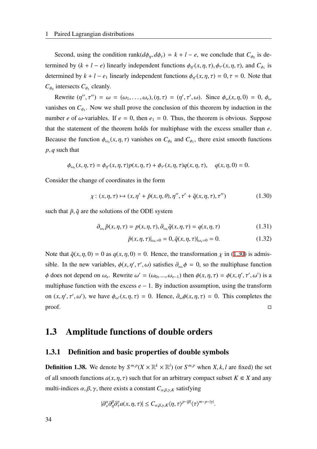Second, using the condition rank( $d\phi_{\eta}, d\phi_{\tau}$ ) =  $k + l - e$ , we conclude that  $C_{\phi_0}$  is determined by  $(k + l - e)$  linearly independent functions  $\phi_{\eta}(x, \eta, \tau)$ ,  $\phi_{\tau}(x, \eta, \tau)$ , and  $C_{\phi_1}$  is determined by  $k + l - e_1$  linearly independent functions  $\phi_{\eta}(x, \eta, \tau) = 0, \tau = 0$ . Note that  $C_{\phi_0}$  intersects  $C_{\phi_1}$  cleanly.

Rewrite  $(\eta'', \tau'') = \omega = (\omega_1, \ldots, \omega_e), (\eta, \tau) = (\eta', \tau', \omega)$ . Since  $\phi_\omega(x, \eta, 0) = 0$ ,  $\phi_\omega$ vanishes on  $C_{\phi_1}$ . Now we shall prove the conclusion of this theorem by induction in the number *e* of  $\omega$ -variables. If  $e = 0$ , then  $e_1 = 0$ . Thus, the theorem is obvious. Suppose that the statement of the theorem holds for multiphase with the excess smaller than *e*. Because the function  $\phi_{\omega_e}(x, \eta, \tau)$  vanishes on  $C_{\phi_0}$  and  $C_{\phi_1}$ , there exist smooth functions *p*, *q* such that

$$
\phi_{\omega_e}(x,\eta,\tau) = \phi_{\eta'}(x,\eta,\tau)p(x,\eta,\tau) + \phi_{\tau'}(x,\eta,\tau)q(x,\eta,\tau), \quad q(x,\eta,0) = 0.
$$

Consider the change of coordinates in the form

$$
\chi: (x, \eta, \tau) \mapsto (x, \eta' + \tilde{p}(x, \eta, \theta), \eta'', \tau' + \tilde{q}(x, \eta, \tau), \tau'')
$$
(1.30)

such that  $\tilde{p}, \tilde{q}$  are the solutions of the ODE system

$$
\partial_{\omega_e} \tilde{p}(x, \eta, \tau) = p(x, \eta, \tau), \partial_{\omega_e} \tilde{q}(x, \eta, \tau) = q(x, \eta, \tau) \tag{1.31}
$$

<span id="page-41-0"></span>
$$
\tilde{p}(x, \eta, \tau)|_{\omega_e=0} = 0, \tilde{q}(x, \eta, \tau)|_{\omega_e=0} = 0.
$$
\n(1.32)

Note that  $\tilde{q}(x, \eta, 0) = 0$  as  $q(x, \eta, 0) = 0$ . Hence, the transformation  $\chi$  in [\(1.30](#page-41-0)) is admissible. In the new variables,  $\phi(x, \eta', \tau', \omega)$  satisfies  $\partial_{\omega_e} \phi = 0$ , so the multiphase function  $\phi$  does not depend on  $\omega_e$ . Rewrite  $\omega' = (\omega_0, ..., \omega_{e-1})$  then  $\phi(x, \eta, \tau) = \phi(x, \eta', \tau', \omega')$  is a multiphase function with the excess  $e - 1$ . By induction assumption, using the transform on  $(x, \eta', \tau', \omega')$ , we have  $\phi_{\omega'}(x, \eta, \tau) = 0$ . Hence,  $\partial_{\omega} \phi(x, \eta, \tau) = 0$ . This completes the  $\Box$ proof.

## 1.3 Amplitude functions of double orders

#### 1.3.1 Definition and basic properties of double symbols

**Definition 1.38.** We denote by  $S^{m,p}(X \times \mathbb{R}^k \times \mathbb{R}^l)$  (or  $S^{m,p}$  when *X*, *k*, *l* are fixed) the set of all smooth functions  $a(x, \eta, \tau)$  such that for an arbitrary compact subset  $K \in X$  and any multi-indices  $\alpha, \beta, \gamma$ , there exists a constant  $C_{\alpha,\beta,\gamma,K}$  satisfying

$$
|\partial_x^{\alpha}\partial_{\eta}^{\beta}\partial_{\tau}^{\gamma}a(x,\eta,\tau)|\leq C_{\alpha,\beta,\gamma,K}\langle \eta,\tau\rangle^{p-|\beta|}\langle \tau\rangle^{m-p-|\gamma|}.
$$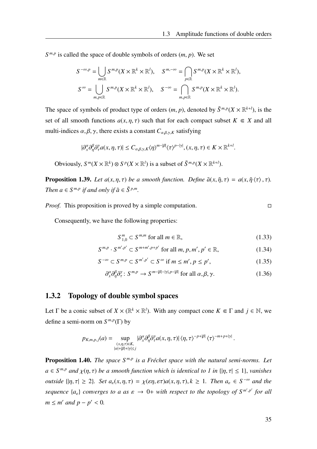$S^{m,p}$  is called the space of double symbols of orders  $(m, p)$ . We set

$$
S^{-\infty,p} = \bigcup_{m \in \mathbb{R}} S^{m,p}(X \times \mathbb{R}^k \times \mathbb{R}^l), \quad S^{m,-\infty} = \bigcap_{p \in \mathbb{R}} S^{m,p}(X \times \mathbb{R}^k \times \mathbb{R}^l),
$$
  

$$
S^{\infty} = \bigcup_{m,p \in \mathbb{R}} S^{m,p}(X \times \mathbb{R}^k \times \mathbb{R}^l), \quad S^{-\infty} = \bigcap_{m,p \in \mathbb{R}} S^{m,p}(X \times \mathbb{R}^k \times \mathbb{R}^l).
$$

The space of symbols of product type of orders  $(m, p)$ , denoted by  $\tilde{S}^{m,p}(X \times \mathbb{R}^{k+l})$ , is the set of all smooth functions  $a(x, \eta, \tau)$  such that for each compact subset  $K \in X$  and all multi-indices  $\alpha, \beta, \gamma$ , there exists a constant  $C_{\alpha,\beta,\gamma,K}$  satisfying

$$
|\partial_x^{\alpha}\partial_{\eta}^{\beta}\partial_{\tau}^{\gamma}a(x,\eta,\tau)|\leq C_{\alpha,\beta,\gamma,K}\langle\eta\rangle^{m-|\beta|}\langle\tau\rangle^{p-|\gamma|}, (x,\eta,\tau)\in K\times\mathbb{R}^{k+l}.
$$

Obviously,  $S^m(X \times \mathbb{R}^k) \otimes S^p(X \times \mathbb{R}^l)$  is a subset of  $\tilde{S}^{m,p}(X \times \mathbb{R}^{k+l})$ .

**Proposition 1.39.** *Let*  $a(x, \eta, \tau)$  *be a smooth function. Define*  $\tilde{a}(x, \tilde{\eta}, \tau) = a(x, \tilde{\eta} \langle \tau \rangle, \tau)$ *. Then*  $a \in S^{m,p}$  *if and only if*  $\tilde{a} \in \tilde{S}^{p,m}$ *.* 

*Proof.* This proposition is proved by a simple computation.

Consequently, we have the following properties:

$$
S_{1,0}^m \subset S^{m,m} \text{ for all } m \in \mathbb{R},\tag{1.33}
$$

$$
S^{m,p} \cdot S^{m',p'} \subset S^{m+m',p+p'} \text{ for all } m, p, m', p' \in \mathbb{R},\tag{1.34}
$$

$$
S^{-\infty} \subset S^{m,p} \subset S^{m',p'} \subset S^{\infty} \text{ if } m \leq m', p \leq p', \tag{1.35}
$$

$$
\partial_x^{\alpha} \partial_{\eta}^{\beta} \partial_{\tau}^{\gamma} : S^{m,p} \to S^{m-|\beta|-|\gamma|, p-|\beta|} \text{ for all } \alpha, \beta, \gamma. \tag{1.36}
$$

## 1.3.2 Topology of double symbol spaces

Let  $\Gamma$  be a conic subset of  $X \times (\mathbb{R}^k \times \mathbb{R}^l)$ . With any compact cone  $K \in \Gamma$  and  $j \in \mathbb{N}$ , we define a semi-norm on  $S^{m,p}(\Gamma)$  by

$$
p_{K,m,p,j}(a) = \sup_{\substack{(x,\eta,\tau)\in K,\\|\alpha|+|\beta|+|\gamma|\leq j}} |\partial_x^{\alpha}\partial_{\eta}^{\beta}\partial_{\tau}^{\gamma}a(x,\eta,\tau)| \langle \eta,\tau\rangle^{-p+|\beta|} \langle \tau\rangle^{-m+p+|\gamma|}.
$$

**Proposition 1.40.** *The space S<sup>m,p</sup> is a Fréchet space with the natural semi-norms. Let*  $a \in S^{m,p}$  *and*  $\chi(\eta, \tau)$  *be a smooth function which is identical to 1 in* { $|\eta, \tau| \le 1$ }, *vanishes outside*  $\{|\eta, \tau| \geq 2\}$ *. Set*  $a_{\varepsilon}(x, \eta, \tau) = \chi(\varepsilon \eta, \varepsilon \tau) a(x, \eta, \tau)$ ,  $k \geq 1$ *. Then*  $a_{\varepsilon} \in S^{-\infty}$  *and the sequence*  $\{a_{\varepsilon}\}\)$  *converges to a as*  $\varepsilon \to 0+$  *with respect to the topology of*  $S^{m',p'}$  *for all*  $m \le m'$  *and*  $p - p' < 0$ *.*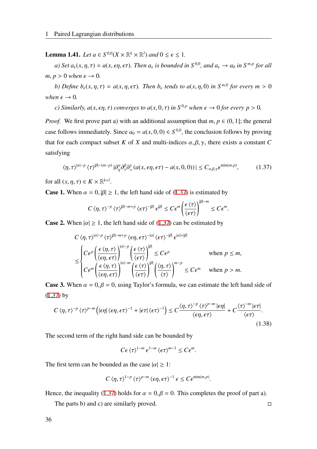**Lemma 1.41.** *Let*  $a \in S^{0,0}(X \times \mathbb{R}^k \times \mathbb{R}^l)$  and  $0 \le \epsilon \le 1$ .

*a)* Set  $a_\epsilon(x, \eta, \tau) = a(x, \epsilon\eta, \epsilon\tau)$ . Then  $a_\epsilon$  is bounded in  $S^{0,0}$ , and  $a_\epsilon \to a_0$  in  $S^{m,p}$  for all  $m, p > 0$  *when*  $\epsilon \rightarrow 0$ *.* 

*b)* Define  $b_{\epsilon}(x, \eta, \tau) = a(x, \eta, \epsilon\tau)$ . Then  $b_{\epsilon}$  tends to  $a(x, \eta, 0)$  in  $S^{m,0}$  for every  $m > 0$ *when*  $\epsilon \rightarrow 0$ *.* 

*c) Similarly,*  $a(x, \epsilon\eta, \tau)$  *<i>converges to*  $a(x, 0, \tau)$  *in*  $S^{0,p}$  *when*  $\epsilon \to 0$  *for every p* > 0*.* 

*Proof.* We first prove part a) with an additional assumption that  $m, p \in (0, 1]$ ; the general case follows immediately. Since  $a_0 = a(x, 0, 0) \in S^{0,0}$ , the conclusion follows by proving that for each compact subset *K* of *X* and multi-indices  $\alpha, \beta, \gamma$ , there exists a constant *C* satisfying

$$
\langle \eta, \tau \rangle^{|\alpha|-p} \langle \tau \rangle^{|\beta|- (m-p)} |\partial_{\eta}^{\alpha} \partial_{\tau}^{\beta} \partial_{x}^{\gamma} (a(x, \epsilon \eta, \epsilon \tau) - a(x, 0, 0))| \leq C_{\alpha, \beta, \gamma} \epsilon^{\min(m, p)}, \tag{1.37}
$$

for all  $(x, \eta, \tau) \in K \times \mathbb{R}^{k+l}$ .

**Case 1.** When  $\alpha = 0, |\beta| \ge 1$ , the left hand side of ([1.37\)](#page-43-0) is estimated by

<span id="page-43-0"></span>
$$
C\left\langle \eta,\tau\right\rangle^{-p}\left\langle \tau\right\rangle ^{|\beta|-m+p}\left\langle \epsilon\tau\right\rangle ^{-|\beta|}\epsilon^{|\beta|}\leq C\epsilon^{m}\left(\frac{\epsilon\left\langle \tau\right\rangle }{\left\langle \epsilon\tau\right\rangle }\right)^{|\beta|-m}\leq C\epsilon^{m}.
$$

**Case 2.** When  $|\alpha| \ge 1$ , the left hand side of [\(1.37](#page-43-0)) can be estimated by

$$
C \langle \eta, \tau \rangle^{|\alpha| - p} \langle \tau \rangle^{|\beta| - m + p} \langle \epsilon \eta, \epsilon \tau \rangle^{-|\alpha|} \langle \epsilon \tau \rangle^{-|\beta|} \epsilon^{|\alpha| + |\beta|}
$$
  
\n
$$
\leq \begin{cases} C \epsilon^p \left( \frac{\epsilon \langle \eta, \tau \rangle}{\langle \epsilon \eta, \epsilon \tau \rangle} \right)^{|\alpha| - p} \left( \frac{\epsilon \langle \tau \rangle}{\langle \epsilon \tau \rangle} \right)^{|\beta|} \leq C \epsilon^p & \text{when } p \leq m, \\ C \epsilon^m \left( \frac{\epsilon \langle \eta, \tau \rangle}{\langle \epsilon \eta, \epsilon \tau \rangle} \right)^{|\alpha| - m} \left( \frac{\epsilon \langle \tau \rangle}{\langle \epsilon \tau \rangle} \right)^{|\beta|} \left( \frac{\langle \eta, \tau \rangle}{\langle \tau \rangle} \right)^{m - p} \leq C \epsilon^m & \text{when } p > m. \end{cases}
$$

**Case 3.** When  $\alpha = 0, \beta = 0$ , using Taylor's formula, we can estimate the left hand side of [\(1.37\)](#page-43-0) by

$$
C\langle \eta, \tau \rangle^{-p} \langle \tau \rangle^{p-m} \left( |\epsilon \eta| \langle \epsilon \eta, \epsilon \tau \rangle^{-1} + |\epsilon \tau| \langle \epsilon \tau \rangle^{-1} \right) \leq C \frac{\langle \eta, \tau \rangle^{-p} \langle \tau \rangle^{p-m} |\epsilon \eta|}{\langle \epsilon \eta, \epsilon \tau \rangle} + C \frac{\langle \tau \rangle^{-m} |\epsilon \tau|}{\langle \epsilon \tau \rangle}.
$$
\n(1.38)

The second term of the right hand side can be bounded by

$$
C\epsilon\langle\tau\rangle^{1-m}\,\epsilon^{1-m}\,\langle\epsilon\tau\rangle^{m-1}\leq C\epsilon^m.
$$

The first term can be bounded as the case  $|\alpha| \geq 1$ :

$$
C\left\langle \eta,\tau\right\rangle^{1-p}\left\langle \tau\right\rangle^{p-m}\left\langle \epsilon\eta,\epsilon\tau\right\rangle^{-1}\epsilon\leq C\epsilon^{\min(m,p)}.
$$

Hence, the inequality ([1.37\)](#page-43-0) holds for  $\alpha = 0, \beta = 0$ . This completes the proof of part a).

The parts b) and c) are similarly proved.  $\square$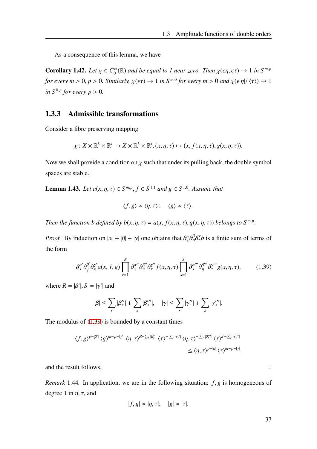As a consequence of this lemma, we have

Corollary 1.42. *Let*  $\chi \in C_0^{\infty}$  $\int_0^\infty (\mathbb{R})$  and be equal to 1 near zero. Then  $\chi(\epsilon \eta, \epsilon \tau) \to 1$  in  $S^{m,p}$ *for every*  $m > 0$ ,  $p > 0$ . Similarly,  $\chi(\epsilon \tau) \to 1$  in  $S^{m,0}$  for every  $m > 0$  and  $\chi(\epsilon |\eta|/\langle \tau \rangle) \to 1$ *in*  $S^{0,p}$  for every  $p > 0$ .

## 1.3.3 Admissible transformations

Consider a fibre preserving mapping

$$
\chi: X \times \mathbb{R}^k \times \mathbb{R}^l \to X \times \mathbb{R}^k \times \mathbb{R}^l, (x, \eta, \tau) \mapsto (x, f(x, \eta, \tau), g(x, \eta, \tau)).
$$

Now we shall provide a condition on  $\chi$  such that under its pulling back, the double symbol spaces are stable.

**Lemma 1.43.** *Let*  $a(x, η, τ) ∈ S<sup>m,p</sup>, f ∈ S<sup>1,1</sup>$  *and*  $g ∈ S<sup>1,0</sup>$ *. Assume that* 

<span id="page-44-0"></span>
$$
\langle f, g \rangle \asymp \langle \eta, \tau \rangle \, ; \quad \langle g \rangle \asymp \langle \tau \rangle \, .
$$

*Then the function b defined by*  $b(x, \eta, \tau) = a(x, f(x, \eta, \tau), g(x, \eta, \tau))$  *<i>belongs to*  $S^{m,p}$ *.* 

*Proof.* By induction on  $|\alpha| + |\beta| + |\gamma|$  one obtains that  $\frac{\partial^{\alpha} \partial^{\beta} \partial^{\gamma} b}{\partial \gamma}$  is a finite sum of terms of the form

$$
\partial_x^{\alpha'} \partial_f^{\beta'} \partial_g^{\gamma'} a(x, f, g) \prod_{r=1}^R \partial_x^{\alpha''} \partial_\eta^{\beta''} \partial_\tau^{\gamma''} f(x, \eta, \tau) \prod_{s=1}^S \partial_x^{\alpha'''} \partial_\eta^{\beta'''} \partial_\tau^{\gamma'''} g(x, \eta, \tau), \tag{1.39}
$$

where  $R = |\beta'|$ ,  $S = |\gamma'|$  and

$$
|\beta| \leq \sum_r |\beta_r''| + \sum_s |\beta_s'''|, \quad |\gamma| \leq \sum_r |\gamma_r''| + \sum_s |\gamma_s'''|.
$$

The modulus of [\(1.39](#page-44-0)) is bounded by a constant times

$$
\langle f, g \rangle^{p-|\beta'|} \langle g \rangle^{m-p-|\gamma'|} \langle \eta, \tau \rangle^{R-\sum_r |\beta_r'|} \langle \tau \rangle^{-\sum_r |\gamma_r'|} \langle \eta, \tau \rangle^{-\sum_r |\beta_r'''|} \langle \tau \rangle^{S-\sum_r |\gamma_r''|}
$$
  

$$
\leq \langle \eta, \tau \rangle^{p-|\beta|} \langle \tau \rangle^{m-p-|\gamma|}.
$$

and the result follows.

*Remark* 1.44*.* In application, we are in the following situation: *f*, *g* is homogeneous of degree 1 in  $\eta$ ,  $\tau$ , and

$$
|f,g| \asymp |\eta,\tau|; \quad |g| \asymp |\tau|.
$$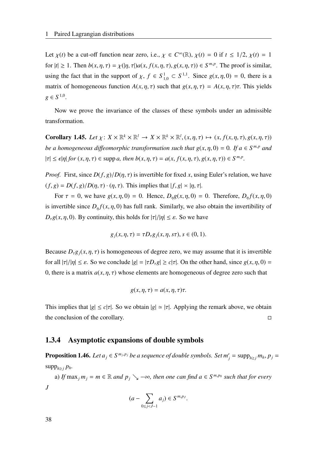Let  $\chi(t)$  be a cut-off function near zero, i.e.,  $\chi \in C^{\infty}(\mathbb{R})$ ,  $\chi(t) = 0$  if  $t \le 1/2$ ,  $\chi(t) = 1$ for  $|t| \ge 1$ . Then  $b(x, \eta, \tau) = \chi(|\eta, \tau|) a(x, f(x, \eta, \tau), g(x, \eta, \tau)) \in S^{m,p}$ . The proof is similar, using the fact that in the support of  $\chi$ ,  $f \in S^1_{1,0} \subset S^{1,1}$ . Since  $g(x, \eta, 0) = 0$ , there is a matrix of homogeneous function  $A(x, \eta, \tau)$  such that  $g(x, \eta, \tau) = A(x, \eta, \tau)\tau$ . This yields  $g \in S^{1,0}$ .

Now we prove the invariance of the classes of these symbols under an admissible transformation.

<span id="page-45-0"></span>**Corollary 1.45.** Let  $\chi: X \times \mathbb{R}^k \times \mathbb{R}^l \to X \times \mathbb{R}^k \times \mathbb{R}^l$ ,  $(x, \eta, \tau) \mapsto (x, f(x, \eta, \tau), g(x, \eta, \tau))$ *be a homogeneous diffeomorphic transformation such that*  $g(x, \eta, 0) = 0$ *. If*  $a \in S^{m,p}$  *and*  $|\tau| \leq \epsilon |\eta|$  *for*  $(x, \eta, \tau) \in \text{supp } a$ , then  $b(x, \eta, \tau) = a(x, f(x, \eta, \tau), g(x, \eta, \tau)) \in S^{m,p}$ .

*Proof.* First, since  $D(f, g)/D(\eta, \tau)$  is invertible for fixed *x*, using Euler's relation, we have  $(f, g) = D(f, g)/D(\eta, \tau) \cdot (\eta, \tau)$ . This implies that  $|f, g| \approx |\eta, \tau|$ .

For  $\tau = 0$ , we have  $g(x, \eta, 0) = 0$ . Hence,  $D_n g(x, \eta, 0) = 0$ . Therefore,  $D_n f(x, \eta, 0)$ is invertible since  $D_n f(x, \eta, 0)$  has full rank. Similarly, we also obtain the invertibility of  $D_{\tau}g(x, \eta, 0)$ . By continuity, this holds for  $|\tau|/|\eta| \leq \varepsilon$ . So we have

$$
g_j(x, \eta, \tau) = \tau D_{\tau} g_j(x, \eta, s\tau), s \in (0, 1).
$$

Because  $D_{\tau}g_i(x, \eta, \tau)$  is homogeneous of degree zero, we may assume that it is invertible for all  $|\tau|/|\eta| \leq \varepsilon$ . So we conclude  $|g| = |\tau D_\tau g| \geq c|\tau|$ . On the other hand, since  $g(x, \eta, 0) =$ 0, there is a matrix  $a(x, \eta, \tau)$  whose elements are homogeneous of degree zero such that

$$
g(x, \eta, \tau) = a(x, \eta, \tau)\tau.
$$

This implies that  $|g| \leq c|\tau|$ . So we obtain  $|g| \approx |\tau|$ . Applying the remark above, we obtain the conclusion of the corollary.  $\Box$ 

## 1.3.4 Asymptotic expansions of double symbols

**Proposition 1.46.** Let  $a_j \in S^{m_j,p_j}$  be a sequence of double symbols. Set  $m'_j = \text{supp}_{h \geq j} m_h, p_j =$ supp<sub>*h*≥*j*</sub> *p<sub><i>h*</sub>.

a) *If*  $\max_j m_j = m \in \mathbb{R}$  *and*  $p_j \searrow -\infty$ , *then one can find*  $a \in S^{m,p_0}$  *such that for every J*

$$
(a - \sum_{0 \le j < J-1} a_j) \in S^{m,p_J}.
$$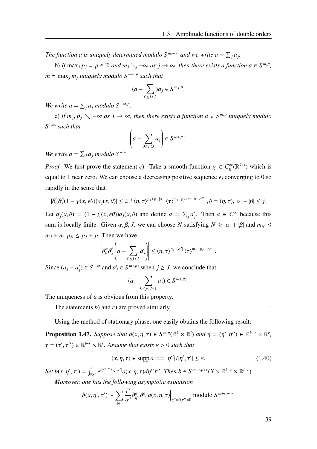*The function a is uniquely determined modulo*  $S^{m, -\infty}$  *and we write a*  $\sim \sum_j a_j$ .

b) *If* max<sub>*j*</sub>  $p_j = p \in \mathbb{R}$  *and*  $m_j \searrow -\infty$  *as*  $j \to \infty$ *, then there exists a function a*  $\in S^{m,p}$ *, m* = max*<sup>j</sup> m<sup>j</sup> uniquely modulo S* −∞,*<sup>p</sup> such that*

$$
(a - \sum_{0 \le j < J} a_j \in S^{m_J, p}.
$$

*We write*  $a = \sum_j a_j \text{ modulo } S^{-\infty, p}$ .

c) If  $m_j, p_j \searrow -\infty$  as  $j \to \infty$ , then there exists a function  $a \in S^{m,p}$  uniquely modulo *S* −∞ *such that*

$$
\left(a - \sum_{0 \le j < J} a_j \right) \in S^{m_J, p_J}.
$$

*We write*  $a = \sum_j a_j \text{ modulo } S^{-\infty}$ .

*Proof.* We first prove the statement *c*). Take a smooth function  $\chi \in C_0^{\infty}$  $\int_0^\infty (\mathbb{R}^{k+l})$  which is equal to 1 near zero. We can choose a decreasing positive sequence  $\epsilon_i$  converging to 0 so rapidly in the sense that

$$
|\partial_{\alpha}^{\theta}\partial_{x}^{\beta}(1-\chi(x,\epsilon\theta))a_{j}(x,\theta)|\leq 2^{-j}\langle\eta,\tau\rangle^{p_{j}+p-|\alpha'|}\langle\tau\rangle^{m_{j}-p_{j}+m-p-|\alpha''|},\theta=(\eta,\tau),|\alpha|+|\beta|\leq j.
$$

Let *a*<sup>'</sup>  $\int$ <sup>*j*</sup>(*x*,  $\theta$ ) = (1 −  $\chi$ (*x*,  $\epsilon \theta$ ))*a*<sub>*j*</sub>(*x*,  $\theta$ ) and define *a* =  $\sum_j a'_j$ *j*. Then  $a \in C^{\infty}$  because this sum is locally finite. Given  $\alpha$ ,  $\beta$ ,  $J$ , we can choose  $N$  satisfying  $N \geq |\alpha| + |\beta|$  and  $m_N \leq$  $m_J + m$ ,  $p_N \leq p_J + p$ . Then we have

$$
\left|\partial_{\theta}^{\alpha}\partial_{x}^{\beta}\left(a-\sum_{0\leq j
$$

Since  $(a_j - a'_j)$  $g'$ <sub>*j*</sub>) ∈ *S*<sup> $-∞$ </sup> and  $a'$ <sub>*j*</sub>  $j \in S^{m_j, p_j}$  when  $j \geq J$ , we conclude that

$$
(a - \sum_{0 \le j < J-1} a_j) \in S^{m_J, p_J}.
$$

The uniqueness of *a* is obvious from this property.

The statements *b*) and *c*) are proved similarly.

Using the method of stationary phase, one easily obtains the following result:

<span id="page-46-0"></span>**Proposition 1.47.** *Suppose that*  $a(x, \eta, \tau) \in S^{m,p}(\mathbb{R}^k \times \mathbb{R}^l)$  *and*  $\eta = (\eta', \eta'') \in \mathbb{R}^{k-r} \times \mathbb{R}^r$ ,  $\tau = (\tau', \tau'') \in \mathbb{R}^{l-r} \times \mathbb{R}^r$ . Assume that exists  $\varepsilon > 0$  such that

$$
(x, \eta, \tau) \in \text{supp } a \Longrightarrow |\eta''|/|\eta', \tau'| \le \varepsilon. \tag{1.40}
$$

Set  $b(x, \eta', \tau') = \int_{\mathbb{R}^{2r}} e^{i\eta''\tau''/|\eta', \tau'|} a(x, \eta, \tau) d\eta''\tau''$ . Then  $b \in S^{m+r, p+r}(X \times \mathbb{R}^{k-r} \times \mathbb{R}^{l-r})$ .

*Moreover, one has the following asymptotic expansion*

$$
b(x, \eta', \tau') \sim \sum_{|\alpha|} \frac{i^{\alpha}}{\alpha!} \partial_{\eta''}^{\alpha} \partial_{\tau''}^{\alpha} a(x, \eta, \tau) \Big|_{\eta''=0, \tau''=0} \text{ modulo } S^{m+r,-\infty}.
$$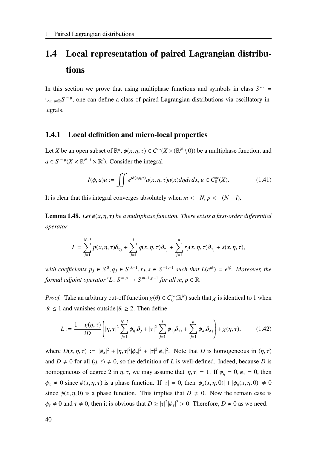# 1.4 Local representation of paired Lagrangian distributions

In this section we prove that using multiphase functions and symbols in class  $S^{\infty}$  = ∪<sub>*m,p*∈R</sub>S<sup>*m,p*</sup>, one can define a class of paired Lagrangian distributions via oscillatory integrals.

## 1.4.1 Local definition and micro-local properties

Let *X* be an open subset of  $\mathbb{R}^n$ ,  $\phi(x, \eta, \tau) \in C^\infty(X \times (\mathbb{R}^N \setminus 0))$  be a multiphase function, and  $a \in S^{m,p}(X \times \mathbb{R}^{N-l} \times \mathbb{R}^l)$ . Consider the integral

<span id="page-47-0"></span>
$$
I(\phi, a)u := \iint e^{i\phi(x, \eta, \tau)} a(x, \eta, \tau) u(x) d\eta d\tau dx, u \in C_0^{\infty}(X).
$$
 (1.41)

It is clear that this integral converges absolutely when  $m < -N$ ,  $p < -(N - l)$ .

**Lemma 1.48.** *Let*  $\phi(x, \eta, \tau)$  *be a multiphase function. There exists a first-order differential operator*

$$
L = \sum_{j=1}^{N-l} p(x, \eta, \tau) \partial_{\eta_j} + \sum_{j=1}^{l} q(x, \eta, \tau) \partial_{\tau_j} + \sum_{j=1}^{n} r_j(x, \eta, \tau) \partial_{x_j} + s(x, \eta, \tau),
$$

*with coefficients*  $p_j$  ∈  $S^0$ ,  $q_j$  ∈  $S^{0,-1}$ ,  $r_j$ ,  $s$  ∈  $S^{-1,-1}$  such that  $L(e^{i\phi}) = e^{i\phi}$ . Moreover, the *formal adjoint operator* <sup>*t*</sup>L:  $S^{m,p} \to S^{m-1,p-1}$  *for all m, p*  $\in \mathbb{R}$ *.* 

*Proof.* Take an arbitrary cut-off function  $\chi(\theta) \in C_0^{\infty}$  $\int_0^\infty (\mathbb{R}^N)$  such that  $\chi$  is identical to 1 when  $|\theta| \le 1$  and vanishes outside  $|\theta| \ge 2$ . Then define

$$
L := \frac{1 - \chi(\eta, \tau)}{i D} \left( |\eta, \tau|^2 \sum_{j=1}^{N-l} \phi_{\eta_j} \partial_j + |\tau|^2 \sum_{j=1}^l \phi_{\tau_j} \partial_{\tau_j} + \sum_{j=1}^n \phi_{x_j} \partial_{x_j} \right) + \chi(\eta, \tau), \tag{1.42}
$$

where  $D(x, \eta, \tau) := |\phi_x|^2 + |\eta, \tau|^2 |\phi_\eta|^2 + |\tau|^2 |\phi_\tau|^2$ . Note that *D* is homogeneous in  $(\eta, \tau)$ and  $D \neq 0$  for all  $(\eta, \tau) \neq 0$ , so the definition of *L* is well-defined. Indeed, because *D* is homogeneous of degree 2 in  $\eta$ ,  $\tau$ , we may assume that  $|\eta$ ,  $\tau| = 1$ . If  $\phi_n = 0$ ,  $\phi_{\tau} = 0$ , then  $\phi_x \neq 0$  since  $\phi(x, \eta, \tau)$  is a phase function. If  $|\tau| = 0$ , then  $|\phi_x(x, \eta, 0)| + |\phi_y(x, \eta, 0)| \neq 0$ since  $\phi(x, \eta, 0)$  is a phase function. This implies that  $D \neq 0$ . Now the remain case is  $\phi_{\tau} \neq 0$  and  $\tau \neq 0$ , then it is obvious that  $D \geq |\tau|^2 |\phi_{\tau}|^2 > 0$ . Therefore,  $D \neq 0$  as we need.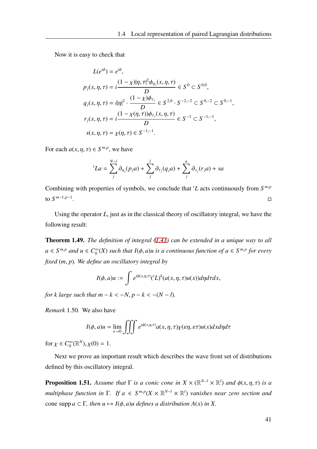Now it is easy to check that

$$
L(e^{i\phi}) = e^{i\phi},
$$
  
\n
$$
p_j(x, \eta, \tau) = i \frac{(1 - \chi)|\eta, \tau|^2 \phi_{\eta_j}(x, \eta, \tau)}{D} \in S^0 \subset S^{0,0},
$$
  
\n
$$
q_j(x, \eta, \tau) = i|\eta|^2 \cdot \frac{(1 - \chi)\phi_{\tau_j}}{D} \in S^{2,0} \cdot S^{-2,-2} \subset S^{0,-2} \subset S^{0,-1},
$$
  
\n
$$
r_j(x, \eta, \tau) = i \frac{(1 - \chi(\eta, \tau))\phi_{\tau_j}(x, \eta, \tau)}{D} \in S^{-1} \subset S^{-1,-1},
$$
  
\n
$$
s(x, \eta, \tau) = \chi(\eta, \tau) \in S^{-1,-1}.
$$

For each  $a(x, \eta, \tau) \in S^{m,p}$ , we have

$$
{}^{t}La = \sum_{j}^{N-l} \partial_{\eta_{j}}(p_{j}a) + \sum_{j}^{l} \partial_{\tau_{j}}(q_{j}a) + \sum_{j}^{n} \partial_{x_{j}}(r_{j}a) + sa
$$

Combining with properties of symbols, we conclude that *<sup>t</sup>L* acts continuously from *S m*,*p* to *S m*−1,*p*−1 . The contract of the contract of the contract of the contract of the contract of the contract of the contract<br>The contract of the contract of the contract of the contract of the contract of the contract of the contract o

Using the operator *L*, just as in the classical theory of oscillatory integral, we have the following result:

Theorem 1.49. *The definition of integral ([1.41](#page-47-0)) can be extended in a unique way to all*  $a \in S^{m,p}$  *and*  $u \in C_0^{\infty}$  $\int_{0}^{\infty}$  *(X) such that I*( $\phi$ , *a*)*u* is a continuous function of  $a \in S^{m,p}$  for every *fixed* (*m*, *p*)*. We define an oscillatory integral by*

$$
I(\phi, a)u := \int e^{i\phi(x,\eta,\tau)} ({}^t L)^k (a(x,\eta,\tau)u(x)) d\eta d\tau dx,
$$

*for k large such that m – k < -N, p – k < -(N – <i>l*).

*Remark* 1.50*.* We also have

$$
I(\phi, a)u = \lim_{\varepsilon \to 0} \iiint e^{i\phi(x, \eta, \tau)} a(x, \eta, \tau) \chi(\varepsilon \eta, \varepsilon \tau) u(x) dx d\eta d\tau
$$

for  $\chi \in C_0^{\infty}$  $_{0}^{\infty}(\mathbb{R}^{N}), \chi(0) = 1.$ 

Next we prove an important result which describes the wave front set of distributions defined by this oscillatory integral.

**Proposition 1.51.** Assume that  $\Gamma$  is a conic cone in  $X \times (\mathbb{R}^{N-l} \times \mathbb{R}^l)$  and  $\phi(x, \eta, \tau)$  is a *multiphase function in*  $\Gamma$ . If  $a \in S^{m,p}(X \times \mathbb{R}^{N-l} \times \mathbb{R}^l)$  *vanishes near zero section and* cone supp  $a \subset \Gamma$ , then  $u \mapsto I(\phi, a)u$  defines a distribution  $A(x)$  in X.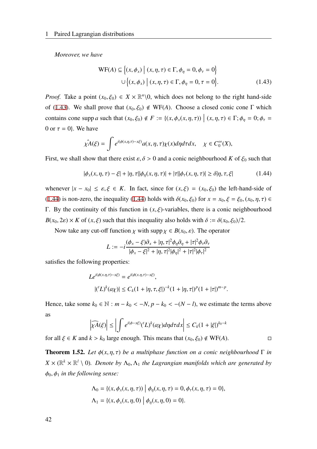*Moreover, we have*

<span id="page-49-0"></span>
$$
WF(A) \subseteq \{(x, \phi_x) \mid (x, \eta, \tau) \in \Gamma, \phi_\eta = 0, \phi_\tau = 0\}
$$
  

$$
\cup \{(x, \phi_x) \mid (x, \eta, \tau) \in \Gamma, \phi_\eta = 0, \tau = 0\}.
$$
 (1.43)

*Proof.* Take a point  $(x_0, \xi_0) \in X \times \mathbb{R}^n \setminus \{0\}$ , which does not belong to the right hand-side of ([1.43](#page-49-0)). We shall prove that  $(x_0, \xi_0) \notin WF(A)$ . Choose a closed conic cone  $\Gamma$  which contains cone supp *a* such that  $(x_0, \xi_0) \notin F := \{(x, \phi_x(x, \eta, \tau)) \mid (x, \eta, \tau) \in \Gamma; \phi_{\eta} = 0; \phi_{\tau} = 0\}$ 0 or  $\tau = 0$ . We have

$$
\hat{\chi A}(\xi) = \int e^{i(\phi(x,\eta,\tau)-x\xi)} a(x,\eta,\tau) \chi(x) d\eta d\tau dx, \quad \chi \in C_0^{\infty}(X),
$$

First, we shall show that there exist  $\varepsilon$ ,  $\delta > 0$  and a conic neighbourhood *K* of  $\xi_0$  such that

$$
|\phi_x(x,\eta,\tau) - \xi| + |\eta,\tau||\phi_\eta(x,\eta,\tau)| + |\tau||\phi_\tau(x,\eta,\tau)| \ge \delta |\eta,\tau,\xi| \tag{1.44}
$$

whenever  $|x - x_0| \le \varepsilon, \xi \in K$ . In fact, since for  $(x, \xi) = (x_0, \xi_0)$  the left-hand-side of [\(1.44\)](#page-49-1) is non-zero, the inequality [\(1.44](#page-49-1)) holds with  $\delta(x_0, \xi_0)$  for  $x = x_0, \xi = \xi_0, (x_0, \eta, \tau) \in$ Γ. By the continuity of this function in  $(x, \xi)$ -variables, there is a conic neighbourhood  $B(x_0, 2\varepsilon) \times K$  of  $(x, \xi)$  such that this inequality also holds with  $\delta := \delta(x_0, \xi_0)/2$ .

Now take any cut-off function  $\chi$  with supp  $\chi \in B(x_0, \varepsilon)$ . The operator

<span id="page-49-1"></span>
$$
L := -i \frac{(\phi_x - \xi)\partial_x + |\eta, \tau|^2 \phi_\eta \partial_\eta + |\tau|^2 \phi_\tau \partial_\tau}{|\phi_x - \xi|^2 + |\eta, \tau|^2 |\phi_\eta|^2 + |\tau|^2 |\phi_\tau|^2}
$$

satisfies the following properties:

$$
Le^{i(\phi(x,\eta,\tau)-x\xi)} = e^{i(\phi(x,\eta,\tau)-x\xi)},
$$
  

$$
|({}^{t}L)^{k}(a\chi)| \leq C_{k}(1+|\eta,\tau,\xi|)^{-k}(1+|\eta,\tau|)^{p}(1+|\tau|)^{m-p}.
$$

Hence, take some  $k_0 \in \mathbb{N} : m - k_0 < -N$ ,  $p - k_0 < -(N - l)$ , we estimate the terms above as

$$
\left|\widehat{\chi A}(\xi)\right| \le \left|\int e^{i(\phi - x\xi)} ({}^{t}L)^{k}(a\chi)d\eta d\tau dx\right| \le C_{k}(1 + |\xi|)^{k_{0} - k}
$$

for all  $\xi \in K$  and  $k > k_0$  large enough. This means that  $(x_0, \xi_0) \notin \text{WF}(A)$ .

**Theorem 1.52.** *Let*  $φ(x, η, τ)$  *be a multiphase function on a conic neighbourhood*  $Γ$  *in*  $X \times (\mathbb{R}^k \times \mathbb{R}^l \setminus 0)$ . Denote by  $\Lambda_0, \Lambda_1$  the Lagrangian manifolds which are generated by  $\phi_0, \phi_1$  *in the following sense:* 

$$
\Lambda_0 = \{ (x, \phi_x(x, \eta, \tau)) \mid \phi_\eta(x, \eta, \tau) = 0, \phi_\tau(x, \eta, \tau) = 0 \},
$$
  

$$
\Lambda_1 = \{ (x, \phi_x(x, \eta, 0) \mid \phi_\eta(x, \eta, 0) = 0 \}.
$$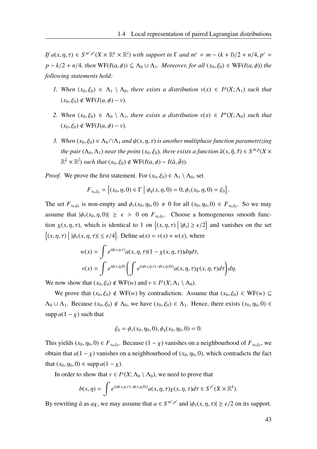*If*  $a(x, \eta, \tau) \in S^{m', p'}(X \times \mathbb{R}^k \times \mathbb{R}^l)$  *with support in*  $\Gamma$  *and*  $m' = m - (k + l)/2 + n/4$ ,  $p' =$ *p* − *k*/2 + *n*/4*, then* WF(*I*(*a*,  $\phi$ )) ⊆  $\Lambda$ <sub>0</sub> ∪  $\Lambda$ <sub>1</sub>*. Moreover, for all* (*x*<sub>0</sub>,  $\xi$ <sub>0</sub>) ∈ WF(*I*(*a*,  $\phi$ )) *the following statements hold:*

- *1.* When  $(x_0, \xi_0) \in \Lambda_1 \setminus \Lambda_0$ , there exists a distribution  $v(x) \in I^p(X; \Lambda_1)$  such that  $(x_0, \xi_0) \notin \text{WF}(I(a, \phi) - \nu)$ .
- *2. When*  $(x_0, \xi_0) \in \Lambda_0 \setminus \Lambda_1$ , *there exists a distribution*  $v(x) \in I^m(X; \Lambda_0)$  *such that*  $(x_0, \xi_0) \notin \text{WF}(I(a, \phi) - \nu)$ .
- *3. When*  $(x_0, \xi_0) \in \Lambda_0 \cap \Lambda_1$  *and*  $\psi(x, \eta, \tau)$  *is another multiphase function parametrizing the pair*  $(\Lambda_0, \Lambda_1)$  *near the point*  $(x_0, \xi_0)$ *, there exists a function*  $\tilde{a}(x, \tilde{\eta}, \tilde{\tau}) \in S^{\tilde{m}, \tilde{p}}(X \times$  $\mathbb{R}^{\tilde{k}} \times \mathbb{R}^{\tilde{l}}$ ) such that  $(x_0, \xi_0) \notin \text{WF}(I(a, \phi) - I(\tilde{a}, \tilde{\phi}))$ .

*Proof.* We prove the first statement. For  $(x_0, \xi_0) \in \Lambda_1 \setminus \Lambda_0$ , set

$$
F_{x_0,\xi_0} = \left\{ (x_0, \eta, 0) \in \Gamma \mid \phi_{\eta}(x, \eta, 0) = 0, \phi_x(x_0, \eta, 0) = \xi_0 \right\}.
$$

The set  $F_{x_0, \xi_0}$  is non-empty and  $\phi_\tau(x_0, \eta_0, 0) \neq 0$  for all  $(x_0, \eta_0, 0) \in F_{x_0, \xi_0}$ . So we may assume that  $|\phi_\tau(x_0, \eta, 0)| \geq \epsilon > 0$  on  $F_{x_0, \xi_0}$ . Choose a homogeneous smooth function  $\chi(x, \eta, \tau)$ , which is identical to 1 on  $\left\{ (x, \eta, \tau) \mid |\phi_{\tau}| \ge \epsilon/2 \right\}$  and vanishes on the set  $\{(x, \eta, \tau) | |\phi_\tau(x, \eta, \tau)| \leq \epsilon/4\}$ . Define  $u(x) = v(x) + w(x)$ , where

$$
w(x) = \int e^{i\phi(x,\eta,\tau)} a(x,\eta,\tau) (1 - \chi(x,\eta,\tau)) d\eta d\tau,
$$
  

$$
v(x) = \int e^{i\phi(x,\eta,0)} \left( \int e^{i(\phi(x,\eta,\tau) - \phi(x,\eta,0))} a(x,\eta,\tau) \chi(x,\eta,\tau) d\tau \right) d\eta.
$$

We now show that  $(x_0, \xi_0) \notin \text{WF}(w)$  and  $v \in I^p(X; \Lambda_1 \setminus \Lambda_0)$ .

We prove that  $(x_0, \xi_0) \notin \text{WF}(w)$  by contradiction. Assume that  $(x_0, \xi_0) \in \text{WF}(w) \subseteq$  $\Lambda_0 \cup \Lambda_1$ . Because  $(x_0, \xi_0) \notin \Lambda_0$ , we have  $(x_0, \xi_0) \in \Lambda_1$ . Hence, there exists  $(x_0, \eta_0, 0) \in$ supp  $a(1 - \chi)$  such that

$$
\xi_0 = \phi_x(x_0, \eta_0, 0), \phi_\eta(x_0, \eta_0, 0) = 0.
$$

This yields  $(x_0, \eta_0, 0) \in F_{x_0, \xi_0}$ . Because  $(1 - \chi)$  vanishes on a neighbourhood of  $F_{x_0, \xi_0}$ , we obtain that  $a(1 - \chi)$  vanishes on a neighbourhood of  $(x_0, \eta_0, 0)$ , which contradicts the fact that  $(x_0, \eta_0, 0) \in \text{supp } a(1 - \chi)$ .

In order to show that  $v \in I^p(X; \Lambda_0 \setminus \Lambda_0)$ , we need to prove that

$$
b(x,\eta)=\int e^{i(\phi(x,\eta,\tau)-\phi(x,\eta,0))}a(x,\eta,\tau)\chi(x,\eta,\tau)d\tau\in S^{p'}(X\times\mathbb{R}^k).
$$

By rewriting  $\tilde{a}$  as  $a\chi$ , we may assume that  $a \in S^{m',p'}$  and  $|\phi_\tau(x,\eta,\tau)| \ge \epsilon/2$  on its support.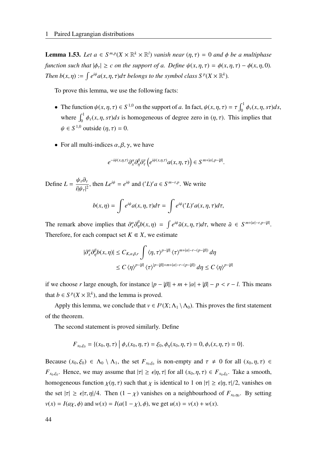**Lemma 1.53.** *Let*  $a \in S^{m,p}(X \times \mathbb{R}^k \times \mathbb{R}^l)$  *vanish near*  $(\eta, \tau) = 0$  *and*  $\phi$  *be a multiphase function such that*  $|\phi_\tau| \ge c$  *on the support of a. Define*  $\psi(x, \eta, \tau) = \phi(x, \eta, \tau) - \phi(x, \eta, 0)$ *. Then*  $b(x, \eta) := \int e^{i\psi} a(x, \eta, \tau) d\tau$  *belongs to the symbol class*  $S^p(X \times \mathbb{R}^k)$ *.* 

To prove this lemma, we use the following facts:

- The function  $\psi(x, \eta, \tau) \in S^{1,0}$  on the support of *a*. In fact,  $\psi(x, \eta, \tau) = \tau \int_0^1 \phi_\tau(x, \eta, s\tau) ds$ , where  $\int_0^1 \phi_\tau(x, \eta, s\tau) ds$  is homogeneous of degree zero in  $(\eta, \tau)$ . This implies that  $\psi \in S^{1,0}$  outside  $(\eta, \tau) = 0$ .
- For all multi-indices  $\alpha, \beta, \gamma$ , we have

$$
e^{-i\psi(x,\eta,\tau)}\partial_x^{\alpha}\partial_{\eta}^{\beta}\partial_{\tau}^{\gamma}\left(e^{i\psi(x,\eta,\tau)}a(x,\eta,\tau)\right)\in S^{m+|\alpha|,p-|\beta|}.
$$

Define  $L = \frac{\psi_\tau \partial_\tau}{\mathcal{L} \mathcal{L}^{-1/2}}$  $\frac{\partial}{\partial \psi} \frac{\partial}{\partial \psi} f(x)}{i |\psi_{\tau}|^2}$ , then  $Le^{i\psi} = e^{i\psi}$  and  $(Z)^r a \in S^{m-r,p}$ . We write

$$
b(x,\eta) = \int e^{i\psi} a(x,\eta,\tau) d\tau = \int e^{i\psi} ('L)^r a(x,\eta,\tau) d\tau,
$$

The remark above implies that  $\partial_x^{\alpha} \partial_{\eta}^{\beta} b(x, \eta) = \int e^{i\psi} \tilde{a}(x, \eta, \tau) d\tau$ , where  $\tilde{a} \in S^{m+|\alpha|-r, p-|\beta|}$ . Therefore, for each compact set  $K \in X$ , we estimate

$$
\begin{aligned} |\partial_x^{\alpha}\partial_{\eta}^{\beta}b(x,\eta)| &\leq C_{K,\alpha,\beta,r} \int \langle \eta,\tau\rangle^{p-|\beta|} \langle \tau \rangle^{m+|\alpha|-r-(p-|\beta|)} d\eta \\ &\leq C \langle \eta \rangle^{p-|\beta|} \langle \tau \rangle^{|p-|\beta|+m+|\alpha|-r-(p-|\beta|)} d\eta \leq C \langle \eta \rangle^{p-|\beta|} \end{aligned}
$$

if we choose *r* large enough, for instance  $|p - \beta|| + m + |\alpha| + |\beta| - p < r - l$ . This means that  $b \in S^p(X \times \mathbb{R}^k)$ , and the lemma is proved.

Apply this lemma, we conclude that  $v \in I^p(X; \Lambda_1 \setminus \Lambda_0)$ . This proves the first statement of the theorem.

The second statement is proved similarly. Define

$$
F_{x_0,\xi_0} = \{(x_0,\eta,\tau) \mid \phi_x(x_0,\eta,\tau) = \xi_0, \phi_\eta(x_0,\eta,\tau) = 0, \phi_\tau(x,\eta,\tau) = 0\}.
$$

Because  $(x_0, \xi_0) \in \Lambda_0 \setminus \Lambda_1$ , the set  $F_{x_0, \xi_0}$  is non-empty and  $\tau \neq 0$  for all  $(x_0, \eta, \tau) \in$ *F*<sub>*x*0</sub>, $\xi$ <sup>0</sup>. Hence, we may assume that  $|\tau| \geq \epsilon |\eta, \tau|$  for all  $(x_0, \eta, \tau) \in F_{x_0, \xi_0}$ . Take a smooth, homogeneous function  $\chi(\eta, \tau)$  such that  $\chi$  is identical to 1 on  $|\tau| \geq \epsilon |\eta, \tau|/2$ , vanishes on the set  $|\tau| \ge \epsilon |\tau, \eta|/4$ . Then  $(1 - \chi)$  vanishes on a neighbourhood of  $F_{x_0, \eta_0}$ . By setting  $v(x) = I(a\chi, \phi)$  and  $w(x) = I(a(1 - \chi), \phi)$ , we get  $u(x) = v(x) + w(x)$ .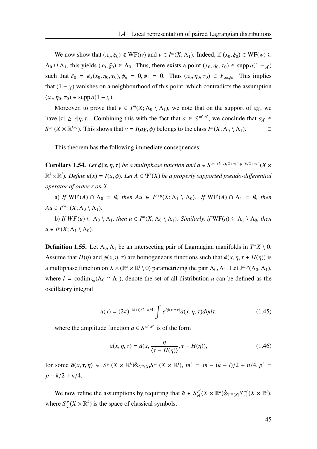We now show that  $(x_0, \xi_0) \notin \text{WF}(w)$  and  $v \in I^m(X; \Lambda_1)$ . Indeed, if  $(x_0, \xi_0) \in \text{WF}(w) \subseteq$  $\Lambda_0 \cup \Lambda_1$ , this yields  $(x_0, \xi_0) \in \Lambda_0$ . Thus, there exists a point  $(x_0, \eta_0, \tau_0) \in \text{supp } a(1 - \chi)$ such that  $\xi_0 = \phi_x(x_0, \eta_0, \tau_0), \phi_{\eta} = 0, \phi_{\tau} = 0$ . Thus  $(x_0, \eta_0, \tau_0) \in F_{x_0, \xi_0}$ . This implies that  $(1 - \chi)$  vanishes on a neighbourhood of this point, which contradicts the assumption  $(x_0, \eta_0, \tau_0) \in \text{supp } a(1 - x).$ 

Moreover, to prove that  $v \in I^m(X; \Lambda_0 \setminus \Lambda_1)$ , we note that on the support of  $a\chi$ , we have  $|\tau| \geq \epsilon |\eta, \tau|$ . Combining this with the fact that  $a \in S^{m', p'}$ , we conclude that  $a\chi \in$  $S^{m'}(X \times \mathbb{R}^{k+l})$ . This shows that  $v = I(a\chi, \phi)$  belongs to the class  $I^{m}(X; \Lambda_0 \setminus \Lambda_1)$ .

This theorem has the following immediate consequences:

**Corollary 1.54.** *Let*  $\phi(x, \eta, \tau)$  *be a multiphase function and a*  $\in S^{m-(k+l)/2+n/4}, p-k/2+n/4$  (*X* ×  $\mathbb{R}^k \times \mathbb{R}^l$ ). Define  $u(x) = I(a, \phi)$ . Let  $A \in \Psi^r(X)$  be a properly supported pseudo-differential *operator of order r on X.*

a) *If*  $WF'(A) \cap \Lambda_0 = \emptyset$ , then  $Au \in I^{r+p}(X; \Lambda_1 \setminus \Lambda_0)$ . If  $WF'(A) \cap \Lambda_1 = \emptyset$ , then  $Au \in I^{r+m}(X; \Lambda_0 \setminus \Lambda_1)$ .

b) *If*  $WF(u) \subseteq \Lambda_0 \setminus \Lambda_1$ *, then*  $u \in I^m(X; \Lambda_0 \setminus \Lambda_1)$ *. Similarly, if*  $WF(u) \subseteq \Lambda_1 \setminus \Lambda_0$ *, then*  $u \in I^p(X; \Lambda_1 \setminus \Lambda_0)$ .

**Definition 1.55.** Let  $\Lambda_0$ ,  $\Lambda_1$  be an intersecting pair of Lagrangian manifolds in  $T^*X \setminus 0$ . Assume that  $H(\eta)$  and  $\phi(x, \eta, \tau)$  are homogeneous functions such that  $\phi(x, \eta, \tau + H(\eta))$  is a multiphase function on  $X \times (\mathbb{R}^k \times \mathbb{R}^l \setminus 0)$  parametrizing the pair  $\Lambda_0, \Lambda_1$ . Let  $\mathbb{J}^{m,p}(\Lambda_0, \Lambda_1)$ , where  $l = \text{codim}_{\Lambda_0}(\Lambda_0 \cap \Lambda_1)$ , denote the set of all distribution *u* can be defined as the oscillatory integral

$$
u(x) = (2\pi)^{-(k+l)/2 - n/4} \int e^{i\phi(x,\eta,\tau)} a(x,\eta,\tau) d\eta d\tau,
$$
 (1.45)

where the amplitude function  $a \in S^{m',p'}$  is of the form

$$
a(x, \eta, \tau) = \tilde{a}(x, \frac{\eta}{\langle \tau - H(\eta) \rangle}, \tau - H(\eta)), \tag{1.46}
$$

for some  $\tilde{a}(x, \tau, \eta) \in S^{p'}(X \times \mathbb{R}^k) \hat{\otimes}_{C^{\infty}(X)} S^{m'}(X \times \mathbb{R}^l)$ ,  $m' = m - (k + l)/2 + n/4$ ,  $p' =$  $p - k/2 + n/4$ .

We now refine the assumptions by requiring that  $\tilde{a} \in S_{\text{cl}}^{p'}(X \times \mathbb{R}^k) \hat{\otimes}_{C^{\infty}(X)} S_{\text{cl}}^{m'}(X \times \mathbb{R}^l)$ , where  $S^p_{cl}(X \times \mathbb{R}^k)$  is the space of classical symbols.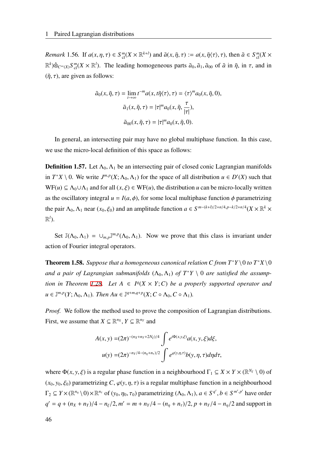*Remark* 1.56. If  $a(x, \eta, \tau) \in S_{\text{cl}}^m(X \times \mathbb{R}^{k+l})$  and  $\tilde{a}(x, \tilde{\eta}, \tau) := a(x, \tilde{\eta}\langle \tau \rangle, \tau)$ , then  $\tilde{a} \in S_{\text{cl}}^m(X \times$  $\mathbb{R}^k$ ) $\hat{\otimes}_{C^{\infty}(X)} S_{\text{cl}}^m(X \times \mathbb{R}^l)$ . The leading homogeneous parts  $\tilde{a}_0, \tilde{a}_1, \tilde{a}_{00}$  of  $\tilde{a}$  in  $\tilde{\eta}$ , in  $\tau$ , and in  $(\tilde{\eta}, \tau)$ , are given as follows:

$$
\tilde{a}_0(x, \tilde{\eta}, \tau) = \lim_{t \to \infty} t^{-m} a(x, t\tilde{\eta} \langle \tau \rangle, \tau) = \langle \tau \rangle^m a_0(x, \tilde{\eta}, 0),
$$

$$
\tilde{a}_1(x, \tilde{\eta}, \tau) = |\tau|^m a_0(x, \tilde{\eta}, \frac{\tau}{|\tau|}),
$$

$$
\tilde{a}_{00}(x, \tilde{\eta}, \tau) = |\tau|^m a_0(x, \tilde{\eta}, 0).
$$

In general, an intersecting pair may have no global multiphase function. In this case, we use the micro-local definition of this space as follows:

**Definition 1.57.** Let  $\Lambda_0$ ,  $\Lambda_1$  be an intersecting pair of closed conic Lagrangian manifolds in  $T^*X \setminus 0$ . We write  $J^{m,p}(X; \Lambda_0, \Lambda_1)$  for the space of all distribution  $u \in D'(X)$  such that  $WF(u) \subseteq \Lambda_0 \cup \Lambda_1$  and for all  $(x, \xi) \in WF(u)$ , the distribution *u* can be micro-locally written as the oscillatory integral  $u = I(a, \phi)$ , for some local multiphase function  $\phi$  parametrizing the pair  $\Lambda_0$ ,  $\Lambda_1$  near  $(x_0, \xi_0)$  and an amplitude function  $a \in S^{m-(k+l)/2+n/4}, p-k/2+n/4$  ( $X \times \mathbb{R}^k$  ×  $\mathbb{R}^l$ ).

Set  $\mathbb{J}(\Lambda_0, \Lambda_1) = \cup_{m,p} \mathbb{J}^{m,p}(\Lambda_0, \Lambda_1)$ . Now we prove that this class is invariant under action of Fourier integral operators.

<span id="page-53-0"></span>**Theorem 1.58.** Suppose that a homogeneous canonical relation C from  $T^*Y \setminus 0$  to  $T^*X \setminus 0$ and a pair of Lagrangian submanifolds  $(\Lambda_0, \Lambda_1)$  of  $T^*Y \setminus 0$  are satisfied the assump-*tion in Theorem [1.28.](#page-31-0) Let*  $A \in I^q(X \times Y; C)$  *be a properly supported operator and*  $u \in \mathbb{J}^{m,p}(Y; \Lambda_0, \Lambda_1)$ *. Then*  $Au \in \mathbb{J}^{q+m,q+p}(X; C \circ \Lambda_0, C \circ \Lambda_1)$ *.* 

*Proof.* We follow the method used to prove the composition of Lagrangian distributions. First, we assume that  $X \subseteq \mathbb{R}^{n_X}$ ,  $Y \subseteq \mathbb{R}^{n_Y}$  and

$$
A(x, y) = (2\pi)^{-(n_X + n_Y + 2N_{\xi})/4} \int e^{i\Phi(x, y, \xi)} a(x, y, \xi) d\xi,
$$
  

$$
u(y) = (2\pi)^{-n_Y/4 - (n_\eta + n_\tau)/2} \int e^{\varphi(y, \eta, \tau)} b(y, \eta, \tau) d\eta d\tau,
$$

where  $\Phi(x, y, \xi)$  is a regular phase function in a neighbourhood  $\Gamma_1 \subseteq X \times Y \times (\mathbb{R}^{N_{\xi}} \setminus 0)$  of  $(x_0, y_0, \xi_0)$  parametrizing *C*,  $\varphi(y, \eta, \tau)$  is a regular multiphase function in a neighbourhood  $\Gamma_2 \subseteq Y \times (\mathbb{R}^{n_{\eta}} \setminus 0) \times \mathbb{R}^{n_{\tau}}$  of  $(y_0, \eta_0, \tau_0)$  parametrizing  $(\Lambda_0, \Lambda_1)$ ,  $a \in S^{q'}$ ,  $b \in S^{m', p'}$  have order  $q' = q + (n_X + n_Y)/4 - n_\xi/2, m' = m + n_Y/4 - (n_\eta + n_\tau)/2, p + n_Y/4 - n_\eta/2$  and support in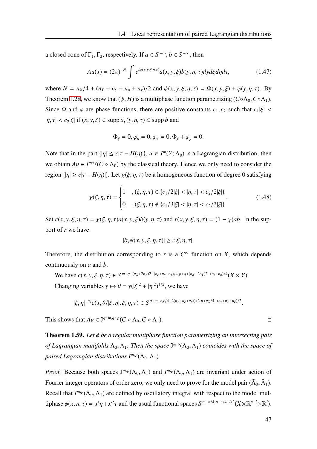a closed cone of  $\Gamma_1, \Gamma_2$ , respectively. If  $a \in S^{-\infty}, b \in S^{-\infty}$ , then

$$
Au(x) = (2\pi)^{-N} \int e^{i\psi(x,y,\xi,\eta,\tau)} a(x,y,\xi) b(y,\eta,\tau) dy d\xi d\eta d\tau,
$$
 (1.47)

where  $N = n_X/4 + (n_Y + n_{\xi} + n_{\eta} + n_{\tau})/2$  and  $\psi(x, y, \xi, \eta, \tau) = \Phi(x, y, \xi) + \varphi(y, \eta, \tau)$ . By Theorem [1.28](#page-31-0), we know that  $(\psi, H)$  is a multiphase function parametrizing  $(C \circ \Lambda_0, C \circ \Lambda_1)$ . Since  $\Phi$  and  $\varphi$  are phase functions, there are positive constants  $c_1, c_2$  such that  $c_1|\xi|$  <  $|\eta, \tau| < c_2 |\xi|$  if  $(x, y, \xi) \in \text{supp } a, (y, \eta, \tau) \in \text{supp } b$  and

$$
\Phi_{\xi}=0, \varphi_{\eta}=0, \varphi_{\tau}=0, \Phi_{y}+\varphi_{y}=0.
$$

Note that in the part  $\{|\eta| \le c|\tau - H(\eta)|\}$ ,  $u \in I^m(Y; \Lambda_0)$  is a Lagrangian distribution, then we obtain  $Au \in I^{m+q}(C \circ \Lambda_0)$  by the classical theory. Hence we only need to consider the region  $\{|\eta| \ge c|\tau - H(\eta)|\}$ . Let  $\chi(\xi, \eta, \tau)$  be a homogeneous function of degree 0 satisfying

$$
\chi(\xi,\eta,\tau) = \begin{cases} 1, & (\xi,\eta,\tau) \in \{c_1/2|\xi| < |\eta,\tau| < c_2/2|\xi|\} \\ 0, & (\xi,\eta,\tau) \notin \{c_1/3|\xi| < |\eta,\tau| < c_2/3|\xi|\} \end{cases} \tag{1.48}
$$

Set  $c(x, y, \xi, \eta, \tau) = \chi(\xi, \eta, \tau)a(x, y, \xi)b(y, \eta, \tau)$  and  $r(x, y, \xi, \eta, \tau) = (1 - \chi)ab$ . In the support of *r* we have

$$
|\partial_y \psi(x, y, \xi, \eta, \tau)| \ge c|\xi, \eta, \tau|.
$$

Therefore, the distribution corresponding to  $r$  is a  $C^{\infty}$  function on  $X$ , which depends continuously on *a* and *b*.

We have  $c(x, y, \xi, \eta, \tau) \in S^{m+q+(n_X+2n_Y)2-(n_{\xi}+n_{\eta}+n_{\tau})/4, p+q+(n_X+2n_Y)2-(n_{\xi}+n_{\eta})/4}(X \times Y)$ .

Changing variables  $y \mapsto \theta = y(|\xi|^2 + |\eta|^2)^{1/2}$ , we have

 $|\xi,\eta|^{-n_y}c(x,\theta/|\xi,\eta|,\xi,\eta,\tau)\in S^{q+m+n_X/4-2(n_Y+n_\xi+n_\eta))/2,p+n_X/4-(n_\tau+n_Y+n_\xi)/2}.$ 

This shows that  $Au \in \mathbb{J}^{q+m,q+p}(C \circ \Lambda_0, C \circ \Lambda_1)$ .

Theorem 1.59. *Let* ϕ *be a regular multiphase function parametrizing an intersecting pair of Lagrangian manifolds*  $\Lambda_0, \Lambda_1$ . Then the space  $\mathbb{J}^{m,p}(\Lambda_0, \Lambda_1)$  coincides with the space of *paired Lagrangian distributions I<sup>m</sup>*,*<sup>p</sup>* (Λ0, Λ1)*.*

*Proof.* Because both spaces  $J^{m,p}(\Lambda_0, \Lambda_1)$  and  $I^{m,p}(\Lambda_0, \Lambda_1)$  are invariant under action of Fourier integer operators of order zero, we only need to prove for the model pair ( $\tilde{\Lambda}_0$ ,  $\tilde{\Lambda}_1$ ). Recall that  $I^{m,p}(\Lambda_0,\Lambda_1)$  are defined by oscillatory integral with respect to the model multiphase  $\phi(x, \eta, \tau) = x'\eta + x''\tau$  and the usual functional spaces  $S^{m-n/4,p-n/4+l/2}(X\times\mathbb{R}^{n-l}\times\mathbb{R}^l)$ .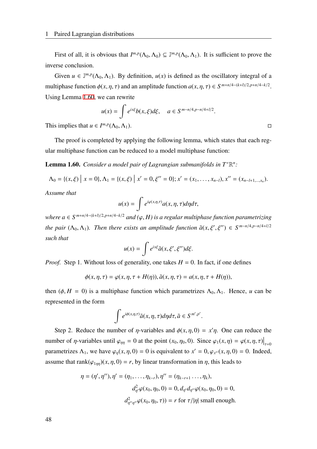First of all, it is obvious that  $I^{m,p}(\Lambda_0, \Lambda_0) \subseteq \mathbb{J}^{m,p}(\Lambda_0, \Lambda_1)$ . It is sufficient to prove the inverse conclusion.

Given  $u \in \mathbb{J}^{m,p}(\Lambda_0, \Lambda_1)$ . By definition,  $u(x)$  is defined as the oscillatory integral of a multiphase function  $\phi(x, \eta, \tau)$  and an amplitude function  $a(x, \eta, \tau) \in S^{m+n/4-(k+1)/2, p+n/4-k/2}$ . Using Lemma [1.60](#page-55-0), we can rewrite

$$
u(x) = \int e^{ix\xi} b(x,\xi) d\xi, \quad a \in S^{m-n/4,p-n/4+l/2}.
$$
  
This implies that  $u \in I^{m,p}(\Lambda_0, \Lambda_1)$ .

The proof is completed by applying the following lemma, which states that each regular multiphase function can be reduced to a model multiphase function:

<span id="page-55-0"></span>**Lemma 1.60.** *Consider a model pair of Lagrangian submanifolds in*  $T$ <sup>∗</sup> $\mathbb{R}^n$ *:* 

$$
\Lambda_0 = \{(x,\xi) \mid x = 0\}, \Lambda_1 = \{(x,\xi) \mid x' = 0, \xi'' = 0\}; x' = (x_1,\ldots,x_{n-l}), x'' = (x_{n-l+1,\ldots,x_n}).
$$

*Assume that*

$$
u(x) = \int e^{i\varphi(x,\eta,\tau)} a(x,\eta,\tau) d\eta d\tau,
$$

*where a* ∈ *S <sup>m</sup>*+*n*/4−(*k*+*l*)/2,*p*+*n*/4−*k*/<sup>2</sup> *and (*φ, *H) is a regular multiphase function parametrizing the pair*  $(\Lambda_0, \Lambda_1)$ *. Then there exists an amplitude function*  $\tilde{a}(x, \xi', \xi'') \in S^{m-n/4,p-n/4+l/2}$ *such that*

$$
u(x) = \int e^{ix\xi} \tilde{a}(x,\xi',\xi'')d\xi.
$$

*Proof.* Step 1. Without loss of generality, one takes  $H = 0$ . In fact, if one defines

$$
\phi(x, \eta, \tau) = \varphi(x, \eta, \tau + H(\eta)), \tilde{a}(x, \eta, \tau) = a(x, \eta, \tau + H(\eta)),
$$

then  $(\phi, H = 0)$  is a multiphase function which parametrizes  $\Lambda_0, \Lambda_1$ . Hence, *u* can be represented in the form

$$
\int e^{i\phi(x,\eta,\tau)}\tilde{a}(x,\eta,\tau)d\eta d\tau, \tilde{a}\in S^{m',p'}.
$$

Step 2. Reduce the number of  $\eta$ -variables and  $\phi(x, \eta, 0) = x'\eta$ . One can reduce the number of  $\eta$ -variables until  $\varphi_{\eta\eta} = 0$  at the point  $(x_0, \eta_0, 0)$ . Since  $\varphi_1(x, \eta) = \varphi(x, \eta, \tau)\big|_{\tau=0}$ parametrizes  $\Lambda_1$ , we have  $\varphi_{\eta}(x, \eta, 0) = 0$  is equivalent to  $x' = 0$ ,  $\varphi_{x''}(x, \eta, 0) = 0$ . Indeed, assume that rank $(\varphi_{1m})(x, \eta, 0) = r$ , by linear transformation in  $\eta$ , this leads to

$$
\eta = (\eta', \eta''), \eta' = (\eta_1, \dots, \eta_{k-r}), \eta'' = (\eta_{k-r+1} \dots, \eta_k),
$$
  

$$
d_{\eta'}^2 \varphi(x_0, \eta_0, 0) = 0, d_{\eta'} d_{\eta''} \varphi(x_0, \eta_0, 0) = 0,
$$
  

$$
d_{\eta''\eta''}^2 \varphi(x_0, \eta_0, \tau) = r \text{ for } \tau/|\eta| \text{ small enough.}
$$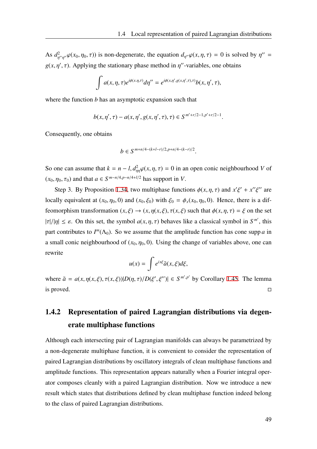As  $d_{\eta''\eta''}^2 \varphi(x_0, \eta_0, \tau)$  is non-degenerate, the equation  $d_{\eta''} \varphi(x, \eta, \tau) = 0$  is solved by  $\eta'' =$  $g(x, \eta', \tau)$ . Applying the stationary phase method in  $\eta''$ -variables, one obtains

$$
\int a(x,\eta,\tau)e^{i\phi(x,\eta,\tau)}d\eta''=e^{i\phi(x,\eta',g(x,\eta',\tau),\tau)}b(x,\eta',\tau),
$$

where the function *b* has an asymptotic expansion such that

$$
b(x, \eta', \tau) - a(x, \eta', g(x, \eta', \tau), \tau) \in S^{m'+r/2-1, p'+r/2-1}.
$$

Consequently, one obtains

$$
b\in S^{m+n/4-(k+l-r)/2,p+n/4-(k-r)/2}.
$$

So one can assume that  $k = n - l$ ,  $d_{\eta\eta}^2 \varphi(x, \eta, \tau) = 0$  in an open conic neighbourhood *V* of  $(x_0, \eta_0, \tau_0)$  and that  $a \in S^{m-n/4, p-n/4+l/2}$  has support in *V*.

Step 3. By Proposition [1.34,](#page-34-0) two multiphase functions  $\phi(x, \eta, \tau)$  and  $x'\xi' + x''\xi''$  are locally equivalent at  $(x_0, \eta_0, 0)$  and  $(x_0, \xi_0)$  with  $\xi_0 = \phi_x(x_0, \eta_0, 0)$ . Hence, there is a diffeomorphism transformation  $(x, \xi) \rightarrow (x, \eta(x, \xi), \tau(x, \xi))$  such that  $\phi(x, \eta, \tau) = \xi$  on the set  $|\tau|/|\eta| \leq \varepsilon$ . On this set, the symbol  $a(x, \eta, \tau)$  behaves like a classical symbol in  $S^{m'}$ , this part contributes to  $I^m(\Lambda_0)$ . So we assume that the amplitude function has cone supp *a* in a small conic neighbourhood of  $(x_0, \eta_0, 0)$ . Using the change of variables above, one can rewrite

$$
u(x) = \int e^{ix\xi} \tilde{a}(x,\xi) d\xi,
$$

where  $\tilde{a} = a(x, \eta(x, \xi), \tau(x, \xi)) |D(\eta, \tau) / D(\xi', \xi'')| \in S^{m', p'}$  by Corollary [1.45](#page-45-0). The lemma is proved.  $\Box$ 

## 1.4.2 Representation of paired Lagrangian distributions via degenerate multiphase functions

Although each intersecting pair of Lagrangian manifolds can always be parametrized by a non-degenerate multiphase function, it is convenient to consider the representation of paired Lagrangian distributions by oscillatory integrals of clean multiphase functions and amplitude functions. This representation appears naturally when a Fourier integral operator composes cleanly with a paired Lagrangian distribution. Now we introduce a new result which states that distributions defined by clean multiphase function indeed belong to the class of paired Lagrangian distributions.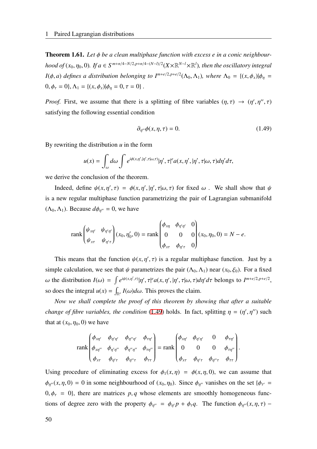<span id="page-57-1"></span>**Theorem 1.61.** Let φ be a clean multiphase function with excess e in a conic neighbour*hood of*  $(x_0, \eta_0, 0)$ . If  $a \in S^{m+n/4-N/2, p+n/4-(N-l)/2}$   $(X \times \mathbb{R}^{N-l} \times \mathbb{R}^l)$ , then the oscillatory integral *I*( $\phi$ , *a*) *defines a distribution belonging to*  $I^{m+e/2,p+e/2}(\Lambda_0,\Lambda_1)$ *, where*  $\Lambda_0 = \{(x,\phi_x)|\phi_\eta =$  $0, \phi_{\tau} = 0$ ,  $\Lambda_1 = \{(x, \phi_x) | \phi_{\eta} = 0, \tau = 0 \}$ .

*Proof.* First, we assume that there is a splitting of fibre variables  $(\eta, \tau) \rightarrow (\eta', \eta'', \tau)$ satisfying the following essential condition

<span id="page-57-0"></span>
$$
\partial_{\eta''}\phi(x,\eta,\tau) = 0. \tag{1.49}
$$

By rewriting the distribution *u* in the form

$$
u(x) = \int_{\omega} d\omega \int e^{i\phi(x,\eta',|\eta',\tau|\omega,\tau)} |\eta',\tau|^e a(x,\eta',|\eta',\tau|\omega,\tau) d\eta' d\tau,
$$

we derive the conclusion of the theorem.

Indeed, define  $\psi(x, \eta', \tau) = \phi(x, \eta', |\eta', \tau| \omega, \tau)$  for fixed  $\omega$ . We shall show that  $\psi$ is a new regular multiphase function parametrizing the pair of Lagrangian submanifold  $(\Lambda_0, \Lambda_1)$ . Because  $d\phi_{\eta''} = 0$ , we have

$$
\text{rank}\begin{pmatrix} \psi_{x\eta'} & \psi_{\eta'\eta'} \\ \psi_{x\tau} & \psi_{\eta'\tau} \end{pmatrix} (x_0, \eta'_0, 0) = \text{rank}\begin{pmatrix} \phi_{x\eta} & \phi_{\eta'\eta'} & 0 \\ 0 & 0 & 0 \\ \phi_{x\tau} & \phi_{\eta'\tau} & 0 \end{pmatrix} (x_0, \eta_0, 0) = N - e.
$$

This means that the function  $\psi(x, \eta', \tau)$  is a regular multiphase function. Just by a simple calculation, we see that  $\psi$  parametrizes the pair  $(\Lambda_0, \Lambda_1)$  near  $(x_0, \xi_0)$ . For a fixed ω the distribution  $I(\omega) = \int e^{i\psi(x,\eta',\tau)} |\eta',\tau|^e a(x,\eta',|\eta',\tau|\omega,\tau) d\eta' d\tau$  belongs to  $I^{m+e/2,p+e/2}$ , so does the integral  $u(x) = \int_{\mathbb{R}^e} I(\omega) d\omega$ . This proves the claim.

*Now we shall complete the proof of this theorem by showing that after a suitable change of fibre variables, the condition* [\(1.49](#page-57-0)) holds. In fact, splitting  $\eta = (\eta', \eta'')$  such that at  $(x_0, \eta_0, 0)$  we have

$$
\operatorname{rank}\begin{pmatrix} \phi_{x\eta'} & \phi_{\eta'\eta'} & \phi_{\eta''\eta'} & \phi_{\tau\eta'} \\ \phi_{x\eta''} & \phi_{\eta'\eta''} & \phi_{\eta''\eta''} & \phi_{\tau\eta''} \\ \phi_{x\tau} & \phi_{\eta'\tau} & \phi_{\eta''\tau} & \phi_{\tau\tau} \end{pmatrix} = \operatorname{rank}\begin{pmatrix} \phi_{x\eta'} & \phi_{\eta'\eta'} & 0 & \phi_{\tau\eta'} \\ 0 & 0 & 0 & \phi_{\tau\eta''} \\ \phi_{x\tau} & \phi_{\eta'\tau} & \phi_{\eta''\tau} & \phi_{\tau\tau} \end{pmatrix}.
$$

Using procedure of eliminating excess for  $\phi_1(x, \eta) = \phi(x, \eta, 0)$ , we can assume that  $\phi_{\eta''}(x, \eta, 0) = 0$  in some neighbourhood of  $(x_0, \eta_0)$ . Since  $\phi_{\eta''}$  vanishes on the set  $\{\phi_{\tau'} =$  $0, \phi_{\tau} = 0$ , there are matrices p, q whose elements are smoothly homogeneous functions of degree zero with the property  $\phi_{\eta''} = \phi_{\eta'} p + \phi_{\tau} q$ . The function  $\phi_{\eta''}(x, \eta, \tau)$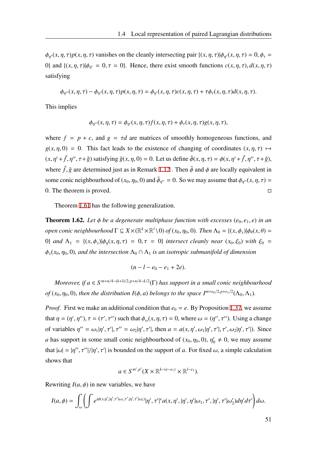$\phi_{\eta}(x, \eta, \tau) p(x, \eta, \tau)$  vanishes on the cleanly intersecting pair  $\{(x, \eta, \tau) | \phi_{\eta}(x, \eta, \tau) = 0, \phi_{\tau} = 0\}$ 0} and  $\{(x, \eta, \tau)|\phi_{\eta'} = 0, \tau = 0\}$ . Hence, there exist smooth functions  $c(x, \eta, \tau)$ ,  $d(x, \eta, \tau)$ satisfying

$$
\phi_{\eta''}(x,\eta,\tau) - \phi_{\eta'}(x,\eta,\tau)p(x,\eta,\tau) = \phi_{\eta'}(x,\eta,\tau)c(x,\eta,\tau) + \tau\phi_{\tau}(x,\eta,\tau)d(x,\eta,\tau).
$$

This implies

$$
\phi_{\eta''}(x,\eta,\tau) = \phi_{\eta'}(x,\eta,\tau) f(x,\eta,\tau) + \phi_{\tau}(x,\eta,\tau) g(x,\eta,\tau),
$$

where  $f = p + c$ , and  $g = \tau d$  are matrices of smoothly homogeneous functions, and  $g(x, \eta, 0) = 0$ . This fact leads to the existence of changing of coordinates  $(x, \eta, \tau) \mapsto$  $(x, \eta' + \tilde{f}, \eta'', \tau + \tilde{g})$  satisfying  $\tilde{g}(x, \eta, 0) = 0$ . Let us define  $\tilde{\phi}(x, \eta, \tau) = \phi(x, \eta' + \tilde{f}, \eta'', \tau + \tilde{g})$ , where  $\tilde{f}$ ,  $\tilde{g}$  are determined just as in Remark [1.12](#page-23-0). Then  $\tilde{\phi}$  and  $\phi$  are locally equivalent in some conic neighbourhood of  $(x_0, \eta_0, 0)$  and  $\tilde{\phi}_{\eta''} = 0$ . So we may assume that  $\phi_{\eta''}(x, \eta, \tau) =$ 0. The theorem is proved.  $\square$ 

Theorem [1.61](#page-57-1) has the following generalization.

<span id="page-58-0"></span>**Theorem 1.62.** Let  $\phi$  be a degenerate multiphase function with excesses ( $e_0, e_1, e$ ) in an *open conic neighbourhood*  $\Gamma \subseteq X \times (\mathbb{R}^k \times \mathbb{R}^l \setminus 0)$  *of*  $(x_0, \eta_0, 0)$ *. Then*  $\Lambda_0 = \{(x, \phi_x) | \phi_\theta(x, \theta) =$ 0} *and*  $\Lambda_1 = \{(x, \phi_x) | \phi_n(x, \eta, \tau) = 0, \tau = 0\}$  *intersect cleanly near*  $(x_0, \xi_0)$  *with*  $\xi_0 =$  $\phi_x(x_0, \eta_0, 0)$ *, and the intersection*  $\Lambda_0 \cap \Lambda_1$  *is an isotropic submanifold of dimension* 

$$
(n - l - e_0 - e_1 + 2e).
$$

*Moreover, if a* ∈ *S m*+*n*/4−(*k*+*l*)/2,*p*+*n*/4−*k*/2 (Γ) *has support in a small conic neighbourhood of* ( $x_0$ ,  $\eta_0$ , 0), *then the distribution*  $I(\phi, a)$  *belongs to the space*  $I^{m+e_0/2, p+e_1/2}(\Lambda_0, \Lambda_1)$ *.* 

*Proof.* First we make an additional condition that  $e_0 = e$ . By Proposition [1.37,](#page-40-0) we assume that  $\eta = (\eta', \eta'')$ ,  $\tau = (\tau', \tau'')$  such that  $\phi_\omega(x, \eta, \tau) = 0$ , where  $\omega = (\eta'', \tau'')$ . Using a change of variables  $\eta'' = \omega_1 |\eta', \tau'|$ ,  $\tau'' = \omega_2 |\eta', \tau'|$ , then  $a = a(x, \eta', \omega_1 |\eta', \tau'|$ ,  $\tau', \omega_2 |\eta', \tau'|$ ). Since *a* has support in some small conic neighbourhood of  $(x_0, \eta_0, 0)$ ,  $\eta'_0 \neq 0$ , we may assume that  $|\omega| = |\eta''', \tau''|/|\eta', \tau'|$  is bounded on the support of *a*. For fixed  $\omega$ , a simple calculation shows that

$$
a\in S^{m',p'}(X\times\mathbb{R}^{k-(e-e_1)}\times\mathbb{R}^{l-e_1}).
$$

Rewriting  $I(a, \phi)$  in new variables, we have

$$
I(a,\phi)=\int_{\omega}\left(\int e^{i\phi(x,\eta',|\eta',\tau'|\omega_1,\tau',|\eta',\tau'|\omega_2)}|\eta',\tau'|^{\varepsilon}a(x,\eta',|\eta',\eta'|\omega_1,\tau',|\eta',\tau'|\omega_2')d\eta'd\tau'\right)d\omega.
$$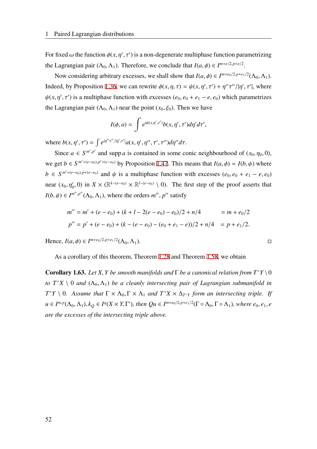For fixed  $\omega$  the function  $\phi(x, \eta', \tau')$  is a non-degenerate multiphase function parametrizing the Lagrangian pair  $(\Lambda_0, \Lambda_1)$ . Therefore, we conclude that  $I(a, \phi) \in I^{m+e/2, p+e/2}$ .

Now considering arbitrary excesses, we shall show that  $I(a, \phi) \in I^{m+e_0/2, p+e_1/2}(\Lambda_0, \Lambda_1)$ . Indeed, by Proposition [1.36](#page-38-0), we can rewrite  $\phi(x, \eta, \tau) = \psi(x, \eta', \tau') + \eta''\tau''/|\eta', \tau'|$ , where  $\psi(x, \eta', \tau')$  is a multiphase function with excesses  $(e_0, e_0 + e_1 - e, e_0)$  which parametrizes the Lagrangian pair  $(\Lambda_0, \Lambda_1)$  near the point  $(x_0, \xi_0)$ . Then we have

$$
I(\phi, a) = \int e^{i\psi(x, \eta', \tau')} b(x, \eta', \tau') d\eta' d\tau',
$$

where  $b(x, \eta', \tau') = \int e^{i\eta''\tau''/|\eta', \tau'|} a(x, \eta', \eta'', \tau', \tau'') d\eta'' d\tau$ .

Since  $a \in S^{m',p'}$  and supp *a* is contained in some conic neighbourhood of  $(x_0, \eta_0, 0)$ , we get *b* ∈  $S^{m'+(e-e_0),p'+(e-e_0)}$  by Proposition [1.47.](#page-46-0) This means that *I*(*a*,  $\phi$ ) = *I*(*b*,  $\psi$ ) where  $b \in S^{m'+(e-e_0), p+(e-e_0)}$  and  $\psi$  is a multiphase function with excesses  $(e_0, e_0 + e_1 - e, e_0)$ near  $(x_0, \eta'_0, 0)$  in  $X \times (\mathbb{R}^{k-(e-e_0)} \times \mathbb{R}^{l-(e-e_0)} \setminus 0)$ . The first step of the proof asserts that  $I(b, \psi) \in I^{m'', p''}(\Lambda_0, \Lambda_1)$ , where the orders *m''*, *p''* satisfy

$$
m'' = m' + (e - e_0) + (k + l - 2(e - e_0) - e_0)/2 + n/4 = m + e_0/2
$$
  

$$
p'' = p' + (e - e_0) + (k - (e - e_0) - (e_0 + e_1 - e))/2 + n/4 = p + e_1/2.
$$

 $Hence, I(a, φ) ∈ I<sup>m+e<sub>0</sub>/2, p+e<sub>1</sub>/2</sup>(Λ<sub>0</sub>, Λ<sub>1</sub>). □$ 

As a corollary of this theorem, Theorem [1.28](#page-31-0) and Theorem [1.58](#page-53-0), we obtain

**Corollary 1.63.** *Let X, Y be smooth manifolds and*  $\Gamma$  *be a canonical relation from*  $T^*Y \setminus 0$ *to*  $T^*X \setminus 0$  *and*  $(\Lambda_0, \Lambda_1)$  *be a cleanly intersecting pair of Lagrangian submanifold in*  $T^*Y \setminus 0$ . Assume that  $\Gamma \times \Lambda_0$ ,  $\Gamma \times \Lambda_1$  and  $T^*X \times \Delta_{T^*Y}$  form an intersecting triple. If  $u \in I^{m,p}(\Lambda_0,\Lambda_1), k_Q \in I^q(X \times Y, \Gamma'),$  then  $Qu \in I^{m+e_0/2,p+e_1/2}(\Gamma \circ \Lambda_0, \Gamma \circ \Lambda_1)$ , where  $e_0, e_1, e_1$ *are the excesses of the intersecting triple above.*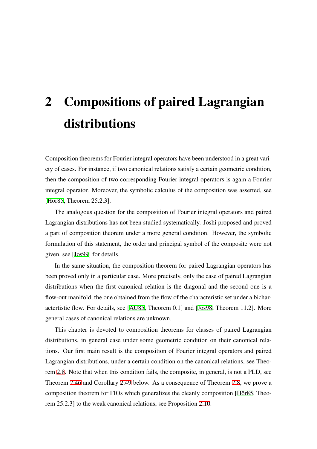# 2 Compositions of paired Lagrangian distributions

Composition theorems for Fourier integral operators have been understood in a great variety of cases. For instance, if two canonical relations satisfy a certain geometric condition, then the composition of two corresponding Fourier integral operators is again a Fourier integral operator. Moreover, the symbolic calculus of the composition was asserted, see [\[Hör85,](#page-117-0) Theorem 25.2.3].

The analogous question for the composition of Fourier integral operators and paired Lagrangian distributions has not been studied systematically. Joshi proposed and proved a part of composition theorem under a more general condition. However, the symbolic formulation of this statement, the order and principal symbol of the composite were not given, see [\[Jos99\]](#page-117-1) for details.

In the same situation, the composition theorem for paired Lagrangian operators has been proved only in a particular case. More precisely, only the case of paired Lagrangian distributions when the first canonical relation is the diagonal and the second one is a flow-out manifold, the one obtained from the flow of the characteristic set under a bicharactertistic flow. For details, see [[AU85,](#page-116-0) Theorem 0.1] and [\[Jos98,](#page-117-2) Theorem 11.2]. More general cases of canonical relations are unknown.

This chapter is devoted to composition theorems for classes of paired Lagrangian distributions, in general case under some geometric condition on their canonical relations. Our first main result is the composition of Fourier integral operators and paired Lagrangian distributions, under a certain condition on the canonical relations, see Theorem [2.8.](#page-65-0) Note that when this condition fails, the composite, in general, is not a PLD, see Theorem [2.46](#page-93-0) and Corollary [2.49](#page-96-0) below. As a consequence of Theorem [2.8,](#page-65-0) we prove a composition theorem for FIOs which generalizes the cleanly composition [[Hör85](#page-117-0), Theorem 25.2.3] to the weak canonical relations, see Proposition [2.10.](#page-66-0)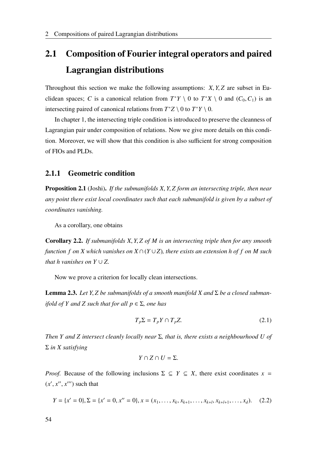# 2.1 Composition of Fourier integral operators and paired Lagrangian distributions

Throughout this section we make the following assumptions: *X*, *Y*, *Z* are subset in Euclidean spaces; *C* is a canonical relation from  $T^*Y \setminus 0$  to  $T^*X \setminus 0$  and  $(C_0, C_1)$  is an intersecting paired of canonical relations from  $T^*Z \setminus 0$  to  $T^*Y \setminus 0$ .

In chapter 1, the intersecting triple condition is introduced to preserve the cleanness of Lagrangian pair under composition of relations. Now we give more details on this condition. Moreover, we will show that this condition is also sufficient for strong composition of FIOs and PLDs.

## 2.1.1 Geometric condition

Proposition 2.1 (Joshi). *If the submanifolds X*, *Y*, *Z form an intersecting triple, then near any point there exist local coordinates such that each submanifold is given by a subset of coordinates vanishing.*

As a corollary, one obtains

<span id="page-61-2"></span>Corollary 2.2. *If submanifolds X*, *Y*, *Z of M is an intersecting triple then for any smooth function f on X which vanishes on X* ∩(*Y* ∪*Z*)*, there exists an extension h of f on M such that h vanishes on Y*  $\cup$  *Z.* 

Now we prove a criterion for locally clean intersections.

<span id="page-61-1"></span>**Lemma 2.3.** Let *Y*, *Z* be submanifolds of a smooth manifold *X* and  $\Sigma$  be a closed subman*ifold of Y and Z such that for all p* ∈ Σ*, one has*

<span id="page-61-0"></span>
$$
T_p \Sigma = T_p Y \cap T_p Z. \tag{2.1}
$$

*Then Y and Z intersect cleanly locally near* Σ*, that is, there exists a neighbourhood U of* Σ *in X satisfying*

$$
Y\cap Z\cap U=\Sigma.
$$

*Proof.* Because of the following inclusions  $\Sigma \subseteq Y \subseteq X$ , there exist coordinates  $x =$  $(x', x'', x''')$  such that

 $Y = \{x' = 0\}, \Sigma = \{x' = 0, x'' = 0\}, x = (x_1, \ldots, x_k, x_{k+1}, \ldots, x_{k+l}, x_{k+l+1}, \ldots, x_d).$  (2.2)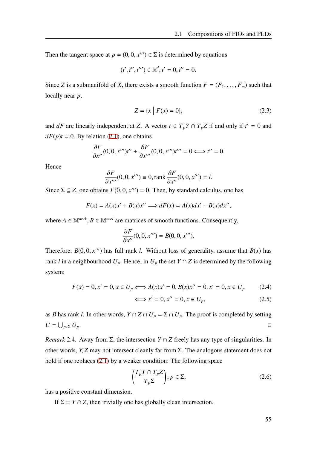Then the tangent space at  $p = (0, 0, x^{\prime\prime\prime}) \in \Sigma$  is determined by equations

$$
(t',t'',t''')\in \mathbb{R}^d, t'=0, t''=0.
$$

Since *Z* is a submanifold of *X*, there exists a smooth function  $F = (F_1, \ldots, F_m)$  such that locally near *p*,

$$
Z = \{x \mid F(x) = 0\},\tag{2.3}
$$

and *dF* are linearly independent at *Z*. A vector  $t \in T_pY \cap T_pZ$  if and only if  $t' = 0$  and  $dF(p)t = 0$ . By relation [\(2.1](#page-61-0)), one obtains

$$
\frac{\partial F}{\partial x''}(0,0,x''')t'' + \frac{\partial F}{\partial x''}(0,0,x''')t''' = 0 \Longleftrightarrow t'' = 0.
$$

Hence

$$
\frac{\partial F}{\partial x'''}(0,0,x''') \equiv 0, \text{rank } \frac{\partial F}{\partial x''}(0,0,x''') = l.
$$

Since  $\Sigma \subseteq Z$ , one obtains  $F(0, 0, x^{\prime\prime\prime}) = 0$ . Then, by standard calculus, one has

$$
F(x) = A(x)x' + B(x)x'' \Longrightarrow dF(x) = A(x)dx' + B(x)dx'',
$$

where  $A \in \mathbb{M}^{m \times k}$ ,  $B \in \mathbb{M}^{m \times l}$  are matrices of smooth functions. Consequently,

$$
\frac{\partial F}{\partial x''}(0,0,x''') = B(0,0,x''').
$$

Therefore,  $B(0, 0, x^{\prime\prime\prime})$  has full rank *l*. Without loss of generality, assume that  $B(x)$  has rank *l* in a neighbourhood  $U_p$ . Hence, in  $U_p$  the set  $Y \cap Z$  is determined by the following system:

$$
F(x) = 0, x' = 0, x \in U_p \iff A(x)x' = 0, B(x)x'' = 0, x' = 0, x \in U_p \tag{2.4}
$$

$$
\iff x' = 0, x'' = 0, x \in U_p,\tag{2.5}
$$

as *B* has rank *l*. In other words,  $Y \cap Z \cap U_p = \Sigma \cap U_p$ . The proof is completed by setting *U* = ∪  $p$ ∈Σ  $U_p$ .

*Remark* 2.4*.* Away from Σ, the intersection *Y* ∩ *Z* freely has any type of singularities. In other words, *Y*, *Z* may not intersect cleanly far from Σ. The analogous statement does not hold if one replaces ([2.1\)](#page-61-0) by a weaker condition: The following space

$$
\left(\frac{T_p Y \cap T_p Z}{T_p \Sigma}\right), p \in \Sigma,
$$
\n(2.6)

has a positive constant dimension.

If  $\Sigma = Y \cap Z$ , then trivially one has globally clean intersection.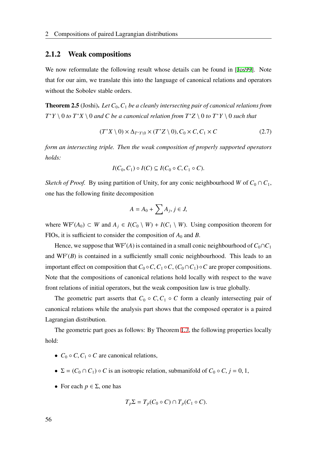#### 2.1.2 Weak compositions

We now reformulate the following result whose details can be found in [\[Jos99\]](#page-117-1). Note that for our aim, we translate this into the language of canonical relations and operators without the Sobolev stable orders.

**Theorem 2.5** (Joshi). Let  $C_0$ ,  $C_1$  be a cleanly intersecting pair of canonical relations from  $T^*Y \setminus 0$  *to*  $T^*X \setminus 0$  *and C be a canonical relation from*  $T^*Z \setminus 0$  *to*  $T^*Y \setminus 0$  *such that* 

$$
(T^*X \setminus 0) \times \Delta_{T^*Y \setminus 0} \times (T^*Z \setminus 0), C_0 \times C, C_1 \times C \tag{2.7}
$$

*form an intersecting triple. Then the weak composition of properly supported operators holds:*

$$
I(C_0, C_1) \circ I(C) \subseteq I(C_0 \circ C, C_1 \circ C).
$$

*Sketch of Proof.* By using partition of Unity, for any conic neighbourhood *W* of  $C_0 \cap C_1$ , one has the following finite decomposition

$$
A = A_0 + \sum A_j, j \in J,
$$

where  $WF'(A_0) \subset W$  and  $A_j \in I(C_0 \setminus W) + I(C_1 \setminus W)$ . Using composition theorem for FIOs, it is sufficient to consider the composition of  $A_0$  and  $B$ .

Hence, we suppose that  $WF'(A)$  is contained in a small conic neighbourhood of  $C_0 \cap C_1$ and  $WF'(B)$  is contained in a sufficiently small conic neighbourhood. This leads to an important effect on composition that  $C_0 \circ C$ ,  $C_1 \circ C$ ,  $(C_0 \cap C_1) \circ C$  are proper compositions. Note that the compositions of canonical relations hold locally with respect to the wave front relations of initial operators, but the weak composition law is true globally.

The geometric part asserts that  $C_0 \circ C$ ,  $C_1 \circ C$  form a cleanly intersecting pair of canonical relations while the analysis part shows that the composed operator is a paired Lagrangian distribution.

The geometric part goes as follows: By Theorem [1.7](#page-19-0), the following properties locally hold:

- $C_0 \circ C$ ,  $C_1 \circ C$  are canonical relations,
- $\Sigma = (C_0 \cap C_1) \circ C$  is an isotropic relation, submanifold of  $C_0 \circ C$ ,  $j = 0, 1$ ,
- For each  $p \in \Sigma$ , one has

$$
T_p \Sigma = T_p(C_0 \circ C) \cap T_p(C_1 \circ C).
$$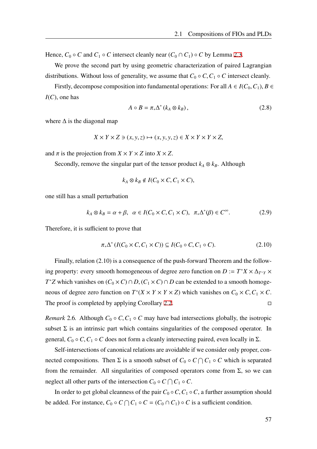Hence,  $C_0 \circ C$  and  $C_1 \circ C$  intersect cleanly near  $(C_0 \cap C_1) \circ C$  by Lemma [2.3](#page-61-1).

We prove the second part by using geometric characterization of paired Lagrangian distributions. Without loss of generality, we assume that  $C_0 \circ C$ ,  $C_1 \circ C$  intersect cleanly.

Firstly, decompose composition into fundamental operations: For all  $A \in I(C_0, C_1)$ ,  $B \in$ *I*(*C*), one has

<span id="page-64-0"></span>
$$
A \circ B = \pi_* \Delta^* (k_A \otimes k_B), \qquad (2.8)
$$

where  $\Delta$  is the diagonal map

$$
X \times Y \times Z \ni (x, y, z) \mapsto (x, y, y, z) \in X \times Y \times Y \times Z,
$$

and  $\pi$  is the projection from  $X \times Y \times Z$  into  $X \times Z$ .

Secondly, remove the singular part of the tensor product  $k_A \otimes k_B$ . Although

$$
k_A \otimes k_B \notin I(C_0 \times C, C_1 \times C),
$$

one still has a small perturbation

$$
k_A \otimes k_B = \alpha + \beta, \ \alpha \in I(C_0 \times C, C_1 \times C), \ \pi_* \Delta^*(\beta) \in C^\infty.
$$
 (2.9)

Therefore, it is sufficient to prove that

$$
\pi_* \Delta^* \left( I(C_0 \times C, C_1 \times C) \right) \subseteq I(C_0 \circ C, C_1 \circ C). \tag{2.10}
$$

Finally, relation (2.10) is a consequence of the push-forward Theorem and the following property: every smooth homogeneous of degree zero function on  $D := T^*X \times \Delta_{T^*Y} \times T^*Y$ *T*<sup>∗</sup>*Z* which vanishes on (*C*<sub>0</sub> × *C*) ∩ *D*, (*C*<sub>1</sub> × *C*) ∩ *D* can be extended to a smooth homogeneous of degree zero function on  $T^*(X \times Y \times Y \times Z)$  which vanishes on  $C_0 \times C$ ,  $C_1 \times C$ . The proof is completed by applying Corollary [2.2.](#page-61-2)  $\Box$ 

*Remark* 2.6. Although  $C_0 \circ C$ ,  $C_1 \circ C$  may have bad intersections globally, the isotropic subset  $\Sigma$  is an intrinsic part which contains singularities of the composed operator. In general,  $C_0 \circ C$ ,  $C_1 \circ C$  does not form a cleanly intersecting paired, even locally in  $\Sigma$ .

Self-intersections of canonical relations are avoidable if we consider only proper, connected compositions. Then  $\Sigma$  is a smooth subset of  $C_0 \circ C \cap C_1 \circ C$  which is separated from the remainder. All singularities of composed operators come from  $\Sigma$ , so we can neglect all other parts of the intersection  $C_0 \circ C \cap C_1 \circ C$ .

In order to get global cleanness of the pair  $C_0 \circ C$ ,  $C_1 \circ C$ , a further assumption should be added. For instance,  $C_0 \circ C \cap C_1 \circ C = (C_0 \cap C_1) \circ C$  is a sufficient condition.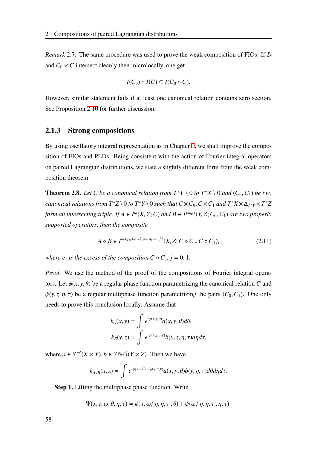*Remark* 2.7*.* The same procedure was used to prove the weak composition of FIOs: If *D* and  $C_0 \times C$  intersect cleanly then microlocally, one get

$$
I(C_0) \circ I(C) \subseteq I(C_0 \circ C).
$$

However, similar statement fails if at least one canonical relation contains zero section. See Proposition [2.10](#page-66-0) for further discussion.

## 2.1.3 Strong compositions

By using oscillatory integral representation as in Chapter [1,](#page-16-0) we shall improve the composition of FIOs and PLDs. Being consistent with the action of Fourier integral operators on paired Lagrangian distributions, we state a slightly different form from the weak composition theorem.

<span id="page-65-0"></span>**Theorem 2.8.** Let C be a canonical relation from  $T^*Y \setminus 0$  to  $T^*X \setminus 0$  and  $(C_0, C_1)$  be two *canonical relations from*  $T^*Z \setminus 0$  *to*  $T^*Y \setminus 0$  *such that*  $C \times C_0$ ,  $C \times C_1$  *and*  $T^*X \times \Delta_{T^*Y} \times T^*Z$ *form an intersecting triple. If*  $A \in I^m(X, Y; C)$  *and*  $B \in I^{p_0,p_1}(Y, Z; C_0, C_1)$  *are two properly supported operators, then the composite*

$$
A \circ B \in I^{m+p_0+e_0/2, m+p_1+e_1/2}(X, Z; C \circ C_0, C \circ C_1),
$$
\n(2.11)

*where*  $e_j$  *is the excess of the composition*  $C \circ C_j$ *,*  $j = 0, 1$ *.* 

*Proof.* We use the method of the proof of the compositions of Fourier integral operators. Let  $\phi(x, y, \theta)$  be a regular phase function parametrizing the canonical relation *C* and  $\psi(y, z, \eta, \tau)$  be a regular multiphase function parametrizing the pairs  $(C_0, C_1)$ . One only needs to prove this conclusion locally. Assume that

$$
k_A(x, y) = \int e^{i\phi(x, y, \theta)} a(x, y, \theta) d\theta,
$$
  

$$
k_B(y, z) = \int e^{i\psi(y, z, \eta, \tau)} b(y, z, \eta, \tau) d\eta d\tau,
$$

where  $a \in S^{m'}(X \times Y)$ ,  $b \in S^{p'_0, p'_1}(Y \times Z)$ . Then we have

$$
k_{A \circ B}(x, z) = \int e^{i\phi(x, y, \theta) + i\psi(y, \eta, \tau)} a(x, y, \theta) b(y, \eta, \tau) d\theta d\eta d\tau.
$$

Step 1. Lifting the multiphase phase function. Write

$$
\Psi(x, z, \omega, \theta, \eta, \tau) = \phi(x, \omega/|\eta, \eta, \tau|, \theta) + \psi(\omega/|\eta, \eta, \tau|, \eta, \tau).
$$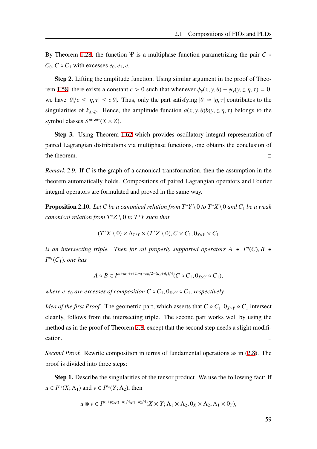By Theorem [1.28,](#page-31-0) the function Ψ is a multiphase function parametrizing the pair  $C \circ$  $C_0$ ,  $C \circ C_1$  with excesses  $e_0$ ,  $e_1$ ,  $e$ .

Step 2. Lifting the amplitude function. Using similar argument in the proof of Theo-rem [1.58,](#page-53-0) there exists a constant  $c > 0$  such that whenever  $\phi_y(x, y, \theta) + \psi_y(y, z, \eta, \tau) = 0$ , we have  $|\theta|/c \leq |\eta, \tau| \leq c|\theta|$ . Thus, only the part satisfying  $|\theta| \approx |\eta, \tau|$  contributes to the singularities of  $k_{A \circ B}$ . Hence, the amplitude function  $a(x, y, \theta)b(y, z, \eta, \tau)$  belongs to the symbol classes  $S^{m_1,m_2}(X \times Z)$ .

Step 3. Using Theorem [1.62](#page-58-0) which provides oscillatory integral representation of paired Lagrangian distributions via multiphase functions, one obtains the conclusion of the theorem.

*Remark* 2.9*.* If *C* is the graph of a canonical transformation, then the assumption in the theorem automatically holds. Compositions of paired Lagrangian operators and Fourier integral operators are formulated and proved in the same way.

<span id="page-66-0"></span>**Proposition 2.10.** *Let C be a canonical relation from*  $T^*Y \setminus 0$  *to*  $T^*X \setminus 0$  *and*  $C_1$  *be a weak canonical relation from T*<sup>∗</sup>*Z* \ 0 *to T*<sup>∗</sup>*Y such that*

$$
(T^*X \setminus 0) \times \Delta_{T^*Y} \times (T^*Z \setminus 0), C \times C_1, 0_{X \times Y} \times C_1
$$

*is an intersecting triple. Then for all properly supported operators*  $A \in I^m(C)$ ,  $B \in$ *I m*1 (*C*1)*, one has*

$$
A \circ B \in I^{m+m_1+e/2, m_1+e_0/2-(d_x+d_y)/4} (C \circ C_1, 0_{X\times Y} \circ C_1),
$$

*where e, e<sub>0</sub> are excesses of composition*  $C \circ C_1$ *,*  $0_{X\times Y} \circ C_1$ *, respectively.* 

*Idea of the first Proof.* The geometric part, which asserts that  $C \circ C_1$ ,  $0_{X\times Y} \circ C_1$  intersect cleanly, follows from the intersecting triple. The second part works well by using the method as in the proof of Theorem [2.8,](#page-65-0) except that the second step needs a slight modifi- $\Box$ cation.

*Second Proof.* Rewrite composition in terms of fundamental operations as in ([2.8\)](#page-64-0). The proof is divided into three steps:

Step 1. Describe the singularities of the tensor product. We use the following fact: If  $u \in I^{p_1}(X; \Lambda_1)$  and  $v \in I^{p_2}(Y; \Lambda_2)$ , then

$$
u\otimes v\in I^{p_1+p_2,p_2-d_1/4,p_1-d_2/4}(X\times Y;\Lambda_1\times\Lambda_2,0_X\times\Lambda_2,\Lambda_1\times 0_Y),
$$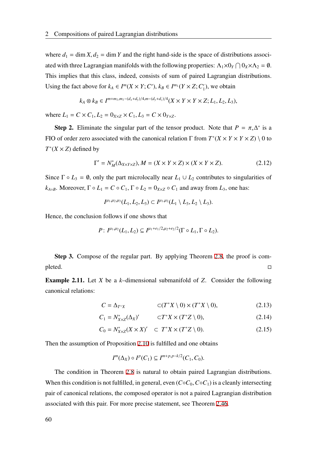where  $d_1 = \dim X$ ,  $d_2 = \dim Y$  and the right hand-side is the space of distributions associated with three Lagrangian manifolds with the following properties:  $\Lambda_1 \times 0_Y \cap 0_X \times \Lambda_2 = \emptyset$ . This implies that this class, indeed, consists of sum of paired Lagrangian distributions. Using the fact above for  $k_A \in I^m(X \times Y; C')$ ,  $k_B \in I^{m_1}(Y \times Z; C')$  $j_1'$ ), we obtain

$$
k_A \otimes k_B \in I^{m+m_1, m_1 - (d_x + d_y)/4, m - (d_y + d_z)/4}(X \times Y \times Y \times Z; L_1, L_2, L_3),
$$

where  $L_1 = C \times C_1, L_2 = 0_{X \times Z} \times C_1, L_3 = C \times 0_{Y \times Z}$ .

**Step 2.** Eliminate the singular part of the tensor product. Note that  $P = \pi_* \Delta^*$  is a FIO of order zero associated with the canonical relation  $\Gamma$  from  $T^*(X \times Y \times Y \times Z) \setminus 0$  to  $T^*(X \times Z)$  defined by

$$
\Gamma' = N_M^*(\Delta_{X \times Y \times Z}), M = (X \times Y \times Z) \times (X \times Y \times Z). \tag{2.12}
$$

Since  $\Gamma \circ L_3 = \emptyset$ , only the part microlocally near  $L_1 \cup L_2$  contributes to singularities of *k*<sub>*A*◦</sub>*B*. Moreover,  $\Gamma \circ L_1 = C \circ C_1$ ,  $\Gamma \circ L_2 = 0$ <sub>*X*×*Z* ◦ *C*<sub>1</sub> and away from *L*<sub>3</sub>, one has:</sub>

$$
I^{\mu_1,\mu_2,\mu_3}(L_1,L_2,L_3) \subset I^{\mu_1,\mu_2}(L_1 \setminus L_3,L_2 \setminus L_3).
$$

Hence, the conclusion follows if one shows that

$$
P: I^{\mu_1,\mu_2}(L_1,L_2) \subseteq I^{\mu_1+e_1/2,\mu_2+e_2/2}(\Gamma \circ L_1, \Gamma \circ L_2).
$$

Step 3. Compose of the regular part. By applying Theorem [2.8](#page-65-0), the proof is com $p$ leted.  $\hfill\Box$ 

Example 2.11. Let *X* be a *k*–dimensional submanifold of *Z*. Consider the following canonical relations:

$$
C = \Delta_{T^*X} \qquad \qquad \subset (T^*X \setminus 0) \times (T^*X \setminus 0), \tag{2.13}
$$

$$
C_1 = N_{X \times Z}^*(\Delta_X) \qquad \quad \subset T^*X \times (T^*Z \setminus 0), \tag{2.14}
$$

$$
C_0 = N_{X \times Z}^*(X \times X)' \quad \subset T^*X \times (T^*Z \setminus 0). \tag{2.15}
$$

Then the assumption of Proposition [2.10](#page-66-0) is fulfilled and one obtains

$$
I^m(\Delta_X) \circ I^p(C_1) \subseteq I^{m+p,p-k/2}(C_1, C_0).
$$

The condition in Theorem [2.8](#page-65-0) is natural to obtain paired Lagrangian distributions. When this condition is not fulfilled, in general, even  $(C \circ C_0, C \circ C_1)$  is a cleanly intersecting pair of canonical relations, the composed operator is not a paired Lagrangian distribution associated with this pair. For more precise statement, see Theorem [2.46](#page-93-0).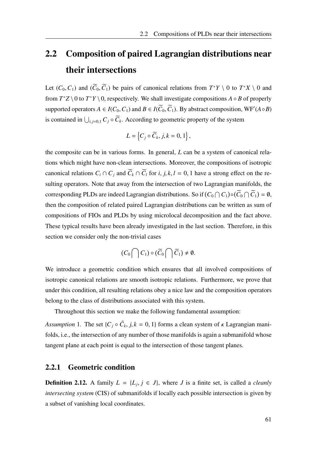# 2.2 Composition of paired Lagrangian distributions near their intersections

Let  $(C_0, C_1)$  and  $(\widetilde{C}_0, \widetilde{C}_1)$  be pairs of canonical relations from  $T^*Y \setminus 0$  to  $T^*X \setminus 0$  and from  $T^*Z \setminus 0$  to  $T^*Y \setminus 0$ , respectively. We shall investigate compositions  $A \circ B$  of properly supported operators  $A \in I(C_0, C_1)$  and  $B \in I(\widetilde{C}_0, \widetilde{C}_1)$ . By abstract composition, WF'( $A \circ B$ ) is contained in  $\bigcup_{i,j=0,1} C_j \circ C_k$ . According to geometric property of the system

$$
L=\left\{C_j\circ\widetilde{C}_k,\,j,k=0,1\right\},\,
$$

the composite can be in various forms. In general, *L* can be a system of canonical relations which might have non-clean intersections. Moreover, the compositions of isotropic canonical relations  $C_i \cap C_j$  and  $\widetilde{C}_k \cap \widetilde{C}_l$  for *i*, *j*, *k*, *l* = 0, 1 have a strong effect on the resulting operators. Note that away from the intersection of two Lagrangian manifolds, the corresponding PLDs are indeed Lagrangian distributions. So if  $(C_0 \cap C_1) \circ (C_0 \cap C_1) = \emptyset$ , then the composition of related paired Lagrangian distributions can be written as sum of compositions of FIOs and PLDs by using microlocal decomposition and the fact above. These typical results have been already investigated in the last section. Therefore, in this section we consider only the non-trivial cases

$$
(C_0 \bigcap C_1) \circ (\widetilde{C}_0 \bigcap \widetilde{C}_1) \neq \emptyset.
$$

We introduce a geometric condition which ensures that all involved compositions of isotropic canonical relations are smooth isotropic relations. Furthermore, we prove that under this condition, all resulting relations obey a nice law and the composition operators belong to the class of distributions associated with this system.

Throughout this section we make the following fundamental assumption:

*Assumption* 1. The set  $\{C_j \circ \tilde{C}_k, j, k = 0, 1\}$  forms a clean system of  $\kappa$  Lagrangian manifolds, i.e., the intersection of any number of those manifolds is again a submanifold whose tangent plane at each point is equal to the intersection of those tangent planes.

## 2.2.1 Geometric condition

<span id="page-68-0"></span>**Definition 2.12.** A family  $L = \{L_j, j \in J\}$ , where *J* is a finite set, is called a *cleanly intersecting system* (CIS) of submanifolds if locally each possible intersection is given by a subset of vanishing local coordinates.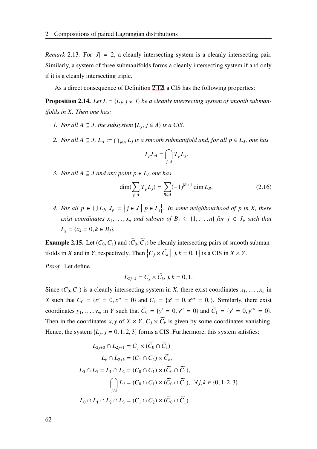*Remark* 2.13. For  $|J| = 2$ , a cleanly intersecting system is a cleanly intersecting pair. Similarly, a system of three submanifolds forms a cleanly intersecting system if and only if it is a cleanly intersecting triple.

As a direct consequence of Definition [2.12,](#page-68-0) a CIS has the following properties:

**Proposition 2.14.** Let  $L = \{L_j, j \in J\}$  be a cleanly intersecting system of smooth subman*ifolds in X. Then one has:*

- *I. For all*  $A ⊆ J$ *, the subsystem*  $\{L_j, j ∈ A\}$  *is a CIS.*
- *2. For all*  $A ⊆ J$ ,  $L_A := \bigcap_{j \in A} L_j$  *is a smooth submanifold and, for all*  $p ∈ L_A$ *, one has*

$$
T_p L_A = \bigcap_{j \in A} T_p L_j.
$$

*3. For all*  $A ⊆ J$  *and any point*  $p ∈ L_A$  *one has* 

$$
\dim(\sum_{j\in A} T_p L_j) = \sum_{B\subseteq A} (-1)^{|B|+1} \dim L_B.
$$
 (2.16)

4. For all  $p \in \bigcup L_j$ ,  $J_p = \{j \in J \mid p \in L_j\}$ . In some neighbourhood of p in X, there *exist coordinates*  $x_1, \ldots, x_n$  *and subsets of*  $B_j \subseteq \{1, \ldots, n\}$  *for*  $j \in J_p$  *such that*  $L_i = \{x_k = 0, k \in B_i\}.$ 

**Example 2.15.** Let  $(C_0, C_1)$  and  $(\widetilde{C}_0, \widetilde{C}_1)$  be cleanly intersecting pairs of smooth submanifolds in *X* and in *Y*, respectively. Then  $\left\{C_j \times \tilde{C}_k \mid j, k = 0, 1\right\}$  is a CIS in  $X \times Y$ .

*Proof.* Let define

$$
L_{2j+k}=C_j\times \widetilde{C}_k, j,k=0,1.
$$

Since  $(C_0, C_1)$  is a cleanly intersecting system in *X*, there exist coordinates  $x_1, \ldots, x_n$  in *X* such that  $C_0 = \{x' = 0, x'' = 0\}$  and  $C_1 = \{x' = 0, x''' = 0\}$ . Similarly, there exist coordinates  $y_1, ..., y_m$  in *Y* such that  $\widetilde{C}_0 = \{y' = 0, y'' = 0\}$  and  $\widetilde{C}_1 = \{y' = 0, y''' = 0\}$ . Then in the coordinates *x*, *y* of  $X \times Y$ ,  $C_j \times C_k$  is given by some coordinates vanishing. Hence, the system  $\{L_j, j = 0, 1, 2, 3\}$  forms a CIS. Furthermore, this system satisfies:

$$
L_{2j+0} \cap L_{2j+1} = C_j \times (\widetilde{C}_0 \cap \widetilde{C}_1)
$$
  
\n
$$
L_k \cap L_{2+k} = (C_1 \cap C_2) \times \widetilde{C}_k,
$$
  
\n
$$
L_0 \cap L_3 = L_1 \cap L_2 = (C_0 \cap C_1) \times (\widetilde{C}_0 \cap \widetilde{C}_1),
$$
  
\n
$$
\bigcap_{j \neq k} L_j = (C_0 \cap C_1) \times (\widetilde{C}_0 \cap \widetilde{C}_1), \quad \forall j, k \in \{0, 1, 2, 3\}
$$
  
\n
$$
L_0 \cap L_1 \cap L_2 \cap L_3 = (C_1 \cap C_2) \times (\widetilde{C}_0 \cap \widetilde{C}_1).
$$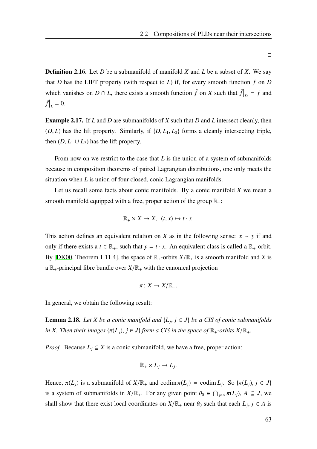Definition 2.16. Let *D* be a submanifold of manifold *X* and *L* be a subset of *X*. We say that *D* has the LIFT property (with respect to *L*) if, for every smooth function  $f$  on  $D$ which vanishes on  $D \cap L$ , there exists a smooth function  $\tilde{f}$  on  $X$  such that  $\tilde{f}|_D = f$  and  $\tilde{f}|_{L} = 0.$ 

Example 2.17. If *L* and *D* are submanifolds of *X* such that *D* and *L* intersect cleanly, then  $(D, L)$  has the lift property. Similarly, if  $\{D, L_1, L_2\}$  forms a cleanly intersecting triple, then  $(D, L_1 \cup L_2)$  has the lift property.

From now on we restrict to the case that *L* is the union of a system of submanifolds because in composition theorems of paired Lagrangian distributions, one only meets the situation when *L* is union of four closed, conic Lagrangian manifolds.

Let us recall some facts about conic manifolds. By a conic manifold *X* we mean a smooth manifold equipped with a free, proper action of the group  $\mathbb{R}_+$ :

$$
\mathbb{R}_+ \times X \to X, \ \ (t, x) \mapsto t \cdot x.
$$

This action defines an equivalent relation on *X* as in the following sense:  $x \sim y$  if and only if there exists a  $t \in \mathbb{R}_+$ , such that  $y = t \cdot x$ . An equivalent class is called a  $\mathbb{R}_+$ -orbit. By [\[DK00](#page-116-1), Theorem 1.11.4], the space of  $\mathbb{R}_+$ -orbits  $X/\mathbb{R}_+$  is a smooth manifold and *X* is a  $\mathbb{R}_+$ -principal fibre bundle over  $X/\mathbb{R}_+$  with the canonical projection

$$
\pi\colon X\to X/\mathbb{R}_+.
$$

In general, we obtain the following result:

**Lemma 2.18.** *Let X be a conic manifold and*  $\{L_j, j \in J\}$  *be a CIS of conic submanifolds in X. Then their images*  $\{\pi(L_i), j \in J\}$  *form a CIS in the space of*  $\mathbb{R}_+$ *-orbits*  $X/\mathbb{R}_+$ *.* 

*Proof.* Because  $L_i \subseteq X$  is a conic submanifold, we have a free, proper action:

$$
\mathbb{R}_+ \times L_j \to L_j.
$$

Hence,  $\pi(L_j)$  is a submanifold of  $X/\mathbb{R}_+$  and codim  $\pi(L_j) = \text{codim } L_j$ . So  $\{\pi(L_j), j \in J\}$ is a system of submanifolds in  $X/\mathbb{R}_+$ . For any given point  $\theta_0 \in \bigcap_{j \in A} \pi(L_j)$ ,  $A \subseteq J$ , we shall show that there exist local coordinates on  $X/\mathbb{R}_+$  near  $\theta_0$  such that each  $L_j$ ,  $j \in A$  is

 $\Box$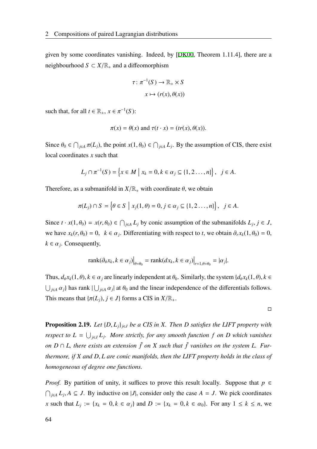given by some coordinates vanishing. Indeed, by [\[DK00](#page-116-1), Theorem 1.11.4], there are a neighbourhood  $S \subset X/\mathbb{R}_+$  and a diffeomorphism

$$
\tau \colon \pi^{-1}(S) \to \mathbb{R}_+ \times S
$$

$$
x \mapsto (r(x), \theta(x))
$$

such that, for all  $t \in \mathbb{R}_+$ ,  $x \in \pi^{-1}(S)$ :

$$
\pi(x) = \theta(x) \text{ and } \tau(t \cdot x) = (tr(x), \theta(x)).
$$

Since  $\theta_0 \in \bigcap_{j \in A} \pi(L_j)$ , the point  $x(1, \theta_0) \in \bigcap_{j \in A} L_j$ . By the assumption of CIS, there exist local coordinates *x* such that

$$
L_j \cap \pi^{-1}(S) = \left\{ x \in M \mid x_k = 0, k \in \alpha_j \subseteq \{1, 2 \dots, n\} \right\}, \ \ j \in A.
$$

Therefore, as a submanifold in  $X/\mathbb{R}_+$  with coordinate  $\theta$ , we obtain

$$
\pi(L_j) \cap S = \left\{ \theta \in S \mid x_j(1, \theta) = 0, j \in \alpha_j \subseteq \{1, 2 \dots, n\} \right\}, \quad j \in A.
$$

Since  $t \cdot x(1, \theta_0) = x(r, \theta_0) \in \bigcap_{j \in A} L_j$  by conic assumption of the submanifolds  $L_j, j \in J$ , we have  $x_k(r, \theta_0) = 0$ ,  $k \in \alpha_j$ . Differentiating with respect to *t*, we obtain  $\partial_r x_k(1, \theta_0) = 0$ ,  $k \in \alpha_j$ . Consequently,

$$
\operatorname{rank}(\partial_{\theta} x_k, k \in \alpha_j)|_{\theta = \theta_0} = \operatorname{rank}(dx_k, k \in \alpha_j)|_{r=1, \theta = \theta_0} = |\alpha_j|.
$$

Thus,  $d_{\theta}x_k(1, \theta)$ ,  $k \in \alpha_j$  are linearly independent at  $\theta_0$ . Similarly, the system  $\{d_{\theta}x_k(1, \theta), k \in \mathbb{Z}\}$  $\bigcup_{j\in A} \alpha_j$ } has rank  $\bigcup_{j\in A} \alpha_j$  at  $\theta_0$  and the linear independence of the differentials follows. This means that  $\{\pi(L_i), j \in J\}$  forms a CIS in  $X/\mathbb{R}_+$ .

 $\Box$ 

**Proposition 2.19.** *Let*  $\{D, L_i\}_{i \in J}$  *be a CIS in X. Then D satisfies the LIFT property with respect to*  $L = \bigcup_{j \in J} L_j$ . More strictly, for any smooth function f on D which vanishes *on D* ∩ *L*, there exists an extension  $\tilde{f}$  on X such that  $\tilde{f}$  vanishes on the system L. Fur*thermore, if X and D*, *L are conic manifolds, then the LIFT property holds in the class of homogeneous of degree one functions.*

*Proof.* By partition of unity, it suffices to prove this result locally. Suppose that  $p \in$  $∩_{j∈A} L_j$ ,  $A ⊆ J$ . By inductive on |*J*|, consider only the case  $A = J$ . We pick coordinates *x* such that  $L_j := \{x_k = 0, k \in \alpha_j\}$  and  $D := \{x_k = 0, k \in \alpha_0\}$ . For any  $1 \le k \le n$ , we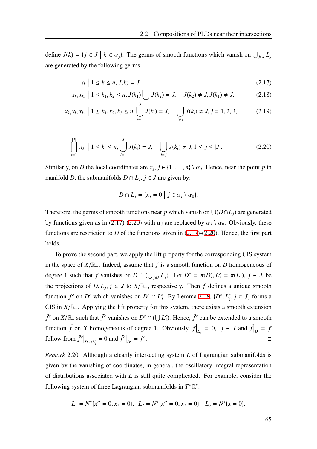define  $J(k) = \{j \in J \mid k \in \alpha_j\}$ . The germs of smooth functions which vanish on  $\bigcup_{j \in J} L_j$ are generated by the following germs

<span id="page-72-0"></span>
$$
x_k \mid 1 \le k \le n, J(k) = J,\tag{2.17}
$$

$$
x_{k_1}x_{k_2} \mid 1 \le k_1, k_2 \le n, J(k_1) \bigcup J(k_2) = J, \quad J(k_2) \ne J, J(k_1) \ne J,
$$
 (2.18)

$$
x_{k_1}x_{k_2}x_{k_3} \mid 1 \le k_1, k_2, k_3 \le n, \bigcup_{i=1}^3 J(k_i) = J, \quad \bigcup_{i \ne j} J(k_i) \ne J, j = 1, 2, 3,
$$
 (2.19)

$$
\prod_{i=1}^{|J|} x_{k_i} \mid 1 \le k_i \le n, \bigcup_{i=1}^{|J|} J(k_i) = J, \quad \bigcup_{i \ne j} J(k_i) \ne J, 1 \le j \le |J|.
$$
 (2.20)

Similarly, on *D* the local coordinates are  $x_j$ ,  $j \in \{1, ..., n\} \setminus \alpha_0$ . Hence, near the point *p* in manifold *D*, the submanifolds  $D \cap L_j$ ,  $j \in J$  are given by:

<span id="page-72-1"></span>
$$
D \cap L_j = \{x_j = 0 \mid j \in \alpha_j \setminus \alpha_0\}.
$$

Therefore, the germs of smooth functions near *p* which vanish on  $\bigcup (D \cap L_j)$  are generated by functions given as in ([2.17\)](#page-72-0)-([2.20\)](#page-72-1) with  $\alpha_i$  are replaced by  $\alpha_i \setminus \alpha_0$ . Obviously, these functions are restriction to *D* of the functions given in ([2.17\)](#page-72-0)-[\(2.20](#page-72-1)). Hence, the first part holds.

To prove the second part, we apply the lift property for the corresponding CIS system in the space of  $X/\mathbb{R}_+$ . Indeed, assume that f is a smooth function on D homogeneous of degree 1 such that *f* vanishes on  $D \cap (\bigcup_{j \in J} L_j)$ . Let  $D^c = \pi(D), L_j^c = \pi(L_j), j \in J$ , be the projections of  $D, L_j, j \in J$  to  $X/\mathbb{R}_+$ , respectively. Then f defines a unique smooth function  $f^c$  on  $D^c$  which vanishes on  $D^c \cap L_j^c$ . By Lemma [2.18,](#page-70-0)  $\{D^c, L_j^c, j \in J\}$  forms a CIS in  $X/\mathbb{R}_+$ . Applying the lift property for this system, there exists a smooth extension  $\tilde{f}^c$  on  $X/\mathbb{R}_+$  such that  $\tilde{f}^c$  vanishes on  $D^c \cap (\bigcup L_j^c)$ . Hence,  $\tilde{f}^c$  can be extended to a smooth function  $\tilde{f}$  on *X* homogeneous of degree 1. Obviously,  $\tilde{f}|_{L_j} = 0$ ,  $j \in J$  and  $\tilde{f}|_{D} = f$ follow from  $\tilde{f}^c\big|_{D^c \cap L_j^c} = 0$  and  $\tilde{f}^c\big|_{D^c} = f^c$ . The contract of the contract of the contract of the contract of the contract of the contract of the contract of the contract of the contract of the contract of the contract of the contract of the contract of the contract

*Remark* 2.20*.* Although a cleanly intersecting system *L* of Lagrangian submanifolds is given by the vanishing of coordinates, in general, the oscillatory integral representation of distributions associated with *L* is still quite complicated. For example, consider the following system of three Lagrangian submanifolds in  $T^*\mathbb{R}^n$ :

$$
L_1 = N^* \{x'' = 0, x_1 = 0\}, \quad L_2 = N^* \{x'' = 0, x_2 = 0\}, \quad L_3 = N^* \{x = 0\},
$$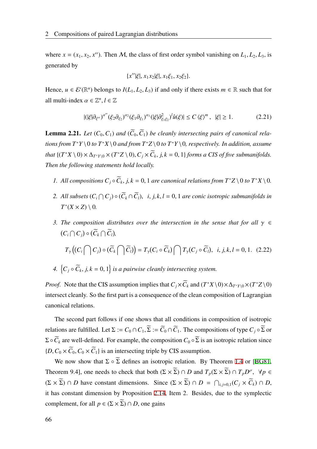where  $x = (x_1, x_2, x')$ . Then M, the class of first order symbol vanishing on  $L_1, L_2, L_3$ , is generated by

$$
\{x''|\xi|, x_1x_2|\xi|, x_1\xi_1, x_2\xi_2\}.
$$

Hence,  $u \in \mathcal{E}'(\mathbb{R}^n)$  belongs to  $I(L_1, L_2, L_3)$  if and only if there exists  $m \in \mathbb{R}$  such that for all multi-index  $\alpha \in \mathbb{Z}^n, l \in \mathbb{Z}$ 

$$
|(|\xi|\partial_{\xi''})^{\alpha''}(\xi_2\partial_{\xi_2})^{\alpha_2}(\xi_1\partial_{\xi_1})^{\alpha_1}(|\xi|\partial_{\xi_1\xi_2}^2)^l\hat{u}(\xi)| \le C\left\langle \xi \right\rangle^m, \ |\xi| \ge 1. \tag{2.21}
$$

<span id="page-73-0"></span>**Lemma 2.21.** Let  $(C_0, C_1)$  and  $(\widetilde{C}_0, \widetilde{C}_1)$  be cleanly intersecting pairs of canonical rela*tions from T*<sup>\*</sup>*Y* \ 0 *to*  $T$ <sup>\*</sup>*X* \ 0 *and from*  $T$ <sup>\*</sup>*Z* \ 0 *to*  $T$ <sup>\*</sup>*Y* \ 0*, respectively. In addition, assume that*  $\{(T^*X \setminus 0) \times \Delta_{T^*Y \setminus 0} \times (T^*Z \setminus 0), C_j \times \widetilde{C}_k, j, k = 0, 1\}$  *forms a CIS of five submanifolds. Then the following statements hold locally.*

- *1. All compositions*  $C_j \circ \widetilde{C}_k$ ,  $j, k = 0, 1$  *are canonical relations from*  $T^*Z \setminus 0$  *to*  $T^*X \setminus 0$ *.*
- 2. All subsets  $(C_i \cap C_j) \circ (C_k \cap C_l)$ , *i*, *j*, *k*, *l* = 0, 1 *are conic isotropic submanifolds in*  $T^*(X \times Z) \setminus 0$ .
- *3. The composition distributes over the intersection in the sense that for all*  $\gamma \in$  $(C_i \cap C_j) \circ (C_k \cap C_l)$

$$
T_{\gamma}\big((C_i \bigcap C_j) \circ (\widetilde{C}_k \bigcap \widetilde{C}_l)\big) = T_{\gamma}(C_i \circ \widetilde{C}_k) \bigcap T_{\gamma}(C_j \circ \widetilde{C}_l), \ \ i, j, k, l = 0, 1. \ \ (2.22)
$$

4. 
$$
\{C_j \circ \widetilde{C}_k, j, k = 0, 1\}
$$
 is a pairwise clearly intersecting system.

*Proof.* Note that the CIS assumption implies that  $C_j \times \widetilde{C}_k$  and  $(T^*X \setminus 0) \times \Delta_{T^*Y \setminus 0} \times (T^*Z \setminus 0)$ intersect cleanly. So the first part is a consequence of the clean composition of Lagrangian canonical relations.

The second part follows if one shows that all conditions in composition of isotropic relations are fulfilled. Let  $\Sigma := C_0 \cap C_1$ ,  $\widetilde{\Sigma} := \widetilde{C_0} \cap \widetilde{C_1}$ . The compositions of type  $C_i \circ \widetilde{\Sigma}$  or  $\Sigma \circ \widetilde{C}_k$  are well-defined. For example, the composition  $C_0 \circ \widetilde{\Sigma}$  is an isotropic relation since  ${D, C_0 \times \widetilde{C}_0, C_0 \times \widetilde{C}_1}$  is an intersecting triple by CIS assumption.

We now show that  $\Sigma \circ \widetilde{\Sigma}$  defines an isotropic relation. By Theorem [1.4](#page-18-0) or [[BG81](#page-116-0), Theorem 9.4], one needs to check that both  $(\Sigma \times \overline{\Sigma}) \cap D$  and  $T_p(\Sigma \times \overline{\Sigma}) \cap T_pD^{\sigma}$ ,  $\forall p \in$  $(\Sigma \times \Sigma) \cap D$  have constant dimensions. Since  $(\Sigma \times \Sigma) \cap D = \bigcap_{i,j=0,1} (C_j \times C_k) \cap D$ , it has constant dimension by Proposition [2.14](#page-69-0), Item 2. Besides, due to the symplectic complement, for all  $p \in (\Sigma \times \overline{\Sigma}) \cap D$ , one gains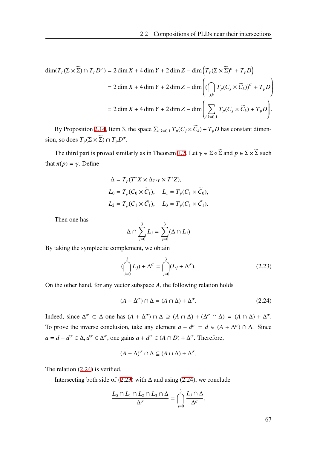$$
\dim(T_p(\Sigma \times \widetilde{\Sigma}) \cap T_p D^{\sigma}) = 2 \dim X + 4 \dim Y + 2 \dim Z - \dim \left( T_p(\Sigma \times \widetilde{\Sigma})^{\sigma} + T_p D \right)
$$
  
= 2 \dim X + 4 \dim Y + 2 \dim Z - \dim \left( \bigcap\_{j,k} T\_p(C\_j \times \widetilde{C}\_k)^{\sigma} + T\_p D \right)  
= 2 \dim X + 4 \dim Y + 2 \dim Z - \dim \left( \sum\_{i,k=0,1} T\_p(C\_j \times \widetilde{C}\_k) + T\_p D \right).

By Proposition [2.14](#page-69-0), Item 3, the space  $\sum_{i,k=0,1} T_p(C_j \times \tilde{C}_k) + T_pD$  has constant dimension, so does  $T_p(\Sigma \times \Sigma) \cap T_pD^{\sigma}$ .

The third part is proved similarly as in Theorem [1.7](#page-19-0). Let  $\gamma \in \Sigma \circ \widetilde{\Sigma}$  and  $p \in \Sigma \times \widetilde{\Sigma}$  such that  $\pi(p) = \gamma$ . Define

$$
\Delta = T_p(T^*X \times \Delta_{T^*Y} \times T^*Z),
$$
  
\n
$$
L_0 = T_p(C_0 \times \widetilde{C}_1), \quad L_1 = T_p(C_1 \times \widetilde{C}_0),
$$
  
\n
$$
L_2 = T_p(C_1 \times \widetilde{C}_1), \quad L_3 = T_p(C_1 \times \widetilde{C}_1).
$$

Then one has

$$
\Delta \cap \sum_{j=0}^3 L_j = \sum_{j=0}^3 (\Delta \cap L_j)
$$

By taking the symplectic complement, we obtain

<span id="page-74-1"></span>
$$
(\bigcap_{j=0}^{3} L_j) + \Delta^{\sigma} = \bigcap_{j=0}^{3} (L_j + \Delta^{\sigma}).
$$
\n(2.23)

On the other hand, for any vector subspace *A*, the following relation holds

<span id="page-74-0"></span>
$$
(A + \Delta^{\sigma}) \cap \Delta = (A \cap \Delta) + \Delta^{\sigma}.
$$
 (2.24)

Indeed, since  $\Delta^{\sigma} \subset \Delta$  one has  $(A + \Delta^{\sigma}) \cap \Delta \supseteq (A \cap \Delta) + (\Delta^{\sigma} \cap \Delta) = (A \cap \Delta) + \Delta^{\sigma}$ . To prove the inverse conclusion, take any element  $a + d^{\sigma} = d \in (A + \Delta^{\sigma}) \cap \Delta$ . Since  $a = d - d^{\sigma} \in \Delta$ ,  $d^{\sigma} \in \Delta^{\sigma}$ , one gains  $a + d^{\sigma} \in (A \cap D) + \Delta^{\sigma}$ . Therefore,

$$
(A + \Delta)^{\sigma} \cap \Delta \subseteq (A \cap \Delta) + \Delta^{\sigma}.
$$

The relation [\(2.24](#page-74-0)) is verified.

Intersecting both side of [\(2.23\)](#page-74-1) with  $\Delta$  and using ([2.24\)](#page-74-0), we conclude

$$
\frac{L_0 \cap L_1 \cap L_2 \cap L_3 \cap \Delta}{\Delta^{\sigma}} = \bigcap_{j=0}^3 \frac{L_j \cap \Delta}{\Delta^{\sigma}}.
$$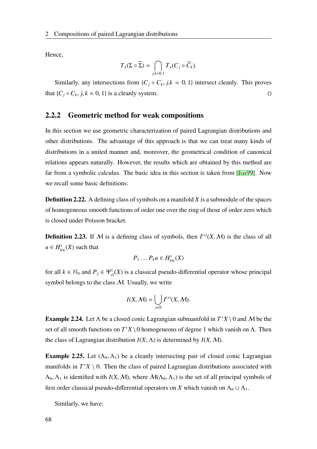Hence,

$$
T_{\gamma}(\Sigma \circ \widetilde{\Sigma}) = \bigcap_{j,k=0,1} T_{\gamma}(C_j \circ \widetilde{C}_k).
$$

Similarly, any intersections from  $\{C_j \circ C_k, j.k = 0, 1\}$  intersect cleanly. This proves that  $\{C_j \circ C_k, j, k = 0, 1\}$  is a cleanly system.

### 2.2.2 Geometric method for weak compositions

In this section we use geometric characterization of paired Lagrangian distributions and other distributions. The advantage of this approach is that we can treat many kinds of distributions in a united manner and, moreover, the geometrical condition of canonical relations appears naturally. However, the results which are obtained by this method are far from a symbolic calculus. The basic idea in this section is taken from [[Jos99](#page-117-0)]. Now we recall some basic definitions:

Definition 2.22. A defining class of symbols on a manifold *X* is a submodule of the spaces of homogeneous smooth functions of order one over the ring of those of order zero which is closed under Poisson bracket.

**Definition 2.23.** If M is a defining class of symbols, then  $I^{(s)}(X, M)$  is the class of all  $u \in H^{s}_{loc}(X)$  such that

$$
P_1 \ldots P_k u \in H^s_{\rm loc}(X)
$$

for all  $k \in \mathbb{N}_0$  and  $P_j \in \Psi^1_{cl}(X)$  is a classical pseudo-differential operator whose principal symbol belongs to the class  $M$ . Usually, we write

$$
I(X, \mathcal{M}) = \bigcup_{s \in \mathbb{R}} I^{(s)}(X, \mathcal{M}).
$$

**Example 2.24.** Let  $\Lambda$  be a closed conic Lagrangian submanifold in  $T^*X \setminus 0$  and M be the set of all smooth functions on  $T^*X \setminus 0$  homogeneous of degree 1 which vanish on  $\Lambda$ . Then the class of Lagrangian distribution  $I(X; \Lambda)$  is determined by  $I(X, \mathcal{M})$ .

**Example 2.25.** Let  $(\Lambda_0, \Lambda_1)$  be a cleanly intersecting pair of closed conic Lagrangian manifolds in  $T^*X \setminus 0$ . Then the class of paired Lagrangian distributions associated with  $\Lambda_0$ ,  $\Lambda_1$  is identified with  $I(X, M)$ , where  $M(\Lambda_0, \Lambda_1)$  is the set of all principal symbols of first order classical pseudo-differential operators on *X* which vanish on  $\Lambda_0 \cup \Lambda_1$ .

Similarly, we have: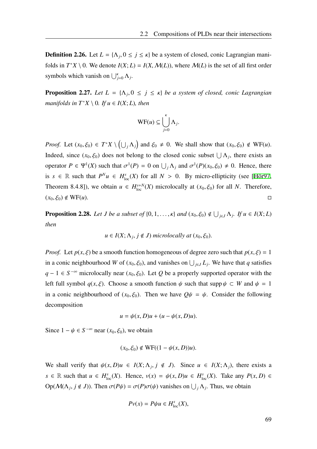**Definition 2.26.** Let  $L = \{ \Lambda_j, 0 \le j \le \kappa \}$  be a system of closed, conic Lagrangian manifolds in  $T^*X \setminus 0$ . We denote  $I(X; L) = I(X, \mathcal{M}(L))$ , where  $\mathcal{M}(L)$  is the set of all first order symbols which vanish on  $\bigcup_{j=0}^{k} \Lambda_j$ .

**Proposition 2.27.** Let  $L = \{ \Lambda_j, 0 \leq j \leq \kappa \}$  be a system of closed, conic Lagrangian *manifolds in*  $T^*X \setminus 0$ *. If*  $u \in I(X; L)$ *, then* 

$$
\mathrm{WF}(u) \subseteq \bigcup_{j=0}^{\kappa} \Lambda_j.
$$

*Proof.* Let  $(x_0, \xi_0) \in T^*X \setminus (\bigcup_j \Lambda_j)$  and  $\xi_0 \neq 0$ . We shall show that  $(x_0, \xi_0) \notin WF(u)$ . Indeed, since  $(x_0, \xi_0)$  does not belong to the closed conic subset  $\bigcup \Lambda_j$ , there exists an operator  $P \in \Psi^1(X)$  such that  $\sigma^1(P) = 0$  on  $\bigcup_j \Lambda_j$  and  $\sigma^1(P)(x_0, \xi_0) \neq 0$ . Hence, there is  $s \in \mathbb{R}$  such that  $P^N u \in H_{loc}^s(X)$  for all  $N > 0$ . By micro-ellipticity (see [[Hör97](#page-117-1), Theorem 8.4.8]), we obtain  $u \in H^{s+N}_{loc}(X)$  microlocally at  $(x_0, \xi_0)$  for all *N*. Therefore,  $(x_0, \xi_0) \notin \text{WF}(u).$ 

**Proposition 2.28.** Let J be a subset of  $\{0, 1, \ldots, \kappa\}$  and  $(x_0, \xi_0) \notin \bigcup_{j \in J} \Lambda_j$ . If  $u \in I(X; L)$ *then*

$$
u \in I(X; \Lambda_j, j \notin J)
$$
 microlocally at  $(x_0, \xi_0)$ .

*Proof.* Let  $p(x, \xi)$  be a smooth function homogeneous of degree zero such that  $p(x, \xi) = 1$ in a conic neighbourhood *W* of  $(x_0, \xi_0)$ , and vanishes on  $\bigcup_{j \in J} L_j$ . We have that *q* satisfies *q* − 1 ∈ *S*<sup> $-\infty$ </sup> microlocally near  $(x_0, \xi_0)$ . Let *Q* be a properly supported operator with the left full symbol  $q(x, \xi)$ . Choose a smooth function  $\psi$  such that supp  $\psi \subset W$  and  $\psi = 1$ in a conic neighbourhood of  $(x_0, \xi_0)$ . Then we have  $Q\psi = \psi$ . Consider the following decomposition

$$
u = \psi(x, D)u + (u - \psi(x, D)u).
$$

Since  $1 - \psi \in S^{-\infty}$  near  $(x_0, \xi_0)$ , we obtain

$$
(x_0, \xi_0) \notin \text{WF}((1 - \psi(x, D))u).
$$

We shall verify that  $\psi(x, D)u \in I(X; \Lambda_j, j \notin J)$ . Since  $u \in I(X; \Lambda_j)$ , there exists a  $s \in \mathbb{R}$  such that  $u \in H_{loc}^{s}(X)$ . Hence,  $v(x) = \psi(x, D)u \in H_{loc}^{s}(X)$ . Take any  $P(x, D) \in$ Op( $M(\Lambda_j, j \notin J)$ ). Then  $\sigma(P\psi) = \sigma(P)\sigma(\psi)$  vanishes on  $\bigcup_j \Lambda_j$ . Thus, we obtain

$$
Pv(x) = P\psi u \in H_{\text{loc}}^{s}(X),
$$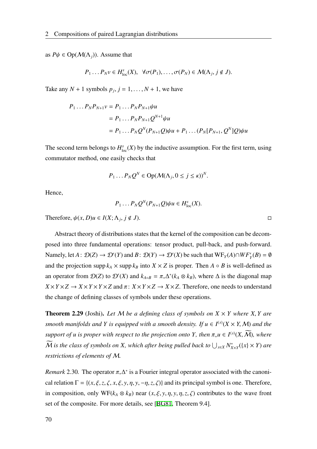as  $P\psi \in \text{Op}(\mathcal{M}(\Lambda_i))$ . Assume that

$$
P_1 \dots P_N v \in H^s_{loc}(X), \ \ \forall \sigma(P_1), \dots, \sigma(P_N) \in \mathcal{M}(\Lambda_j, j \notin J).
$$

Take any  $N + 1$  symbols  $p_j$ ,  $j = 1, ..., N + 1$ , we have

$$
P_1 \dots P_N P_{N+1} v = P_1 \dots P_N P_{N+1} \psi u
$$
  
=  $P_1 \dots P_N P_{N+1} Q^{N+1} \psi u$   
=  $P_1 \dots P_N Q^N (P_{N+1} Q) \psi u + P_1 \dots (P_N [P_{N+1}, Q^N] Q) \psi u$ 

The second term belongs to  $H_{\text{loc}}^{s}(X)$  by the inductive assumption. For the first term, using commutator method, one easily checks that

$$
P_1 \dots P_N Q^N \in \text{Op}(\mathcal{M}(\Lambda_j, 0 \le j \le \kappa))^N.
$$

Hence,

$$
P_1 \ldots P_N Q^N (P_{N+1} Q) \psi u \in H^s_{loc}(X).
$$

Therefore,  $\psi(x, D)u \in I(X; \Lambda_j, j \notin J)$ .

Abstract theory of distributions states that the kernel of the composition can be decomposed into three fundamental operations: tensor product, pull-back, and push-forward. Namely, let  $A: \mathcal{D}(Z) \to \mathcal{D}'(Y)$  and  $B: \mathcal{D}(Y) \to \mathcal{D}'(X)$  be such that  $WF_Y(A) \cap WF_Y'(B) = \emptyset$ and the projection supp  $k_A \times$  supp  $k_B$  into  $X \times Z$  is proper. Then  $A \circ B$  is well-defined as an operator from  $\mathcal{D}(Z)$  to  $\mathcal{D}'(X)$  and  $k_{A \circ B} = \pi_* \Delta^*(k_A \otimes k_B)$ , where  $\Delta$  is the diagonal map  $X \times Y \times Z \rightarrow X \times Y \times Y \times Z$  and  $\pi: X \times Y \times Z \rightarrow X \times Z$ . Therefore, one needs to understand the change of defining classes of symbols under these operations.

**Theorem 2.29** (Joshi). Let M be a defining class of symbols on  $X \times Y$  where X, Y are *smooth manifolds and Y is equipped with a smooth density. If*  $u \in I^{(s)}(X \times Y, M)$  *and the support of u is proper with respect to the projection onto Y, then*  $\pi$ <sub>∗</sub>*u* ∈ *I*<sup>(*s*)</sup>(*X, M*)*, where*  $\widetilde{M}$  is the class of symbols on X, which after being pulled back to  $\bigcup_{x\in X} N^*_{X\times Y}(\lbrace x\rbrace \times Y)$  are *restrictions of elements of* M*.*

*Remark* 2.30. The operator  $\pi_* \Delta^*$  is a Fourier integral operator associated with the canonical relation  $\Gamma = \{(x, \xi, z, \zeta, x, \xi, y, \eta, y, -\eta, z, \zeta)\}\$  and its principal symbol is one. Therefore, in composition, only  $WF(k_A \otimes k_B)$  near  $(x, \xi, y, \eta, y, \eta, z, \zeta)$  contributes to the wave front set of the composite. For more details, see [\[BG81,](#page-116-0) Theorem 9.4].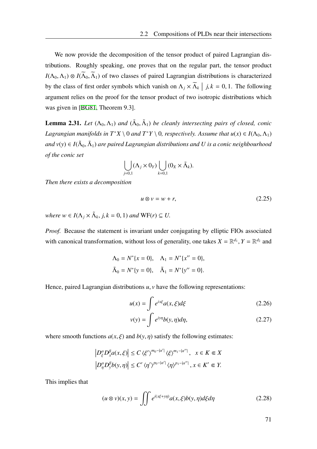We now provide the decomposition of the tensor product of paired Lagrangian distributions. Roughly speaking, one proves that on the regular part, the tensor product  $I(\Lambda_0, \Lambda_1) \otimes I(\widetilde{\Lambda}_0, \widetilde{\Lambda}_1)$  of two classes of paired Lagrangian distributions is characterized by the class of first order symbols which vanish on  $\Lambda_j \times \overline{\Lambda}_k \mid j, k = 0, 1$ . The following argument relies on the proof for the tensor product of two isotropic distributions which was given in [[BG81](#page-116-0), Theorem 9.3].

**Lemma 2.31.** Let  $(\Lambda_0, \Lambda_1)$  and  $(\tilde{\Lambda}_0, \tilde{\Lambda}_1)$  be cleanly intersecting pairs of closed, conic *Lagrangian manifolds in*  $T^*X \setminus 0$  *and*  $T^*Y \setminus 0$ *, respectively. Assume that*  $u(x) \in I(\Lambda_0, \Lambda_1)$ and v(y)  $\in I(\tilde{\Lambda}_0,\tilde{\Lambda}_1)$  are paired Lagrangian distributions and  $U$  is a conic neighbourhood *of the conic set*

$$
\bigcup_{j=0,1} (\Lambda_j \times 0_Y) \bigcup_{k=0,1} (0_X \times \tilde{\Lambda}_k).
$$

*Then there exists a decomposition*

$$
u \otimes v = w + r,\tag{2.25}
$$

 $where w \in I(\Lambda_j \times \tilde{\Lambda}_k, j, k = 0, 1)$  *and*  $WF(r) \subseteq U$ .

*Proof.* Because the statement is invariant under conjugating by elliptic FIOs associated with canonical transformation, without loss of generality, one takes  $X = \mathbb{R}^{d_1}$ ,  $Y = \mathbb{R}^{d_2}$  and

$$
\Lambda_0 = N^* \{x = 0\}, \quad \Lambda_1 = N^* \{x'' = 0\},
$$
  

$$
\tilde{\Lambda}_0 = N^* \{y = 0\}, \quad \tilde{\Lambda}_1 = N^* \{y'' = 0\}.
$$

Hence, paired Lagrangian distributions *u*, *v* have the following representations:

$$
u(x) = \int e^{ix\xi} a(x, \xi) d\xi
$$
 (2.26)  

$$
v(y) = \int e^{iy\eta} b(y, \eta) d\eta,
$$
 (2.27)

where smooth functions  $a(x, \xi)$  and  $b(y, \eta)$  satisfy the following estimates:

$$
\left|D_{\xi}^{\alpha}D_{x}^{\beta}a(x,\xi)\right| \leq C\left\langle\xi'\right\rangle^{m_{0}-|\alpha'|}\left\langle\xi\right\rangle^{m_{1}-|\alpha''|}, \quad x \in K \Subset X
$$
  

$$
\left|D_{\eta}^{\alpha}D_{y}^{\beta}b(y,\eta)\right| \leq C'\left\langle\eta'\right\rangle^{p_{0}-|\alpha'|}\left\langle\eta\right\rangle^{p_{1}-|\alpha''|}, x \in K' \Subset Y.
$$

This implies that

$$
(u \otimes v)(x, y) = \iint e^{i(x\xi + y\eta)} a(x, \xi) b(y, \eta) d\xi d\eta
$$
 (2.28)

71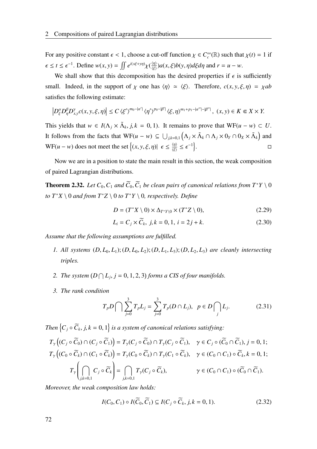For any positive constant  $\epsilon < 1$ , choose a cut-off function  $\chi \in C_c^{\infty}(\mathbb{R})$  such that  $\chi(t) = 1$  if  $\epsilon \leq t \leq \epsilon^{-1}$ . Define  $w(x, y) = \iint e^{i(x\xi + y\eta)} \chi(\frac{\langle \eta \rangle}{\langle \epsilon \rangle})$  $\frac{\langle η \rangle}{\langle ξ \rangle}$ )*a*(*x*, *ξ*)*b*(*y*, *η*)*dξdη* and *r* = *u* − *w*.

We shall show that this decomposition has the desired properties if  $\epsilon$  is sufficiently small. Indeed, in the support of  $\chi$  one has  $\langle \eta \rangle \simeq \langle \xi \rangle$ . Therefore,  $c(x, y, \xi, \eta) = \chi ab$ satisfies the following estimate:

$$
\left|D^{\alpha}_{\xi}D^{\beta}_{\eta}D^{\gamma}_{x,y}c(x,y,\xi,\eta)\right|\leq C\left\langle\xi'\right\rangle^{m_0-|\alpha'|}\left\langle\eta'\right\rangle^{p_0-|\beta'|}\left\langle\xi,\eta\right\rangle^{m_1+p_1-|\alpha''|-|\beta''|},\ (x,y)\in K\Subset X\times Y.
$$

This yields that  $w \in I(\Lambda_j \times \tilde{\Lambda}_k, j, k = 0, 1)$ . It remains to prove that  $WF(u - w) \subset U$ . It follows from the facts that  $WF(u - w) \subseteq \bigcup_{j,k=0,1} (\Lambda_j \times \tilde{\Lambda}_k \cap \Lambda_j \times 0_Y \cap 0_X \times \tilde{\Lambda}_k)$  and  $WF(u - w)$  does not meet the set  $\{(x, y, \xi, \eta) | \epsilon \leq \frac{\langle \eta \rangle}{\langle \epsilon \rangle}$  $\left\langle \frac{\eta}{\langle \xi \rangle} \leq \epsilon^{-1} \right\rangle$ . — Первый процесс в серверності процесі продавання процесі продавання продавання продавання продавання продав<br>Продавання продавання продавання продавання продавання продавання продавання продавання продавання продавання

Now we are in a position to state the main result in this section, the weak composition of paired Lagrangian distributions.

<span id="page-79-1"></span>**Theorem 2.32.** *Let*  $C_0$ ,  $C_1$  *and*  $\widetilde{C}_0$ ,  $\widetilde{C}_1$  *be clean pairs of canonical relations from*  $T^*Y \setminus 0$ *to*  $T^*X \setminus 0$  *and from*  $T^*Z \setminus 0$  *to*  $T^*Y \setminus 0$ *, respectively. Define* 

$$
D = (T^*X \setminus 0) \times \Delta_{T^*Y \setminus 0} \times (T^*Z \setminus 0), \tag{2.29}
$$

$$
L_i = C_j \times C_k, \ j, k = 0, 1, \ i = 2j + k. \tag{2.30}
$$

*Assume that the following assumptions are fulfilled.*

- *1. All systems* (*D*, *L*0, *L*1); (*D*, *L*0, *L*2); (*D*, *L*1, *L*3); (*D*, *L*2, *L*3) *are cleanly intersecting triples.*
- 2. *The system*  $(D \cap L_j, j = 0, 1, 2, 3)$  *forms a CIS of four manifolds.*
- *3. The rank condition*

<span id="page-79-0"></span>
$$
T_p D \bigcap \sum_{j=0}^3 T_p L_j = \sum_{j=0}^3 T_p (D \cap L_j), \ \ p \in D \bigcap_j L_j. \tag{2.31}
$$

*Then*  $\left\{C_j \circ \widetilde{C}_k, j, k = 0, 1\right\}$  *is a system of canonical relations satisfying:* 

$$
T_{\gamma} \left( (C_j \circ \widetilde{C}_0) \cap (C_j \circ \widetilde{C}_1) \right) = T_{\gamma} (C_j \circ \widetilde{C}_0) \cap T_{\gamma} (C_j \circ \widetilde{C}_1), \quad \gamma \in C_j \circ (\widetilde{C}_0 \cap \widetilde{C}_1), j = 0, 1;
$$
  

$$
T_{\gamma} \left( (C_0 \circ \widetilde{C}_k) \cap (C_1 \circ \widetilde{C}_k) \right) = T_{\gamma} (C_0 \circ \widetilde{C}_k) \cap T_{\gamma} (C_1 \circ \widetilde{C}_k), \quad \gamma \in (C_0 \cap C_1) \circ \widetilde{C}_k, k = 0, 1;
$$
  

$$
T_{\gamma} \left( \bigcap_{j,k=0,1} C_j \circ \widetilde{C}_k \right) = \bigcap_{j,k=0,1} T_{\gamma} (C_j \circ \widetilde{C}_k), \qquad \gamma \in (C_0 \cap C_1) \circ (\widetilde{C}_0 \cap \widetilde{C}_1).
$$

*Moreover, the weak composition law holds:*

$$
I(C_0, C_1) \circ I(\widetilde{C}_0, \widetilde{C}_1) \subseteq I(C_j \circ \widetilde{C}_k, j, k = 0, 1).
$$
 (2.32)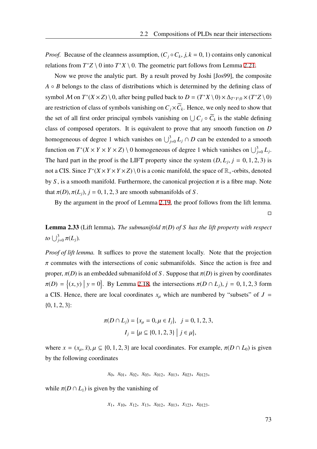*Proof.* Because of the cleanness assumption,  $(C_j \circ C_k, j, k = 0, 1)$  contains only canonical relations from  $T^*Z \setminus 0$  into  $T^*X \setminus 0$ . The geometric part follows from Lemma [2.21](#page-73-0).

Now we prove the analytic part. By a result proved by Joshi [Jos99], the composite  $A \circ B$  belongs to the class of distributions which is determined by the defining class of symbol M on  $T^*(X \times Z) \setminus 0$ , after being pulled back to  $D = (T^*X \setminus 0) \times \Delta_{T^*Y \setminus 0} \times (T^*Z \setminus 0)$ are restriction of class of symbols vanishing on  $C_j \times \tilde{C}_k$ . Hence, we only need to show that the set of all first order principal symbols vanishing on  $\bigcup C_j \circ C_k$  is the stable defining class of composed operators. It is equivalent to prove that any smooth function on *D* homogeneous of degree 1 which vanishes on  $\bigcup_{j=0}^{3} L_j \cap D$  can be extended to a smooth function on  $T^*(X \times Y \times Z) \setminus 0$  homogeneous of degree 1 which vanishes on  $\bigcup_{j=0}^3 L_j$ . The hard part in the proof is the LIFT property since the system  $(D, L_j, j = 0, 1, 2, 3)$  is not a CIS. Since  $T^*(X \times Y \times Y \times Z) \setminus 0$  is a conic manifold, the space of  $\mathbb{R}_+$ -orbits, denoted by *S*, is a smooth manifold. Furthermore, the canonical projection  $\pi$  is a fibre map. Note that  $\pi(D)$ ,  $\pi(L_i)$ ,  $j = 0, 1, 2, 3$  are smooth submanifolds of *S*.

By the argument in the proof of Lemma [2.19](#page-71-0), the proof follows from the lift lemma.  $\Box$ 

**Lemma 2.33** (Lift lemma). *The submanifold*  $π(D)$  *of S* has the lift property with respect *to*  $\bigcup_{j=0}^{3} \pi(L_j)$ *.* 

*Proof of lift lemma.* It suffices to prove the statement locally. Note that the projection  $\pi$  commutes with the intersections of conic submanifolds. Since the action is free and proper,  $\pi(D)$  is an embedded submanifold of *S*. Suppose that  $\pi(D)$  is given by coordinates  $\pi(D) = \{(x, y) | y = 0\}$ . By Lemma [2.18](#page-70-0), the intersections  $\pi(D \cap L_j)$ ,  $j = 0, 1, 2, 3$  form a CIS. Hence, there are local coordinates  $x<sub>u</sub>$  which are numbered by "subsets" of  $J =$  ${0, 1, 2, 3}$ :

$$
\pi(D \cap L_j) = \{x_{\mu} = 0, \mu \in I_j\}, \quad j = 0, 1, 2, 3,
$$

$$
I_j = \{\mu \subseteq \{0, 1, 2, 3\} \mid j \in \mu\},\
$$

where  $x = (x_\mu, \bar{x}), \mu \subseteq \{0, 1, 2, 3\}$  are local coordinates. For example,  $\pi(D \cap L_0)$  is given by the following coordinates

*x*0, *x*01, *x*02, *x*03, *x*012, *x*013, *x*023, *x*0123,

while  $\pi(D \cap L_1)$  is given by the vanishing of

*x*1, *x*10, *x*12, *x*13, *x*012, *x*013, *x*123, *x*0123.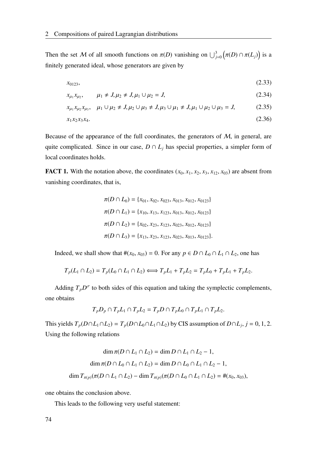Then the set M of all smooth functions on  $\pi(D)$  vanishing on  $\bigcup_{j=0}^{3} (\pi(D) \cap \pi(L_j))$  is a finitely generated ideal, whose generators are given by

$$
x_{0123}, \t\t(2.33)
$$

$$
x_{\mu_1} x_{\mu_2}, \qquad \mu_1 \neq J, \mu_2 \neq J, \mu_1 \cup \mu_2 = J,
$$
\n(2.34)

$$
x_{\mu_1} x_{\mu_2} x_{\mu_3}, \quad \mu_1 \cup \mu_2 \neq J, \mu_2 \cup \mu_3 \neq J, \mu_3 \cup \mu_1 \neq J, \mu_1 \cup \mu_2 \cup \mu_3 = J,
$$
 (2.35)

$$
x_1 x_2 x_3 x_4. \t\t(2.36)
$$

Because of the appearance of the full coordinates, the generators of  $M$ , in general, are quite complicated. Since in our case,  $D \cap L_j$  has special properties, a simpler form of local coordinates holds.

**FACT 1.** With the notation above, the coordinates  $(x_0, x_1, x_2, x_3, x_{12}, x_{03})$  are absent from vanishing coordinates, that is,

$$
\pi(D \cap L_0) = \{x_{01}, x_{02}, x_{023}, x_{013}, x_{012}, x_{0123}\}\
$$

$$
\pi(D \cap L_1) = \{x_{10}, x_{13}, x_{123}, x_{013}, x_{012}, x_{0123}\}\
$$

$$
\pi(D \cap L_2) = \{x_{02}, x_{23}, x_{123}, x_{023}, x_{012}, x_{0123}\}\
$$

$$
\pi(D \cap L_3) = \{x_{13}, x_{23}, x_{123}, x_{023}, x_{013}, x_{0123}\}.
$$

Indeed, we shall show that  $#(x_0, x_{03}) = 0$ . For any  $p \in D \cap L_0 \cap L_1 \cap L_2$ , one has

$$
T_p(L_1 \cap L_2) = T_p(L_0 \cap L_1 \cap L_2) \iff T_pL_1 + T_pL_2 = T_pL_0 + T_pL_1 + T_pL_2.
$$

Adding  $T_p D^{\sigma}$  to both sides of this equation and taking the symplectic complements, one obtains

$$
T_p D_p \cap T_p L_1 \cap T_p L_2 = T_p D \cap T_p L_0 \cap T_p L_1 \cap T_p L_2.
$$

This yields  $T_p(D \cap L_1 \cap L_2) = T_p(D \cap L_0 \cap L_1 \cap L_2)$  by CIS assumption of  $D \cap L_j$ ,  $j = 0, 1, 2$ . Using the following relations

$$
\dim \pi(D \cap L_1 \cap L_2) = \dim D \cap L_1 \cap L_2 - 1,
$$
  

$$
\dim \pi(D \cap L_0 \cap L_1 \cap L_2) = \dim D \cap L_0 \cap L_1 \cap L_2 - 1,
$$
  

$$
\dim T_{\pi(p)}(\pi(D \cap L_1 \cap L_2) - \dim T_{\pi(p)}(\pi(D \cap L_0 \cap L_1 \cap L_2) = \#(x_0, x_{03}),
$$

one obtains the conclusion above.

This leads to the following very useful statement: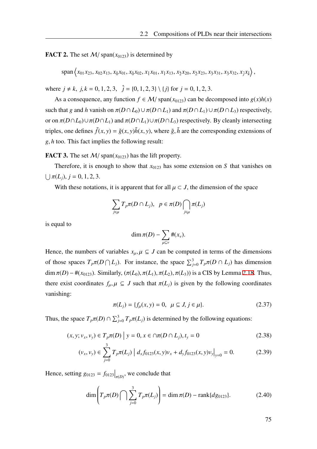**FACT 2.** The set  $M$ / span( $x_{0123}$ ) is determined by

 $\text{span}\left\langle x_{01}x_{23}, x_{02}x_{13}, x_0x_{01}, x_0x_{02}, x_1x_{01}, x_1x_{13}, x_2x_{20}, x_2x_{23}, x_3x_{31}, x_3x_{32}, x_jx_k\right\rangle,$ 

where  $j \neq k$ ,  $j, k = 0, 1, 2, 3$ ,  $\hat{j} = \{0, 1, 2, 3\} \setminus \{j\}$  for  $j = 0, 1, 2, 3$ .

As a consequence, any function  $f \in M$ / span( $x_{0123}$ ) can be decomposed into  $g(x)h(x)$ such that *g* and *h* vanish on  $\pi(D \cap L_0) \cup \pi(D \cap L_1)$  and  $\pi(D \cap L_1) \cup \pi(D \cap L_3)$  respectively, or on  $\pi(D \cap L_0) \cup \pi(D \cap L_1)$  and  $\pi(D \cap L_1) \cup \pi(D \cap L_3)$  respectively. By cleanly intersecting triples, one defines  $\tilde{f}(x, y) = \tilde{g}(x, y)\tilde{h}(x, y)$ , where  $\tilde{g}, \tilde{h}$  are the corresponding extensions of *g*, *h* too. This fact implies the following result:

**FACT 3.** The set  $M/\text{span}(x_{0123})$  has the lift property.

Therefore, it is enough to show that  $x_{0123}$  has some extension on *S* that vanishes on  $\bigcup \pi(L_j), j = 0, 1, 2, 3.$ 

With these notations, it is apparent that for all  $\mu \subset J$ , the dimension of the space

$$
\sum_{j\in\mu}T_p\pi(D\cap L_j),\ \ p\in\pi(D)\bigcap_{j\in\mu}\pi(L_j)
$$

is equal to

$$
\dim \pi(D) - \sum_{\mu \subseteq \nu} \#(x_{\nu}).
$$

Hence, the numbers of variables  $x_{\mu}, \mu \subseteq J$  can be computed in terms of the dimensions of those spaces  $T_p \pi(D \cap L_j)$ . For instance, the space  $\sum_{j=0}^{3} T_p \pi(D \cap L_j)$  has dimension dim  $\pi(D) - \#(x_{0123})$ . Similarly,  $(\pi(L_0), \pi(L_1), \pi(L_2), \pi(L_3))$  is a CIS by Lemma [2.18.](#page-70-0) Thus, there exist coordinates  $f_{\mu}, \mu \subseteq J$  such that  $\pi(L_i)$  is given by the following coordinates vanishing:

$$
\pi(L_j) = \{ f_\mu(x, y) = 0, \ \mu \subseteq J, j \in \mu \}. \tag{2.37}
$$

Thus, the space  $T_p \pi(D) \cap \sum_{j=0}^3 T_p \pi(L_j)$  is determined by the following equations:

$$
(x, y; v_x, v_y) \in T_p \pi(D) | y = 0, x \in \cap \pi(D \cap L_j), t_y = 0
$$
\n(2.38)

$$
(\nu_x, \nu_y) \in \sum_{j=0}^{3} T_p \pi(L_j) | d_x f_{0123}(x, y) \nu_x + d_y f_{0123}(x, y) \nu_y |_{y=0} = 0.
$$
 (2.39)

Hence, setting  $g_{0123} = f_{0123} \big|_{\pi(D)}$ , we conclude that

$$
\dim\left(T_p \pi(D)\bigcap \sum_{j=0}^3 T_p \pi(L_j)\right) = \dim \pi(D) - \text{rank}\{dg_{0123}\}.
$$
 (2.40)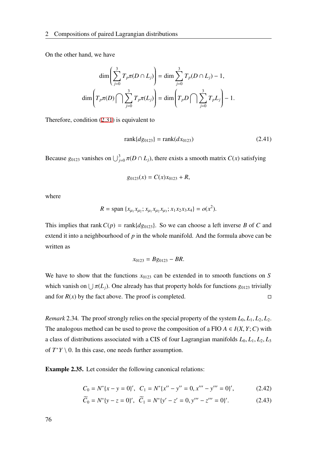On the other hand, we have

$$
\dim\left(\sum_{j=0}^{3} T_p \pi(D \cap L_j)\right) = \dim \sum_{j=0}^{3} T_p(D \cap L_j) - 1,
$$
  

$$
\dim\left(T_p \pi(D) \cap \sum_{j=0}^{3} T_p \pi(L_j)\right) = \dim\left(T_p D \cap \sum_{j=0}^{3} T_p L_j\right) - 1.
$$

Therefore, condition [\(2.31](#page-79-0)) is equivalent to

$$
rank\{dg_{0123}\} = rank(dx_{0123})
$$
\n(2.41)

Because  $g_{0123}$  vanishes on  $\bigcup_{j=0}^{3} \pi(D \cap L_j)$ , there exists a smooth matrix  $C(x)$  satisfying

$$
g_{0123}(x) = C(x)x_{0123} + R,
$$

where

$$
R = \text{span} \{x_{\mu_1} x_{\mu_2}; x_{\mu_1} x_{\mu_2} x_{\mu_3}; x_1 x_2 x_3 x_4\} = o(x^2).
$$

This implies that rank  $C(p) = \text{rank}\{dg_{0123}\}\$ . So we can choose a left inverse *B* of *C* and extend it into a neighbourhood of *p* in the whole manifold. And the formula above can be written as

$$
x_{0123} = Bg_{0123} - BR.
$$

We have to show that the functions  $x_{0123}$  can be extended in to smooth functions on *S* which vanish on  $\bigcup \pi(L_j)$ . One already has that property holds for functions  $g_{0123}$  trivially and for  $R(x)$  by the fact above. The proof is completed.  $\square$ 

*Remark* 2.34. The proof strongly relies on the special property of the system  $L_0$ ,  $L_1$ ,  $L_2$ ,  $L_2$ . The analogous method can be used to prove the composition of a FIO  $A \in I(X, Y; C)$  with a class of distributions associated with a CIS of four Lagrangian manifolds  $L_0, L_1, L_2, L_3$ of  $T^*Y \setminus 0$ . In this case, one needs further assumption.

<span id="page-83-0"></span>Example 2.35. Let consider the following canonical relations:

$$
C_0 = N^* \{x - y = 0\}', \quad C_1 = N^* \{x'' - y'' = 0, x''' - y''' = 0\}',\tag{2.42}
$$

$$
\widetilde{C}_0 = N^* \{ y - z = 0 \}', \quad \widetilde{C}_1 = N^* \{ y' - z' = 0, y''' - z''' = 0 \}'. \tag{2.43}
$$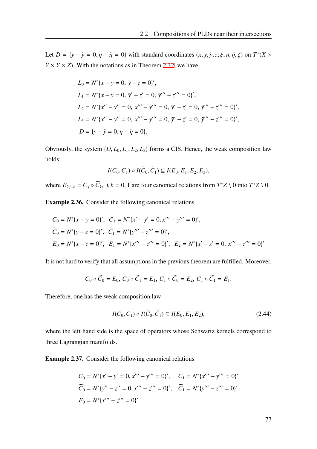Let  $D = \{y - \tilde{y} = 0, \eta - \tilde{\eta} = 0\}$  with standard coordinates  $(x, y, \tilde{y}, z; \xi, \eta, \tilde{\eta}, \zeta)$  on  $T^*(X \times$  $Y \times Y \times Z$ ). With the notations as in Theorem [2.32](#page-79-1), we have

$$
L_0 = N^* \{x - y = 0, \, \tilde{y} - z = 0\}',
$$
  
\n
$$
L_1 = N^* \{x - y = 0, \, \tilde{y}' - z' = 0, \, \tilde{y}''' - z''' = 0\}',
$$
  
\n
$$
L_2 = N^* \{x'' - y'' = 0, \, x''' - y''' = 0, \, \tilde{y}' - z' = 0, \, \tilde{y}''' - z''' = 0\}',
$$
  
\n
$$
L_3 = N^* \{x'' - y'' = 0, \, x''' - y''' = 0, \, \tilde{y}' - z' = 0, \, \tilde{y}''' - z''' = 0\}',
$$
  
\n
$$
D = \{y - \tilde{y} = 0, \eta - \tilde{\eta} = 0\}.
$$

Obviously, the system  $\{D, L_0, L_1, L_2, L_3\}$  forms a CIS. Hence, the weak composition law holds:

$$
I(C_0, C_1) \circ I(\widetilde{C}_0, \widetilde{C}_1) \subseteq I(E_0, E_1, E_2, E_3),
$$

where  $E_{2j+k} = C_j \circ \widetilde{C}_k$ ,  $j, k = 0, 1$  are four canonical relations from  $T^*Z \setminus 0$  into  $T^*Z \setminus 0$ .

<span id="page-84-0"></span>Example 2.36. Consider the following canonical relations

$$
C_0 = N^* \{x - y = 0\}', \quad C_1 = N^* \{x' - y' = 0, x''' - y''' = 0\}',
$$
  
\n
$$
\widetilde{C}_0 = N^* \{y - z = 0\}', \quad \widetilde{C}_1 = N^* \{y''' - z''' = 0\}',
$$
  
\n
$$
E_0 = N^* \{x - z = 0\}', \quad E_1 = N^* \{x''' - z''' = 0\}', \quad E_2 = N^* \{x' - z' = 0, x''' - z''' = 0\}'
$$

It is not hard to verify that all assumptions in the previous theorem are fulfilled. Moreover,

$$
C_0 \circ \widetilde{C}_0 = E_0, C_0 \circ \widetilde{C}_1 = E_1, C_1 \circ \widetilde{C}_0 = E_2, C_1 \circ \widetilde{C}_1 = E_1.
$$

Therefore, one has the weak composition law

$$
I(C_0, C_1) \circ I(\widetilde{C}_0, \widetilde{C}_1) \subseteq I(E_0, E_1, E_2), \tag{2.44}
$$

where the left hand side is the space of operators whose Schwartz kernels correspond to three Lagrangian manifolds.

<span id="page-84-1"></span>Example 2.37. Consider the following canonical relations

$$
C_0 = N^* \{x' - y' = 0, x''' - y''' = 0\}', \quad C_1 = N^* \{x''' - y''' = 0\}'
$$
  
\n
$$
\widetilde{C}_0 = N^* \{y'' - z'' = 0, x''' - z''' = 0\}', \quad \widetilde{C}_1 = N^* \{y''' - z''' = 0\}'
$$
  
\n
$$
E_0 = N^* \{x''' - z''' = 0\}'.
$$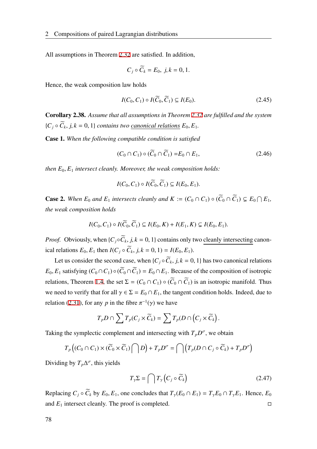All assumptions in Theorem [2.32](#page-79-1) are satisfied. In addition,

$$
C_j \circ \widetilde{C}_k = E_0, \ j, k = 0, 1.
$$

Hence, the weak composition law holds

$$
I(C_0, C_1) \circ I(\widetilde{C}_0, \widetilde{C}_1) \subseteq I(E_0). \tag{2.45}
$$

<span id="page-85-0"></span>Corollary 2.38. *Assume that all assumptions in Theorem [2.32](#page-79-1) are fulfilled and the system*  ${C_j \circ C_k, j, k = 0, 1}$  *contains two <u>canonical relations</u>*  $E_0, E_1$ .

Case 1. *When the following compatible condition is satisfied*

$$
(C_0 \cap C_1) \circ (\widetilde{C}_0 \cap \widetilde{C}_1) = E_0 \cap E_1, \tag{2.46}
$$

*then*  $E_0$ ,  $E_1$  *intersect cleanly. Moreover, the weak composition holds:* 

$$
I(C_0, C_1) \circ I(C_0, C_1) \subseteq I(E_0, E_1).
$$

**Case 2.** When  $E_0$  and  $E_1$  intersects cleanly and  $K := (C_0 \cap C_1) \circ (\overline{C}_0 \cap \overline{C}_1) \subsetneq E_0 \cap E_1$ , *the weak composition holds*

$$
I(C_0, C_1) \circ I(\widetilde{C}_0, \widetilde{C}_1) \subseteq I(E_0, K) + I(E_1, K) \subsetneq I(E_0, E_1).
$$

*Proof.* Obviously, when  $\{C_j \circ C_k, j, k = 0, 1\}$  contains only two cleanly intersecting canonical relations  $E_0, E_1$  then  $I(C_j \circ \tilde{C}_k, j, k = 0, 1) = I(E_0, E_1)$ .

Let us consider the second case, when  $\{C_j \circ C_k, j, k = 0, 1\}$  has two canonical relations  $E_0, E_1$  satisfying  $(C_0 \cap C_1) \circ (\widetilde{C}_0 \cap \widetilde{C}_1) = E_0 \cap E_1$ . Because of the composition of isotropic relations, Theorem [1.4,](#page-18-0) the set  $\Sigma = (C_0 \cap C_1) \circ (\widetilde{C}_0 \cap \widetilde{C}_1)$  is an isotropic manifold. Thus we need to verify that for all  $\gamma \in \Sigma = E_0 \cap E_1$ , the tangent condition holds. Indeed, due to relation ([2.31](#page-79-0)), for any *p* in the fibre  $\pi^{-1}(\gamma)$  we have

$$
T_p D \cap \sum T_p(C_j \times \widetilde{C}_k) = \sum T_p(D \cap (C_j \times \widetilde{C}_k).
$$

Taking the symplectic complement and intersecting with  $T_p D^{\sigma}$ , we obtain

$$
T_p\left((C_0\cap C_1)\times(\widetilde{C}_0\times\widetilde{C}_1)\bigcap D\right)+T_pD^{\sigma}=\bigcap\left(T_p(D\cap C_j\circ\widetilde{C}_k)+T_pD^{\sigma}\right)
$$

Dividing by  $T_p \Delta^{\sigma}$ , this yields

$$
T_{\gamma} \Sigma = \bigcap T_{\gamma} \left( C_j \circ \widetilde{C}_k \right) \tag{2.47}
$$

Replacing  $C_j \circ \widetilde{C}_k$  by  $E_0, E_1$ , one concludes that  $T_\gamma(E_0 \cap E_1) = T_\gamma E_0 \cap T_\gamma E_1$ . Hence,  $E_0$ and  $E_1$  intersect cleanly. The proof is completed.  $\square$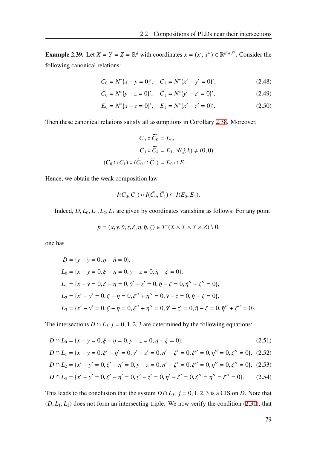<span id="page-86-2"></span>**Example 2.39.** Let  $X = Y = Z = \mathbb{R}^d$  with coordinates  $x = (x', x'') \in \mathbb{R}^{d'+d''}$ . Consider the following canonical relations:

$$
C_0 = N^* \{x - y = 0\}', \quad C_1 = N^* \{x' - y' = 0\}',\tag{2.48}
$$

$$
\widetilde{C}_0 = N^* \{ y - z = 0 \}', \quad \widetilde{C}_1 = N^* \{ y' - z' = 0 \}', \tag{2.49}
$$

$$
E_0 = N^* \{ x - z = 0 \}', \quad E_1 = N^* \{ x' - z' = 0 \}'. \tag{2.50}
$$

Then these canonical relations satisfy all assumptions in Corollary [2.38](#page-85-0). Moreover,

$$
C_0 \circ \widetilde{C}_0 = E_0,
$$
  
\n
$$
C_j \circ \widetilde{C}_k = E_1, \ \forall (j,k) \neq (0,0)
$$
  
\n
$$
(C_0 \cap C_1) \circ (\widetilde{C}_0 \cap \widetilde{C}_1) = E_0 \cap E_1.
$$

Hence, we obtain the weak composition law

$$
I(C_0, C_1) \circ I(\widetilde{C}_0, \widetilde{C}_1) \subseteq I(E_0, E_1).
$$

Indeed,  $D, L_0, L_1, L_2, L_3$  are given by coordinates vanishing as follows: For any point

<span id="page-86-0"></span>
$$
p = (x, y, \tilde{y}, z, \xi, \eta, \tilde{\eta}, \zeta) \in T^*(X \times Y \times Y \times Z) \setminus 0,
$$

one has

$$
D = \{y - \tilde{y} = 0, \eta - \tilde{\eta} = 0\},
$$
  
\n
$$
L_0 = \{x - y = 0, \xi - \eta = 0, \tilde{y} - z = 0, \tilde{\eta} - \zeta = 0\},
$$
  
\n
$$
L_1 = \{x - y = 0, \xi - \eta = 0, \tilde{y}' - z' = 0, \tilde{\eta} - \zeta = 0, \tilde{\eta}'' + \zeta'' = 0\},
$$
  
\n
$$
L_2 = \{x' - y' = 0, \xi - \eta = 0, \xi'' + \eta'' = 0, \tilde{y} - z = 0, \tilde{\eta} - \zeta = 0\},
$$
  
\n
$$
L_3 = \{x' - y' = 0, \xi - \eta = 0, \xi'' + \eta'' = 0, \tilde{y}' - z' = 0, \tilde{\eta} - \zeta = 0, \tilde{\eta}'' + \zeta'' = 0\}.
$$

The intersections  $D \cap L_j$ ,  $j = 0, 1, 2, 3$  are determined by the following equations:

$$
D \cap L_0 = \{x - y = 0, \xi - \eta = 0, y - z = 0, \eta - \zeta = 0\},\tag{2.51}
$$

$$
D \cap L_1 = \{x - y = 0, \xi' - \eta' = 0, y' - z' = 0, \eta' - \zeta' = 0, \xi'' = 0, \eta'' = 0, \zeta'' = 0\}, (2.52)
$$

<span id="page-86-1"></span>
$$
D \cap L_2 = \{x' - y' = 0, \xi' - \eta' = 0, y - z = 0, \eta' - \zeta' = 0, \xi'' = 0, \eta'' = 0, \zeta'' = 0\}, (2.53)
$$

$$
D \cap L_3 = \{x' - y' = 0, \xi' - \eta' = 0, y' - z' = 0, \eta' - \zeta' = 0, \xi'' = \eta'' = \zeta'' = 0\}.
$$
 (2.54)

This leads to the conclusion that the system  $D \cap L_j$ ,  $j = 0, 1, 2, 3$  is a CIS on *D*. Note that  $(D, L_1, L_2)$  does not form an intersecting triple. We now verify the condition ([2.31\)](#page-79-0), that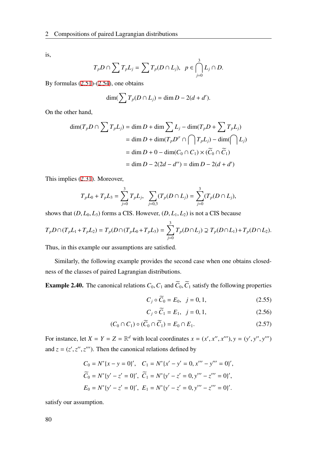is,

$$
T_p D \cap \sum T_p L_j = \sum T_p (D \cap L_j), \ \ p \in \bigcap_{j=0}^3 L_j \cap D.
$$

By formulas [\(2.51](#page-86-0))-[\(2.54](#page-86-1)), one obtains

$$
\dim(\sum T_p(D \cap L_j) = \dim D - 2(d + d').
$$

On the other hand,

$$
\dim(T_p D \cap \sum T_p L_j) = \dim D + \dim \sum L_j - \dim(T_p D + \sum T_p L_j)
$$
  
= 
$$
\dim D + \dim(T_p D^{\sigma} \cap \bigcap T_p L_j) - \dim(\bigcap L_j)
$$
  
= 
$$
\dim D + 0 - \dim(C_0 \cap C_1) \times (\widetilde{C}_0 \cap \widetilde{C}_1)
$$
  
= 
$$
\dim D - 2(2d - d'') = \dim D - 2(d + d')
$$

This implies [\(2.31](#page-79-0)). Moreover,

$$
T_p L_0 + T_p L_3 = \sum_{j=0}^3 T_p L_j, \quad \sum_{j=0,3} (T_p (D \cap L_j) = \sum_{j=0}^3 (T_p (D \cap L_j)),
$$

shows that  $(D, L_0, L_3)$  forms a CIS. However,  $(D, L_1, L_2)$  is not a CIS because

$$
T_p D \cap (T_p L_1 + T_p L_2) = T_p (D \cap (T_p L_0 + T_p L_3) = \sum_{j=0}^3 T_p (D \cap L_j) \supsetneq T_p (D \cap L_1) + T_p (D \cap L_2).
$$

Thus, in this example our assumptions are satisfied.

Similarly, the following example provides the second case when one obtains closedness of the classes of paired Lagrangian distributions.

<span id="page-87-0"></span>**Example 2.40.** The canonical relations  $C_0$ ,  $C_1$  and  $\tilde{C}_0$ ,  $\tilde{C}_1$  satisfy the following properties

$$
C_j \circ \widetilde{C}_0 = E_0, \ \ j = 0, 1,
$$
\n(2.55)

$$
C_j \circ C_1 = E_1, \ \ j = 0, 1,
$$
\n(2.56)

$$
(C_0 \cap C_1) \circ (\widetilde{C}_0 \cap \widetilde{C}_1) = E_0 \cap E_1. \tag{2.57}
$$

For instance, let  $X = Y = Z = \mathbb{R}^d$  with local coordinates  $x = (x', x'', x'''), y = (y', y'', y''')$ and  $z = (z', z'', z''')$ . Then the canonical relations defined by

$$
C_0 = N^* \{x - y = 0\}', \quad C_1 = N^* \{x' - y' = 0, x''' - y''' = 0\}',
$$
  
\n
$$
\widetilde{C}_0 = N^* \{y' - z' = 0\}', \quad \widetilde{C}_1 = N^* \{y' - z' = 0, y''' - z''' = 0\}',
$$
  
\n
$$
E_0 = N^* \{y' - z' = 0\}', \quad E_1 = N^* \{y' - z' = 0, y''' - z''' = 0\}'.
$$

satisfy our assumption.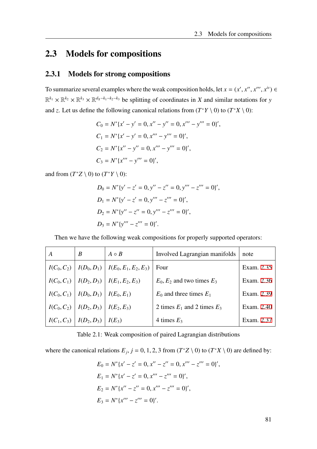## 2.3 Models for compositions

### 2.3.1 Models for strong compositions

To summarize several examples where the weak composition holds, let  $x = (x', x'', x''', x^{iv}) \in$  $\mathbb{R}^{k_1} \times \mathbb{R}^{k_2} \times \mathbb{R}^{k_3} \times \mathbb{R}^{d_x-k_1-k_2-k_3}$  be splitting of coordinates in *X* and similar notations for *y* and *z*. Let us define the following canonical relations from  $(T^*Y \setminus 0)$  to  $(T^*X \setminus 0)$ :

$$
C_0 = N^*[x' - y' = 0, x'' - y'' = 0, x''' - y''' = 0]',
$$
  
\n
$$
C_1 = N^*[x' - y' = 0, x''' - y''' = 0)',
$$
  
\n
$$
C_2 = N^*[x'' - y'' = 0, x''' - y''' = 0)',
$$
  
\n
$$
C_3 = N^*[x''' - y''' = 0)',
$$

and from  $(T^*Z \setminus 0)$  to  $(T^*Y \setminus 0)$ :

$$
D_0 = N^* \{ y' - z' = 0, y'' - z'' = 0, y''' - z''' = 0 \}',
$$
  
\n
$$
D_1 = N^* \{ y' - z' = 0, y''' - z''' = 0 \}',
$$
  
\n
$$
D_2 = N^* \{ y'' - z'' = 0, y''' - z''' = 0 \}',
$$
  
\n
$$
D_3 = N^* \{ y''' - z''' = 0 \}'.
$$

Then we have the following weak compositions for properly supported operators:

| A             | B                                         | $A \circ B$                                         | Involved Lagrangian manifolds   | note       |
|---------------|-------------------------------------------|-----------------------------------------------------|---------------------------------|------------|
|               |                                           | $I(C_0, C_2)   I(D_0, D_1)   I(E_0, E_1, E_2, E_3)$ | Four                            | Exam. 2.35 |
|               |                                           | $I(C_0, C_1)   I(D_2, D_3)   I(E_1, E_2, E_3)$      | $E_0, E_2$ and two times $E_3$  | Exam. 2.36 |
|               | $I(C_0, C_1)   I(D_0, D_1)   I(E_0, E_1)$ |                                                     | $E_0$ and three times $E_1$     | Exam. 2.39 |
| $I(C_0, C_2)$ | $\mid I(D_2, D_3) \mid$                   | $I(E_2, E_3)$                                       | 2 times $E_1$ and 2 times $E_3$ | Exam. 2.40 |
| $I(C_1, C_3)$ | $\mid I(D_2, D_3) \mid$                   | $I(E_3)$                                            | 4 times $E_3$                   | Exam. 2.37 |

Table 2.1: Weak composition of paired Lagrangian distributions

where the canonical relations  $E_j$ ,  $j = 0, 1, 2, 3$  from  $(T^*Z \setminus 0)$  to  $(T^*X \setminus 0)$  are defined by:

$$
E_0 = N^* \{x' - z' = 0, x'' - z'' = 0, x''' - z''' = 0\}',
$$
  
\n
$$
E_1 = N^* \{x' - z' = 0, x''' - z''' = 0\}',
$$
  
\n
$$
E_2 = N^* \{x'' - z'' = 0, x''' - z''' = 0\}',
$$
  
\n
$$
E_3 = N^* \{x''' - z''' = 0\}'.
$$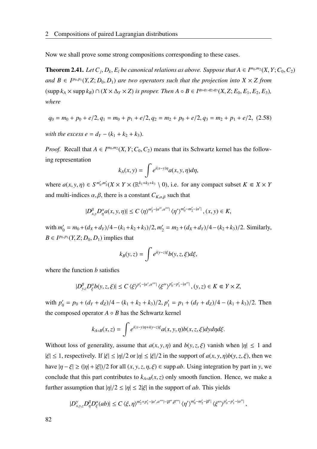Now we shall prove some strong compositions corresponding to these cases.

**Theorem 2.41.** Let  $C_j$ ,  $D_k$ ,  $E_l$  be canonical relations as above. Suppose that  $A \in I^{m_0,m_2}(X, Y; C_0, C_2)$ *and*  $B \in I^{p_0, p_1}(Y, Z; D_0, D_1)$  *are two operators such that the projection into*  $X \times Z$  *from*  $(\text{supp }k_A\times \text{supp }k_B)\cap (X\times \Delta_Y\times Z)$  is proper. Then  $A\circ B\in I^{q_0,q_1,q_2,q_3}(X,Z;E_0,E_1,E_2,E_3)$ , *where*

$$
q_0 = m_0 + p_0 + e/2, q_1 = m_0 + p_1 + e/2, q_2 = m_2 + p_0 + e/2, q_3 = m_2 + p_1 + e/2, (2.58)
$$

*with the excess e* =  $d_Y - (k_1 + k_2 + k_3)$ .

*Proof.* Recall that  $A \in I^{m_0, m_2}(X, Y; C_0, C_2)$  means that its Schwartz kernel has the following representation

$$
k_A(x, y) = \int e^{i(x-y)\eta} a(x, y, \eta) d\eta,
$$

where  $a(x, y, \eta) \in S^{m'_0, m'_2}(X \times Y \times (\mathbb{R}^{k_1+k_2+k_3} \setminus 0)$ , i.e. for any compact subset  $K \in X \times Y$ and multi-indices  $\alpha$ ,  $\beta$ , there is a constant  $C_{K,\alpha,\beta}$  such that

$$
|D^{\beta}_{x,y}D^{\alpha}_{\eta}a(x,y,\eta)| \leq C \langle \eta \rangle^{m'_2 - |\alpha'',\alpha'''|} \langle \eta' \rangle^{m'_0 - m'_2 - |\alpha'|}, (x,y) \in K,
$$

 $\text{with } m'_0 = m_0 + (d_X + d_Y)/4 - (k_1 + k_2 + k_3)/2, m'_2 = m_2 + (d_X + d_Y)/4 - (k_2 + k_3)/2.$  Similarly, *B*  $\in$  *I*<sup>*p*0,*P*<sub>1</sub></sub> (*Y*, *Z*; *D*<sub>0</sub>, *D*<sub>1</sub>) implies that</sup>

$$
k_B(y, z) = \int e^{i(y-z)\xi} b(y, z, \xi) d\xi,
$$

where the function *b* satisfies

$$
|D_{y,z}^{\beta}D_{\xi}^{\alpha}b(y,z,\xi)| \le C \langle \xi \rangle^{p_1' - |\alpha',\alpha'''|} \langle \xi'' \rangle^{p_0' - p_1' - |\alpha''|}, (y,z) \in K \Subset Y \times Z,
$$

with  $p'_0 = p_0 + (d_Y + d_Z)/4 - (k_1 + k_2 + k_3)/2$ ,  $p'_1 = p_1 + (d_Y + d_Z)/4 - (k_1 + k_3)/2$ . Then the composed operator  $A \circ B$  has the Schwartz kernel

$$
k_{A\circ B}(x,z)=\int e^{i(x-y)\eta+i(y-z)\xi}a(x,y,\eta)b(x,z,\xi)dyd\eta d\xi.
$$

Without loss of generality, assume that  $a(x, y, \eta)$  and  $b(y, z, \xi)$  vanish when  $|\eta| \leq 1$  and  $|\xi| \leq 1$ , respectively. If  $|\xi| \leq |\eta|/2$  or  $|\eta| \leq |\xi|/2$  in the support of  $a(x, y, \eta)b(y, z, \xi)$ , then we have  $|\eta - \xi| \geq (|\eta| + |\xi|)/2$  for all  $(x, y, z, \eta, \xi) \in \text{supp } ab$ . Using integration by part in *y*, we conclude that this part contributes to  $k_{A \circ B}(x, z)$  only smooth function. Hence, we make a further assumption that  $|\eta|/2 \le |\eta| \le 2|\xi|$  in the support of *ab*. This yields

$$
|D_{x,y,z}^{\gamma}D_{\eta}^{\beta}D_{\xi}^{\alpha}(ab)|\leq C\left\langle \xi,\eta\right\rangle^{m_{2}^{\prime}+p_{1}^{\prime}-|\alpha^{\prime},\alpha^{\prime\prime\prime}|-|\beta^{\prime\prime}\beta^{\prime\prime\prime}|}\left\langle \eta^{\prime}\right\rangle^{m_{0}^{\prime}-m_{2}^{\prime}-|\beta^{\prime}|}\left\langle \xi^{\prime\prime}\right\rangle^{p_{0}^{\prime}-p_{1}^{\prime}-|\alpha^{\prime\prime}|},
$$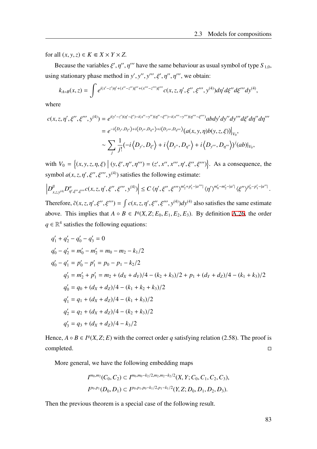for all  $(x, y, z) \in K \subseteq X \times Y \times Z$ .

Because the variables  $\xi', \eta'', \eta'''$  have the same behaviour as usual symbol of type  $S_{1,0}$ , using stationary phase method in  $y', y'', y''', \xi', \eta'', \eta'''$ , we obtain:

$$
k_{A\circ B}(x,z)=\int e^{i(x'-z')\eta'+(x''-z'')\xi''+(x'''-z''')\xi'''}c(x,z,\eta',\xi'',\xi''',y^{(4)})d\eta'd\xi''d\xi'''dy^{(4)},
$$

where

$$
c(x, z, \eta', \xi'', \xi''', y^{(4)}) = e^{i(y'-z')( \eta' - \xi') - i(x'' - y'') (\eta'' - \xi'') - i(x''' - y''') (\eta''' - \xi''') } abdy'dy''dy'''d\xi'd\eta'' d\eta'''= e^{-i\langle D_{y'}, D_{\xi'} \rangle + i\langle D_{y''}, D_{\eta''} \rangle + i\langle D_{y''}, D_{\eta'''} \rangle} (a(x, y, \eta)b(y, z, \xi))\Big|_{V_0},\sim \sum_j \frac{1}{j!} (-i\langle D_{y'}, D_{\xi'} \rangle + i\langle D_{y''}, D_{\eta''} \rangle + i\langle D_{y''}, D_{\eta'''} \rangle)^j (ab)\Big|_{V_0},
$$

with  $V_0 = \{(x, y, z, \eta, \xi) \mid (y, \xi', \eta'', \eta''') = (z', x'', x''', \eta', \xi'', \xi''')\}$ . As a consequence, the symbol  $a(x, z, \eta', \xi'', \xi''', y^{(4)})$  satisfies the following estimate:

$$
\left|D^{\beta}_{x,z,y^{(4)}}D^{\alpha}_{\eta',\xi'',\xi'''}c(x,z,\eta',\xi'',\xi''',y^{(4)})\right|\leq C\,\langle\eta',\xi'',\xi'''\rangle^{m_2'+p_1'-|\alpha'''|}\,\langle\eta'\rangle^{m_0'-m_2'-|\alpha'|}\,\langle\xi''\rangle^{p_0'-p_1'-|\alpha''|}\,.
$$

Therefore,  $\tilde{c}(x, z, \eta', \xi'', \xi''') = \int c(x, z, \eta', \xi'', \xi'''')$ ,  $y^{(4)}$  also satisfies the same estimate above. This implies that  $A \circ B \in I^q(X, Z; E_0, E_1, E_2, E_3)$ . By definition [A.26,](#page-109-0) the order  $q \in \mathbb{R}^4$  satisfies the following equations:

$$
q'_1 + q'_2 - q'_0 - q'_3 = 0
$$
  
\n
$$
q'_0 - q'_2 = m'_0 - m'_2 = m_0 - m_2 - k_1/2
$$
  
\n
$$
q'_0 - q'_1 = p'_0 - p'_1 = p_0 - p_1 - k_2/2
$$
  
\n
$$
q'_3 = m'_2 + p'_1 = m_2 + (d_X + d_Y)/4 - (k_2 + k_3)/2 + p_1 + (d_Y + d_Z)/4 - (k_1 + k_3)/2
$$
  
\n
$$
q'_0 = q_0 + (d_X + d_Z)/4 - (k_1 + k_2 + k_3)/2
$$
  
\n
$$
q'_1 = q_1 + (d_X + d_Z)/4 - (k_1 + k_3)/2
$$
  
\n
$$
q'_2 = q_2 + (d_X + d_Z)/4 - (k_2 + k_3)/2
$$
  
\n
$$
q'_3 = q_3 + (d_X + d_Z)/4 - k_3/2
$$

Hence,  $A \circ B \in I^q(X, Z; E)$  with the correct order q satisfying relation (2.58). The proof is completed.

More general, we have the following embedding maps

$$
I^{m_0, m_2}(C_0, C_2) \subset I^{m_0, m_0 - k_2/2, m_2, m_2 - k_2/2}(X, Y; C_0, C_1, C_2, C_3),
$$
  

$$
I^{p_0, p_1}(D_0, D_1) \subset I^{p_0, p_1, p_0 - k_1/2, p_1 - k_1/2}(Y, Z; D_0, D_1, D_2, D_3).
$$

Then the previous theorem is a special case of the following result.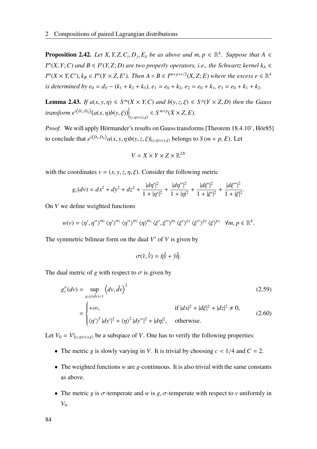**Proposition 2.42.** *Let*  $X, Y, Z, C_i, D_j, E_k$  *be as above and*  $m, p \in \mathbb{R}^4$ *. Suppose that*  $A \in$  $I^m(X, Y; C)$  *and*  $B \in I^p(Y, Z; D)$  *are two properly operators, i.e., the Schwartz kernel*  $k_A \in$  $I^m(X \times Y, C'), k_B \in I^m(Y \times Z, E').$  Then  $A \circ B \in I^{m+p+e/2}(X, Z; E)$  where the excess  $e \in \mathbb{R}^4$ *is determined by e*<sub>0</sub> =  $d_Y - (k_1 + k_2 + k_3)$ ,  $e_1 = e_0 + k_2$ ,  $e_2 = e_0 + k_1$ ,  $e_3 = e_0 + k_1 + k_2$ .

**Lemma 2.43.** *If*  $a(x, y, \eta) \in S^m(X \times Y, C)$  *and*  $b(y, z, \xi) \in S^p(Y \times Z, D)$  *then the Gauss*  $\left\{ \text{transform } e^{i\langle D_y, D_\eta \rangle} (a(x, \eta) b(y, \xi)) \right|_{(y, \eta) = (x, \xi)} \in S^{m+p}(X \times Z, E).$ 

*Proof.* We will apply Hörmander's results on Gauss transforms [Theorem 18.4.10', Hör85] to conclude that  $e^{i\langle D_y, D_\eta \rangle} a(x, y, \eta) b(y, z, \xi)|_{(y, \eta)=(x, \xi)}$  belongs to  $S(m + p, E)$ . Let

$$
V = X \times Y \times Z \times \mathbb{R}^{2N}
$$

with the coordinates  $v = (x, y, z, \eta, \xi)$ . Consider the following metric

$$
g_{\nu}(dv) = dx^2 + dy^2 + dz^2 + \frac{|d\eta'|^2}{1 + |\eta'|^2} + \frac{|d\eta''|^2}{1 + |\eta|^2} + \frac{|d\xi'|^2}{1 + |\xi'|^2} + \frac{|d\xi''|^2}{1 + |\xi|^2}
$$

<span id="page-91-0"></span>.

On *V* we define weighted functions

$$
w(v) = \langle \eta', \eta'' \rangle^{m_0} \langle \eta' \rangle^{m_1} \langle \eta'' \rangle^{m_2} \langle \eta \rangle^{m_3} \langle \xi', \xi'' \rangle^{p_0} \langle \xi' \rangle^{p_1} \langle \xi'' \rangle^{p_2} \langle \xi \rangle^{p_3} \forall m, p \in \mathbb{R}^4.
$$

The symmetric bilinear form on the dual  $V'$  of  $V$  is given by

$$
\sigma(\hat{v}, \hat{\hat{v}}) = \hat{\eta}\hat{\hat{y}} + \hat{y}\hat{\hat{\eta}}.
$$

The dual metric of *g* with respect to  $\sigma$  is given by

$$
g_{\nu}^{\sigma}(dv) = \sup_{g_{\nu}(\sigma \hat{d}\nu) < 1} \left\langle dv, \hat{d}\nu \right\rangle^{2}
$$
\n
$$
= \begin{cases}\n+ \infty, & \text{if } |dx|^{2} + |d\xi|^{2} + |dz|^{2} \neq 0, \\
\langle \eta' \rangle^{2} |dy'|^{2} + \langle \eta \rangle^{2} |dy''|^{2} + |d\eta|^{2}, & \text{otherwise.} \n\end{cases}
$$
\n(2.60)

Let  $V_0 = V|_{(y,\eta)=(x,\xi)}$  be a subspace of *V*. One has to verify the following properties:

- The metric *g* is slowly varying in *V*. It is trivial by choosing  $c < 1/4$  and  $C = 2$ .
- The weighted functions *w* are *g*-continuous. It is also trivial with the same constants as above.
- The metric *g* is  $\sigma$ -temperate and *w* is *g*,  $\sigma$ -temperate with respect to *v* uniformly in *V*0.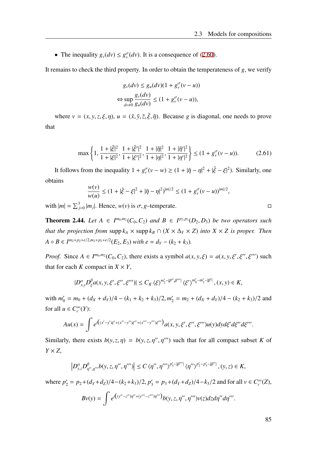• The inequality  $g_{\nu}(dv) \leq g_{\nu}^{\sigma}(dv)$ . It is a consequence of ([2.60\)](#page-91-0).

It remains to check the third property. In order to obtain the temperateness of *g*, we verify

$$
g_v(dv) \le g_u(dv)(1 + g_v^{\sigma}(v - u))
$$
  
\n
$$
\Leftrightarrow \sup_{dv \neq 0} \frac{g_v(dv)}{g_u(dv)} \le (1 + g_v^{\sigma}(v - u)),
$$

where  $v = (x, y, z, \xi, \eta)$ ,  $u = (\tilde{x}, \tilde{y}, \tilde{z}, \tilde{\xi}, \tilde{\eta})$ . Because *g* is diagonal, one needs to prove that

$$
\max\left\{1,\frac{1+|\tilde{\xi}|^2}{1+|\xi|^2},\frac{1+|\tilde{\xi}'|^2}{1+|\xi'|^2},\frac{1+|\tilde{\eta}|^2}{1+|\eta|^2},\frac{1+|\tilde{\eta}'|^2}{1+|\eta'|^2}\right\} \leq (1+g_v^{\sigma}(v-u)).\tag{2.61}
$$

It follows from the inequality  $1 + g_v^{\sigma}(v - w) \ge (1 + |\tilde{\eta} - \eta|^2 + |\tilde{\xi} - \xi|^2)$ . Similarly, one obtains

$$
\frac{w(v)}{w(u)} \le (1 + |\tilde{\xi} - \xi|^2 + |\tilde{\eta} - \eta|^2)^{|m|/2} \le (1 + g_v^{\sigma}(v - u))^{|m|/2},
$$

with  $|m| = \sum_{j=0}^{3} |m_j|$ . Hence,  $w(v)$  is  $\sigma$ , *g*-temperate.

**Theorem 2.44.** Let  $A \in I^{m_0,m_2}(C_0, C_2)$  and  $B \in I^{p_2,p_3}(D_2, D_3)$  be two operators such *that the projection from* supp  $k_A \times$  supp  $k_B \cap (X \times \Delta_Y \times Z)$  *into*  $X \times Z$  *is proper. Then A*  $\circ$  *B*  $\in$   $I^{m_2+p_2+e/2,m_2+p_2+e/2}(E_2, E_3)$  *with*  $e = d_Y - (k_2 + k_3)$ *.* 

*Proof.* Since  $A \in I^{m_0, m_2}(C_0, C_2)$ , there exists a symbol  $a(x, y, \xi) = a(x, y, \xi', \xi'', \xi''')$  such that for each *K* compact in  $X \times Y$ ,

$$
|D_{x,y}^{\alpha}D_{\xi}^{\beta}a(x,y,\xi',\xi'',\xi''')|\leq C_K\langle\xi\rangle^{m_2'-|\beta'',\beta'''|}\langle\xi'\rangle^{m_0'-m_2'-|\beta'|}, (x,y)\in K,
$$

 $w_0 = m_0 + (d_X + d_Y)/4 - (k_1 + k_2 + k_3)/2, m'_2 = m_2 + (d_X + d_Y)/4 - (k_2 + k_3)/2$  and for all  $u \in C_c^{\infty}(Y)$ :

$$
Au(x) = \int e^{i((x'-y')\xi' + (x''-y'')\xi'' + (x'''-y''')\xi''')} a(x, y, \xi', \xi'', \xi''') u(y) dy d\xi' d\xi'' d\xi'''.
$$

Similarly, there exists  $b(y, z, \eta) = b(y, z, \eta'', \eta''')$  such that for all compact subset *K* of *Y* × *Z*,

$$
\left|D_{y,z}^{\alpha}D_{\eta'',\eta'''}^{\beta}b(y,z,\eta'',\eta''')\right|\leq C\,\langle\eta'',\eta'''\rangle^{p_3'-|{\beta''}'|}\,\langle\eta''\rangle^{p_2'-p_3'-|{\beta''}|},(y,z)\in K,
$$

where  $p'_2 = p_2 + (d_Y + d_Z)/4 - (k_2 + k_3)/2$ ,  $p'_3 = p_3 + (d_Y + d_Z)/4 - k_3/2$  and for all  $v \in C_c^{\infty}(Z)$ ,

$$
Bv(y) = \int e^{i((y'' - z'')\eta'' + (y''' - z''')\eta''')} b(y, z, \eta'', \eta''') v(z) dz d\eta'' d\eta'''.
$$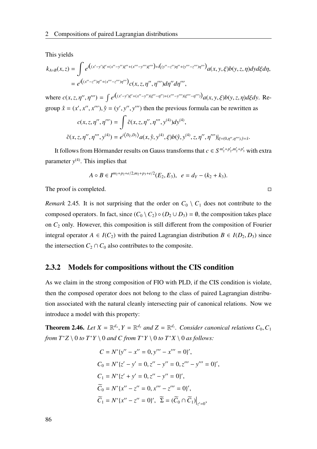This yields

$$
k_{A \circ B}(x, z) = \int e^{i((x'-y')\xi' + (x''-y'')\xi'' + (x'''-y''')\xi''') + i((y''-z'')\eta'' + (y'''-z''')\eta''')} a(x, y, \xi) b(y, z, \eta) dy d\xi d\eta,
$$
  
= 
$$
e^{i((x''-z'')\eta'' + (x'''-z''')\eta''')} c(x, z, \eta'', \eta''') d\eta'' d\eta''',
$$

where  $c(x, z, \eta'', \eta''') = \int e^{i((x'-y')\xi' + (x''-y'')(\xi''-\eta'') + (x'''-y''')(\xi'''-\eta'''))} a(x, y, \xi) b(y, z, \eta) d\xi dy$ . Regroup  $\hat{x} = (x', x'', x''')$ ,  $\hat{y} = (y', y'', y''')$  then the previous formula can be rewritten as

$$
c(x, z, \eta'', \eta''') = \int \tilde{c}(x, z, \eta'', \eta''', y^{(4)}) dy^{(4)},
$$
  

$$
\tilde{c}(x, z, \eta'', \eta''', y^{(4)}) = e^{i \langle D_{\xi}, D_{\hat{y}} \rangle} a(x, \hat{y}, y^{(4)}, \xi) b(\hat{y}, y^{(4)}, z, \eta'', \eta''')|_{\xi = (0, \eta'', \eta'''), \hat{y} = \hat{x}}.
$$

It follows from Hörmander results on Gauss transforms that  $c \in S^{m'_2+p'_2,m'_2+p'_3}$  with extra parameter *y* (4). This implies that

$$
A \circ B \in I^{m_2+p_2+e/2,m_2+p_3+e/2}(E_2,E_3), \ \ e = d_Y-(k_2+k_3).
$$

The proof is completed.

*Remark* 2.45. It is not surprising that the order on  $C_0 \setminus C_1$  does not contribute to the composed operators. In fact, since  $(C_0 \setminus C_2) \circ (D_2 \cup D_3) = \emptyset$ , the composition takes place on *C*<sup>2</sup> only. However, this composition is still different from the composition of Fourier integral operator  $A \in I(C_2)$  with the paired Lagrangian distribution  $B \in I(D_2, D_3)$  since the intersection  $C_2 \cap C_0$  also contributes to the composite.

#### 2.3.2 Models for compositions without the CIS condition

As we claim in the strong composition of FIO with PLD, if the CIS condition is violate, then the composed operator does not belong to the class of paired Lagrangian distribution associated with the natural cleanly intersecting pair of canonical relations. Now we introduce a model with this property:

**Theorem 2.46.** Let  $X = \mathbb{R}^{d_x}$ ,  $Y = \mathbb{R}^{d_y}$  and  $Z = \mathbb{R}^{d_z}$ . Consider canonical relations  $C_0$ ,  $C_1$ *from*  $T^*Z \setminus 0$  *to*  $T^*Y \setminus 0$  *and*  $C$  *from*  $T^*Y \setminus 0$  *to*  $T^*X \setminus 0$  *as follows:* 

$$
C = N^* \{y'' - x'' = 0, y''' - x''' = 0\}',
$$
  
\n
$$
C_0 = N^* \{z' - y' = 0, z'' - y'' = 0, z''' - y''' = 0\}',
$$
  
\n
$$
C_1 = N^* \{z' + y' = 0, z'' - y'' = 0\}',
$$
  
\n
$$
\widetilde{C}_0 = N^* \{x'' - z'' = 0, x''' - z''' = 0\}',
$$
  
\n
$$
\widetilde{C}_1 = N^* \{x'' - z'' = 0\}', \ \ \widetilde{\Sigma} = (\widetilde{C}_0 \cap \widetilde{C}_1)\big|_{z'=0},
$$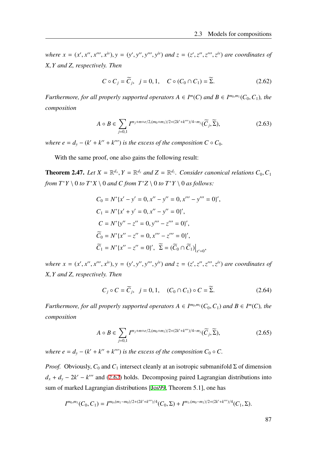where  $x = (x', x'', x''', x^{iv}), y = (y', y'', y''', y^{iv})$  and  $z = (z', z'', z''', z^{iv})$  are coordinates of *X*, *Y and Z, respectively. Then*

<span id="page-94-0"></span>
$$
C \circ C_j = \widetilde{C}_j, \quad j = 0, 1, \quad C \circ (C_0 \cap C_1) = \widetilde{\Sigma}.
$$
 (2.62)

*Furthermore, for all properly supported operators*  $A \in I^m(C)$  *and*  $B \in I^{m_0,m_1}(C_0, C_1)$ *<i>, the composition*

$$
A \circ B \in \sum_{j=0,1} I^{m_j + m + e/2, (m_0 + m_1)/2 + (2k' + k''')/4 - m_j}(\widetilde{C}_j, \widetilde{\Sigma}),
$$
 (2.63)

*where e* =  $d_y - (k' + k'' + k''')$  *is the excess of the composition*  $C \circ C_0$ *.* 

With the same proof, one also gains the following result:

**Theorem 2.47.** Let  $X = \mathbb{R}^{d_x}$ ,  $Y = \mathbb{R}^{d_y}$  and  $Z = \mathbb{R}^{d_z}$ . Consider canonical relations  $C_0$ ,  $C_1$ *from*  $T^*Y \setminus 0$  *to*  $T^*X \setminus 0$  *and*  $C$  *from*  $T^*Z \setminus 0$  *to*  $T^*Y \setminus 0$  *as follows:* 

$$
C_0 = N^* \{x' - y' = 0, x'' - y'' = 0, x''' - y''' = 0\}',
$$
  
\n
$$
C_1 = N^* \{x' + y' = 0, x'' - y'' = 0\}',
$$
  
\n
$$
C = N^* \{y'' - z'' = 0, y''' - z''' = 0\}',
$$
  
\n
$$
\widetilde{C}_0 = N^* \{x'' - z'' = 0, x''' - z''' = 0\}',
$$
  
\n
$$
\widetilde{C}_1 = N^* \{x'' - z'' = 0\}', \ \widetilde{\Sigma} = (\widetilde{C}_0 \cap \widetilde{C}_1)\big|_{x'=0},
$$

where  $x = (x', x'', x''', x^{iv}), y = (y', y'', y''', y^{iv})$  and  $z = (z', z'', z''', z^{iv})$  are coordinates of *X*, *Y and Z, respectively. Then*

$$
C_j \circ C = \widetilde{C}_j, \quad j = 0, 1, \quad (C_0 \cap C_1) \circ C = \widetilde{\Sigma}.
$$
 (2.64)

*Furthermore, for all properly supported operators*  $A \in I^{m_0,m_1}(C_0, C_1)$  *and*  $B \in I^m(C)$ *<i>, the composition*

$$
A \circ B \in \sum_{j=0,1} I^{m_j + m + e/2, (m_0 + m_1)/2 + (2k' + k''')/4 - m_j}(\widetilde{C}_j, \widetilde{\Sigma}),
$$
 (2.65)

*where e* =  $d_y - (k' + k'' + k''')$  *is the excess of the composition*  $C_0 \circ C$ *.* 

*Proof.* Obviously,  $C_0$  and  $C_1$  intersect cleanly at an isotropic submanifold  $\Sigma$  of dimension  $d_x + d_y - 2k' - k''$  and [\(2.62](#page-94-0)) holds. Decomposing paired Lagrangian distributions into sum of marked Lagrangian distributions [[Jos99,](#page-117-0) Theorem 5.1], one has

$$
I^{m_0,m_1}(C_0,C_1)=I^{m_0,(m_1-m_0)/2+(2k'+k''')/4}(C_0,\Sigma)+I^{m_1,(m_0-m_1)/2+(2k'+k''')/4}(C_1,\Sigma).
$$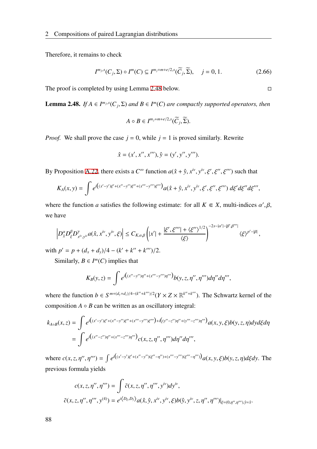Therefore, it remains to check

$$
I^{m_j,s}(C_j,\Sigma) \circ I^m(C) \subseteq I^{m_j+m+e/2,s}(\widetilde{C}_j,\widetilde{\Sigma}), \quad j=0,1. \tag{2.66}
$$

The proof is completed by using Lemma [2.48](#page-95-0) below.

<span id="page-95-0"></span>**Lemma 2.48.** *If*  $A \in I^{m_j,s}(C_j, \Sigma)$  *and*  $B \in I^m(C)$  *are compactly supported operators, then* 

$$
A \circ B \in I^{m_j+m+e/2,s}(\widetilde{C}_j,\widetilde{\Sigma}).
$$

*Proof.* We shall prove the case  $j = 0$ , while  $j = 1$  is proved similarly. Rewrite

$$
\hat{x} = (x', x'', x'''), \hat{y} = (y', y'', y''').
$$

By Proposition [A.22,](#page-106-0) there exists a  $C^{\infty}$  function  $a(\hat{x} + \hat{y}, x^{iv}, y^{iv}, \xi', \xi'', \xi''')$  such that

$$
K_A(x,y) = \int e^{i((x'-y')\xi' + (x''-y'')\xi'' + (x'''-y''')\xi''')} a(\hat{x} + \hat{y}, x^{iv}, y^{iv}, \xi', \xi'', \xi''') d\xi' d\xi'' d\xi''',
$$

where the function *a* satisfies the following estimate: for all  $K \in X$ , multi-indices  $\alpha', \beta$ , we have

$$
\left|D_{\hat{x}}^{\alpha}D_{\xi}^{\beta}D_{x^{iv},y^{iv}}^{\gamma}a(\hat{x},x^{iv},y^{iv},\xi)\right|\leq C_{K,\alpha,\beta}\left(|x'|+\frac{|\xi',\xi'''|+\langle\xi''\rangle^{1/2}}{\langle\xi\rangle}\right)^{-2s-|\alpha'|-|\beta',\beta'''|}\langle\xi\rangle^{p'-|\beta|},
$$

with  $p' = p + (d_x + d_y)/4 - (k' + k'' + k''')/2$ .

Similarly,  $B \in I^m(C)$  implies that

$$
K_B(y,z) = \int e^{i((x''-y'')\eta'' + (x'''-y''')\eta''')} b(y,z,\eta'',\eta''') d\eta'' d\eta'''
$$

where the function  $b \in S^{m+(d_y+d_z)/4-(k''+k''')/2}(Y \times Z \times \mathbb{R}^{k''+k''})$ . The Schwartz kernel of the composition  $A \circ B$  can be written as an oscillatory integral:

$$
k_{A \circ B}(x, z) = \int e^{i((x'-y')\xi' + (x''-y'')\xi'' + (x'''-y''')\xi''') + i((y''-z'')\eta'' + (y'''-z''')\eta''')} a(x, y, \xi) b(y, z, \eta) dy d\xi d\eta
$$
  
= 
$$
\int e^{i((x''-z'')\eta'' + (x'''-z''')\eta''')} c(x, z, \eta'', \eta'''') d\eta'' d\eta'''
$$
,

where  $c(x, z, \eta'', \eta''') = \int e^{i((x'-y')\xi' + (x''-y'')(\xi''-\eta'') + (x'''-y''')(\xi'''-\eta'''))} a(x, y, \xi) b(y, z, \eta) d\xi dy$ . The previous formula yields

$$
c(x, z, \eta'', \eta''') = \int \tilde{c}(x, z, \eta'', \eta''', y^{iv}) dy^{iv},
$$
  

$$
\tilde{c}(x, z, \eta'', \eta''', y^{(4)}) = e^{i \langle D_{\xi}, D_{\hat{y}} \rangle} a(\hat{x}, \hat{y}, x^{iv}, y^{iv}, \xi) b(\hat{y}, y^{iv}, z, \eta'', \eta''')|_{\xi = (0, \eta'', \eta'''), \hat{y} = \hat{x}}.
$$

$$
\Box
$$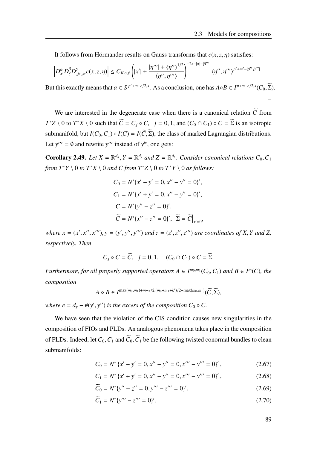It follows from Hörmander results on Gauss transforms that  $c(x, z, \eta)$  satisfies:

$$
\left|D_{x'}^{\alpha}D_{\xi}^{\beta}D_{x^{iv},z^{iv}}^{\gamma}c(x,z,\eta)\right|\leq C_{K,\alpha,\beta}\left(|x'|+\frac{|\eta'''|+\langle\eta''\rangle^{1/2}}{\langle\eta'',\eta'''\rangle}\right)^{-2s-|\alpha|-|\beta'''|}\langle\eta'',\eta'''\rangle^{p'+m'-|\beta'',\beta'''|}\,.
$$

But this exactly means that  $a \in S^{p'+m+e/2,s}$ . As a conclusion, one has  $A \circ B \in I^{p+m+e/2,s}(C_0, \widetilde{\Sigma})$ .  $\Box$ 

We are interested in the degenerate case when there is a canonical relation  $\tilde{C}$  from  $T^*Z \setminus 0$  to  $T^*X \setminus 0$  such that  $\widetilde{C} = C_j \circ C$ ,  $j = 0, 1$ , and  $(C_0 \cap C_1) \circ C = \widetilde{\Sigma}$  is an isotropic submanifold, but  $I(C_0, C_1) \circ I(C) = I(\widetilde{C}, \widetilde{\Sigma})$ , the class of marked Lagrangian distributions. Let  $y''' = \emptyset$  and rewrite y''' instead of  $y^{iv}$ , one gets:

**Corollary 2.49.** Let  $X = \mathbb{R}^{d_x}$ ,  $Y = \mathbb{R}^{d_y}$  and  $Z = \mathbb{R}^{d_z}$ . Consider canonical relations  $C_0$ ,  $C_1$ *from*  $T^*Y \setminus 0$  *to*  $T^*X \setminus 0$  *and*  $C$  *from*  $T^*Z \setminus 0$  *to*  $T^*Y \setminus 0$  *as follows:* 

$$
C_0 = N^* \{x' - y' = 0, x'' - y'' = 0\}',
$$
  
\n
$$
C_1 = N^* \{x' + y' = 0, x'' - y'' = 0\}',
$$
  
\n
$$
C = N^* \{y'' - z'' = 0\}',
$$
  
\n
$$
\widetilde{C} = N^* \{x'' - z'' = 0\}', \ \widetilde{\Sigma} = \widetilde{C}\big|_{x'=0},
$$

where  $x = (x', x'', x''')$ ,  $y = (y', y'', y''')$  and  $z = (z', z'', z''')$  are coordinates of X, Y and Z, *respectively. Then*

$$
C_j \circ C = \widetilde{C}, \ \ j = 0, 1, \ \ (C_0 \cap C_1) \circ C = \widetilde{\Sigma}.
$$

*Furthermore, for all properly supported operators*  $A \in I^{m_0,m_1}(C_0, C_1)$  *and*  $B \in I^m(C)$ *<i>, the composition*

$$
A \circ B \in I^{\max\{m_0, m_1\}+m+e/2, (m_0+m_1+k')/2-\max\{m_0, m_1\}}(\widetilde{C}, \widetilde{\Sigma}),
$$

*where e* =  $d_y$  −  $#(y', y'')$  *is the excess of the composition*  $C_0 \circ C$ *.* 

We have seen that the violation of the CIS condition causes new singularities in the composition of FIOs and PLDs. An analogous phenomena takes place in the composition of PLDs. Indeed, let  $C_0$ ,  $C_1$  and  $\tilde{C}_0$ ,  $\tilde{C}_1$  be the following twisted conormal bundles to clean submanifolds:

$$
C_0 = N^* \{ x' - y' = 0, x'' - y'' = 0, x''' - y''' = 0 \}',\tag{2.67}
$$

$$
C_1 = N^* \{ x' + y' = 0, x'' - y'' = 0, x''' - y''' = 0 \}',\tag{2.68}
$$

$$
\widetilde{C}_0 = N^* \{ y'' - z'' = 0, y''' - z''' = 0 \'},\tag{2.69}
$$

$$
\widetilde{C}_1 = N^* \{ y''' - z''' = 0 \}'.\tag{2.70}
$$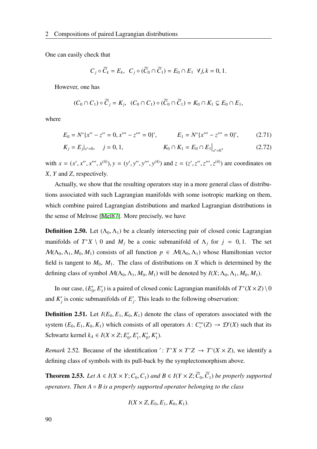One can easily check that

<span id="page-97-0"></span>
$$
C_j \circ \widetilde{C}_k = E_k, \ \ C_j \circ (\widetilde{C}_0 \cap \widetilde{C}_1) = E_0 \cap E_1 \ \ \forall j, k = 0, 1.
$$

However, one has

$$
(C_0 \cap C_1) \circ \widetilde{C}_j = K_j, \ \ (C_0 \cap C_1) \circ (\widetilde{C}_0 \cap \widetilde{C}_1) = K_0 \cap K_1 \subsetneq E_0 \cap E_1,
$$

where

$$
E_0 = N^* \{ x'' - z'' = 0, x''' - z''' = 0 \}', \qquad E_1 = N^* \{ x''' - z''' = 0 \}', \qquad (2.71)
$$

$$
K_j = E_j|_{x'=0}, \quad j = 0, 1, \qquad K_0 \cap K_1 = E_0 \cap E_1|_{x'=0}, \qquad (2.72)
$$

with  $x = (x', x'', x''', x^{(4)}), y = (y', y'', y''', y^{(4)})$  and  $z = (z', z'', z''', z^{(4)})$  are coordinates on *X*, *Y* and *Z*, respectively.

Actually, we show that the resulting operators stay in a more general class of distributions associated with such Lagrangian manifolds with some isotropic marking on them, which combine paired Lagrangian distributions and marked Lagrangian distributions in the sense of Melrose [[Mel87\]](#page-117-2). More precisely, we have

**Definition 2.50.** Let  $(\Lambda_0, \Lambda_1)$  be a cleanly intersecting pair of closed conic Lagrangian manifolds of  $T^*X \setminus 0$  and  $M_j$  be a conic submanifold of  $\Lambda_j$  for  $j = 0, 1$ . The set  $M(\Lambda_0, \Lambda_1, M_0, M_1)$  consists of all function  $p \in M(\Lambda_0, \Lambda_1)$  whose Hamiltonian vector field is tangent to  $M_0$ ,  $M_1$ . The class of distributions on  $X$  which is determined by the defining class of symbol  $\mathcal{M}(\Lambda_0, \Lambda_1, M_0, M_1)$  will be denoted by  $I(X; \Lambda_0, \Lambda_1, M_0, M_1)$ .

In our case,  $(E_0)$  $'_{0}, E'_{1}$  $T_1$ ) is a paired of closed conic Lagrangian manifolds of  $T^*(X \times Z) \setminus 0$ and  $K_i'$  $'j$  is conic submanifolds of  $E'_{j}$ *j* . This leads to the following observation:

**Definition 2.51.** Let  $I(E_0, E_1, K_0, K_1)$  denote the class of operators associated with the system  $(E_0, E_1, K_0, K_1)$  which consists of all operators  $A: C_c^{\infty}(Z) \to \mathcal{D}'(X)$  such that its Schwartz kernel  $k_A \in I(X \times Z; E'_0)$  $'_{0}, E'_{1}$  $'_{1}, K'_{0}$  $'_{0}$ ,  $K'_{1}$  $\binom{7}{1}$ .

*Remark* 2.52. Because of the identification ':  $T^*X \times T^*Z \rightarrow T^*(X \times Z)$ , we identify a defining class of symbols with its pull-back by the symplectomorphism above.

**Theorem 2.53.** *Let*  $A \in I(X \times Y; C_0, C_1)$  *and*  $B \in I(Y \times Z; \widetilde{C}_0, \widetilde{C}_1)$  *be properly supported operators. Then A* ◦ *B is a properly supported operator belonging to the class*

$$
I(X\times Z, E_0, E_1, K_0, K_1).
$$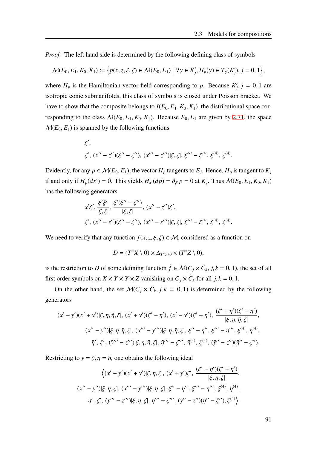*Proof.* The left hand side is determined by the following defining class of symbols

$$
\mathcal{M}(E_0, E_1, K_0, K_1) := \left\{ p(x, z, \xi, \zeta) \in \mathcal{M}(E_0, E_1) \middle| \forall \gamma \in K'_j, H_p(\gamma) \in T_{\gamma}(K'_j), j = 0, 1 \right\},\
$$

where  $H_p$  is the Hamiltonian vector field corresponding to p. Because  $K_p'$  $'_{j}$ ,  $j = 0, 1$  are isotropic conic submanifolds, this class of symbols is closed under Poisson bracket. We have to show that the composite belongs to  $I(E_0, E_1, K_0, K_1)$ , the distributional space corresponding to the class  $M(E_0, E_1, K_0, K_1)$ . Because  $E_0, E_1$  are given by [2.71](#page-97-0), the space  $M(E_0, E_1)$  is spanned by the following functions

$$
\xi',
$$
  
 $\zeta', (x'' - z'')(\xi'' - \zeta''), (x''' - z''')|\xi, \zeta|, \xi''' - \zeta''', \xi^{(4)}, \zeta^{(4)}.$ 

Evidently, for any  $p \in M(E_0, E_1)$ , the vector  $H_p$  tangents to  $E_j$ . Hence,  $H_p$  is tangent to  $K_j$ if and only if  $H_p(dx') = 0$ . This yields  $H_{x'}(dp) = \partial_{\xi'} p = 0$  at  $K_j$ . Thus  $\mathcal{M}(E_0, E_1, K_0, K_1)$ has the following generators

$$
x'\xi', \frac{\xi'\xi'}{|\xi,\zeta|}, \frac{\xi'(\xi''-\xi'')}{|\xi,\zeta|}, (x''-z'')\xi',
$$
  

$$
\zeta', (x''-z'')(\xi''-\zeta''), (x'''-z''')|\xi,\zeta|, \xi'''-\zeta''', \xi^{(4)}, \zeta^{(4)}.
$$

We need to verify that any function  $f(x, z, \xi, \zeta) \in M$ , considered as a function on

$$
D = (T^*X \setminus 0) \times \Delta_{T^*Y \setminus 0} \times (T^*Z \setminus 0),
$$

is the restriction to *D* of some defining function  $\tilde{f} \in \mathcal{M}(C_j \times \tilde{C}_k, j, k = 0, 1)$ , the set of all first order symbols on *X* × *Y* × *X*  $\times$  *Y* × *Z* vanishing on  $C_j \times \widetilde{C}_k$  for all *j*, *k* = 0, 1.

On the other hand, the set  $\mathcal{M}(C_j \times \tilde{C}_k, j, k = 0, 1)$  is determined by the following generators

$$
(x'-y')(x'+y')|\xi,\eta,\tilde{\eta},\zeta|, (x'+y')(\xi'-\eta'), (x'-y')(\xi'+\eta'), \frac{(\xi'+\eta')(\xi'-\eta')}{|\xi,\eta,\tilde{\eta},\zeta|},(x''-y'')|\xi,\eta,\tilde{\eta},\zeta|, (x'''-y''')|\xi,\eta,\tilde{\eta},\zeta|, \xi''-\eta'', \xi'''-\eta''', \xi^{(4)}, \eta^{(4)},\tilde{\eta}', \zeta', (\tilde{y}'''-z''')|\xi,\eta,\tilde{\eta},\zeta|, \tilde{\eta}'''-\zeta'''', \tilde{\eta}^{(4)}, \zeta^{(4)}, (\tilde{y}''-z'')(\tilde{\eta}''-\zeta'').
$$

Restricting to  $y = \tilde{y}, \eta = \tilde{\eta}$ , one obtains the following ideal

$$
\langle (x'-y')(x'+y')|\xi, \eta, \zeta|, (x'+y')\xi', \frac{(\xi'-\eta')(\xi'+\eta')}{|\xi, \eta, \zeta|},
$$
  

$$
(x''-y'')|\xi, \eta, \zeta|, (x'''-y''')|\xi, \eta, \zeta|, \xi''-\eta'', \xi'''-\eta''', \xi^{(4)}, \eta^{(4)},
$$
  

$$
\eta', \zeta', (y'''-z''')|\xi, \eta, \zeta|, \eta'''-\zeta'''', (y''-z'')(\eta''-\zeta''), \zeta^{(4)}\rangle.
$$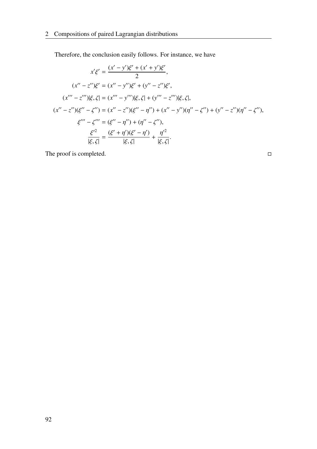Therefore, the conclusion easily follows. For instance, we have

$$
x'\xi' = \frac{(x'-y')\xi' + (x'+y')\xi'}{2},
$$
  
\n
$$
(x'' - z'')\xi' = (x'' - y'')\xi' + (y'' - z'')\xi',
$$
  
\n
$$
(x''' - z''')|\xi, \zeta| = (x''' - y''')|\xi, \zeta| + (y''' - z''')|\xi, \zeta|,
$$
  
\n
$$
(x'' - z'')(\xi'' - \zeta'') = (x'' - z'')(\xi'' - \eta'') + (x'' - y'')(\eta'' - \zeta'') + (y'' - z'')(\eta'' - \zeta''),
$$
  
\n
$$
\xi''' - \zeta''' = (\xi'' - \eta'') + (\eta'' - \zeta''),
$$
  
\n
$$
\frac{\xi'^2}{|\xi, \zeta|} = \frac{(\xi' + \eta')(\xi' - \eta')}{|\xi, \zeta|} + \frac{\eta'^2}{|\xi, \zeta|}.
$$

The proof is completed.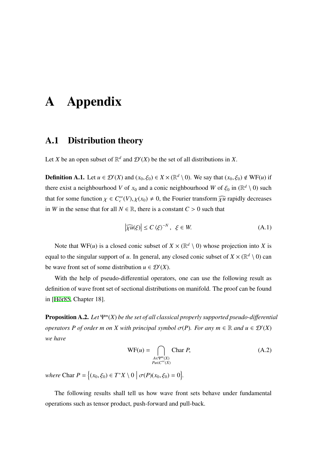# A Appendix

## A.1 Distribution theory

Let *X* be an open subset of  $\mathbb{R}^d$  and  $\mathcal{D}'(X)$  be the set of all distributions in *X*.

**Definition A.1.** Let  $u \in \mathcal{D}'(X)$  and  $(x_0, \xi_0) \in X \times (\mathbb{R}^d \setminus 0)$ . We say that  $(x_0, \xi_0) \notin \mathbb{W}F(u)$  if there exist a neighbourhood *V* of  $x_0$  and a conic neighbourhood *W* of  $\xi_0$  in ( $\mathbb{R}^d \setminus \{0\}$ ) such that for some function  $\chi \in C_c^{\infty}(V)$ ,  $\chi(x_0) \neq 0$ , the Fourier transform  $\widehat{\chi u}$  rapidly decreases in *W* in the sense that for all  $N \in \mathbb{R}$ , there is a constant  $C > 0$  such that

$$
\left|\widehat{\chi u}(\xi)\right| \le C \left\langle \xi \right\rangle^{-N}, \ \xi \in W. \tag{A.1}
$$

Note that  $WF(u)$  is a closed conic subset of  $X \times (\mathbb{R}^d \setminus 0)$  whose projection into *X* is equal to the singular support of *u*. In general, any closed conic subset of  $X \times (\mathbb{R}^d \setminus 0)$  can be wave front set of some distribution  $u \in \mathcal{D}'(X)$ .

With the help of pseudo-differential operators, one can use the following result as definition of wave front set of sectional distributions on manifold. The proof can be found in [\[Hör85,](#page-117-3) Chapter 18].

Proposition A.2. *Let* Ψ*<sup>m</sup>* (*X*) *be the set of all classical properly supported pseudo-di*ff*erential operators P of order m on X with principal symbol*  $\sigma(P)$ *. For any m*  $\in \mathbb{R}$  *and*  $u \in \mathcal{D}'(X)$ *we have*

$$
WF(u) = \bigcap_{\substack{A \in \Psi^m(X) \\ P_u \in C^\infty(X)}} \text{Char } P,
$$
\n(A.2)

 $where \text{ Char } P = \{(x_0, \xi_0) \in T^*X \setminus 0 \mid \sigma(P)(x_0, \xi_0) = 0\}.$ 

The following results shall tell us how wave front sets behave under fundamental operations such as tensor product, push-forward and pull-back.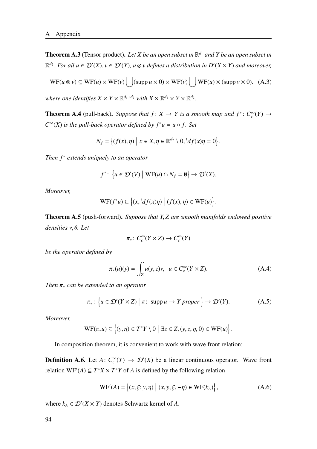Theorem A.3 (Tensor product). *Let X be an open subset in* R *<sup>d</sup>*<sup>1</sup> *and Y be an open subset in*  $\mathbb{R}^{d_2}$ . For all  $u \in \mathcal{D}'(X)$ ,  $v \in \mathcal{D}'(Y)$ ,  $u \otimes v$  defines a distribution in  $D'(X \times Y)$  and moreover,

$$
WF(u \otimes v) \subseteq WF(u) \times WF(v) \bigcup (\text{supp } u \times 0) \times WF(v) \bigcup WF(u) \times (\text{supp } v \times 0). \quad (A.3)
$$

where one identifies  $X \times Y \times \mathbb{R}^{d_1+d_2}$  with  $X \times \mathbb{R}^{d_1} \times Y \times \mathbb{R}^{d_2}$ .

**Theorem A.4** (pull-back). *Suppose that*  $f: X \to Y$  *is a smooth map and*  $f^*: C_c^{\infty}(Y) \to$  $C^{\infty}(X)$  *is the pull-back operator defined by*  $f^*u = u \circ f$ *. Set* 

$$
N_f = \left\{ (f(x), \eta) \mid x \in X, \eta \in \mathbb{R}^{d_2} \setminus 0, {}^t df(x) \eta = 0 \right\}.
$$

*Then f* <sup>∗</sup> *extends uniquely to an operator*

$$
f^*\colon \left\{u\in \mathcal{D}'(V)\; \middle|\; \text{WF}(u)\cap N_f=\emptyset\right\}\to \mathcal{D}'(X).
$$

*Moreover,*

$$
\mathrm{WF}(f^*u) \subseteq \left\{ (x, {}^t df(x)\eta) \mid (f(x), \eta) \in \mathrm{WF}(u) \right\}.
$$

Theorem A.5 (push-forward). *Suppose that Y*, *Z are smooth manifolds endowed positive densities* ν, θ*. Let*

$$
\pi_*\colon C_c^\infty(Y\times Z)\to C_c^\infty(Y)
$$

*be the operator defined by*

$$
\pi_*(u)(y) = \int_Z u(y, z)\nu, \ \ u \in C_c^\infty(Y \times Z). \tag{A.4}
$$

*Then* π<sup>∗</sup> *can be extended to an operator*

$$
\pi_*\colon \left\{ u \in \mathcal{D}'(Y \times Z) \mid \pi \colon \operatorname{supp} u \to Y \text{ proper } \right\} \to \mathcal{D}'(Y). \tag{A.5}
$$

*Moreover,*

$$
\mathrm{WF}(\pi_* u) \subseteq \left\{ (y, \eta) \in T^*Y \setminus 0 \mid \exists z \in Z, (y, z, \eta, 0) \in \mathrm{WF}(u) \right\}.
$$

In composition theorem, it is convenient to work with wave front relation:

**Definition A.6.** Let  $A: C_c^{\infty}(Y) \to \mathcal{D}'(X)$  be a linear continuous operator. Wave front relation  $WF'(A) \subseteq T^*X \times T^*Y$  of *A* is defined by the following relation

$$
WF'(A) = \{(x, \xi; y, \eta) | (x, y, \xi, -\eta) \in WF(k_A) \},
$$
 (A.6)

where  $k_A \in \mathcal{D}'(X \times Y)$  denotes Schwartz kernel of *A*.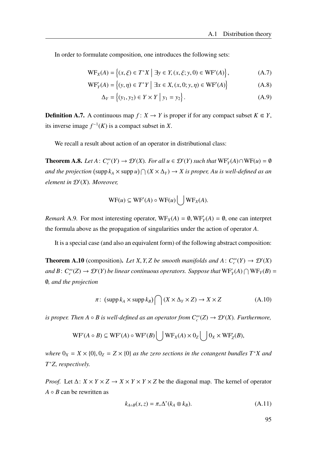In order to formulate composition, one introduces the following sets:

$$
WF_X(A) = \{(x, \xi) \in T^*X \mid \exists y \in Y, (x, \xi; y, 0) \in WF'(A)\},\tag{A.7}
$$

$$
WF'_{Y}(A) = \{(y, \eta) \in T^*Y \mid \exists x \in X, (x, 0; y, \eta) \in WF'(A) \}
$$
 (A.8)

$$
\Delta_Y = \{(y_1, y_2) \in Y \times Y \mid y_1 = y_2\}.
$$
 (A.9)

**Definition A.7.** A continuous map  $f: X \to Y$  is proper if for any compact subset  $K \in Y$ , its inverse image  $f^{-1}(K)$  is a compact subset in *X*.

We recall a result about action of an operator in distributional class:

**Theorem A.8.** Let  $A: C_c^{\infty}(Y) \to \mathcal{D}'(X)$ . For all  $u \in \mathcal{D}'(Y)$  such that  $WF'_Y(A) \cap WF(u) = \emptyset$ and the projection (supp  $k_A \times$  supp  $u$ )  $\bigcap (X \times \Delta_Y) \to X$  is proper, Au is well-defined as an *element in* D′ (*X*)*. Moreover,*

$$
WF(u) \subseteq WF'(A) \circ WF(u) \cup WF_X(A).
$$

*Remark* A.9. For most interesting operator,  $WF_X(A) = \emptyset$ ,  $WF'_Y(A) = \emptyset$ , one can interpret the formula above as the propagation of singularities under the action of operator *A*.

It is a special case (and also an equivalent form) of the following abstract composition:

**Theorem A.10** (composition). Let X, Y, Z be smooth manifolds and  $A: C_c^{\infty}(Y) \to \mathcal{D}'(X)$ *and*  $B: C_c^{\infty}(Z) \to \mathcal{D}'(Y)$  *be linear continuous operators. Suppose that*  $WF_Y(A) \cap WF_Y(B) =$ ∅*, and the projection*

$$
\pi\colon (\operatorname{supp} k_A \times \operatorname{supp} k_B) \bigcap (X \times \Delta_Y \times Z) \to X \times Z \tag{A.10}
$$

*is proper. Then*  $A \circ B$  *is well-defined as an operator from*  $C_c^{\infty}(Z) \to \mathcal{D}'(X)$ *. Furthermore,* 

$$
\mathrm{WF}'(A \circ B) \subseteq \mathrm{WF}'(A) \circ \mathrm{WF}'(B) \bigcup \mathrm{WF}_X(A) \times 0_Z \bigcup 0_X \times \mathrm{WF}'_Z(B),
$$

*where*  $0_X = X \times \{0\}$ ,  $0_Z = Z \times \{0\}$  *as the zero sections in the cotangent bundles*  $T^*X$  *and T* <sup>∗</sup>*Z, respectively.*

*Proof.* Let  $\Delta: X \times Y \times Z \rightarrow X \times Y \times Y \times Z$  be the diagonal map. The kernel of operator *A* ◦ *B* can be rewritten as

$$
k_{A \circ B}(x, z) = \pi_* \Delta^* (k_A \otimes k_B). \tag{A.11}
$$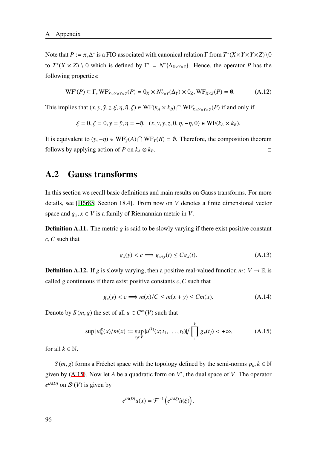Note that  $P := \pi_* \Delta^*$  is a FIO associated with canonical relation  $\Gamma$  from  $T^*(X \times Y \times Y \times Z) \setminus 0$ to  $T^*(X \times Z) \setminus 0$  which is defined by  $\Gamma' = N^*{\{\Delta_{X\times Y\times Z}\}}$ . Hence, the operator *P* has the following properties:

$$
\text{WF}'(P) \subseteq \Gamma, \text{WF}'_{X \times Y \times Y \times Z}(P) = 0_X \times N^*_{Y \times Y}(\Delta_Y) \times 0_Z, \text{WF}_{X \times Z}(P) = \emptyset. \tag{A.12}
$$

This implies that  $(x, y, \tilde{y}, z, \xi, \eta, \tilde{\eta}, \zeta) \in WF(k_A \times k_B) \cap WF'_{X \times Y \times Y \times Z}(P)$  if and only if

$$
\xi = 0, \zeta = 0, y = \tilde{y}, \eta = -\tilde{\eta}, (x, y, y, z, 0, \eta, -\eta, 0) \in \text{WF}(k_A \times k_B).
$$

It is equivalent to  $(y, -\eta) \in WF_Y(A) \cap WF_Y(B) = \emptyset$ . Therefore, the composition theorem follows by applying action of *P* on  $k_A \otimes k_B$ .

### A.2 Gauss transforms

In this section we recall basic definitions and main results on Gauss transforms. For more details, see [\[Hör85](#page-117-3), Section 18.4]. From now on *V* denotes a finite dimensional vector space and  $g_x$ ,  $x \in V$  is a family of Riemannian metric in *V*.

**Definition A.11.** The metric *g* is said to be slowly varying if there exist positive constant *c*,*C* such that

$$
g_x(y) < c \Longrightarrow g_{x+y}(t) \le Cg_x(t). \tag{A.13}
$$

**Definition A.12.** If *g* is slowly varying, then a positive real-valued function *m*:  $V \rightarrow \mathbb{R}$  is called *g* continuous if there exist positive constants  $c$ ,  $\overline{C}$  such that

$$
g_x(y) < c \implies m(x)/C \le m(x+y) \le Cm(x). \tag{A.14}
$$

Denote by  $S(m, g)$  the set of all  $u \in C^{\infty}(V)$  such that

<span id="page-103-0"></span>
$$
\sup |u|_{k}^{g}(x)/m(x) := \sup_{t_{j} \in V} |u^{(k)}(x; t_{1}, \dots, t_{k})| / \prod_{1}^{k} g_{x}(t_{j}) < +\infty,
$$
 (A.15)

for all  $k \in \mathbb{N}$ .

*S*(*m*, *g*) forms a Fréchet space with the topology defined by the semi-norms  $p_k$ ,  $k \in \mathbb{N}$ given by [\(A.15\)](#page-103-0). Now let *A* be a quadratic form on *V* ′ , the dual space of *V*. The operator  $e^{iA(D)}$  on  $S'(V)$  is given by

$$
e^{iA(D)}u(x) = \mathcal{F}^{-1}\left(e^{iA(\xi)}\hat{u}(\xi)\right).
$$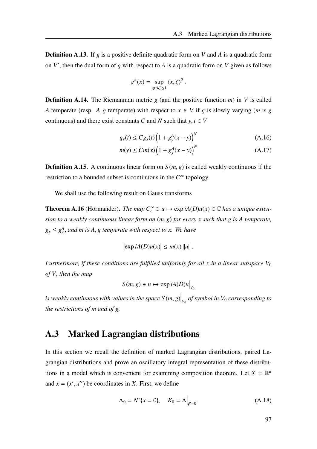Definition A.13. If *g* is a positive definite quadratic form on *V* and *A* is a quadratic form on *V* ′ , then the dual form of *g* with respect to *A* is a quadratic form on *V* given as follows

$$
g^A(x) = \sup_{g(A\xi) \le 1} \langle x, \xi \rangle^2.
$$

**Definition A.14.** The Riemannian metric *g* (and the positive function *m*) in *V* is called *A* temperate (resp. *A*, *g* temperate) with respect to  $x \in V$  if *g* is slowly varying (*m* is *g* continuous) and there exist constants *C* and *N* such that  $y, t \in V$ 

$$
g_{y}(t) \leq C g_{x}(t) \left( 1 + g_{y}^{A}(x - y) \right)^{N}
$$
 (A.16)

$$
m(y) \le C m(x) \left(1 + g_y^A(x - y)\right)^N
$$
 (A.17)

**Definition A.15.** A continuous linear form on  $S(m, g)$  is called weakly continuous if the restriction to a bounded subset is continuous in the *C* <sup>∞</sup> topology.

We shall use the following result on Gauss transforms

**Theorem A.16** (Hörmander). *The map*  $C_c^{\infty} \ni u \mapsto \exp iA(D)u(x) \in \mathbb{C}$  *has a unique extension to a weakly continuous linear form on* (*m*, *g*) *for every x such that g is A temperate,*  $g_x \leq g_x^A$ , and *m* is A, *g* temperate with respect to *x*. We have

$$
\left|\exp iA(D)u(x)\right|\leq m(x)\left|\left|u\right|\right|.
$$

*Furthermore, if these conditions are fulfilled uniformly for all x in a linear subspace*  $V_0$ *of V, then the map*

$$
S(m, g) \ni u \mapsto \exp iA(D)u\big|_{V_0}
$$

is weakly continuous with values in the space  $S(m,g) \big|_{V_0}$  of symbol in  $V_0$  corresponding to *the restrictions of m and of g.*

### A.3 Marked Lagrangian distributions

In this section we recall the definition of marked Lagrangian distributions, paired Lagrangian distributions and prove an oscillatory integral representation of these distributions in a model which is convenient for examining composition theorem. Let  $X = \mathbb{R}^d$ and  $x = (x', x'')$  be coordinates in *X*. First, we define

$$
\Lambda_0 = N^* \{ x = 0 \}, \quad K_0 = \Lambda \Big|_{\xi' = 0}.
$$
\n(A.18)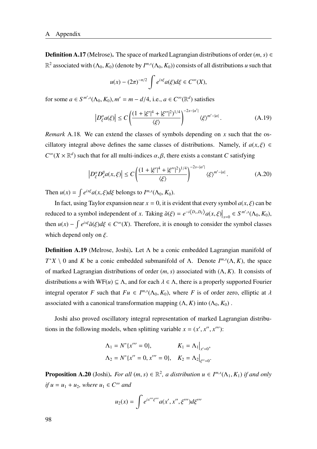**Definition A.17** (Melrose). The space of marked Lagrangian distributions of order  $(m, s) \in$  $\mathbb{R}^2$  associated with  $(\Lambda_0, K_0)$  (denote by  $I^{m,s}(\Lambda_0, K_0)$ ) consists of all distributions *u* such that

$$
u(x) - (2\pi)^{-n/2} \int e^{ix\xi} a(\xi) d\xi \in C^{\infty}(X),
$$

for some  $a \in S^{m',s}(\Lambda_0, K_0)$ ,  $m' = m - d/4$ , i.e.,  $a \in C^{\infty}(\mathbb{R}^d)$  satisfies

$$
\left|D_{\xi}^{\alpha}a(\xi)\right| \le C\left(\frac{(1+|\xi'|^4+|\xi''|^2)^{1/4}}{\langle\xi\rangle}\right)^{-2s-|\alpha'|}\langle\xi\rangle^{m'-|\alpha|}.\tag{A.19}
$$

*Remark* A.18*.* We can extend the classes of symbols depending on *x* such that the oscillatory integral above defines the same classes of distributions. Namely, if  $a(x, \xi) \in$  $C^{\infty}(X \times \mathbb{R}^d)$  such that for all multi-indices  $\alpha, \beta$ , there exists a constant *C* satisfying

$$
\left| D^{\alpha}_{\xi} D^{\beta}_{x} a(x,\xi) \right| \le C \left( \frac{(1+|\xi'|^4 + |\xi''|^2)^{1/4}}{\langle \xi \rangle} \right)^{-2s - |\alpha'|} \langle \xi \rangle^{m' - |\alpha|}.
$$
 (A.20)

Then  $u(x) = \int e^{ix\xi} a(x, \xi) d\xi$  belongs to  $I^{m,s}(\Lambda_0, K_0)$ .

In fact, using Taylor expansion near  $x = 0$ , it is evident that every symbol  $a(x, \xi)$  can be reduced to a symbol independent of *x*. Taking  $\tilde{a}(\xi) = e^{-i\langle D_x, D_{\xi} \rangle} a(x, \xi)|_{x=0} \in S^{m', s}(\Lambda_0, K_0)$ , then  $u(x) - \int e^{ix\xi} \tilde{a}(\xi) d\xi \in C^{\infty}(X)$ . Therefore, it is enough to consider the symbol classes which depend only on  $\xi$ .

Definition A.19 (Melrose, Joshi). Let Λ be a conic embedded Lagrangian manifold of *T*<sup>\*</sup>*X* \ 0 and *K* be a conic embedded submanifold of Λ. Denote  $I^{m,s}(\Lambda, K)$ , the space of marked Lagrangian distributions of order (*m*, *s*) associated with (Λ, *K*). It consists of distributions *u* with WF(*u*)  $\subseteq \Lambda$ , and for each  $\lambda \in \Lambda$ , there is a properly supported Fourier integral operator *F* such that  $Fu \in I^{m,s}(\Lambda_0, K_0)$ , where *F* is of order zero, elliptic at  $\lambda$ associated with a canonical transformation mapping  $(\Lambda, K)$  into  $(\Lambda_0, K_0)$ .

Joshi also proved oscillatory integral representation of marked Lagrangian distributions in the following models, when splitting variable  $x = (x', x'', x'')$ :

$$
\Lambda_1 = N^* \{x''' = 0\}, \qquad K_1 = \Lambda_1 \big|_{x'=0},
$$
  

$$
\Lambda_2 = N^* \{x'' = 0, x''' = 0\}, \quad K_2 = \Lambda_2 \big|_{\xi''=0}.
$$

**Proposition A.20** (Joshi). *For all*  $(m, s) \in \mathbb{R}^2$ , a distribution  $u \in I^{m,s}(\Lambda_1, K_1)$  if and only *if*  $u = u_1 + u_2$ *, where*  $u_1 \in C^\infty$  *and* 

$$
u_2(x) = \int e^{ix''' \xi'''} a(x', x'', \xi''') d\xi'''
$$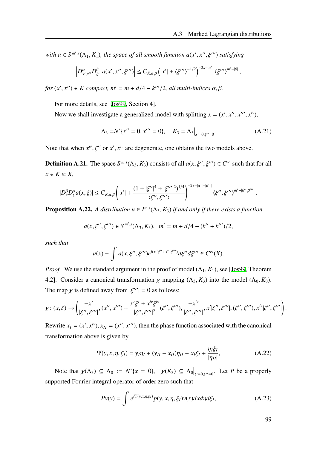*with a*  $\in$  *S*<sup>*m'*,*s*</sup>( $\Lambda$ <sub>1</sub>, *K*<sub>1</sub>)*, the space of all smooth function a*(*x'*, *x''*, *ξ'''*) *satisfying* 

$$
\left|D_{x',x''}^{\alpha}D_{\xi'''}^{\beta}a(x',x'',\xi''')\right|\leq C_{K,\alpha,\beta}\left(|x'|+\langle\xi'''\rangle^{-1/2}\right)^{-2s-|\alpha'|}\langle\xi'''\rangle^{m'-|\beta|},
$$

 $for (x', x'') \in K$  compact,  $m' = m + d/4 - k'''/2$ , all multi-indices  $\alpha, \beta$ .

For more details, see [[Jos99](#page-117-0), Section 4].

Now we shall investigate a generalized model with splitting  $x = (x', x'', x''', x^{iv})$ ,

$$
\Lambda_3 = N^* \{ x'' = 0, x''' = 0 \}, \quad K_3 = \Lambda_3 \big|_{x'=0, \xi'' = 0}.
$$
 (A.21)

Note that when  $x^{iv}$ ,  $\xi''$  or  $x'$ ,  $x^{iv}$  are degenerate, one obtains the two models above.

**Definition A.21.** The space  $S^{m,s}(\Lambda_3, K_3)$  consists of all  $a(x, \xi'', \xi''') \in C^{\infty}$  such that for all  $x \in K \subseteq X$ ,

$$
|D_x^{\beta}D_{\xi}^{\alpha}a(x,\xi)| \leq C_{K,\alpha,\beta}\left(|x'| + \frac{(1+|\xi''|^4 + |\xi'''|^2)^{1/4}}{\langle \xi'',\xi'''\rangle}\right)^{-2s-|\alpha'|-|\beta''|} \langle \xi'',\xi'''\rangle^{m'-|\beta'',\beta'''|}.
$$

<span id="page-106-0"></span>**Proposition A.22.** *A distribution*  $u \in I^{m,s}(\Lambda_3, K_3)$  *if and only if there exists a function* 

$$
a(x, \xi'', \xi''') \in S^{m', s}(\Lambda_3, K_3), \quad m' = m + d/4 - (k'' + k''')/2,
$$

*such that*

$$
u(x)-\int a(x,\xi'',\xi''')e^{i(x'\xi''+x'''\xi''')}d\xi''d\xi''' \in C^\infty(X).
$$

*Proof.* We use the standard argument in the proof of model  $(\Lambda_1, K_1)$ , see [\[Jos99](#page-117-0), Theorem] 4.2]. Consider a canonical transformation  $\chi$  mapping  $(\Lambda_3, K_3)$  into the model  $(\Lambda_0, K_0)$ . The map  $\chi$  is defined away from  $|\xi'''| = 0$  as follows:

$$
\chi\colon (x,\xi)\to \left(\frac{-x'}{|\xi'',\xi'''|},(x'',x'')+\frac{x'\xi'+x^{iv}\xi^{iv}}{|\xi'',\xi'''|^2}(\xi'',\xi'''),\frac{-x^{iv}}{|\xi'',\xi'''|},x'|\xi'',\xi'''],(\xi'',\xi'''),x^{iv}|\xi'',\xi'''|\right).
$$

Rewrite  $x_I = (x', x^{iv})$ ,  $x_{II} = (x'', x''')$ , then the phase function associated with the canonical transformation above is given by

$$
\Psi(y, x, \eta, \xi_I) = y_I \eta_I + (y_{II} - x_{II}) \eta_{II} - x_I \xi_I + \frac{\eta_I \xi_I}{|\eta_{II}|},
$$
(A.22)

Note that  $\chi(\Lambda_3) \subseteq \Lambda_0 := N^*\{x = 0\}$ ,  $\chi(K_3) \subseteq \Lambda_0|_{\xi'=0,\xi''=0}$ . Let *P* be a properly supported Fourier integral operator of order zero such that

$$
Pv(y) = \int e^{i\Psi(y,x,\eta,\xi_I)} p(y,x,\eta,\xi_I) v(x) dx d\eta d\xi_I,
$$
 (A.23)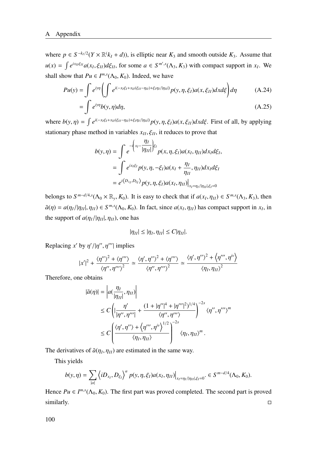where  $p \in S^{-k/2}(Y \times \mathbb{R}^k(k_I + d))$ , is elliptic near  $K_3$  and smooth outside  $K_3$ . Assume that  $u(x) = \int e^{ix_H\xi_H} a(x_I, \xi_{II}) d\xi_{II}$ , for some  $a \in S^{m', s}(\Lambda_3, K_3)$  with compact support in  $x_I$ . We shall show that  $Pu \in I^{m,s}(\Lambda_0, K_0)$ . Indeed, we have

$$
Pu(y) = \int e^{iy\eta} \left( \int e^{i(-x_1\xi_l + x_{ll}(\xi_{ll} - \eta_{ll}) + \xi_l \eta_l / |\eta_{ll}|)} p(y, \eta, \xi_l) a(x, \xi_{ll}) dx d\xi \right) d\eta
$$
\n
$$
= \int e^{iy\eta} b(y, \eta) d\eta,
$$
\n(A.25)

,

where  $b(y, \eta) = \int e^{i(-x_1\xi_1 + x_{II}(\xi_{II} - \eta_{II}) + \xi_I \eta_I / |\eta_{II}|)} p(y, \eta, \xi_I) a(x, \xi_{II}) dx d\xi$ . First of all, by applying stationary phase method in variables  $x_{II}, \xi_{II}$ , it reduces to prove that

$$
b(y,\eta) = \int e^{-i\left(x_l - \frac{\eta_I}{|\eta_{II}|}\right) \xi_I} p(x, \eta, \xi_I) a(x_I, \eta_{II}) dx_I d\xi_I
$$
  
= 
$$
\int e^{ix_I \xi_I} p(y, \eta, -\xi_I) a(x_I + \frac{\eta_I}{\eta_{II}}, \eta_{II}) dx_I d\xi_I
$$
  
= 
$$
e^{i\left\langle D_{x_I}, D_{\xi_I}\right\rangle} p(y, \eta, \xi_I) a(x_I, \eta_{II}) \Big|_{x_I = \eta_I / |\eta_{II}|, \xi_I = 0}
$$

belongs to  $S^{m-d/4,s}(\Lambda_0 \times \mathbb{R}_y, K_0)$ . It is easy to check that if  $a(x_I, \eta_{II}) \in S^{m,s}(\Lambda_3, K_3)$ , then  $\tilde{a}(\eta) = a(\eta_I/|\eta_{II}|, \eta_{II}) \in S^{m,s}(\Lambda_0, K_0)$ . In fact, since  $a(x_I, \eta_{II})$  has compact support in  $x_I$ , in the support of  $a(\eta_I/|\eta_{II}|, \eta_{II})$ , one has

$$
|\eta_{II}|\leq |\eta_I,\eta_{II}|\leq C|\eta_{II}|.
$$

Replacing  $x'$  by  $\eta'/|\eta''$ ,  $\eta'''$  implies

$$
|x'|^2 + \frac{\langle \eta'' \rangle^2 + \langle \eta''' \rangle}{\langle \eta'', \eta''' \rangle^2} \simeq \frac{\langle \eta', \eta'' \rangle^2 + \langle \eta''' \rangle}{\langle \eta'', \eta''' \rangle^2} \simeq \frac{\langle \eta', \eta'' \rangle^2 + \langle \eta''', \eta^{iv} \rangle}{\langle \eta_I, \eta_{II} \rangle^2}
$$

Therefore, one obtains

$$
|\tilde{a}(\eta)| = \left| a\left(\frac{\eta_I}{|\eta_{II}|}, \eta_{II}\right) \right|
$$
  
\n
$$
\leq C \left( \left| \frac{\eta'}{|\eta'', \eta''|} + \frac{(1 + |\eta''|^4 + |\eta'''|^2)^{1/4}}{\langle \eta'', \eta'''\rangle} \right|^{-2s} \langle \eta'', \eta''' \rangle^m \right|
$$
  
\n
$$
\leq C \left( \frac{\langle \eta', \eta'' \rangle + \langle \eta''', \eta^{iv} \rangle^{1/2}}{\langle \eta_I, \eta_{II} \rangle} \right)^{-2s} \langle \eta_I, \eta_{II} \rangle^m.
$$

The derivatives of  $\tilde{a}(\eta_I, \eta_{II})$  are estimated in the same way.

This yields

$$
b(y,\eta) = \sum_{|\alpha|} \left\langle iD_{x_I}, D_{\xi_I} \right\rangle^{\alpha} p(y,\eta,\xi_I) a(x_I,\eta_{II}) \Big|_{x_I = \eta_I / |\eta_{II}|, \xi_I = 0} \in S^{m-d/4}(\Lambda_0,K_0).
$$

Hence  $Pu \in I^{m,s}(\Lambda_0, K_0)$ . The first part was proved completed. The second part is proved  $\blacksquare$ similarly.  $\blacksquare$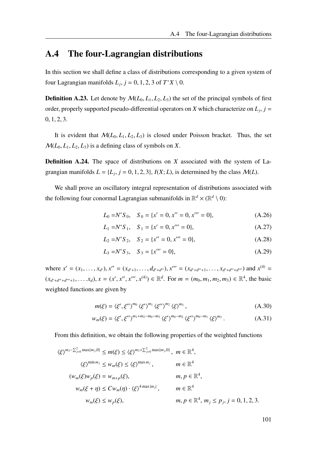## A.4 The four-Lagrangian distributions

In this section we shall define a class of distributions corresponding to a given system of four Lagrangian manifolds  $L_j$ ,  $j = 0, 1, 2, 3$  of  $T^*X \setminus 0$ .

**Definition A.23.** Let denote by  $\mathcal{M}(L_0, L_1, L_2, L_3)$  the set of the principal symbols of first order, properly supported pseudo-differential operators on *X* which characterize on  $L_j$ ,  $j =$  $0, 1, 2, 3.$ 

It is evident that  $M(L_0, L_1, L_2, L_3)$  is closed under Poisson bracket. Thus, the set  $M(L_0, L_1, L_2, L_3)$  is a defining class of symbols on X.

Definition A.24. The space of distributions on *X* associated with the system of Lagrangian manifolds  $L = \{L_j, j = 0, 1, 2, 3\}, I(X; L)$ , is determined by the class  $M(L)$ .

We shall prove an oscillatory integral representation of distributions associated with the following four conormal Lagrangian submanifolds in  $\mathbb{R}^d \times (\mathbb{R}^d \setminus 0)$ :

$$
L_0 = N^* S_0, \quad S_0 = \{x' = 0, x'' = 0, x''' = 0\},\tag{A.26}
$$

$$
L_1 = N^* S_1, \quad S_1 = \{x' = 0, x''' = 0\},\tag{A.27}
$$

$$
L_2 = N^* S_2, \quad S_2 = \{x'' = 0, x''' = 0\},\tag{A.28}
$$

$$
L_3 = N^* S_3, \quad S_3 = \{x''' = 0\},\tag{A.29}
$$

where  $x' = (x_1, ..., x_{d'})$ ,  $x'' = (x_{d'+1}, ..., d_{d'+d''})$ ,  $x''' = (x_{d'+d''+1}, ..., x_{d'+d''+d''})$  and  $x^{(4)} =$  $(x_{d'+d''+d'''+1},...,x_d), x = (x',x'',x''',x^{(4)}) \in \mathbb{R}^d$ . For  $m = (m_0, m_1, m_2, m_3) \in \mathbb{R}^4$ , the basic weighted functions are given by

$$
m(\xi) = \langle \xi', \xi'' \rangle^{m_0} \langle \xi' \rangle^{m_1} \langle \xi'' \rangle^{m_2} \langle \xi \rangle^{m_3}, \tag{A.30}
$$

$$
w_m(\xi) = \langle \xi', \xi'' \rangle^{m_1 + m_2 - m_0 - m_3} \langle \xi' \rangle^{m_0 - m_2} \langle \xi'' \rangle^{m_0 - m_1} \langle \xi \rangle^{m_3}.
$$
 (A.31)

From this definition, we obtain the following properties of the weighted functions

$$
\langle \xi \rangle^{m_3 - \sum_{j=0}^2 \max\{m_j, 0\}} \le m(\xi) \le \langle \xi \rangle^{m_3 + \sum_{j=0}^2 \max\{m_j, 0\}}, \quad m \in \mathbb{R}^4,
$$
  

$$
\langle \xi \rangle^{\min m_j} \le w_m(\xi) \le \langle \xi \rangle^{\max m_j}, \qquad m \in \mathbb{R}^4
$$
  

$$
(w_m(\xi)w_p(\xi) = w_{m+p}(\xi), \qquad m, p \in \mathbb{R}^4,
$$
  

$$
w_m(\xi + \eta) \le C w_m(\eta) \cdot \langle \xi \rangle^{4 \max |m_j|}, \qquad m \in \mathbb{R}^4
$$
  

$$
w_m(\xi) \le w_p(\xi), \qquad m, p \in \mathbb{R}^4, m_j \le p_j, j = 0, 1, 2, 3.
$$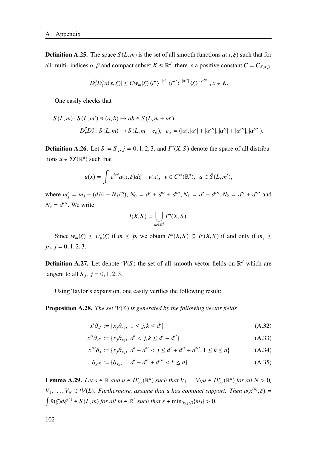**Definition A.25.** The space  $S(L, m)$  is the set of all smooth functions  $a(x, \xi)$  such that for all multi- indices  $\alpha, \beta$  and compact subset  $K \in \mathbb{R}^d$ , there is a positive constant  $C = C_{K,\alpha,\beta}$ 

$$
|D_x^{\beta}D_{\xi}^{\alpha}a(x,\xi)| \leq C w_m(\xi) \langle \xi' \rangle^{-|\alpha'|} \langle \xi'' \rangle^{-|\alpha''|} \langle \xi \rangle^{-|\alpha'''|}, x \in K.
$$

One easily checks that

$$
S(L,m) \cdot S(L,m') \ni (a,b) \mapsto ab \in S(L,m+m')
$$
  

$$
D_x^{\beta} D_{\xi}^{\alpha} \colon S(L,m) \to S(L,m-e_{\alpha}), \quad e_{\alpha} = (|\alpha|, |\alpha'| + |\alpha'''|, |\alpha''| + |\alpha'''|, |\alpha'''|).
$$

**Definition A.26.** Let  $S = S_j$ ,  $j = 0, 1, 2, 3$ , and  $I^m(X, S)$  denote the space of all distributions  $u \in \mathcal{D}'(\mathbb{R}^d)$  such that

$$
u(x) = \int e^{ix\xi} a(x,\xi) d\xi + v(x), \ \ v \in C^{\infty}(\mathbb{R}^d), \ \ a \in \tilde{S}(L,m'),
$$

where  $m'_j = m_j + (d/4 - N_j/2)$ ,  $N_0 = d' + d'' + d'''$ ,  $N_1 = d' + d'''$ ,  $N_2 = d'' + d'''$  and  $N_3 = d'''$ . We write

$$
I(X, S) = \bigcup_{m \in \mathbb{R}^4} I^m(X, S).
$$

Since  $w_m(\xi) \leq w_p(\xi)$  if  $m \leq p$ , we obtain  $I^m(X, S) \subseteq I^p(X, S)$  if and only if  $m_j \leq$  $p_j, j = 0, 1, 2, 3.$ 

**Definition A.27.** Let denote  $V(S)$  the set of all smooth vector fields on  $\mathbb{R}^d$  which are tangent to all *S*  $_j$ ,  $j = 0, 1, 2, 3$ .

Using Taylor's expansion, one easily verifies the following result:

Proposition A.28. *The set* V(*S* ) *is generated by the following vector fields*

$$
x'\partial_{x'} := \{x_j \partial_{x_k}, \ 1 \le j, k \le d'\}
$$
\n(A.32)

$$
x''\partial_{x''} := \{x_j \partial_{x_k}, \ d' < j, k \le d' + d''\} \tag{A.33}
$$

$$
x'''\partial_x := \{x_j \partial_{x_k}, \ d' + d'' < j \le d' + d'' + d''' , 1 \le k \le d\} \tag{A.34}
$$

$$
\partial_{x^{(4)}} := \{ \partial_{x_k}, \quad d' + d'' + d''' < k \le d \}. \tag{A.35}
$$

<span id="page-109-0"></span>**Lemma A.29.** Let  $s \in \mathbb{R}$  and  $u \in H_{loc}^s(\mathbb{R}^d)$  such that  $V_1 \dots V_N u \in H_{loc}^s(\mathbb{R}^d)$  for all  $N > 0$ ,  $V_1, \ldots, V_N \in \mathcal{V}(L)$ . *Furthermore, assume that u has compact support. Then*  $a(x^{(4)}, \xi) =$  $\int \hat{u}(\xi) d\xi^{(4)} \in S(L, m)$  *for all*  $m \in \mathbb{R}^4$  *such that*  $s + \min_{0 \le j \le 3} \{m_j\} > 0$ *.*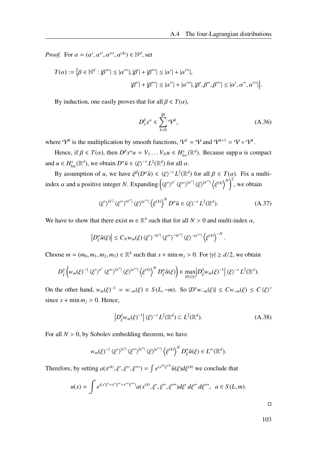*Proof.* For  $\alpha = (\alpha', \alpha'', \alpha''', \alpha^{(4)}) \in \mathbb{N}^d$ , set

$$
T(\alpha) := \Big\{\beta \in \mathbb{N}^d : |\beta'''| \leq |\alpha'''|, |\beta'| + |\beta'''| \leq |\alpha'| + |\alpha'''|,
$$
  

$$
|\beta''| + |\beta'''| \leq |\alpha''| + |\alpha'''|, |\beta', \beta'', \beta'''| \leq |\alpha', \alpha'', \alpha'''| \Big\}.
$$

By induction, one easily proves that for all  $\beta \in T(\alpha)$ ,

$$
D_{x}^{\beta}x^{\alpha} \in \sum_{k=0}^{|\beta|} \mathcal{V}^{k}, \tag{A.36}
$$

.

where  $\mathcal{V}^0$  is the multiplication by smooth functions,  $\mathcal{V}^1 = \mathcal{V}$  and  $\mathcal{V}^{k+1} = \mathcal{V} \circ \mathcal{V}^k$ .

Hence, if  $\beta \in T(\alpha)$ , then  $D^{\beta}x^{\alpha}u = V_1 \dots V_N u \in H_{loc}^s(\mathbb{R}^d)$ . Because supp *u* is compact and  $u \in H_{\text{loc}}^{s}(\mathbb{R}^{d})$ , we obtain  $D^{\alpha}\hat{u} \in \langle \xi \rangle^{-s} L^{2}(\mathbb{R}^{d})$  for all  $\alpha$ .

By assumption of *u*, we have  $\xi^{\beta}(D^{\alpha}\hat{u}) \in \langle \xi \rangle^{-s} L^2(\mathbb{R}^d)$  for all  $\beta \in T(\alpha)$ . Fix a multiindex  $\alpha$  and a positive integer *N*. Expanding  $(\langle \xi' \rangle^{\alpha'} \langle \xi'' \rangle^{|\alpha''|} \langle \xi \rangle^{|\alpha'''|} \langle \xi^{(4)} \rangle^{N})^2$ , we obtain

$$
\langle \xi' \rangle^{|\alpha'|} \langle \xi'' \rangle^{|\alpha''|} \langle \xi \rangle^{|\alpha'''|} \langle \xi^{(4)} \rangle^N D^{\alpha} \hat{u} \in \langle \xi \rangle^{-s} L^2(\mathbb{R}^d). \tag{A.37}
$$

We have to show that there exist  $m \in \mathbb{R}^4$  such that for all  $N > 0$  and multi-index  $\alpha$ ,

$$
\left|D^{\alpha}_{\xi}\hat{u}(\xi)\right| \leq C_N w_m(\xi) \left\langle \xi'\right\rangle^{-|\alpha'|} \left\langle \xi''\right\rangle^{-|\alpha''|} \left\langle \xi\right\rangle^{-|\alpha'''|} \left\langle \xi^{(4)}\right\rangle^{-N}
$$

Choose  $m = (m_0, m_1, m_2, m_3) \in \mathbb{R}^4$  such that  $s + \min m_j > 0$ . For  $|\gamma| \ge d/2$ , we obtain

$$
D_{\xi}^{\gamma}\left(w_{m}(\xi)^{-1}\left\langle\xi'\right\rangle^{\alpha'}\left\langle\xi''\right\rangle^{\left|\alpha''\right|}\left\langle\xi\right\rangle^{\left|\alpha''\right|}\left\langle\xi^{(4)}\right\rangle^{N}D_{\xi}^{\alpha}\hat{u}(\xi)\right)\in\max_{\left|\delta\right|\leq\left|\gamma\right|}\left|D_{\xi}^{\delta}w_{m}(\xi)^{-1}\right|\left\langle\xi\right\rangle^{-s}L^{2}(\mathbb{R}^{d}).
$$

On the other hand,  $w_m(\xi)^{-1} = w_{-m}(\xi) \in S(L, -m)$ . So  $|D^{\gamma}w_{-m}(\xi)| \le Cw_{-m}(\xi) \le C \langle \xi \rangle^{s}$ since  $s + min m_j > 0$ . Hence,

$$
\left| D_{\xi}^{\delta} w_m(\xi)^{-1} \right| \langle \xi \rangle^{-s} L^2(\mathbb{R}^d) \subset L^2(\mathbb{R}^d). \tag{A.38}
$$

For all  $N > 0$ , by Sobolev embedding theorem, we have

$$
w_m(\xi)^{-1} \langle \xi' \rangle^{|\alpha'|} \langle \xi'' \rangle^{|\alpha''|} \langle \xi \rangle^{|\alpha'''|} \langle \xi^{(4)} \rangle^N D_{\xi}^{\alpha} \hat{u}(\xi) \in L^{\infty}(\mathbb{R}^d).
$$

Therefore, by setting  $a(x^{(4)}, \xi', \xi'', \xi''') = \int e^{ix^{(4)}\xi^{(4)}} \hat{u}(\xi) d\xi^{(4)}$  we conclude that

$$
u(x) = \int e^{i(x'\xi' + x''\xi'' + x''' \xi''')} a(x^{(4)}, \xi', \xi'', \xi''') d\xi' d\xi'' d\xi''', \ a \in S(L, m).
$$

 $\Box$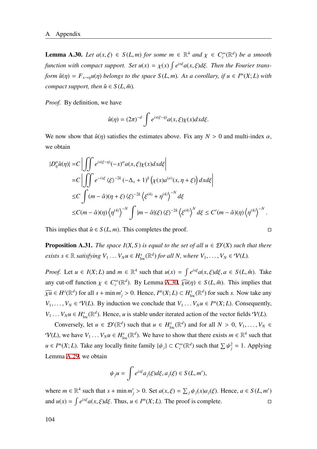<span id="page-111-0"></span>**Lemma A.30.** *Let*  $a(x, \xi) \in S(L, m)$  *for some*  $m \in \mathbb{R}^4$  *and*  $\chi \in C_c^{\infty}(\mathbb{R}^d)$  *be a smooth function with compact support. Set*  $u(x) = \chi(x) \int e^{ix\xi} a(x, \xi) d\xi$ *. Then the Fourier transform*  $\hat{u}(\eta) = F_{x \to \eta} u(\eta)$  *belongs to the space*  $S(L, m)$ *. As a corollary, if*  $u \in I^m(X; L)$  *with compact support, then*  $\hat{u} \in S(L, \tilde{m})$ *.* 

*Proof.* By definition, we have

$$
\hat{u}(\eta) = (2\pi)^{-d} \int e^{ix(\xi-\eta)} a(x,\xi) \chi(x) dx d\xi.
$$

We now show that  $\hat{u}(\eta)$  satisfies the estimates above. Fix any  $N > 0$  and multi-index  $\alpha$ , we obtain

$$
\begin{split} |D_{\eta}^{\alpha}\hat{u}(\eta)| &= C \left| \iint e^{ix(\xi-\eta)} (-x)^{\alpha} a(x,\xi) \chi(x) dx d\xi \right| \\ &= C \left| \iint e^{-ix\xi} \langle \xi \rangle^{-2k} (-\Delta_{x} + 1)^{k} \left( \chi(x) a^{(\alpha)}(x, \eta + \xi) \right) dx d\xi \right| \\ &\leq C \int (m - \hat{\alpha})(\eta + \xi) \langle \xi \rangle^{-2k} \left( \xi^{(4)} + \eta^{(4)} \right)^{-N} d\xi \\ &\leq C (m - \hat{\alpha})(\eta) \left( \eta^{(4)} \right)^{-N} \int |m - \hat{\alpha}|(\xi) \langle \xi \rangle^{-2k} \left( \xi^{(4)} \right)^{N} d\xi \leq C'(m - \hat{\alpha})(\eta) \left( \eta^{(4)} \right)^{-N} . \end{split}
$$

This implies that  $\hat{u} \in S(L, m)$ . This completes the proof.

**Proposition A.31.** *The space*  $I(X, S)$  *is equal to the set of all*  $u \in D'(X)$  *such that there exists*  $s \in \mathbb{R}$  *satisfying*  $V_1 \ldots V_N u \in H_{loc}^s(\mathbb{R}^d)$  *for all N, where*  $V_1, \ldots, V_N \in \mathcal{V}(L)$ *.* 

*Proof.* Let  $u \in I(X; L)$  and  $m \in \mathbb{R}^4$  such that  $u(x) = \int e^{ix\xi} a(x, \xi) d\xi, a \in S(L, \tilde{m})$ . Take any cut-off function  $\chi \in C_c^{\infty}(\mathbb{R}^d)$ . By Lemma [A.30,](#page-111-0)  $\widehat{\chi u}(\eta) \in S(L, \tilde{m})$ . This implies that  $\widehat{\chi u} \in H^s(\mathbb{R}^d)$  for all  $s + \min m'_j > 0$ . Hence,  $I^m(X; L) \subset H^s_{loc}(\mathbb{R}^d)$  for such *s*. Now take any *V*<sub>1</sub>, . . . , *V*<sup>*N*</sup> ∈  $\mathcal{V}(L)$ . By induction we conclude that *V*<sub>1</sub> . . . *V<sub>N</sub>u* ∈ *I<sup>m</sup>*(*X*; *L*). Consequently,  $V_1 \ldots V_N u \in H_{loc}^s(\mathbb{R}^d)$ . Hence, *u* is stable under iterated action of the vector fields  $\mathcal{V}(L)$ .

Conversely, let  $u \in \mathcal{D}'(\mathbb{R}^d)$  such that  $u \in H^s_{loc}(\mathbb{R}^d)$  and for all  $N > 0, V_1, \ldots, V_N \in$  $\mathcal{V}(L)$ , we have  $V_1 \dots V_N u \in H^s_{loc}(\mathbb{R}^d)$ . We have to show that there exists  $m \in \mathbb{R}^4$  such that  $u \in I^m(X; L)$ . Take any locally finite family  $\{\psi_j\} \subset C_c^{\infty}(\mathbb{R}^d)$  such that  $\sum \psi_j^2 = 1$ . Applying Lemma [A.29](#page-109-0), we obtain

$$
\psi_j u = \int e^{ix\xi} a_j(\xi) d\xi, a_j(\xi) \in S(L, m'),
$$

where  $m \in \mathbb{R}^4$  such that  $s + \min m'_j > 0$ . Set  $a(x, \xi) = \sum_j \psi_j(x) a_j(\xi)$ . Hence,  $a \in S(L, m')$ and  $u(x) = \int e^{ix\xi} a(x, \xi) d\xi$ . Thus,  $u \in I^m(X; L)$ . The proof is complete.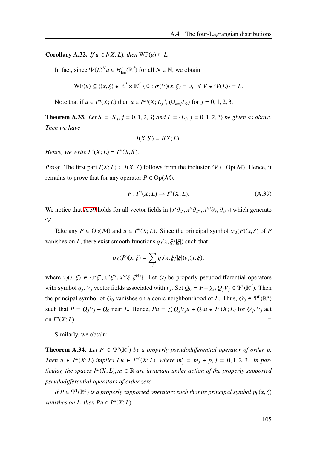Corollary A.32. *If*  $u \in I(X; L)$ *, then*  $WF(u) \subseteq L$ .

In fact, since  $\mathcal{V}(L)^N u \in H^s_{loc}(\mathbb{R}^d)$  for all  $N \in \mathbb{N}$ , we obtain

$$
\mathrm{WF}(u) \subseteq \{(x,\xi) \in \mathbb{R}^d \times \mathbb{R}^d \setminus 0 : \sigma(V)(x,\xi) = 0, \ \forall \ V \in \mathcal{V}(L)\} = L.
$$

Note that if  $u \in I^m(X; L)$  then  $u \in I^{m_j}(X; L_j \setminus (\cup_{k \neq j} L_k)$  for  $j = 0, 1, 2, 3$ .

**Theorem A.33.** *Let*  $S = \{S_j, j = 0, 1, 2, 3\}$  *and*  $L = \{L_j, j = 0, 1, 2, 3\}$  *be given as above. Then we have*

$$
I(X, S) = I(X; L).
$$

*Hence, we write*  $I^m(X; L) = I^m(X; S)$ *.* 

*Proof.* The first part  $I(X; L) \subset I(X, S)$  follows from the inclusion  $V \subset Op(M)$ . Hence, it remains to prove that for any operator  $P \in Op(\mathcal{M})$ ,

<span id="page-112-0"></span>
$$
P: I^m(X; L) \to I^m(X; L). \tag{A.39}
$$

We notice that [A.39](#page-112-0) holds for all vector fields in  $\{x'\partial_{x'}, x''\partial_{x''}, x'''\partial_{x}, \partial_{x^{(4)}}\}$  which generate  $\gamma$ .

Take any  $P \in \text{Op}(\mathcal{M})$  and  $u \in I^m(X; L)$ . Since the principal symbol  $\sigma_0(P)(x, \xi)$  of P vanishes on *L*, there exist smooth functions  $q_i(x, \xi/|\xi|)$  such that

$$
\sigma_0(P)(x,\xi) = \sum_j q_j(x,\xi/|\xi|) v_j(x,\xi),
$$

where  $v_j(x,\xi) \in \{x'\xi', x''\xi'', x'''\xi, \xi^{(4)}\}$ . Let  $Q_j$  be properly pseudodifferential operators with symbol  $q_j$ ,  $V_j$  vector fields associated with  $v_j$ . Set  $Q_0 = P - \sum_j Q_j V_j \in \Psi^1(\mathbb{R}^d)$ . Then the principal symbol of  $Q_0$  vanishes on a conic neighbourhood of *L*. Thus,  $Q_0 \in \Psi^0(\mathbb{R}^d)$ such that  $P = Q_j V_j + Q_0$  near L. Hence,  $Pu = \sum Q_j V_j u + Q_0 u \in I^m(X; L)$  for  $Q_j, V_j$  act on *I m*  $(X; L)$ .

Similarly, we obtain:

**Theorem A.34.** Let  $P \in \Psi^p(\mathbb{R}^d)$  be a properly pseudodifferential operator of order p. *Then*  $u \in I^m(X; L)$  *implies*  $Pu \in I^{m'}(X; L)$ *, where*  $m'_j = m_j + p$ ,  $j = 0, 1, 2, 3$ *. In particular, the spaces*  $I^m(X; L)$ *,*  $m \in \mathbb{R}$  *are invariant under action of the properly supported pseudodi*ff*erential operators of order zero.*

*If*  $P \in \Psi^1(\mathbb{R}^d)$  *is a properly supported operators such that its principal symbol*  $p_0(x, \xi)$ *vanishes on L, then*  $Pu \in I^m(X; L)$ *.*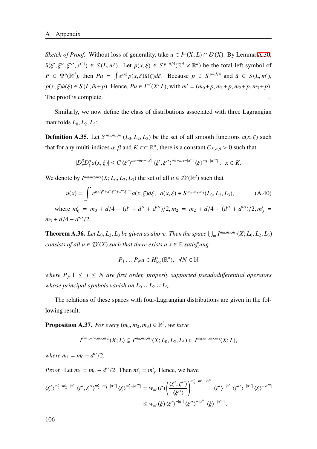*Sketch of Proof.* Without loss of generality, take  $u \in I^m(X; L) \cap \mathcal{E}'(X)$ . By Lemma [A.30](#page-111-0),  $\hat{u}(\xi', \xi'', \xi''', x^{(4)}) \in S(L, m')$ . Let  $p(x, \xi) \in S^{p-d/4}(\mathbb{R}^d \times \mathbb{R}^d)$  be the total left symbol of  $P \in \Psi^p(\mathbb{R}^d)$ , then  $Pu = \int e^{ix\xi} p(x, \xi) \hat{u}(\xi) d\xi$ . Because  $p \in S^{p-d/4}$  and  $\hat{u} \in S(L, m')$ ,  $p(x, \xi)\hat{u}(\xi) \in S(L, \tilde{m}+p)$ . Hence,  $Pu \in I^{m'}(X; L)$ , with  $m' = (m_0 + p, m_1 + p, m_2 + p, m_3 + p)$ . The proof is complete.  $\Box$ 

Similarly, we now define the class of distributions associated with three Lagrangian manifolds  $L_0, L_2, L_3$ :

**Definition A.35.** Let  $S^{m_0, m_2, m_3}(L_0, L_2, L_3)$  be the set of all smooth functions  $a(x, \xi)$  such that for any multi-indices  $\alpha$ ,  $\beta$  and  $K \subset \mathbb{R}^d$ , there is a constant  $C_{K,\alpha,\beta} > 0$  such that

$$
|D_x^{\beta}D_{\xi}^{\alpha}a(x,\xi)| \le C \langle \xi' \rangle^{m_0 - m_2 - |\alpha'|} \langle \xi', \xi'' \rangle^{m_2 - m_3 - |\alpha''|} \langle \xi \rangle^{m_3 - |\alpha'''|}, \quad x \in K.
$$

We denote by  $I^{m_0, m_2, m_3}(X; L_0, L_2, L_3)$  the set of all  $u \in \mathcal{D}'(\mathbb{R}^d)$  such that

$$
u(x) = \int e^{i(x'\xi' + x''\xi'' + x''\xi''')} a(x,\xi) d\xi, \ \ a(x,\xi) \in S^{m'_0, m'_2, m'_3}(L_0, L_2, L_3), \tag{A.40}
$$

where  $m'_0 = m_0 + d/4 - (d' + d'' + d''')/2, m_2 = m_2 + d/4 - (d'' + d''')/2, m'_3 =$ *m*<sup>3</sup> + *d*/4 − *d* ′′′/2.

**Theorem A.36.** Let  $L_0$ ,  $L_2$ ,  $L_3$  be given as above. Then the space  $\bigcup_m I^{m_0,m_2,m_3}(X;L_0,L_2,L_3)$ *consists of all*  $u \in \mathcal{D}'(X)$  *such that there exists a*  $s \in \mathbb{R}$  *satisfying* 

$$
P_1 \dots P_N u \in H^s_{loc}(\mathbb{R}^d), \ \ \forall N \in \mathbb{N}
$$

*where*  $P_j$ ,  $1 \leq j \leq N$  are first order, properly supported pseudodifferential operators *whose principal symbols vanish on*  $L_0 \cup L_2 \cup L_3$ *.* 

The relations of these spaces with four-Lagrangian distributions are given in the following result.

<span id="page-113-0"></span>**Proposition A.37.** *For every*  $(m_0, m_2, m_3) \in \mathbb{R}^3$ , we have

$$
I^{(m_0,-\infty,m_2,m_3)}(X;L) \subsetneq I^{m_0,m_2,m_3}(X;L_0,L_2,L_3) \subset I^{m_0,m_1,m_2,m_3}(X;L),
$$

*where*  $m_1 = m_0 - d''/2$ *.* 

*Proof.* Let  $m_1 = m_0 - d''/2$ . Then  $m'_1 = m'_0$  $v_0'$ . Hence, we have

$$
\langle \xi' \rangle^{m'_0 - m'_2 - |\alpha'|} \langle \xi', \xi'' \rangle^{m'_2 - m'_3 - |\alpha''|} \langle \xi \rangle^{m'_3 - |\alpha'''|} = w_{m'}(\xi) \left( \frac{\langle \xi', \xi'' \rangle}{\langle \xi'' \rangle} \right)^{m'_0 - m'_1 - |\alpha''|} \langle \xi' \rangle^{-|\alpha'|} \langle \xi'' \rangle^{-|\alpha''|} \langle \xi \rangle^{-|\alpha'''|} \langle \xi \rangle^{-|\alpha'''|}
$$
  

$$
\leq w_{m'}(\xi) \langle \xi' \rangle^{-|\alpha'|} \langle \xi'' \rangle^{-|\alpha'''|} \langle \xi \rangle^{-|\alpha'''|}.
$$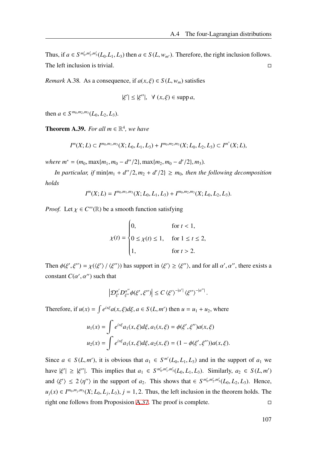Thus, if  $a \in S^{m'_0, m'_2, m'_3}(L_0, L_1, L_3)$  then  $a \in S(L, w_{m'})$ . Therefore, the right inclusion follows. The left inclusion is trivial.  $\square$ 

*Remark* A.38*.* As a consequence, if  $a(x, \xi) \in S(L, w_m)$  satisfies

$$
|\xi'| \le |\xi''|, \ \forall (x,\xi) \in \mathrm{supp}\, a,
$$

then  $a \in S^{m_0, m_2, m_3}(L_0, L_2, L_3)$ .

**Theorem A.39.** For all  $m \in \mathbb{R}^4$ , we have

$$
I^{m}(X; L) \subset I^{m_0, m_1, m_3}(X; L_0, L_1, L_3) + I^{m_0, m_2, m_3}(X; L_0, L_2, L_3) \subset I^{m^*}(X; L),
$$

 $where m^* = (m_0, \max\{m_1, m_0 - d''/2\}, \max\{m_2, m_0 - d'/2\}, m_3).$ 

*In particular, if*  $min{m_1 + d''/2, m_2 + d'/2} \ge m_0$ , then the following decomposition *holds*

$$
I^{m}(X; L) = I^{m_0, m_1, m_3}(X; L_0, L_1, L_3) + I^{m_0, m_2, m_3}(X; L_0, L_2, L_3).
$$

*Proof.* Let  $\chi \in C^{\infty}(\mathbb{R})$  be a smooth function satisfying

$$
\chi(t) = \begin{cases} 0, & \text{for } t < 1, \\ 0 \le \chi(t) \le 1, & \text{for } 1 \le t \le 2, \\ 1, & \text{for } t > 2. \end{cases}
$$

Then  $\phi(\xi', \xi'') = \chi(\langle \xi' \rangle / \langle \xi'' \rangle)$  has support in  $\langle \xi' \rangle \geq \langle \xi'' \rangle$ , and for all  $\alpha', \alpha''$ , there exists a constant  $C(\alpha', \alpha'')$  such that

$$
\left|\mathcal{D}_{\xi'}^{\alpha'}D_{\xi''}^{\alpha''}\phi(\xi',\xi'')\right|\leq C\left\langle\xi'\right\rangle^{-|\alpha'|}\left\langle\xi''\right\rangle^{-|\alpha''|}.
$$

Therefore, if  $u(x) = \int e^{ix\xi} a(x, \xi) d\xi, a \in S(L, m')$  then  $u = u_1 + u_2$ , where

$$
u_1(x) = \int e^{ix\xi} a_1(x,\xi) d\xi, a_1(x,\xi) = \phi(\xi',\xi'') a(x,\xi)
$$
  

$$
u_2(x) = \int e^{ix\xi} a_1(x,\xi) d\xi, a_2(x,\xi) = (1 - \phi(\xi',\xi'')) a(x,\xi).
$$

Since  $a \in S(L, m')$ , it is obvious that  $a_1 \in S^{m'}(L_0, L_1, L_3)$  and in the support of  $a_1$  we have  $|\xi'| \geq |\xi''|$ . This implies that  $a_1 \in S^{m'_0, m'_1, m'_3}(L_0, L_1, L_3)$ . Similarly,  $a_2 \in S(L, m')$ and  $\langle \xi' \rangle \leq 2 \langle \eta'' \rangle$  in the support of *a*<sub>2</sub>. This shows that  $\in S^{m'_0, m'_2, m'_3}(L_0, L_2, L_3)$ . Hence,  $u_j(x) \in I^{m_0, m_j, m_3}(X; L_0, L_j, L_3)$ ,  $j = 1, 2$ . Thus, the left inclusion in the theorem holds. The right one follows from Proposision [A.37.](#page-113-0) The proof is complete.  $\Box$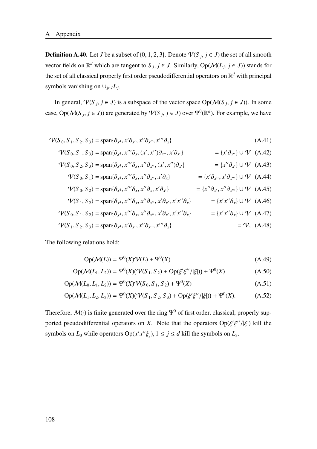**Definition A.40.** Let *J* be a subset of {0, 1, 2, 3}. Denote  $\mathcal{V}(S_j, j \in J)$  the set of all smooth vector fields on  $\mathbb{R}^d$  which are tangent to  $S_j$ ,  $j \in J$ . Similarly,  $Op(\mathcal{M}(L_j, j \in J))$  stands for the set of all classical properly first order pseudodifferential operators on R *<sup>d</sup>* with principal symbols vanishing on  $\cup_{j \in J} L_j$ .

In general,  $\mathcal{V}(S_j, j \in J)$  is a subspace of the vector space  $Op(\mathcal{M}(S_j, j \in J))$ . In some case,  $Op(\mathcal{M}(S_j, j \in J))$  are generated by  $\mathcal{V}(S_j, j \in J)$  over  $\Psi^0(\mathbb{R}^d)$ . For example, we have

$$
\mathcal{V}(S_0, S_1, S_2, S_3) = \text{span}\{\partial_{x^4}, x'\partial_{x'}, x''\partial_{x''}, x'''\partial_{x}\}\tag{A.41}
$$

$$
\mathcal{V}(S_0, S_1, S_3) = \text{span}\{\partial_{x^4}, x''' \partial_{x}, (x', x'') \partial_{x''}, x' \partial_{x'}\} = \{x' \partial_{x''}\} \cup \mathcal{V} \quad (A.42)
$$

$$
\mathcal{V}(S_0, S_2, S_3) = \text{span}\{\partial_{x^4}, x'''\partial_x, x''\partial_{x''}, (x', x'')\partial_{x'}\}\n= \{x''\partial_{x'}\} \cup \mathcal{V} \quad (A.43)
$$
\n
$$
\mathcal{V}(S_0, S_1) = \text{span}\{\partial_{x^4}, x'''\partial_{x'}\} \cup \{\partial_{x'}\} \quad \text{and} \quad \mathcal{V} \quad (A.44)
$$

$$
\mathcal{V}(S_0, S_1) = \text{span}\{\partial_{x^4}, x'''\partial_x, x''\partial_{x''}, x'\partial_x\} = \{x'\partial_{x''}, x'\partial_{x'''}\} \cup \mathcal{V} \quad (A.44)
$$
\n
$$
\mathcal{V}(S_0, S_1) = \text{span}\{\partial_{x^4}, x''\partial_{x''}, x'\partial_{x'}\} = \{x'\partial_{x''}, x'\partial_{x'''}\} \cup \mathcal{V} \quad (A.45)
$$

$$
\mathcal{V}(S_0, S_2) = \text{span}\{\partial_{x^4}, x'''\partial_x, x''\partial_x, x'\partial_{x'}\} \qquad \qquad = \{x''\partial_{x'}, x''\partial_{x'''}\} \cup \mathcal{V} \quad (A.45)
$$

$$
\mathcal{V}(S_1, S_2) = \text{span}\{\partial_{x^4}, x'''\partial_x, x''\partial_{x''}, x'\partial_{x'}, x'x''\partial_x\} = \{x'x''\partial_x\} \cup \mathcal{V}
$$
 (A.46)  

$$
\mathcal{V}(S_0, S_1, S_2) = \text{span}\{\partial_{x^4}, x'''\partial_x, x'\partial_{x''}, x'\partial_{x'}, x'x''\partial_x\} = \{x'x''\partial_x\} \cup \mathcal{V}
$$
 (A.47)

$$
\mathcal{V}(S_1, S_2, S_3) = \text{span}\{\partial_{x^4}, x'\partial_{x'}, x''\partial_{x''}, x'''\partial_{x}\}\
$$
\n
$$
= \mathcal{V}, \text{ (A.48)}
$$

The following relations hold:

$$
Op(\mathcal{M}(L)) = \Psi^0(X)\mathcal{V}(L) + \Psi^0(X) \tag{A.49}
$$

$$
Op(\mathcal{M}(L_1, L_2)) = \Psi^0(X)(\mathcal{V}(S_1, S_2) + Op(\xi'\xi'')|\xi|) + \Psi^0(X)
$$
 (A.50)

$$
Op(\mathcal{M}(L_0, L_1, L_2)) = \Psi^0(X)\Psi(S_0, S_1, S_2) + \Psi^0(X)
$$
\n(A.51)

$$
Op(\mathcal{M}(L_1, L_2, L_3)) = \Psi^0(X)(\mathcal{V}(S_1, S_2, S_3) + Op(\xi'\xi''/|\xi|)) + \Psi^0(X). \tag{A.52}
$$

Therefore,  $\mathcal{M}(\cdot)$  is finite generated over the ring  $\Psi^0$  of first order, classical, properly supported pseudodifferential operators on *X*. Note that the operators  $Op(\xi'\xi''/|\xi|)$  kill the symbols on  $L_0$  while operators  $Op(x'x''\xi_j)$ ,  $1 \le j \le d$  kill the symbols on  $L_3$ .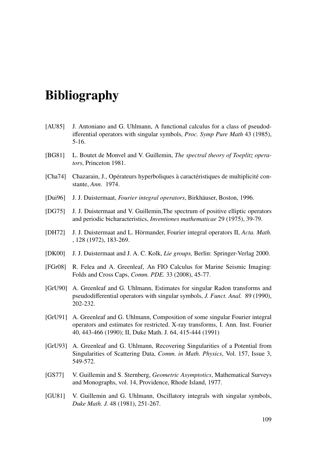## Bibliography

- [AU85] J. Antoniano and G. Uhlmann, A functional calculus for a class of pseudodifferential operators with singular symbols, *Proc. Symp Pure Math* 43 (1985), 5-16.
- [BG81] L. Boutet de Monvel and V. Guillemin, *The spectral theory of Toeplitz operators*, Princeton 1981.
- [Cha74] Chazarain, J., Opérateurs hyperboliques à caractéristiques de multiplicité constante, *Ann.* 1974.
- [Dui96] J. J. Duistermaat, *Fourier integral operators*, Birkhäuser, Boston, 1996.
- [DG75] J. J. Duistermaat and V. Guillemin,The spectrum of positive elliptic operators and periodic bicharacteristics, *Inventiones mathematicae* 29 (1975), 39-79.
- [DH72] J. J. Duistermaat and L. Hörmander, Fourier integral operators II, *Acta. Math.* , 128 (1972), 183-269.
- [DK00] J. J. Duistermaat and J. A. C. Kolk, *Lie groups,* Berlin: Springer-Verlag 2000.
- [FGr08] R. Felea and A. Greenleaf, An FIO Calculus for Marine Seismic Imaging: Folds and Cross Caps, *Comm. PDE.* 33 (2008), 45-77.
- [GrU90] A. Greenleaf and G. Uhlmann, Estimates for singular Radon transforms and pseudodifferential operators with singular symbols, *J. Funct. Anal.* 89 (1990), 202-232.
- [GrU91] A. Greenleaf and G. Uhlmann, Composition of some singular Fourier integral operators and estimates for restricted. X-ray transforms, I. Ann. Inst. Fourier 40, 443-466 (1990); II, Duke Math. J. 64, 415-444 (1991)
- [GrU93] A. Greenleaf and G. Uhlmann, Recovering Singularities of a Potential from Singularities of Scattering Data, *Comm. in Math. Physics*, Vol. 157, Issue 3, 549-572.
- [GS77] V. Guillemin and S. Sternberg, *Geometric Asymptotics*, Mathematical Surveys and Monographs, vol. 14, Providence, Rhode Island, 1977.
- [GU81] V. Guillemin and G. Uhlmann, Oscillatory integrals with singular symbols, *Duke Math. J.* 48 (1981), 251-267.